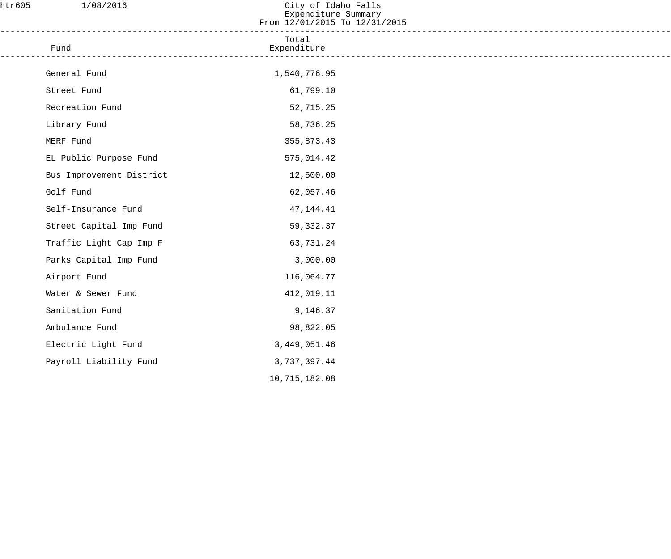| htr605 | 1/08/2016                | City of Idaho Falls<br>Expenditure Summary<br>From 12/01/2015 To 12/31/2015 |  |
|--------|--------------------------|-----------------------------------------------------------------------------|--|
|        | Fund                     | Total<br>Expenditure                                                        |  |
|        | General Fund             | 1,540,776.95                                                                |  |
|        | Street Fund              | 61,799.10                                                                   |  |
|        | Recreation Fund          | 52,715.25                                                                   |  |
|        | Library Fund             | 58,736.25                                                                   |  |
|        | MERF Fund                | 355,873.43                                                                  |  |
|        | EL Public Purpose Fund   | 575,014.42                                                                  |  |
|        | Bus Improvement District | 12,500.00                                                                   |  |
|        | Golf Fund                | 62,057.46                                                                   |  |
|        | Self-Insurance Fund      | 47, 144. 41                                                                 |  |
|        | Street Capital Imp Fund  | 59,332.37                                                                   |  |
|        | Traffic Light Cap Imp F  | 63,731.24                                                                   |  |
|        | Parks Capital Imp Fund   | 3,000.00                                                                    |  |
|        | Airport Fund             | 116,064.77                                                                  |  |
|        | Water & Sewer Fund       | 412,019.11                                                                  |  |
|        | Sanitation Fund          | 9,146.37                                                                    |  |
|        | Ambulance Fund           | 98,822.05                                                                   |  |
|        | Electric Light Fund      | 3, 449, 051.46                                                              |  |
|        | Payroll Liability Fund   | 3,737,397.44                                                                |  |
|        |                          | 10,715,182.08                                                               |  |
|        |                          |                                                                             |  |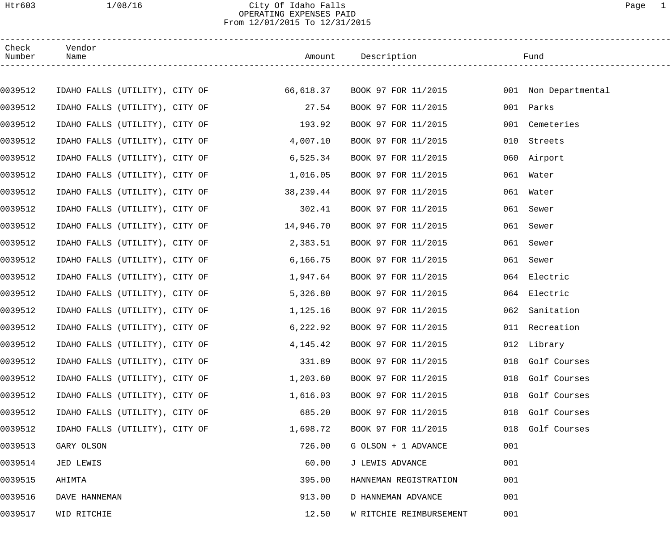## Htr603 1/08/16 City Of Idaho Falls Page 1 OPERATING EXPENSES PAID From 12/01/2015 To 12/31/2015

| Check<br>Number | Vendor<br>Name                           |           | Description             |     | Fund                 |
|-----------------|------------------------------------------|-----------|-------------------------|-----|----------------------|
|                 |                                          |           |                         |     |                      |
| 0039512         | IDAHO FALLS (UTILITY), CITY OF 66,618.37 |           | BOOK 97 FOR 11/2015     |     | 001 Non Departmental |
| 0039512         | IDAHO FALLS (UTILITY), CITY OF           | 27.54     | BOOK 97 FOR 11/2015     |     | 001 Parks            |
| 0039512         | IDAHO FALLS (UTILITY), CITY OF           | 193.92    | BOOK 97 FOR 11/2015     |     | 001 Cemeteries       |
| 0039512         | IDAHO FALLS (UTILITY), CITY OF           | 4,007.10  | BOOK 97 FOR 11/2015     |     | 010 Streets          |
| 0039512         | IDAHO FALLS (UTILITY), CITY OF           | 6,525.34  | BOOK 97 FOR 11/2015     |     | 060 Airport          |
| 0039512         | IDAHO FALLS (UTILITY), CITY OF           | 1,016.05  | BOOK 97 FOR 11/2015     |     | 061 Water            |
| 0039512         | IDAHO FALLS (UTILITY), CITY OF           | 38,239.44 | BOOK 97 FOR 11/2015     |     | 061 Water            |
| 0039512         | IDAHO FALLS (UTILITY), CITY OF           | 302.41    | BOOK 97 FOR 11/2015     |     | 061 Sewer            |
| 0039512         | IDAHO FALLS (UTILITY), CITY OF           | 14,946.70 | BOOK 97 FOR 11/2015     |     | 061 Sewer            |
| 0039512         | IDAHO FALLS (UTILITY), CITY OF           | 2,383.51  | BOOK 97 FOR 11/2015     |     | 061 Sewer            |
| 0039512         | IDAHO FALLS (UTILITY), CITY OF           | 6, 166.75 | BOOK 97 FOR 11/2015     |     | 061 Sewer            |
| 0039512         | IDAHO FALLS (UTILITY), CITY OF           | 1,947.64  | BOOK 97 FOR 11/2015     |     | 064 Electric         |
| 0039512         | IDAHO FALLS (UTILITY), CITY OF           | 5,326.80  | BOOK 97 FOR 11/2015     |     | 064 Electric         |
| 0039512         | IDAHO FALLS (UTILITY), CITY OF           | 1,125.16  | BOOK 97 FOR 11/2015     | 062 | Sanitation           |
| 0039512         | IDAHO FALLS (UTILITY), CITY OF           | 6,222.92  | BOOK 97 FOR 11/2015     |     | 011 Recreation       |
| 0039512         | IDAHO FALLS (UTILITY), CITY OF           | 4,145.42  | BOOK 97 FOR 11/2015     |     | 012 Library          |
| 0039512         | IDAHO FALLS (UTILITY), CITY OF           | 331.89    | BOOK 97 FOR 11/2015     |     | 018 Golf Courses     |
| 0039512         | IDAHO FALLS (UTILITY), CITY OF           | 1,203.60  | BOOK 97 FOR 11/2015     | 018 | Golf Courses         |
| 0039512         | IDAHO FALLS (UTILITY), CITY OF           | 1,616.03  | BOOK 97 FOR 11/2015     | 018 | Golf Courses         |
| 0039512         | IDAHO FALLS (UTILITY), CITY OF           | 685.20    | BOOK 97 FOR 11/2015     | 018 | Golf Courses         |
| 0039512         | IDAHO FALLS (UTILITY), CITY OF           | 1,698.72  | BOOK 97 FOR 11/2015     | 018 | Golf Courses         |
| 0039513         | GARY OLSON                               | 726.00    | G OLSON + 1 ADVANCE     | 001 |                      |
| 0039514         | JED LEWIS                                | 60.00     | J LEWIS ADVANCE         | 001 |                      |
| 0039515         | AHIMTA                                   | 395.00    | HANNEMAN REGISTRATION   | 001 |                      |
| 0039516         | DAVE HANNEMAN                            | 913.00    | D HANNEMAN ADVANCE      | 001 |                      |
| 0039517         | WID RITCHIE                              | 12.50     | W RITCHIE REIMBURSEMENT | 001 |                      |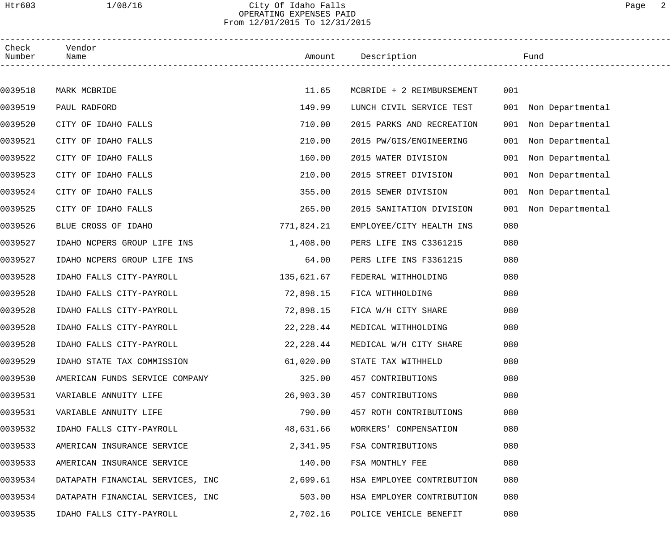# Htr603 1/08/16 City Of Idaho Falls Page 2 OPERATING EXPENSES PAID From 12/01/2015 To 12/31/2015

| Check<br>Number | Vendor<br>Name                   |            |                           | Fund                    |
|-----------------|----------------------------------|------------|---------------------------|-------------------------|
|                 |                                  |            |                           |                         |
| 0039518         | MARK MCBRIDE                     | 11.65      | MCBRIDE + 2 REIMBURSEMENT | 001                     |
| 0039519         | PAUL RADFORD                     | 149.99     | LUNCH CIVIL SERVICE TEST  | 001<br>Non Departmental |
| 0039520         | CITY OF IDAHO FALLS              | 710.00     | 2015 PARKS AND RECREATION | 001<br>Non Departmental |
| 0039521         | CITY OF IDAHO FALLS              | 210.00     | 2015 PW/GIS/ENGINEERING   | 001<br>Non Departmental |
| 0039522         | CITY OF IDAHO FALLS              | 160.00     | 2015 WATER DIVISION       | 001<br>Non Departmental |
| 0039523         | CITY OF IDAHO FALLS              | 210.00     | 2015 STREET DIVISION      | 001<br>Non Departmental |
| 0039524         | CITY OF IDAHO FALLS              | 355.00     | 2015 SEWER DIVISION       | 001<br>Non Departmental |
| 0039525         | CITY OF IDAHO FALLS              | 265.00     | 2015 SANITATION DIVISION  | Non Departmental<br>001 |
| 0039526         | BLUE CROSS OF IDAHO              | 771,824.21 | EMPLOYEE/CITY HEALTH INS  | 080                     |
| 0039527         | IDAHO NCPERS GROUP LIFE INS      | 1,408.00   | PERS LIFE INS C3361215    | 080                     |
| 0039527         | IDAHO NCPERS GROUP LIFE INS      | 64.00      | PERS LIFE INS F3361215    | 080                     |
| 0039528         | IDAHO FALLS CITY-PAYROLL         | 135,621.67 | FEDERAL WITHHOLDING       | 080                     |
| 0039528         | IDAHO FALLS CITY-PAYROLL         | 72,898.15  | FICA WITHHOLDING          | 080                     |
| 0039528         | IDAHO FALLS CITY-PAYROLL         | 72,898.15  | FICA W/H CITY SHARE       | 080                     |
| 0039528         | IDAHO FALLS CITY-PAYROLL         | 22,228.44  | MEDICAL WITHHOLDING       | 080                     |
| 0039528         | IDAHO FALLS CITY-PAYROLL         | 22,228.44  | MEDICAL W/H CITY SHARE    | 080                     |
| 0039529         | IDAHO STATE TAX COMMISSION       | 61,020.00  | STATE TAX WITHHELD        | 080                     |
| 0039530         | AMERICAN FUNDS SERVICE COMPANY   | 325.00     | 457 CONTRIBUTIONS         | 080                     |
| 0039531         | VARIABLE ANNUITY LIFE            | 26,903.30  | 457 CONTRIBUTIONS         | 080                     |
| 0039531         | VARIABLE ANNUITY LIFE            | 790.00     | 457 ROTH CONTRIBUTIONS    | 080                     |
| 0039532         | IDAHO FALLS CITY-PAYROLL         | 48,631.66  | WORKERS' COMPENSATION     | 080                     |
| 0039533         | AMERICAN INSURANCE SERVICE       | 2,341.95   | FSA CONTRIBUTIONS         | 080                     |
| 0039533         | AMERICAN INSURANCE SERVICE       | 140.00     | FSA MONTHLY FEE           | 080                     |
| 0039534         | DATAPATH FINANCIAL SERVICES, INC | 2,699.61   | HSA EMPLOYEE CONTRIBUTION | 080                     |
| 0039534         | DATAPATH FINANCIAL SERVICES, INC | 503.00     | HSA EMPLOYER CONTRIBUTION | 080                     |
| 0039535         | IDAHO FALLS CITY-PAYROLL         | 2,702.16   | POLICE VEHICLE BENEFIT    | 080                     |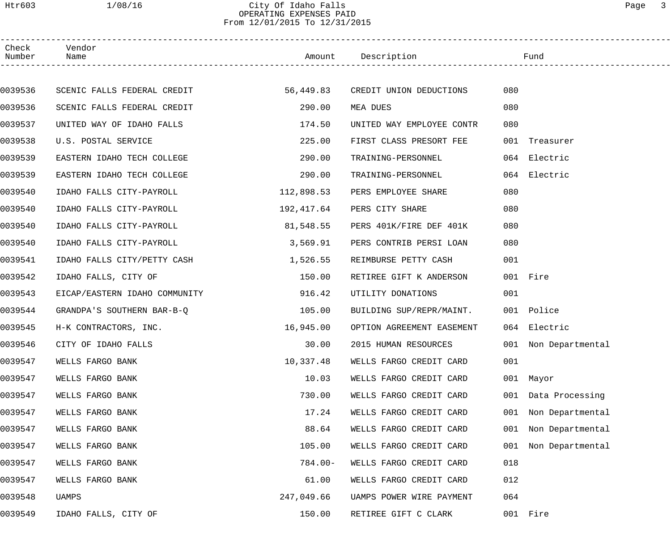# Htr603 1/08/16 City Of Idaho Falls Page 3 OPERATING EXPENSES PAID From 12/01/2015 To 12/31/2015

| Check<br>Number | Vendor<br>Name                |            | Amount Description                |     | Fund                 |
|-----------------|-------------------------------|------------|-----------------------------------|-----|----------------------|
|                 |                               |            |                                   |     |                      |
| 0039536         | SCENIC FALLS FEDERAL CREDIT   |            | 56,449.83 CREDIT UNION DEDUCTIONS | 080 |                      |
| 0039536         | SCENIC FALLS FEDERAL CREDIT   | 290.00     | MEA DUES                          | 080 |                      |
| 0039537         | UNITED WAY OF IDAHO FALLS     | 174.50     | UNITED WAY EMPLOYEE CONTR         | 080 |                      |
| 0039538         | U.S. POSTAL SERVICE           | 225.00     | FIRST CLASS PRESORT FEE           | 001 | Treasurer            |
| 0039539         | EASTERN IDAHO TECH COLLEGE    | 290.00     | TRAINING-PERSONNEL                |     | 064 Electric         |
| 0039539         | EASTERN IDAHO TECH COLLEGE    | 290.00     | TRAINING-PERSONNEL                |     | 064 Electric         |
| 0039540         | IDAHO FALLS CITY-PAYROLL      | 112,898.53 | PERS EMPLOYEE SHARE               | 080 |                      |
| 0039540         | IDAHO FALLS CITY-PAYROLL      | 192,417.64 | PERS CITY SHARE                   | 080 |                      |
| 0039540         | IDAHO FALLS CITY-PAYROLL      | 81,548.55  | PERS 401K/FIRE DEF 401K           | 080 |                      |
| 0039540         | IDAHO FALLS CITY-PAYROLL      | 3,569.91   | PERS CONTRIB PERSI LOAN           | 080 |                      |
| 0039541         | IDAHO FALLS CITY/PETTY CASH   | 1,526.55   | REIMBURSE PETTY CASH              | 001 |                      |
| 0039542         | IDAHO FALLS, CITY OF          | 150.00     | RETIREE GIFT K ANDERSON           |     | 001 Fire             |
| 0039543         | EICAP/EASTERN IDAHO COMMUNITY | 916.42     | UTILITY DONATIONS                 | 001 |                      |
| 0039544         | GRANDPA'S SOUTHERN BAR-B-Q    | 105.00     | BUILDING SUP/REPR/MAINT.          |     | 001 Police           |
| 0039545         | H-K CONTRACTORS, INC.         | 16,945.00  | OPTION AGREEMENT EASEMENT         |     | 064 Electric         |
| 0039546         | CITY OF IDAHO FALLS           | 30.00      | 2015 HUMAN RESOURCES              |     | 001 Non Departmental |
| 0039547         | WELLS FARGO BANK              | 10,337.48  | WELLS FARGO CREDIT CARD           | 001 |                      |
| 0039547         | WELLS FARGO BANK              | 10.03      | WELLS FARGO CREDIT CARD           |     | 001 Mayor            |
| 0039547         | WELLS FARGO BANK              | 730.00     | WELLS FARGO CREDIT CARD           |     | 001 Data Processing  |
| 0039547         | WELLS FARGO BANK              | 17.24      | WELLS FARGO CREDIT CARD           | 001 | Non Departmental     |
| 0039547         | WELLS FARGO BANK              | 88.64      | WELLS FARGO CREDIT CARD           | 001 | Non Departmental     |
| 0039547         | WELLS FARGO BANK              | 105.00     | WELLS FARGO CREDIT CARD           | 001 | Non Departmental     |
| 0039547         | WELLS FARGO BANK              | $784.00 -$ | WELLS FARGO CREDIT CARD           | 018 |                      |
| 0039547         | WELLS FARGO BANK              | 61.00      | WELLS FARGO CREDIT CARD           | 012 |                      |
| 0039548         | UAMPS                         | 247,049.66 | UAMPS POWER WIRE PAYMENT          | 064 |                      |
| 0039549         | IDAHO FALLS, CITY OF          | 150.00     | RETIREE GIFT C CLARK              |     | 001 Fire             |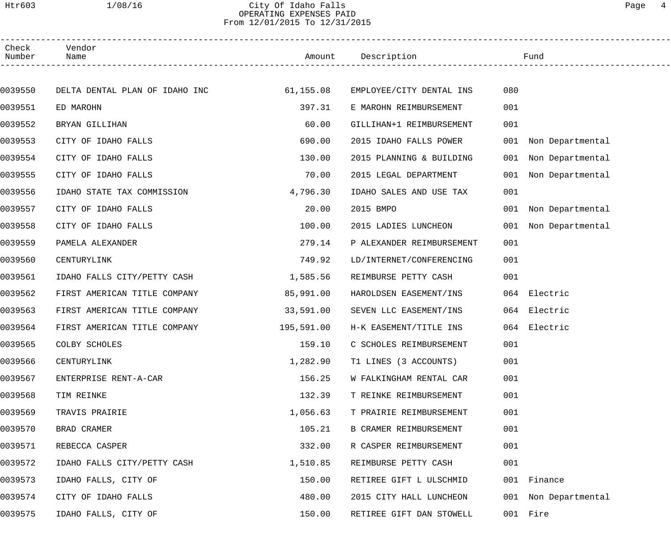#### Htr603 1/08/16 City Of Idaho Falls Page 4 OPERATING EXPENSES PAID From 12/01/2015 To 12/31/2015

| Check<br>Number | Vendor<br>Name                 |            | Amount Description        |     | Fund                 |  |
|-----------------|--------------------------------|------------|---------------------------|-----|----------------------|--|
|                 |                                |            |                           |     |                      |  |
| 0039550         | DELTA DENTAL PLAN OF IDAHO INC | 61,155.08  | EMPLOYEE/CITY DENTAL INS  | 080 |                      |  |
| 0039551         | ED MAROHN                      | 397.31     | E MAROHN REIMBURSEMENT    | 001 |                      |  |
| 0039552         | BRYAN GILLIHAN                 | 60.00      | GILLIHAN+1 REIMBURSEMENT  | 001 |                      |  |
| 0039553         | CITY OF IDAHO FALLS            | 690.00     | 2015 IDAHO FALLS POWER    |     | 001 Non Departmental |  |
| 0039554         | CITY OF IDAHO FALLS            | 130.00     | 2015 PLANNING & BUILDING  | 001 | Non Departmental     |  |
| 0039555         | CITY OF IDAHO FALLS            | 70.00      | 2015 LEGAL DEPARTMENT     | 001 | Non Departmental     |  |
| 0039556         | IDAHO STATE TAX COMMISSION     | 4,796.30   | IDAHO SALES AND USE TAX   | 001 |                      |  |
| 0039557         | CITY OF IDAHO FALLS            | 20.00      | 2015 BMPO                 |     | 001 Non Departmental |  |
| 0039558         | CITY OF IDAHO FALLS            | 100.00     | 2015 LADIES LUNCHEON      | 001 | Non Departmental     |  |
| 0039559         | PAMELA ALEXANDER               | 279.14     | P ALEXANDER REIMBURSEMENT | 001 |                      |  |
| 0039560         | CENTURYLINK                    | 749.92     | LD/INTERNET/CONFERENCING  | 001 |                      |  |
| 0039561         | IDAHO FALLS CITY/PETTY CASH    | 1,585.56   | REIMBURSE PETTY CASH      | 001 |                      |  |
| 0039562         | FIRST AMERICAN TITLE COMPANY   | 85,991.00  | HAROLDSEN EASEMENT/INS    |     | 064 Electric         |  |
| 0039563         | FIRST AMERICAN TITLE COMPANY   | 33,591.00  | SEVEN LLC EASEMENT/INS    |     | 064 Electric         |  |
| 0039564         | FIRST AMERICAN TITLE COMPANY   | 195,591.00 | H-K EASEMENT/TITLE INS    |     | 064 Electric         |  |
| 0039565         | COLBY SCHOLES                  | 159.10     | C SCHOLES REIMBURSEMENT   | 001 |                      |  |
| 0039566         | CENTURYLINK                    | 1,282.90   | T1 LINES (3 ACCOUNTS)     | 001 |                      |  |
| 0039567         | ENTERPRISE RENT-A-CAR          | 156.25     | W FALKINGHAM RENTAL CAR   | 001 |                      |  |
| 0039568         | TIM REINKE                     | 132.39     | T REINKE REIMBURSEMENT    | 001 |                      |  |
| 0039569         | TRAVIS PRAIRIE                 | 1,056.63   | T PRAIRIE REIMBURSEMENT   | 001 |                      |  |
| 0039570         | BRAD CRAMER                    | 105.21     | B CRAMER REIMBURSEMENT    | 001 |                      |  |
| 0039571         | REBECCA CASPER                 | 332.00     | R CASPER REIMBURSEMENT    | 001 |                      |  |
| 0039572         | IDAHO FALLS CITY/PETTY CASH    | 1,510.85   | REIMBURSE PETTY CASH      | 001 |                      |  |
| 0039573         | IDAHO FALLS, CITY OF           | 150.00     | RETIREE GIFT L ULSCHMID   |     | 001 Finance          |  |
| 0039574         | CITY OF IDAHO FALLS            | 480.00     | 2015 CITY HALL LUNCHEON   |     | 001 Non Departmental |  |
| 0039575         | IDAHO FALLS, CITY OF           | 150.00     | RETIREE GIFT DAN STOWELL  |     | 001 Fire             |  |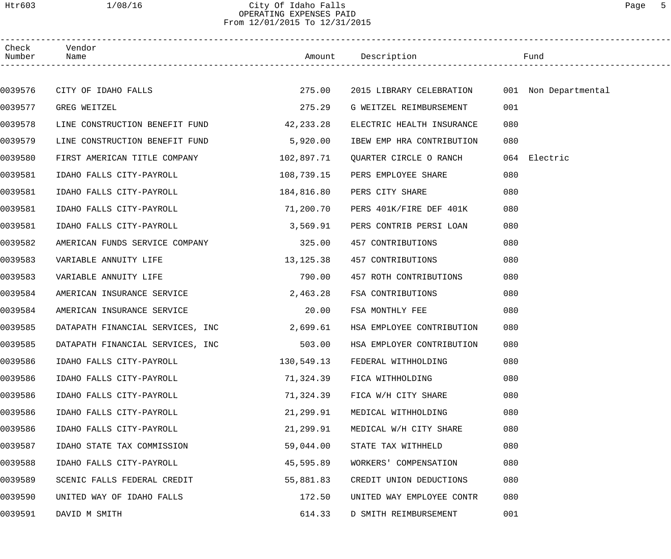## Htr603 1/08/16 City Of Idaho Falls Page 5 OPERATING EXPENSES PAID From 12/01/2015 To 12/31/2015

| Check<br>Number Name | Vendor                                    |            |                                               |              |
|----------------------|-------------------------------------------|------------|-----------------------------------------------|--------------|
|                      |                                           |            |                                               |              |
| 0039576              | CITY OF IDAHO FALLS 275.00                |            | 2015 LIBRARY CELEBRATION 001 Non Departmental |              |
| 0039577              | GREG WEITZEL                              | 275.29     | G WEITZEL REIMBURSEMENT                       | 001          |
| 0039578              | LINE CONSTRUCTION BENEFIT FUND 42,233.28  |            | ELECTRIC HEALTH INSURANCE                     | 080          |
| 0039579              | LINE CONSTRUCTION BENEFIT FUND 5,920.00   |            | IBEW EMP HRA CONTRIBUTION                     | 080          |
| 0039580              | FIRST AMERICAN TITLE COMPANY 102,897.71   |            | QUARTER CIRCLE O RANCH                        | 064 Electric |
| 0039581              | IDAHO FALLS CITY-PAYROLL                  | 108,739.15 | PERS EMPLOYEE SHARE                           | 080          |
| 0039581              | IDAHO FALLS CITY-PAYROLL                  | 184,816.80 | PERS CITY SHARE                               | 080          |
| 0039581              | IDAHO FALLS CITY-PAYROLL 71,200.70        |            | PERS 401K/FIRE DEF 401K                       | 080          |
| 0039581              | IDAHO FALLS CITY-PAYROLL                  | 3,569.91   | PERS CONTRIB PERSI LOAN                       | 080          |
| 0039582              | AMERICAN FUNDS SERVICE COMPANY 325.00     |            | 457 CONTRIBUTIONS                             | 080          |
| 0039583              | VARIABLE ANNUITY LIFE                     | 13, 125.38 | 457 CONTRIBUTIONS                             | 080          |
| 0039583              | VARIABLE ANNUITY LIFE                     | 790.00     | 457 ROTH CONTRIBUTIONS                        | 080          |
| 0039584              | AMERICAN INSURANCE SERVICE                | 2,463.28   | FSA CONTRIBUTIONS                             | 080          |
| 0039584              | AMERICAN INSURANCE SERVICE                | 20.00      | FSA MONTHLY FEE                               | 080          |
| 0039585              | DATAPATH FINANCIAL SERVICES, INC 2,699.61 |            | HSA EMPLOYEE CONTRIBUTION                     | 080          |
| 0039585              | DATAPATH FINANCIAL SERVICES, INC          | 503.00     | HSA EMPLOYER CONTRIBUTION                     | 080          |
| 0039586              | IDAHO FALLS CITY-PAYROLL                  | 130,549.13 | FEDERAL WITHHOLDING                           | 080          |
| 0039586              | IDAHO FALLS CITY-PAYROLL                  | 71,324.39  | FICA WITHHOLDING                              | 080          |
| 0039586              | IDAHO FALLS CITY-PAYROLL                  | 71,324.39  | FICA W/H CITY SHARE                           | 080          |
| 0039586              | IDAHO FALLS CITY-PAYROLL                  | 21,299.91  | MEDICAL WITHHOLDING                           | 080          |
| 0039586              | IDAHO FALLS CITY-PAYROLL                  | 21,299.91  | MEDICAL W/H CITY SHARE                        | 080          |
| 0039587              | IDAHO STATE TAX COMMISSION                | 59,044.00  | STATE TAX WITHHELD                            | 080          |
| 0039588              | IDAHO FALLS CITY-PAYROLL                  | 45,595.89  | WORKERS' COMPENSATION                         | 080          |
| 0039589              | SCENIC FALLS FEDERAL CREDIT               | 55,881.83  | CREDIT UNION DEDUCTIONS                       | 080          |
| 0039590              | UNITED WAY OF IDAHO FALLS                 | 172.50     | UNITED WAY EMPLOYEE CONTR                     | 080          |
| 0039591              | DAVID M SMITH                             | 614.33     | D SMITH REIMBURSEMENT                         | 001          |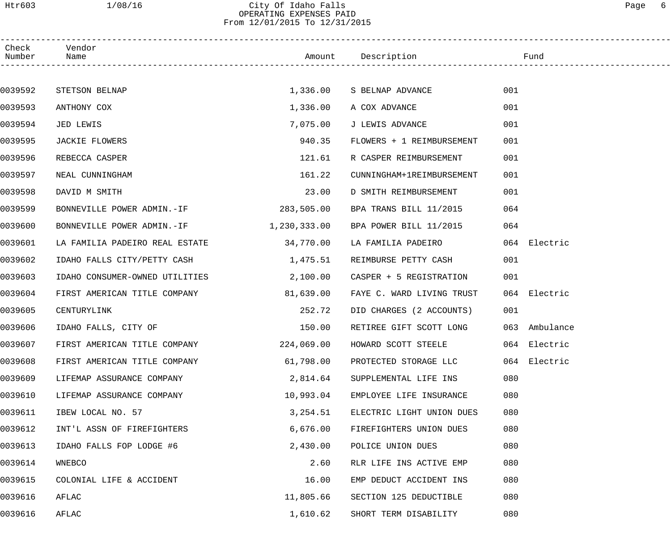#### Htr603 1/08/16 City Of Idaho Falls Page 6 OPERATING EXPENSES PAID From 12/01/2015 To 12/31/2015

| Check<br>Number | Vendor<br>Name                 |              | Amount Description        | Fund             |  |
|-----------------|--------------------------------|--------------|---------------------------|------------------|--|
|                 |                                |              |                           |                  |  |
| 0039592         | STETSON BELNAP                 |              | 1,336.00 S BELNAP ADVANCE | 001              |  |
| 0039593         | ANTHONY COX                    | 1,336.00     | A COX ADVANCE             | 001              |  |
| 0039594         | JED LEWIS                      | 7,075.00     | J LEWIS ADVANCE           | 001              |  |
| 0039595         | JACKIE FLOWERS                 | 940.35       | FLOWERS + 1 REIMBURSEMENT | 001              |  |
| 0039596         | REBECCA CASPER                 | 121.61       | R CASPER REIMBURSEMENT    | 001              |  |
| 0039597         | NEAL CUNNINGHAM                | 161.22       | CUNNINGHAM+1REIMBURSEMENT | 001              |  |
| 0039598         | DAVID M SMITH                  | 23.00        | D SMITH REIMBURSEMENT     | 001              |  |
| 0039599         | BONNEVILLE POWER ADMIN.-IF     | 283,505.00   | BPA TRANS BILL 11/2015    | 064              |  |
| 0039600         | BONNEVILLE POWER ADMIN.-IF     | 1,230,333.00 | BPA POWER BILL 11/2015    | 064              |  |
| 0039601         | LA FAMILIA PADEIRO REAL ESTATE | 34,770.00    | LA FAMILIA PADEIRO        | 064 Electric     |  |
| 0039602         | IDAHO FALLS CITY/PETTY CASH    | 1,475.51     | REIMBURSE PETTY CASH      | 001              |  |
| 0039603         | IDAHO CONSUMER-OWNED UTILITIES | 2,100.00     | CASPER + 5 REGISTRATION   | 001              |  |
| 0039604         | FIRST AMERICAN TITLE COMPANY   | 81,639.00    | FAYE C. WARD LIVING TRUST | 064 Electric     |  |
| 0039605         | CENTURYLINK                    | 252.72       | DID CHARGES (2 ACCOUNTS)  | 001              |  |
| 0039606         | IDAHO FALLS, CITY OF           | 150.00       | RETIREE GIFT SCOTT LONG   | 063<br>Ambulance |  |
| 0039607         | FIRST AMERICAN TITLE COMPANY   | 224,069.00   | HOWARD SCOTT STEELE       | 064 Electric     |  |
| 0039608         | FIRST AMERICAN TITLE COMPANY   | 61,798.00    | PROTECTED STORAGE LLC     | 064 Electric     |  |
| 0039609         | LIFEMAP ASSURANCE COMPANY      | 2,814.64     | SUPPLEMENTAL LIFE INS     | 080              |  |
| 0039610         | LIFEMAP ASSURANCE COMPANY      | 10,993.04    | EMPLOYEE LIFE INSURANCE   | 080              |  |
| 0039611         | IBEW LOCAL NO. 57              | 3,254.51     | ELECTRIC LIGHT UNION DUES | 080              |  |
| 0039612         | INT'L ASSN OF FIREFIGHTERS     | 6,676.00     | FIREFIGHTERS UNION DUES   | 080              |  |
| 0039613         | IDAHO FALLS FOP LODGE #6       | 2,430.00     | POLICE UNION DUES         | 080              |  |
| 0039614         | WNEBCO                         | 2.60         | RLR LIFE INS ACTIVE EMP   | 080              |  |
| 0039615         | COLONIAL LIFE & ACCIDENT       | 16.00        | EMP DEDUCT ACCIDENT INS   | 080              |  |
| 0039616         | AFLAC                          | 11,805.66    | SECTION 125 DEDUCTIBLE    | 080              |  |
| 0039616         | AFLAC                          | 1,610.62     | SHORT TERM DISABILITY     | 080              |  |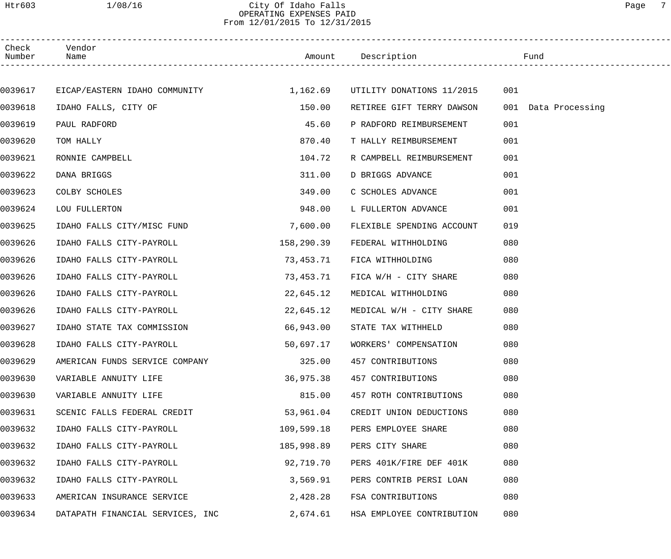#### Htr603 1/08/16 City Of Idaho Falls Page 7 OPERATING EXPENSES PAID From 12/01/2015 To 12/31/2015

| Check<br>Number | Vendor<br>Name                         |            | Amount Description        | Fund                |  |
|-----------------|----------------------------------------|------------|---------------------------|---------------------|--|
|                 |                                        |            |                           |                     |  |
| 0039617         | EICAP/EASTERN IDAHO COMMUNITY 1,162.69 |            | UTILITY DONATIONS 11/2015 | 001                 |  |
| 0039618         | IDAHO FALLS, CITY OF                   | 150.00     | RETIREE GIFT TERRY DAWSON | 001 Data Processing |  |
| 0039619         | PAUL RADFORD                           | 45.60      | P RADFORD REIMBURSEMENT   | 001                 |  |
| 0039620         | TOM HALLY                              | 870.40     | T HALLY REIMBURSEMENT     | 001                 |  |
| 0039621         | RONNIE CAMPBELL                        | 104.72     | R CAMPBELL REIMBURSEMENT  | 001                 |  |
| 0039622         | DANA BRIGGS                            | 311.00     | D BRIGGS ADVANCE          | 001                 |  |
| 0039623         | COLBY SCHOLES                          | 349.00     | C SCHOLES ADVANCE         | 001                 |  |
| 0039624         | LOU FULLERTON                          | 948.00     | L FULLERTON ADVANCE       | 001                 |  |
| 0039625         | IDAHO FALLS CITY/MISC FUND             | 7,600.00   | FLEXIBLE SPENDING ACCOUNT | 019                 |  |
| 0039626         | IDAHO FALLS CITY-PAYROLL               | 158,290.39 | FEDERAL WITHHOLDING       | 080                 |  |
| 0039626         | IDAHO FALLS CITY-PAYROLL               | 73,453.71  | FICA WITHHOLDING          | 080                 |  |
| 0039626         | IDAHO FALLS CITY-PAYROLL               | 73,453.71  | FICA W/H - CITY SHARE     | 080                 |  |
| 0039626         | IDAHO FALLS CITY-PAYROLL               | 22,645.12  | MEDICAL WITHHOLDING       | 080                 |  |
| 0039626         | IDAHO FALLS CITY-PAYROLL               | 22,645.12  | MEDICAL W/H - CITY SHARE  | 080                 |  |
| 0039627         | IDAHO STATE TAX COMMISSION             | 66,943.00  | STATE TAX WITHHELD        | 080                 |  |
| 0039628         | IDAHO FALLS CITY-PAYROLL               | 50,697.17  | WORKERS' COMPENSATION     | 080                 |  |
| 0039629         | AMERICAN FUNDS SERVICE COMPANY         | 325.00     | 457 CONTRIBUTIONS         | 080                 |  |
| 0039630         | VARIABLE ANNUITY LIFE                  | 36,975.38  | 457 CONTRIBUTIONS         | 080                 |  |
| 0039630         | VARIABLE ANNUITY LIFE                  | 815.00     | 457 ROTH CONTRIBUTIONS    | 080                 |  |
| 0039631         | SCENIC FALLS FEDERAL CREDIT            | 53,961.04  | CREDIT UNION DEDUCTIONS   | 080                 |  |
| 0039632         | IDAHO FALLS CITY-PAYROLL               | 109,599.18 | PERS EMPLOYEE SHARE       | 080                 |  |
| 0039632         | IDAHO FALLS CITY-PAYROLL               | 185,998.89 | PERS CITY SHARE           | 080                 |  |
| 0039632         | IDAHO FALLS CITY-PAYROLL               | 92,719.70  | PERS 401K/FIRE DEF 401K   | 080                 |  |
| 0039632         | IDAHO FALLS CITY-PAYROLL               | 3,569.91   | PERS CONTRIB PERSI LOAN   | 080                 |  |
| 0039633         | AMERICAN INSURANCE SERVICE             | 2,428.28   | FSA CONTRIBUTIONS         | 080                 |  |
| 0039634         | DATAPATH FINANCIAL SERVICES, INC       | 2,674.61   | HSA EMPLOYEE CONTRIBUTION | 080                 |  |
|                 |                                        |            |                           |                     |  |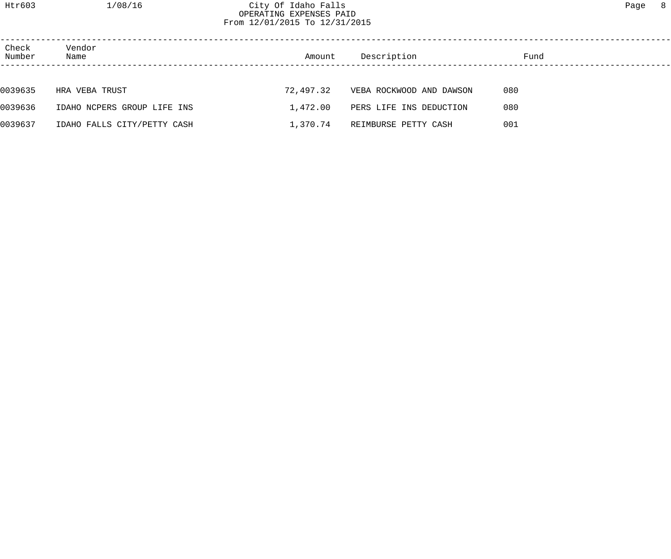| Check<br>Number | Vendor<br>Name              | Amount    | Description              | Fund |
|-----------------|-----------------------------|-----------|--------------------------|------|
|                 |                             |           |                          |      |
| 0039635         | HRA VEBA TRUST              | 72,497.32 | VEBA ROCKWOOD AND DAWSON | 080  |
| 0039636         | IDAHO NCPERS GROUP LIFE INS | 1,472.00  | PERS LIFE INS DEDUCTION  | 080  |
| 0039637         | IDAHO FALLS CITY/PETTY CASH | 1,370.74  | REIMBURSE PETTY CASH     | 001  |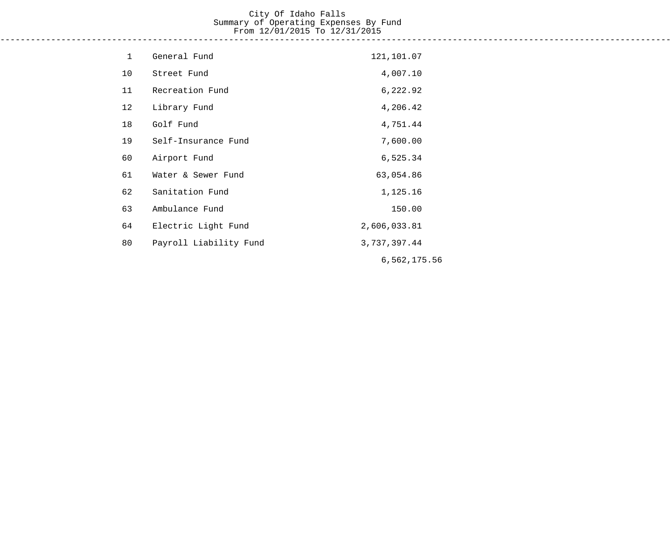#### City Of Idaho Falls Summary of Operating Expenses By Fund From 12/01/2015 To 12/31/2015 ------------------------------------------------------------------------------------------------------------------------------------

| $\mathbf 1$ | General Fund           | 121,101.07   |
|-------------|------------------------|--------------|
| 10          | Street Fund            | 4,007.10     |
| 11          | Recreation Fund        | 6,222.92     |
| 12          | Library Fund           | 4,206.42     |
| 18          | Golf Fund              | 4,751.44     |
| 19          | Self-Insurance Fund    | 7,600.00     |
| 60          | Airport Fund           | 6,525.34     |
| 61          | Water & Sewer Fund     | 63,054.86    |
| 62          | Sanitation Fund        | 1,125.16     |
| 63          | Ambulance Fund         | 150.00       |
| 64          | Electric Light Fund    | 2,606,033.81 |
| 80          | Payroll Liability Fund | 3,737,397.44 |
|             |                        | 6,562,175.56 |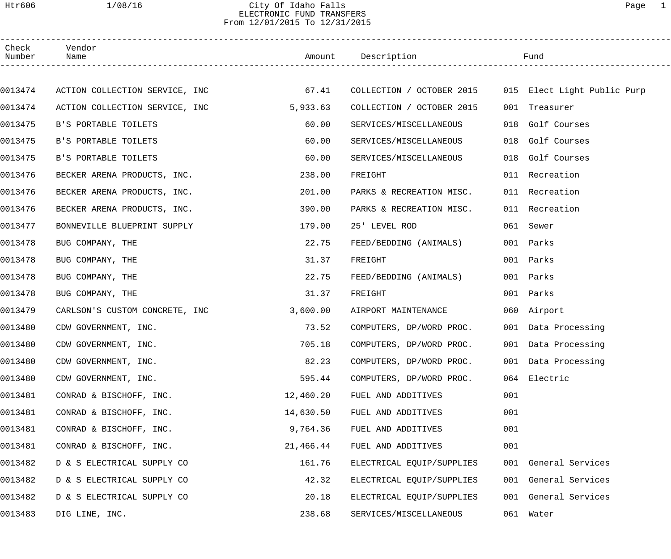# Htr606 1/08/16 City Of Idaho Falls Page 1 ELECTRONIC FUND TRANSFERS From 12/01/2015 To 12/31/2015

| Check<br>Number | Vendor<br>Name                 |           | Amount Description                                    |     | Fund                 |  |
|-----------------|--------------------------------|-----------|-------------------------------------------------------|-----|----------------------|--|
|                 |                                |           |                                                       |     |                      |  |
| 0013474         | ACTION COLLECTION SERVICE, INC | 67.41     | COLLECTION / OCTOBER 2015 015 Elect Light Public Purp |     |                      |  |
| 0013474         | ACTION COLLECTION SERVICE, INC | 5,933.63  | COLLECTION / OCTOBER 2015                             |     | 001 Treasurer        |  |
| 0013475         | B'S PORTABLE TOILETS           | 60.00     | SERVICES/MISCELLANEOUS                                | 018 | Golf Courses         |  |
| 0013475         | B'S PORTABLE TOILETS           | 60.00     | SERVICES/MISCELLANEOUS                                | 018 | Golf Courses         |  |
| 0013475         | B'S PORTABLE TOILETS           | 60.00     | SERVICES/MISCELLANEOUS                                | 018 | Golf Courses         |  |
| 0013476         | BECKER ARENA PRODUCTS, INC.    | 238.00    | FREIGHT                                               |     | 011 Recreation       |  |
| 0013476         | BECKER ARENA PRODUCTS, INC.    | 201.00    | PARKS & RECREATION MISC.                              |     | 011 Recreation       |  |
| 0013476         | BECKER ARENA PRODUCTS, INC.    | 390.00    | PARKS & RECREATION MISC.                              |     | 011 Recreation       |  |
| 0013477         | BONNEVILLE BLUEPRINT SUPPLY    | 179.00    | 25' LEVEL ROD                                         |     | 061 Sewer            |  |
| 0013478         | BUG COMPANY, THE               | 22.75     | FEED/BEDDING (ANIMALS)                                |     | 001 Parks            |  |
| 0013478         | BUG COMPANY, THE               | 31.37     | FREIGHT                                               |     | 001 Parks            |  |
| 0013478         | BUG COMPANY, THE               | 22.75     | FEED/BEDDING (ANIMALS)                                |     | 001 Parks            |  |
| 0013478         | BUG COMPANY, THE               | 31.37     | FREIGHT                                               |     | 001 Parks            |  |
| 0013479         | CARLSON'S CUSTOM CONCRETE, INC | 3,600.00  | AIRPORT MAINTENANCE                                   |     | 060 Airport          |  |
| 0013480         | CDW GOVERNMENT, INC.           | 73.52     | COMPUTERS, DP/WORD PROC.                              |     | 001 Data Processing  |  |
| 0013480         | CDW GOVERNMENT, INC.           | 705.18    | COMPUTERS, DP/WORD PROC.                              |     | 001 Data Processing  |  |
| 0013480         | CDW GOVERNMENT, INC.           | 82.23     | COMPUTERS, DP/WORD PROC.                              |     | 001 Data Processing  |  |
| 0013480         | CDW GOVERNMENT, INC.           | 595.44    | COMPUTERS, DP/WORD PROC.                              |     | 064 Electric         |  |
| 0013481         | CONRAD & BISCHOFF, INC.        | 12,460.20 | FUEL AND ADDITIVES                                    | 001 |                      |  |
| 0013481         | CONRAD & BISCHOFF, INC.        | 14,630.50 | FUEL AND ADDITIVES                                    | 001 |                      |  |
| 0013481         | CONRAD & BISCHOFF, INC.        | 9,764.36  | FUEL AND ADDITIVES                                    | 001 |                      |  |
| 0013481         | CONRAD & BISCHOFF, INC.        | 21,466.44 | FUEL AND ADDITIVES                                    | 001 |                      |  |
| 0013482         | D & S ELECTRICAL SUPPLY CO     | 161.76    | ELECTRICAL EQUIP/SUPPLIES                             |     | 001 General Services |  |
| 0013482         | D & S ELECTRICAL SUPPLY CO     | 42.32     | ELECTRICAL EQUIP/SUPPLIES                             |     | 001 General Services |  |
| 0013482         | D & S ELECTRICAL SUPPLY CO     | 20.18     | ELECTRICAL EQUIP/SUPPLIES                             |     | 001 General Services |  |
| 0013483         | DIG LINE, INC.                 | 238.68    | SERVICES/MISCELLANEOUS                                |     | 061 Water            |  |
|                 |                                |           |                                                       |     |                      |  |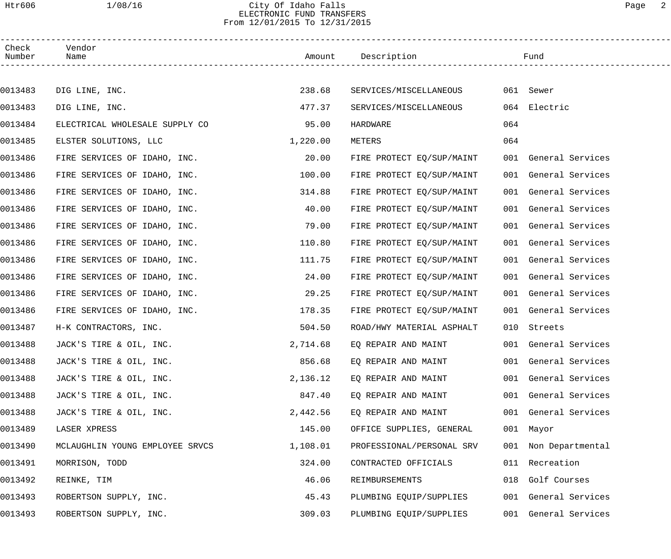## Htr606 1/08/16 City Of Idaho Falls Page 2 ELECTRONIC FUND TRANSFERS From 12/01/2015 To 12/31/2015

| Check<br>Number | Vendor<br>Name                  |          | Amount Description        |     | Fund                 |
|-----------------|---------------------------------|----------|---------------------------|-----|----------------------|
|                 |                                 |          |                           |     |                      |
| 0013483         | DIG LINE, INC.                  | 238.68   | SERVICES/MISCELLANEOUS    |     | 061 Sewer            |
| 0013483         | DIG LINE, INC.                  | 477.37   | SERVICES/MISCELLANEOUS    |     | 064 Electric         |
| 0013484         | ELECTRICAL WHOLESALE SUPPLY CO  | 95.00    | HARDWARE                  | 064 |                      |
| 0013485         | ELSTER SOLUTIONS, LLC           | 1,220.00 | METERS                    | 064 |                      |
| 0013486         | FIRE SERVICES OF IDAHO, INC.    | 20.00    | FIRE PROTECT EQ/SUP/MAINT |     | 001 General Services |
| 0013486         | FIRE SERVICES OF IDAHO, INC.    | 100.00   | FIRE PROTECT EQ/SUP/MAINT |     | 001 General Services |
| 0013486         | FIRE SERVICES OF IDAHO, INC.    | 314.88   | FIRE PROTECT EQ/SUP/MAINT |     | 001 General Services |
| 0013486         | FIRE SERVICES OF IDAHO, INC.    | 40.00    | FIRE PROTECT EQ/SUP/MAINT |     | 001 General Services |
| 0013486         | FIRE SERVICES OF IDAHO, INC.    | 79.00    | FIRE PROTECT EQ/SUP/MAINT |     | 001 General Services |
| 0013486         | FIRE SERVICES OF IDAHO, INC.    | 110.80   | FIRE PROTECT EQ/SUP/MAINT |     | 001 General Services |
| 0013486         | FIRE SERVICES OF IDAHO, INC.    | 111.75   | FIRE PROTECT EQ/SUP/MAINT |     | 001 General Services |
| 0013486         | FIRE SERVICES OF IDAHO, INC.    | 24.00    | FIRE PROTECT EQ/SUP/MAINT |     | 001 General Services |
| 0013486         | FIRE SERVICES OF IDAHO, INC.    | 29.25    | FIRE PROTECT EQ/SUP/MAINT |     | 001 General Services |
| 0013486         | FIRE SERVICES OF IDAHO, INC.    | 178.35   | FIRE PROTECT EQ/SUP/MAINT |     | 001 General Services |
| 0013487         | H-K CONTRACTORS, INC.           | 504.50   | ROAD/HWY MATERIAL ASPHALT |     | 010 Streets          |
| 0013488         | JACK'S TIRE & OIL, INC.         | 2,714.68 | EO REPAIR AND MAINT       |     | 001 General Services |
| 0013488         | JACK'S TIRE & OIL, INC.         | 856.68   | EO REPAIR AND MAINT       |     | 001 General Services |
| 0013488         | JACK'S TIRE & OIL, INC.         | 2,136.12 | EQ REPAIR AND MAINT       |     | 001 General Services |
| 0013488         | JACK'S TIRE & OIL, INC.         | 847.40   | EQ REPAIR AND MAINT       |     | 001 General Services |
| 0013488         | JACK'S TIRE & OIL, INC.         | 2,442.56 | EQ REPAIR AND MAINT       |     | 001 General Services |
| 0013489         | LASER XPRESS                    | 145.00   | OFFICE SUPPLIES, GENERAL  |     | 001 Mayor            |
| 0013490         | MCLAUGHLIN YOUNG EMPLOYEE SRVCS | 1,108.01 | PROFESSIONAL/PERSONAL SRV |     | 001 Non Departmental |
| 0013491         | MORRISON, TODD                  | 324.00   | CONTRACTED OFFICIALS      | 011 | Recreation           |
| 0013492         | REINKE, TIM                     | 46.06    | REIMBURSEMENTS            | 018 | Golf Courses         |
| 0013493         | ROBERTSON SUPPLY, INC.          | 45.43    | PLUMBING EQUIP/SUPPLIES   |     | 001 General Services |
| 0013493         | ROBERTSON SUPPLY, INC.          | 309.03   | PLUMBING EQUIP/SUPPLIES   |     | 001 General Services |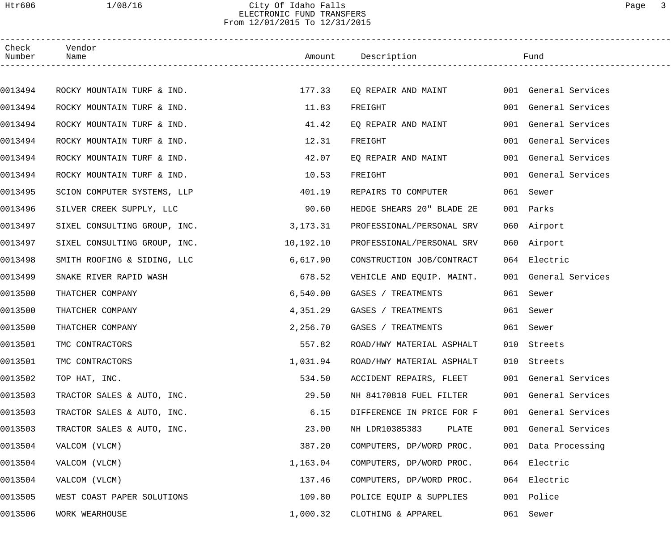## Htr606 1/08/16 City Of Idaho Falls Page 3 ELECTRONIC FUND TRANSFERS From 12/01/2015 To 12/31/2015

| Check<br>Number | Vendor<br>Name               |           | Amount Description        |     | Fund                 |
|-----------------|------------------------------|-----------|---------------------------|-----|----------------------|
|                 |                              |           |                           |     |                      |
| 0013494         | ROCKY MOUNTAIN TURF & IND.   | 177.33    | EQ REPAIR AND MAINT       |     | 001 General Services |
| 0013494         | ROCKY MOUNTAIN TURF & IND.   | 11.83     | FREIGHT                   |     | 001 General Services |
| 0013494         | ROCKY MOUNTAIN TURF & IND.   | 41.42     | EQ REPAIR AND MAINT       |     | 001 General Services |
| 0013494         | ROCKY MOUNTAIN TURF & IND.   | 12.31     | FREIGHT                   |     | 001 General Services |
| 0013494         | ROCKY MOUNTAIN TURF & IND.   | 42.07     | EQ REPAIR AND MAINT       |     | 001 General Services |
| 0013494         | ROCKY MOUNTAIN TURF & IND.   | 10.53     | FREIGHT                   |     | 001 General Services |
| 0013495         | SCION COMPUTER SYSTEMS, LLP  | 401.19    | REPAIRS TO COMPUTER       |     | 061 Sewer            |
| 0013496         | SILVER CREEK SUPPLY, LLC     | 90.60     | HEDGE SHEARS 20" BLADE 2E | 001 | Parks                |
| 0013497         | SIXEL CONSULTING GROUP, INC. | 3,173.31  | PROFESSIONAL/PERSONAL SRV |     | 060 Airport          |
| 0013497         | SIXEL CONSULTING GROUP, INC. | 10,192.10 | PROFESSIONAL/PERSONAL SRV |     | 060 Airport          |
| 0013498         | SMITH ROOFING & SIDING, LLC  | 6,617.90  | CONSTRUCTION JOB/CONTRACT |     | 064 Electric         |
| 0013499         | SNAKE RIVER RAPID WASH       | 678.52    | VEHICLE AND EQUIP. MAINT. |     | 001 General Services |
| 0013500         | THATCHER COMPANY             | 6,540.00  | GASES / TREATMENTS        |     | 061 Sewer            |
| 0013500         | THATCHER COMPANY             | 4,351.29  | GASES / TREATMENTS        |     | 061 Sewer            |
| 0013500         | THATCHER COMPANY             | 2,256.70  | GASES / TREATMENTS        |     | 061 Sewer            |
| 0013501         | TMC CONTRACTORS              | 557.82    | ROAD/HWY MATERIAL ASPHALT |     | 010 Streets          |
| 0013501         | TMC CONTRACTORS              | 1,031.94  | ROAD/HWY MATERIAL ASPHALT |     | 010 Streets          |
| 0013502         | TOP HAT, INC.                | 534.50    | ACCIDENT REPAIRS, FLEET   |     | 001 General Services |
| 0013503         | TRACTOR SALES & AUTO, INC.   | 29.50     | NH 84170818 FUEL FILTER   |     | 001 General Services |
| 0013503         | TRACTOR SALES & AUTO, INC.   | 6.15      | DIFFERENCE IN PRICE FOR F |     | 001 General Services |
| 0013503         | TRACTOR SALES & AUTO, INC.   | 23.00     | NH LDR10385383<br>PLATE   |     | 001 General Services |
| 0013504         | VALCOM (VLCM)                | 387.20    | COMPUTERS, DP/WORD PROC.  |     | 001 Data Processing  |
| 0013504         | VALCOM (VLCM)                | 1,163.04  | COMPUTERS, DP/WORD PROC.  |     | 064 Electric         |
| 0013504         | VALCOM (VLCM)                | 137.46    | COMPUTERS, DP/WORD PROC.  |     | 064 Electric         |
| 0013505         | WEST COAST PAPER SOLUTIONS   | 109.80    | POLICE EQUIP & SUPPLIES   |     | 001 Police           |
| 0013506         | WORK WEARHOUSE               | 1,000.32  | CLOTHING & APPAREL        |     | 061 Sewer            |
|                 |                              |           |                           |     |                      |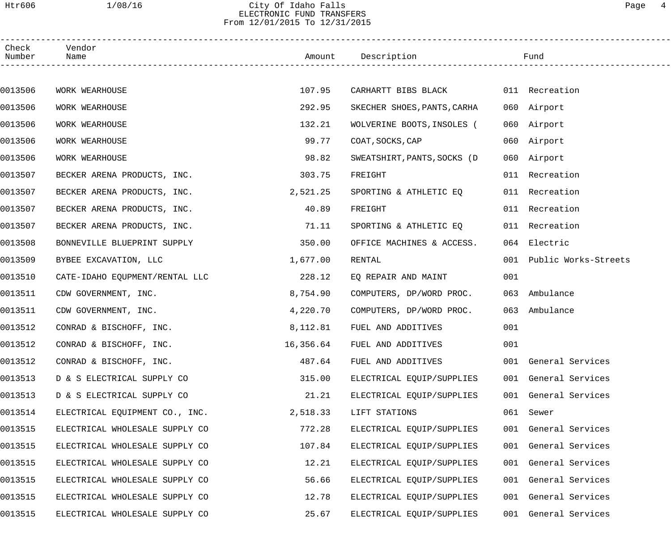# Htr606 1/08/16 City Of Idaho Falls Page 4 ELECTRONIC FUND TRANSFERS From 12/01/2015 To 12/31/2015

| Check<br>Number | Vendor<br>Name                 |           | Amount Description          |     | Fund                     |  |
|-----------------|--------------------------------|-----------|-----------------------------|-----|--------------------------|--|
|                 |                                |           |                             |     |                          |  |
| 0013506         | WORK WEARHOUSE                 | 107.95    | CARHARTT BIBS BLACK         |     | 011 Recreation           |  |
| 0013506         | WORK WEARHOUSE                 | 292.95    | SKECHER SHOES, PANTS, CARHA |     | 060 Airport              |  |
| 0013506         | WORK WEARHOUSE                 | 132.21    | WOLVERINE BOOTS, INSOLES (  |     | 060 Airport              |  |
| 0013506         | WORK WEARHOUSE                 | 99.77     | COAT, SOCKS, CAP            |     | 060 Airport              |  |
| 0013506         | WORK WEARHOUSE                 | 98.82     | SWEATSHIRT, PANTS, SOCKS (D |     | 060 Airport              |  |
| 0013507         | BECKER ARENA PRODUCTS, INC.    | 303.75    | FREIGHT                     |     | 011 Recreation           |  |
| 0013507         | BECKER ARENA PRODUCTS, INC.    | 2,521.25  | SPORTING & ATHLETIC EQ      |     | 011 Recreation           |  |
| 0013507         | BECKER ARENA PRODUCTS, INC.    | 40.89     | FREIGHT                     |     | 011 Recreation           |  |
| 0013507         | BECKER ARENA PRODUCTS, INC.    | 71.11     | SPORTING & ATHLETIC EQ      |     | 011 Recreation           |  |
| 0013508         | BONNEVILLE BLUEPRINT SUPPLY    | 350.00    | OFFICE MACHINES & ACCESS.   |     | 064 Electric             |  |
| 0013509         | BYBEE EXCAVATION, LLC          | 1,677.00  | RENTAL                      |     | 001 Public Works-Streets |  |
| 0013510         | CATE-IDAHO EQUPMENT/RENTAL LLC | 228.12    | EQ REPAIR AND MAINT         | 001 |                          |  |
| 0013511         | CDW GOVERNMENT, INC.           | 8,754.90  | COMPUTERS, DP/WORD PROC.    | 063 | Ambulance                |  |
| 0013511         | CDW GOVERNMENT, INC.           | 4,220.70  | COMPUTERS, DP/WORD PROC.    |     | 063 Ambulance            |  |
| 0013512         | CONRAD & BISCHOFF, INC.        | 8,112.81  | FUEL AND ADDITIVES          | 001 |                          |  |
| 0013512         | CONRAD & BISCHOFF, INC.        | 16,356.64 | FUEL AND ADDITIVES          | 001 |                          |  |
| 0013512         | CONRAD & BISCHOFF, INC.        | 487.64    | FUEL AND ADDITIVES          |     | 001 General Services     |  |
| 0013513         | D & S ELECTRICAL SUPPLY CO     | 315.00    | ELECTRICAL EQUIP/SUPPLIES   |     | 001 General Services     |  |
| 0013513         | D & S ELECTRICAL SUPPLY CO     | 21.21     | ELECTRICAL EQUIP/SUPPLIES   |     | 001 General Services     |  |
| 0013514         | ELECTRICAL EQUIPMENT CO., INC. | 2,518.33  | LIFT STATIONS               |     | 061 Sewer                |  |
| 0013515         | ELECTRICAL WHOLESALE SUPPLY CO | 772.28    | ELECTRICAL EQUIP/SUPPLIES   |     | 001 General Services     |  |
| 0013515         | ELECTRICAL WHOLESALE SUPPLY CO | 107.84    | ELECTRICAL EQUIP/SUPPLIES   |     | 001 General Services     |  |
| 0013515         | ELECTRICAL WHOLESALE SUPPLY CO | 12.21     | ELECTRICAL EQUIP/SUPPLIES   |     | 001 General Services     |  |
| 0013515         | ELECTRICAL WHOLESALE SUPPLY CO | 56.66     | ELECTRICAL EQUIP/SUPPLIES   |     | 001 General Services     |  |
| 0013515         | ELECTRICAL WHOLESALE SUPPLY CO | 12.78     | ELECTRICAL EQUIP/SUPPLIES   |     | 001 General Services     |  |
| 0013515         | ELECTRICAL WHOLESALE SUPPLY CO | 25.67     | ELECTRICAL EQUIP/SUPPLIES   |     | 001 General Services     |  |
|                 |                                |           |                             |     |                          |  |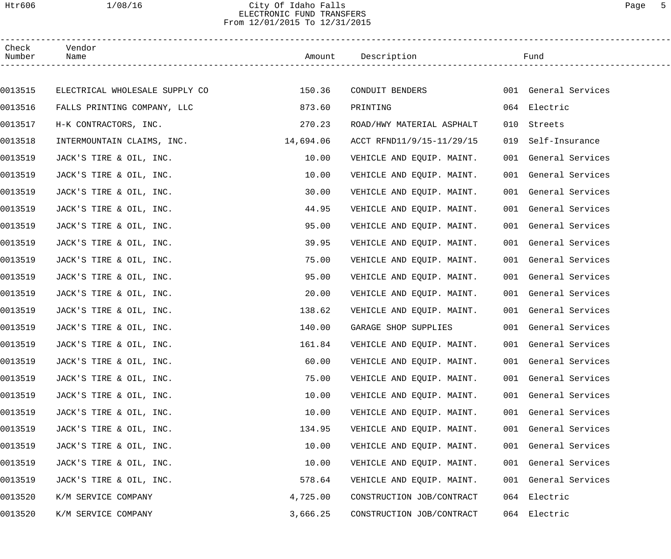# Htr606 1/08/16 City Of Idaho Falls Page 5 ELECTRONIC FUND TRANSFERS From 12/01/2015 To 12/31/2015

| Check<br>Number | Vendor<br>Name                 |           | Amount Description<br>------------------------- |     | Fund                 |
|-----------------|--------------------------------|-----------|-------------------------------------------------|-----|----------------------|
|                 |                                |           |                                                 |     |                      |
| 0013515         | ELECTRICAL WHOLESALE SUPPLY CO | 150.36    | CONDUIT BENDERS                                 |     | 001 General Services |
| 0013516         | FALLS PRINTING COMPANY, LLC    | 873.60    | PRINTING                                        |     | 064 Electric         |
| 0013517         | H-K CONTRACTORS, INC.          | 270.23    | ROAD/HWY MATERIAL ASPHALT                       |     | 010 Streets          |
| 0013518         | INTERMOUNTAIN CLAIMS, INC.     | 14,694.06 | ACCT RFND11/9/15-11/29/15                       | 019 | Self-Insurance       |
| 0013519         | JACK'S TIRE & OIL, INC.        | 10.00     | VEHICLE AND EQUIP. MAINT.                       |     | 001 General Services |
| 0013519         | JACK'S TIRE & OIL, INC.        | 10.00     | VEHICLE AND EQUIP. MAINT.                       |     | 001 General Services |
| 0013519         | JACK'S TIRE & OIL, INC.        | 30.00     | VEHICLE AND EQUIP. MAINT.                       |     | 001 General Services |
| 0013519         | JACK'S TIRE & OIL, INC.        | 44.95     | VEHICLE AND EQUIP. MAINT.                       |     | 001 General Services |
| 0013519         | JACK'S TIRE & OIL, INC.        | 95.00     | VEHICLE AND EQUIP. MAINT.                       |     | 001 General Services |
| 0013519         | JACK'S TIRE & OIL, INC.        | 39.95     | VEHICLE AND EQUIP. MAINT.                       |     | 001 General Services |
| 0013519         | JACK'S TIRE & OIL, INC.        | 75.00     | VEHICLE AND EQUIP. MAINT.                       |     | 001 General Services |
| 0013519         | JACK'S TIRE & OIL, INC.        | 95.00     | VEHICLE AND EQUIP. MAINT.                       |     | 001 General Services |
| 0013519         | JACK'S TIRE & OIL, INC.        | 20.00     | VEHICLE AND EQUIP. MAINT.                       |     | 001 General Services |
| 0013519         | JACK'S TIRE & OIL, INC.        | 138.62    | VEHICLE AND EQUIP. MAINT.                       |     | 001 General Services |
| 0013519         | JACK'S TIRE & OIL, INC.        | 140.00    | GARAGE SHOP SUPPLIES                            |     | 001 General Services |
| 0013519         | JACK'S TIRE & OIL, INC.        | 161.84    | VEHICLE AND EQUIP. MAINT.                       |     | 001 General Services |
| 0013519         | JACK'S TIRE & OIL, INC.        | 60.00     | VEHICLE AND EQUIP. MAINT.                       |     | 001 General Services |
| 0013519         | JACK'S TIRE & OIL, INC.        | 75.00     | VEHICLE AND EQUIP. MAINT.                       |     | 001 General Services |
| 0013519         | JACK'S TIRE & OIL, INC.        | 10.00     | VEHICLE AND EQUIP. MAINT.                       | 001 | General Services     |
| 0013519         | JACK'S TIRE & OIL, INC.        | 10.00     | VEHICLE AND EQUIP. MAINT.                       | 001 | General Services     |
| 0013519         | JACK'S TIRE & OIL, INC.        | 134.95    | VEHICLE AND EQUIP. MAINT.                       |     | 001 General Services |
| 0013519         | JACK'S TIRE & OIL, INC.        | 10.00     | VEHICLE AND EQUIP. MAINT.                       | 001 | General Services     |
| 0013519         | JACK'S TIRE & OIL, INC.        | 10.00     | VEHICLE AND EQUIP. MAINT.                       | 001 | General Services     |
| 0013519         | JACK'S TIRE & OIL, INC.        | 578.64    | VEHICLE AND EQUIP. MAINT.                       |     | 001 General Services |
| 0013520         | K/M SERVICE COMPANY            | 4,725.00  | CONSTRUCTION JOB/CONTRACT                       |     | 064 Electric         |
| 0013520         | K/M SERVICE COMPANY            | 3,666.25  | CONSTRUCTION JOB/CONTRACT                       | 064 | Electric             |
|                 |                                |           |                                                 |     |                      |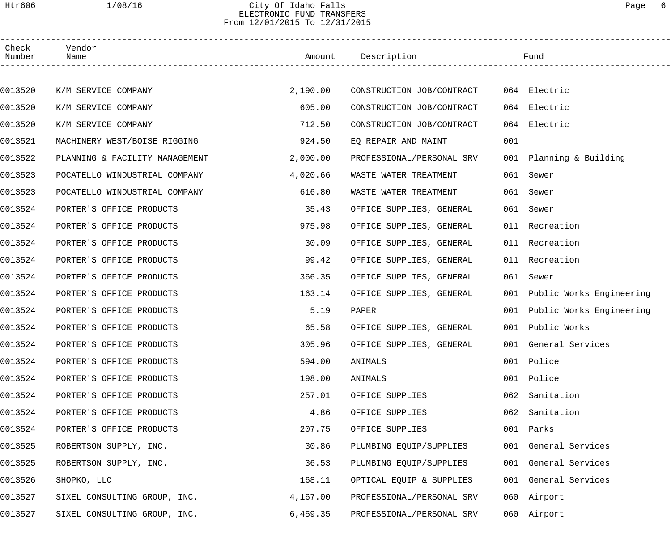### Htr606 1/08/16 City Of Idaho Falls Page 6 ELECTRONIC FUND TRANSFERS From 12/01/2015 To 12/31/2015

| Check<br>Number | Vendor<br>Name                 |          | Amount Description        |     | Fund                         |
|-----------------|--------------------------------|----------|---------------------------|-----|------------------------------|
|                 |                                |          |                           |     |                              |
| 0013520         | K/M SERVICE COMPANY            | 2,190.00 | CONSTRUCTION JOB/CONTRACT |     | 064 Electric                 |
| 0013520         | K/M SERVICE COMPANY            | 605.00   | CONSTRUCTION JOB/CONTRACT |     | 064 Electric                 |
| 0013520         | K/M SERVICE COMPANY            | 712.50   | CONSTRUCTION JOB/CONTRACT | 064 | Electric                     |
| 0013521         | MACHINERY WEST/BOISE RIGGING   | 924.50   | EQ REPAIR AND MAINT       | 001 |                              |
| 0013522         | PLANNING & FACILITY MANAGEMENT | 2,000.00 | PROFESSIONAL/PERSONAL SRV |     | 001 Planning & Building      |
| 0013523         | POCATELLO WINDUSTRIAL COMPANY  | 4,020.66 | WASTE WATER TREATMENT     | 061 | Sewer                        |
| 0013523         | POCATELLO WINDUSTRIAL COMPANY  | 616.80   | WASTE WATER TREATMENT     |     | 061 Sewer                    |
| 0013524         | PORTER'S OFFICE PRODUCTS       | 35.43    | OFFICE SUPPLIES, GENERAL  |     | 061 Sewer                    |
| 0013524         | PORTER'S OFFICE PRODUCTS       | 975.98   | OFFICE SUPPLIES, GENERAL  |     | 011 Recreation               |
| 0013524         | PORTER'S OFFICE PRODUCTS       | 30.09    | OFFICE SUPPLIES, GENERAL  |     | 011 Recreation               |
| 0013524         | PORTER'S OFFICE PRODUCTS       | 99.42    | OFFICE SUPPLIES, GENERAL  |     | 011 Recreation               |
| 0013524         | PORTER'S OFFICE PRODUCTS       | 366.35   | OFFICE SUPPLIES, GENERAL  |     | 061 Sewer                    |
| 0013524         | PORTER'S OFFICE PRODUCTS       | 163.14   | OFFICE SUPPLIES, GENERAL  |     | 001 Public Works Engineering |
| 0013524         | PORTER'S OFFICE PRODUCTS       | 5.19     | PAPER                     |     | 001 Public Works Engineering |
| 0013524         | PORTER'S OFFICE PRODUCTS       | 65.58    | OFFICE SUPPLIES, GENERAL  |     | 001 Public Works             |
| 0013524         | PORTER'S OFFICE PRODUCTS       | 305.96   | OFFICE SUPPLIES, GENERAL  |     | 001 General Services         |
| 0013524         | PORTER'S OFFICE PRODUCTS       | 594.00   | ANIMALS                   |     | 001 Police                   |
| 0013524         | PORTER'S OFFICE PRODUCTS       | 198.00   | ANIMALS                   | 001 | Police                       |
| 0013524         | PORTER'S OFFICE PRODUCTS       | 257.01   | OFFICE SUPPLIES           | 062 | Sanitation                   |
| 0013524         | PORTER'S OFFICE PRODUCTS       | 4.86     | OFFICE SUPPLIES           | 062 | Sanitation                   |
| 0013524         | PORTER'S OFFICE PRODUCTS       | 207.75   | OFFICE SUPPLIES           |     | 001 Parks                    |
| 0013525         | ROBERTSON SUPPLY, INC.         | 30.86    | PLUMBING EQUIP/SUPPLIES   |     | 001 General Services         |
| 0013525         | ROBERTSON SUPPLY, INC.         | 36.53    | PLUMBING EQUIP/SUPPLIES   |     | 001 General Services         |
| 0013526         | SHOPKO, LLC                    | 168.11   | OPTICAL EQUIP & SUPPLIES  |     | 001 General Services         |
| 0013527         | SIXEL CONSULTING GROUP, INC.   | 4,167.00 | PROFESSIONAL/PERSONAL SRV |     | 060 Airport                  |
| 0013527         | SIXEL CONSULTING GROUP, INC.   | 6,459.35 | PROFESSIONAL/PERSONAL SRV |     | 060 Airport                  |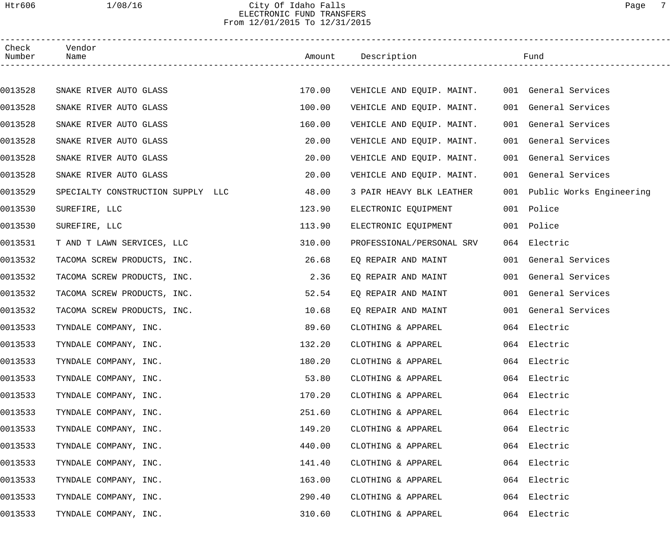# Htr606 1/08/16 City Of Idaho Falls Page 7 ELECTRONIC FUND TRANSFERS From 12/01/2015 To 12/31/2015

| Check<br>Number | Vendor<br>Name                    |        | Amount Description        | Fund                         |
|-----------------|-----------------------------------|--------|---------------------------|------------------------------|
|                 |                                   |        |                           |                              |
| 0013528         | SNAKE RIVER AUTO GLASS            | 170.00 | VEHICLE AND EQUIP. MAINT. | 001 General Services         |
| 0013528         | SNAKE RIVER AUTO GLASS            | 100.00 | VEHICLE AND EQUIP. MAINT. | 001 General Services         |
| 0013528         | SNAKE RIVER AUTO GLASS            | 160.00 | VEHICLE AND EQUIP. MAINT. | 001 General Services         |
| 0013528         | SNAKE RIVER AUTO GLASS            | 20.00  | VEHICLE AND EQUIP. MAINT. | 001 General Services         |
| 0013528         | SNAKE RIVER AUTO GLASS            | 20.00  | VEHICLE AND EQUIP. MAINT. | 001 General Services         |
| 0013528         | SNAKE RIVER AUTO GLASS            | 20.00  | VEHICLE AND EQUIP. MAINT. | 001 General Services         |
| 0013529         | SPECIALTY CONSTRUCTION SUPPLY LLC | 48.00  | 3 PAIR HEAVY BLK LEATHER  | 001 Public Works Engineering |
| 0013530         | SUREFIRE, LLC                     | 123.90 | ELECTRONIC EQUIPMENT      | 001 Police                   |
| 0013530         | SUREFIRE, LLC                     | 113.90 | ELECTRONIC EQUIPMENT      | 001 Police                   |
| 0013531         | T AND T LAWN SERVICES, LLC        | 310.00 | PROFESSIONAL/PERSONAL SRV | 064 Electric                 |
| 0013532         | TACOMA SCREW PRODUCTS, INC.       | 26.68  | EQ REPAIR AND MAINT       | 001 General Services         |
| 0013532         | TACOMA SCREW PRODUCTS, INC.       | 2.36   | EQ REPAIR AND MAINT       | 001 General Services         |
| 0013532         | TACOMA SCREW PRODUCTS, INC.       | 52.54  | EQ REPAIR AND MAINT       | 001 General Services         |
| 0013532         | TACOMA SCREW PRODUCTS, INC.       | 10.68  | EQ REPAIR AND MAINT       | 001 General Services         |
| 0013533         | TYNDALE COMPANY, INC.             | 89.60  | CLOTHING & APPAREL        | 064 Electric                 |
| 0013533         | TYNDALE COMPANY, INC.             | 132.20 | CLOTHING & APPAREL        | 064 Electric                 |
| 0013533         | TYNDALE COMPANY, INC.             | 180.20 | CLOTHING & APPAREL        | 064 Electric                 |
| 0013533         | TYNDALE COMPANY, INC.             | 53.80  | CLOTHING & APPAREL        | 064 Electric                 |
| 0013533         | TYNDALE COMPANY, INC.             | 170.20 | CLOTHING & APPAREL        | 064 Electric                 |
| 0013533         | TYNDALE COMPANY, INC.             | 251.60 | CLOTHING & APPAREL        | 064 Electric                 |
| 0013533         | TYNDALE COMPANY, INC.             | 149.20 | CLOTHING & APPAREL        | 064 Electric                 |
| 0013533         | TYNDALE COMPANY, INC.             | 440.00 | CLOTHING & APPAREL        | 064 Electric                 |
| 0013533         | TYNDALE COMPANY, INC.             | 141.40 | CLOTHING & APPAREL        | 064 Electric                 |
| 0013533         | TYNDALE COMPANY, INC.             | 163.00 | CLOTHING & APPAREL        | 064 Electric                 |
| 0013533         | TYNDALE COMPANY, INC.             | 290.40 | CLOTHING & APPAREL        | 064 Electric                 |
| 0013533         | TYNDALE COMPANY, INC.             | 310.60 | CLOTHING & APPAREL        | 064 Electric                 |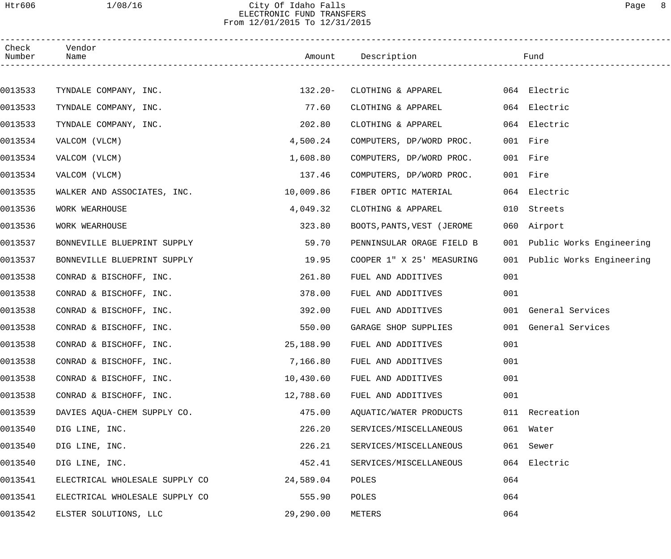# Htr606 1/08/16 City Of Idaho Falls Page 8 ELECTRONIC FUND TRANSFERS From 12/01/2015 To 12/31/2015

| Check<br>Number | Vendor<br>Name                 |           | Amount Description         |     | Fund                         |
|-----------------|--------------------------------|-----------|----------------------------|-----|------------------------------|
|                 |                                |           |                            |     |                              |
| 0013533         | TYNDALE COMPANY, INC.          | $132.20-$ | CLOTHING & APPAREL         |     | 064 Electric                 |
| 0013533         | TYNDALE COMPANY, INC.          | 77.60     | CLOTHING & APPAREL         |     | 064 Electric                 |
| 0013533         | TYNDALE COMPANY, INC.          | 202.80    | CLOTHING & APPAREL         |     | 064 Electric                 |
| 0013534         | VALCOM (VLCM)                  | 4,500.24  | COMPUTERS, DP/WORD PROC.   |     | 001 Fire                     |
| 0013534         | VALCOM (VLCM)                  | 1,608.80  | COMPUTERS, DP/WORD PROC.   |     | 001 Fire                     |
| 0013534         | VALCOM (VLCM)                  | 137.46    | COMPUTERS, DP/WORD PROC.   |     | 001 Fire                     |
| 0013535         | WALKER AND ASSOCIATES, INC.    | 10,009.86 | FIBER OPTIC MATERIAL       |     | 064 Electric                 |
| 0013536         | WORK WEARHOUSE                 | 4,049.32  | CLOTHING & APPAREL         |     | 010 Streets                  |
| 0013536         | WORK WEARHOUSE                 | 323.80    | BOOTS, PANTS, VEST (JEROME |     | 060 Airport                  |
| 0013537         | BONNEVILLE BLUEPRINT SUPPLY    | 59.70     | PENNINSULAR ORAGE FIELD B  |     | 001 Public Works Engineering |
| 0013537         | BONNEVILLE BLUEPRINT SUPPLY    | 19.95     | COOPER 1" X 25' MEASURING  |     | 001 Public Works Engineering |
| 0013538         | CONRAD & BISCHOFF, INC.        | 261.80    | FUEL AND ADDITIVES         | 001 |                              |
| 0013538         | CONRAD & BISCHOFF, INC.        | 378.00    | FUEL AND ADDITIVES         | 001 |                              |
| 0013538         | CONRAD & BISCHOFF, INC.        | 392.00    | FUEL AND ADDITIVES         |     | 001 General Services         |
| 0013538         | CONRAD & BISCHOFF, INC.        | 550.00    | GARAGE SHOP SUPPLIES       |     | 001 General Services         |
| 0013538         | CONRAD & BISCHOFF, INC.        | 25,188.90 | FUEL AND ADDITIVES         | 001 |                              |
| 0013538         | CONRAD & BISCHOFF, INC.        | 7,166.80  | FUEL AND ADDITIVES         | 001 |                              |
| 0013538         | CONRAD & BISCHOFF, INC.        | 10,430.60 | FUEL AND ADDITIVES         | 001 |                              |
| 0013538         | CONRAD & BISCHOFF, INC.        | 12,788.60 | FUEL AND ADDITIVES         | 001 |                              |
| 0013539         | DAVIES AQUA-CHEM SUPPLY CO.    | 475.00    | AQUATIC/WATER PRODUCTS     |     | 011 Recreation               |
| 0013540         | DIG LINE, INC.                 | 226.20    | SERVICES/MISCELLANEOUS     |     | 061 Water                    |
| 0013540         | DIG LINE, INC.                 | 226.21    | SERVICES/MISCELLANEOUS     | 061 | Sewer                        |
| 0013540         | DIG LINE, INC.                 | 452.41    | SERVICES/MISCELLANEOUS     |     | 064 Electric                 |
| 0013541         | ELECTRICAL WHOLESALE SUPPLY CO | 24,589.04 | POLES                      | 064 |                              |
| 0013541         | ELECTRICAL WHOLESALE SUPPLY CO | 555.90    | POLES                      | 064 |                              |
| 0013542         | ELSTER SOLUTIONS, LLC          | 29,290.00 | METERS                     | 064 |                              |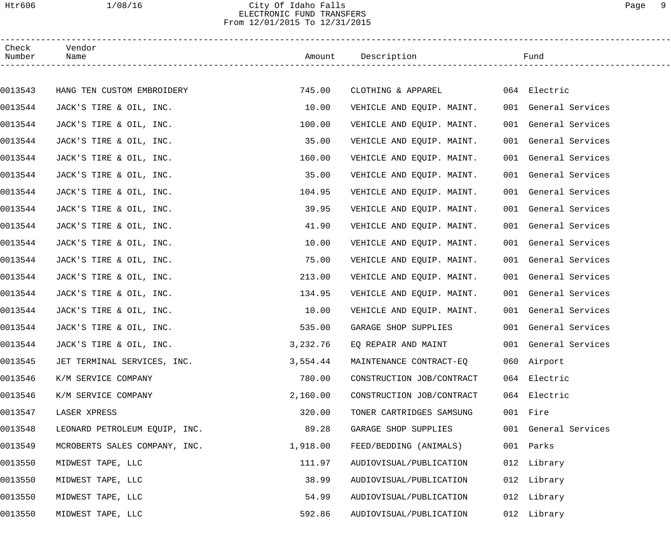# Htr606 1/08/16 City Of Idaho Falls Page 9 ELECTRONIC FUND TRANSFERS From 12/01/2015 To 12/31/2015

| Check<br>Number | Vendor<br>Name                |          | Amount Description        |     | Fund                 |
|-----------------|-------------------------------|----------|---------------------------|-----|----------------------|
|                 |                               |          |                           |     |                      |
| 0013543         | HANG TEN CUSTOM EMBROIDERY    | 745.00   | CLOTHING & APPAREL        |     | 064 Electric         |
| 0013544         | JACK'S TIRE & OIL, INC.       | 10.00    | VEHICLE AND EQUIP. MAINT. |     | 001 General Services |
| 0013544         | JACK'S TIRE & OIL, INC.       | 100.00   | VEHICLE AND EQUIP. MAINT. | 001 | General Services     |
| 0013544         | JACK'S TIRE & OIL, INC.       | 35.00    | VEHICLE AND EQUIP. MAINT. |     | 001 General Services |
| 0013544         | JACK'S TIRE & OIL, INC.       | 160.00   | VEHICLE AND EQUIP. MAINT. |     | 001 General Services |
| 0013544         | JACK'S TIRE & OIL, INC.       | 35.00    | VEHICLE AND EQUIP. MAINT. |     | 001 General Services |
| 0013544         | JACK'S TIRE & OIL, INC.       | 104.95   | VEHICLE AND EQUIP. MAINT. |     | 001 General Services |
| 0013544         | JACK'S TIRE & OIL, INC.       | 39.95    | VEHICLE AND EQUIP. MAINT. |     | 001 General Services |
| 0013544         | JACK'S TIRE & OIL, INC.       | 41.90    | VEHICLE AND EQUIP. MAINT. |     | 001 General Services |
| 0013544         | JACK'S TIRE & OIL, INC.       | 10.00    | VEHICLE AND EQUIP. MAINT. |     | 001 General Services |
| 0013544         | JACK'S TIRE & OIL, INC.       | 75.00    | VEHICLE AND EQUIP. MAINT. |     | 001 General Services |
| 0013544         | JACK'S TIRE & OIL, INC.       | 213.00   | VEHICLE AND EQUIP. MAINT. |     | 001 General Services |
| 0013544         | JACK'S TIRE & OIL, INC.       | 134.95   | VEHICLE AND EQUIP. MAINT. |     | 001 General Services |
| 0013544         | JACK'S TIRE & OIL, INC.       | 10.00    | VEHICLE AND EQUIP. MAINT. |     | 001 General Services |
| 0013544         | JACK'S TIRE & OIL, INC.       | 535.00   | GARAGE SHOP SUPPLIES      |     | 001 General Services |
| 0013544         | JACK'S TIRE & OIL, INC.       | 3,232.76 | EQ REPAIR AND MAINT       |     | 001 General Services |
| 0013545         | JET TERMINAL SERVICES, INC.   | 3,554.44 | MAINTENANCE CONTRACT-EO   |     | 060 Airport          |
| 0013546         | K/M SERVICE COMPANY           | 780.00   | CONSTRUCTION JOB/CONTRACT |     | 064 Electric         |
| 0013546         | K/M SERVICE COMPANY           | 2,160.00 | CONSTRUCTION JOB/CONTRACT | 064 | Electric             |
| 0013547         | LASER XPRESS                  | 320.00   | TONER CARTRIDGES SAMSUNG  |     | 001 Fire             |
| 0013548         | LEONARD PETROLEUM EQUIP, INC. | 89.28    | GARAGE SHOP SUPPLIES      |     | 001 General Services |
| 0013549         | MCROBERTS SALES COMPANY, INC. | 1,918.00 | FEED/BEDDING (ANIMALS)    |     | 001 Parks            |
| 0013550         | MIDWEST TAPE, LLC             | 111.97   | AUDIOVISUAL/PUBLICATION   |     | 012 Library          |
| 0013550         | MIDWEST TAPE, LLC             | 38.99    | AUDIOVISUAL/PUBLICATION   |     | 012 Library          |
| 0013550         | MIDWEST TAPE, LLC             | 54.99    | AUDIOVISUAL/PUBLICATION   |     | 012 Library          |
| 0013550         | MIDWEST TAPE, LLC             | 592.86   | AUDIOVISUAL/PUBLICATION   |     | 012 Library          |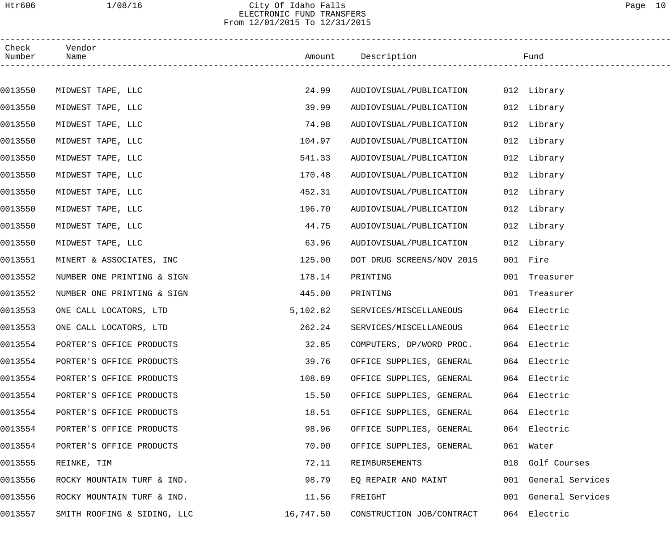## Htr606 1/08/16 City Of Idaho Falls Page 10 ELECTRONIC FUND TRANSFERS From 12/01/2015 To 12/31/2015

| Check<br>Number | Vendor<br>Name              |           | Amount Description        | Fund                 |
|-----------------|-----------------------------|-----------|---------------------------|----------------------|
|                 |                             |           |                           |                      |
| 0013550         | MIDWEST TAPE, LLC           | 24.99     | AUDIOVISUAL/PUBLICATION   | 012 Library          |
| 0013550         | MIDWEST TAPE, LLC           | 39.99     | AUDIOVISUAL/PUBLICATION   | 012 Library          |
| 0013550         | MIDWEST TAPE, LLC           | 74.98     | AUDIOVISUAL/PUBLICATION   | 012 Library          |
| 0013550         | MIDWEST TAPE, LLC           | 104.97    | AUDIOVISUAL/PUBLICATION   | 012 Library          |
| 0013550         | MIDWEST TAPE, LLC           | 541.33    | AUDIOVISUAL/PUBLICATION   | 012 Library          |
| 0013550         | MIDWEST TAPE, LLC           | 170.48    | AUDIOVISUAL/PUBLICATION   | 012 Library          |
| 0013550         | MIDWEST TAPE, LLC           | 452.31    | AUDIOVISUAL/PUBLICATION   | 012 Library          |
| 0013550         | MIDWEST TAPE, LLC           | 196.70    | AUDIOVISUAL/PUBLICATION   | 012 Library          |
| 0013550         | MIDWEST TAPE, LLC           | 44.75     | AUDIOVISUAL/PUBLICATION   | 012 Library          |
| 0013550         | MIDWEST TAPE, LLC           | 63.96     | AUDIOVISUAL/PUBLICATION   | 012 Library          |
| 0013551         | MINERT & ASSOCIATES, INC    | 125.00    | DOT DRUG SCREENS/NOV 2015 | 001 Fire             |
| 0013552         | NUMBER ONE PRINTING & SIGN  | 178.14    | PRINTING                  | 001 Treasurer        |
| 0013552         | NUMBER ONE PRINTING & SIGN  | 445.00    | PRINTING                  | 001 Treasurer        |
| 0013553         | ONE CALL LOCATORS, LTD      | 5,102.82  | SERVICES/MISCELLANEOUS    | 064 Electric         |
| 0013553         | ONE CALL LOCATORS, LTD      | 262.24    | SERVICES/MISCELLANEOUS    | 064 Electric         |
| 0013554         | PORTER'S OFFICE PRODUCTS    | 32.85     | COMPUTERS, DP/WORD PROC.  | 064 Electric         |
| 0013554         | PORTER'S OFFICE PRODUCTS    | 39.76     | OFFICE SUPPLIES, GENERAL  | 064 Electric         |
| 0013554         | PORTER'S OFFICE PRODUCTS    | 108.69    | OFFICE SUPPLIES, GENERAL  | 064 Electric         |
| 0013554         | PORTER'S OFFICE PRODUCTS    | 15.50     | OFFICE SUPPLIES, GENERAL  | 064 Electric         |
| 0013554         | PORTER'S OFFICE PRODUCTS    | 18.51     | OFFICE SUPPLIES, GENERAL  | 064 Electric         |
| 0013554         | PORTER'S OFFICE PRODUCTS    | 98.96     | OFFICE SUPPLIES, GENERAL  | 064 Electric         |
| 0013554         | PORTER'S OFFICE PRODUCTS    | 70.00     | OFFICE SUPPLIES, GENERAL  | 061 Water            |
| 0013555         | REINKE, TIM                 | 72.11     | REIMBURSEMENTS            | 018 Golf Courses     |
| 0013556         | ROCKY MOUNTAIN TURF & IND.  | 98.79     | EQ REPAIR AND MAINT       | 001 General Services |
| 0013556         | ROCKY MOUNTAIN TURF & IND.  | 11.56     | FREIGHT                   | 001 General Services |
| 0013557         | SMITH ROOFING & SIDING, LLC | 16,747.50 | CONSTRUCTION JOB/CONTRACT | 064 Electric         |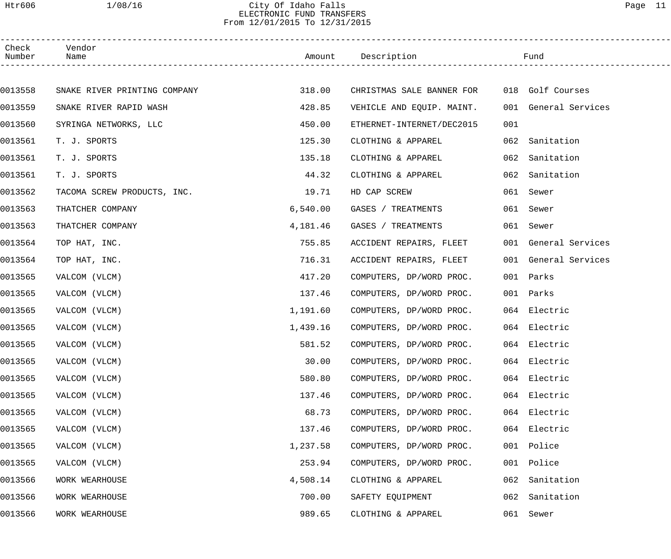# Htr606 1/08/16 City Of Idaho Falls Page 11 ELECTRONIC FUND TRANSFERS From 12/01/2015 To 12/31/2015

| Check<br>Number | Vendor<br>Name               |          | Amount Description        |     | Fund                 |
|-----------------|------------------------------|----------|---------------------------|-----|----------------------|
|                 |                              |          |                           |     |                      |
| 0013558         | SNAKE RIVER PRINTING COMPANY | 318.00   | CHRISTMAS SALE BANNER FOR |     | 018 Golf Courses     |
| 0013559         | SNAKE RIVER RAPID WASH       | 428.85   | VEHICLE AND EQUIP. MAINT. |     | 001 General Services |
| 0013560         | SYRINGA NETWORKS, LLC        | 450.00   | ETHERNET-INTERNET/DEC2015 | 001 |                      |
| 0013561         | T. J. SPORTS                 | 125.30   | CLOTHING & APPAREL        |     | 062 Sanitation       |
| 0013561         | T. J. SPORTS                 | 135.18   | CLOTHING & APPAREL        | 062 | Sanitation           |
| 0013561         | T. J. SPORTS                 | 44.32    | CLOTHING & APPAREL        | 062 | Sanitation           |
| 0013562         | TACOMA SCREW PRODUCTS, INC.  | 19.71    | HD CAP SCREW              |     | 061 Sewer            |
| 0013563         | THATCHER COMPANY             | 6,540.00 | GASES / TREATMENTS        |     | 061 Sewer            |
| 0013563         | THATCHER COMPANY             | 4,181.46 | GASES / TREATMENTS        |     | 061 Sewer            |
| 0013564         | TOP HAT, INC.                | 755.85   | ACCIDENT REPAIRS, FLEET   |     | 001 General Services |
| 0013564         | TOP HAT, INC.                | 716.31   | ACCIDENT REPAIRS, FLEET   |     | 001 General Services |
| 0013565         | VALCOM (VLCM)                | 417.20   | COMPUTERS, DP/WORD PROC.  |     | 001 Parks            |
| 0013565         | VALCOM (VLCM)                | 137.46   | COMPUTERS, DP/WORD PROC.  |     | 001 Parks            |
| 0013565         | VALCOM (VLCM)                | 1,191.60 | COMPUTERS, DP/WORD PROC.  |     | 064 Electric         |
| 0013565         | VALCOM (VLCM)                | 1,439.16 | COMPUTERS, DP/WORD PROC.  |     | 064 Electric         |
| 0013565         | VALCOM (VLCM)                | 581.52   | COMPUTERS, DP/WORD PROC.  |     | 064 Electric         |
| 0013565         | VALCOM (VLCM)                | 30.00    | COMPUTERS, DP/WORD PROC.  |     | 064 Electric         |
| 0013565         | VALCOM (VLCM)                | 580.80   | COMPUTERS, DP/WORD PROC.  |     | 064 Electric         |
| 0013565         | VALCOM (VLCM)                | 137.46   | COMPUTERS, DP/WORD PROC.  |     | 064 Electric         |
| 0013565         | VALCOM (VLCM)                | 68.73    | COMPUTERS, DP/WORD PROC.  |     | 064 Electric         |
| 0013565         | VALCOM (VLCM)                | 137.46   | COMPUTERS, DP/WORD PROC.  |     | 064 Electric         |
| 0013565         | VALCOM (VLCM)                | 1,237.58 | COMPUTERS, DP/WORD PROC.  |     | 001 Police           |
| 0013565         | VALCOM (VLCM)                | 253.94   | COMPUTERS, DP/WORD PROC.  | 001 | Police               |
| 0013566         | WORK WEARHOUSE               | 4,508.14 | CLOTHING & APPAREL        | 062 | Sanitation           |
| 0013566         | WORK WEARHOUSE               | 700.00   | SAFETY EQUIPMENT          | 062 | Sanitation           |
| 0013566         | WORK WEARHOUSE               | 989.65   | CLOTHING & APPAREL        |     | 061 Sewer            |
|                 |                              |          |                           |     |                      |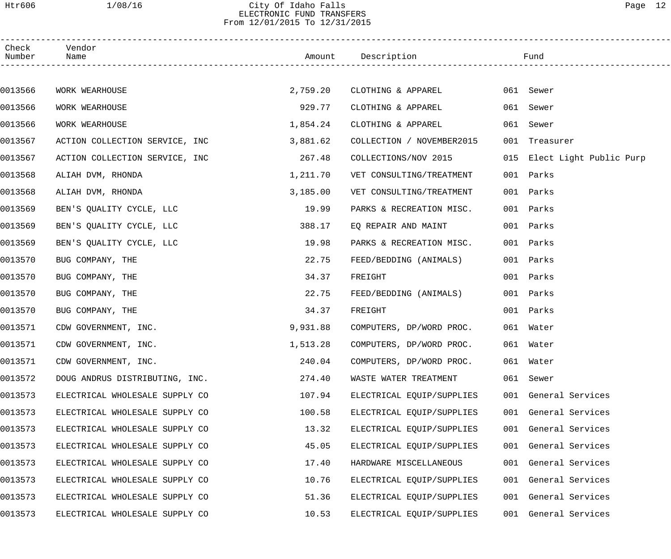# Htr606 1/08/16 City Of Idaho Falls Page 12 ELECTRONIC FUND TRANSFERS From 12/01/2015 To 12/31/2015

| Check<br>Number | Vendor<br>Name                 |          | Amount Description        |     | Fund                        |
|-----------------|--------------------------------|----------|---------------------------|-----|-----------------------------|
|                 |                                |          |                           |     |                             |
| 0013566         | WORK WEARHOUSE                 | 2,759.20 | CLOTHING & APPAREL        |     | 061 Sewer                   |
| 0013566         | WORK WEARHOUSE                 | 929.77   | CLOTHING & APPAREL        |     | 061 Sewer                   |
| 0013566         | WORK WEARHOUSE                 | 1,854.24 | CLOTHING & APPAREL        | 061 | Sewer                       |
| 0013567         | ACTION COLLECTION SERVICE, INC | 3,881.62 | COLLECTION / NOVEMBER2015 |     | 001 Treasurer               |
| 0013567         | ACTION COLLECTION SERVICE, INC | 267.48   | COLLECTIONS/NOV 2015      |     | 015 Elect Light Public Purp |
| 0013568         | ALIAH DVM, RHONDA              | 1,211.70 | VET CONSULTING/TREATMENT  |     | 001 Parks                   |
| 0013568         | ALIAH DVM, RHONDA              | 3,185.00 | VET CONSULTING/TREATMENT  |     | 001 Parks                   |
| 0013569         | BEN'S QUALITY CYCLE, LLC       | 19.99    | PARKS & RECREATION MISC.  |     | 001 Parks                   |
| 0013569         | BEN'S OUALITY CYCLE, LLC       | 388.17   | EQ REPAIR AND MAINT       |     | 001 Parks                   |
| 0013569         | BEN'S QUALITY CYCLE, LLC       | 19.98    | PARKS & RECREATION MISC.  |     | 001 Parks                   |
| 0013570         | BUG COMPANY, THE               | 22.75    | FEED/BEDDING (ANIMALS)    |     | 001 Parks                   |
| 0013570         | BUG COMPANY, THE               | 34.37    | FREIGHT                   |     | 001 Parks                   |
| 0013570         | BUG COMPANY, THE               | 22.75    | FEED/BEDDING (ANIMALS)    |     | 001 Parks                   |
| 0013570         | BUG COMPANY, THE               | 34.37    | FREIGHT                   |     | 001 Parks                   |
| 0013571         | CDW GOVERNMENT, INC.           | 9,931.88 | COMPUTERS, DP/WORD PROC.  |     | 061 Water                   |
| 0013571         | CDW GOVERNMENT, INC.           | 1,513.28 | COMPUTERS, DP/WORD PROC.  |     | 061 Water                   |
| 0013571         | CDW GOVERNMENT, INC.           | 240.04   | COMPUTERS, DP/WORD PROC.  |     | 061 Water                   |
| 0013572         | DOUG ANDRUS DISTRIBUTING, INC. | 274.40   | WASTE WATER TREATMENT     |     | 061 Sewer                   |
| 0013573         | ELECTRICAL WHOLESALE SUPPLY CO | 107.94   | ELECTRICAL EQUIP/SUPPLIES |     | 001 General Services        |
| 0013573         | ELECTRICAL WHOLESALE SUPPLY CO | 100.58   | ELECTRICAL EQUIP/SUPPLIES |     | 001 General Services        |
| 0013573         | ELECTRICAL WHOLESALE SUPPLY CO | 13.32    | ELECTRICAL EQUIP/SUPPLIES |     | 001 General Services        |
| 0013573         | ELECTRICAL WHOLESALE SUPPLY CO | 45.05    | ELECTRICAL EQUIP/SUPPLIES |     | 001 General Services        |
| 0013573         | ELECTRICAL WHOLESALE SUPPLY CO | 17.40    | HARDWARE MISCELLANEOUS    |     | 001 General Services        |
| 0013573         | ELECTRICAL WHOLESALE SUPPLY CO | 10.76    | ELECTRICAL EQUIP/SUPPLIES |     | 001 General Services        |
| 0013573         | ELECTRICAL WHOLESALE SUPPLY CO | 51.36    | ELECTRICAL EQUIP/SUPPLIES |     | 001 General Services        |
| 0013573         | ELECTRICAL WHOLESALE SUPPLY CO | 10.53    | ELECTRICAL EQUIP/SUPPLIES |     | 001 General Services        |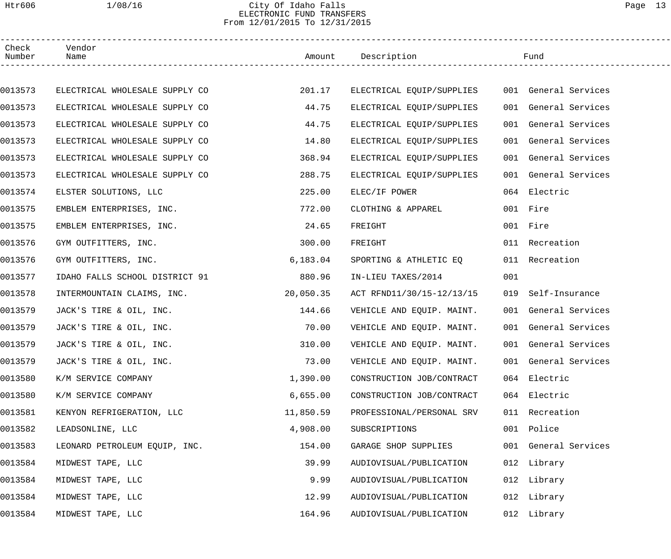# Htr606 1/08/16 City Of Idaho Falls Page 13 ELECTRONIC FUND TRANSFERS From 12/01/2015 To 12/31/2015

| Check<br>Number | Vendor<br>Name                 |           | Amount Description        |     | Fund                 |  |
|-----------------|--------------------------------|-----------|---------------------------|-----|----------------------|--|
|                 |                                |           |                           |     |                      |  |
| 0013573         | ELECTRICAL WHOLESALE SUPPLY CO | 201.17    | ELECTRICAL EQUIP/SUPPLIES |     | 001 General Services |  |
| 0013573         | ELECTRICAL WHOLESALE SUPPLY CO | 44.75     | ELECTRICAL EQUIP/SUPPLIES |     | 001 General Services |  |
| 0013573         | ELECTRICAL WHOLESALE SUPPLY CO | 44.75     | ELECTRICAL EQUIP/SUPPLIES |     | 001 General Services |  |
| 0013573         | ELECTRICAL WHOLESALE SUPPLY CO | 14.80     | ELECTRICAL EQUIP/SUPPLIES |     | 001 General Services |  |
| 0013573         | ELECTRICAL WHOLESALE SUPPLY CO | 368.94    | ELECTRICAL EQUIP/SUPPLIES |     | 001 General Services |  |
| 0013573         | ELECTRICAL WHOLESALE SUPPLY CO | 288.75    | ELECTRICAL EQUIP/SUPPLIES |     | 001 General Services |  |
| 0013574         | ELSTER SOLUTIONS, LLC          | 225.00    | ELEC/IF POWER             |     | 064 Electric         |  |
| 0013575         | EMBLEM ENTERPRISES, INC.       | 772.00    | CLOTHING & APPAREL        |     | 001 Fire             |  |
| 0013575         | EMBLEM ENTERPRISES, INC.       | 24.65     | FREIGHT                   |     | 001 Fire             |  |
| 0013576         | GYM OUTFITTERS, INC.           | 300.00    | FREIGHT                   |     | 011 Recreation       |  |
| 0013576         | GYM OUTFITTERS, INC.           | 6,183.04  | SPORTING & ATHLETIC EQ    |     | 011 Recreation       |  |
| 0013577         | IDAHO FALLS SCHOOL DISTRICT 91 | 880.96    | IN-LIEU TAXES/2014        | 001 |                      |  |
| 0013578         | INTERMOUNTAIN CLAIMS, INC.     | 20,050.35 | ACT RFND11/30/15-12/13/15 | 019 | Self-Insurance       |  |
| 0013579         | JACK'S TIRE & OIL, INC.        | 144.66    | VEHICLE AND EQUIP. MAINT. |     | 001 General Services |  |
| 0013579         | JACK'S TIRE & OIL, INC.        | 70.00     | VEHICLE AND EQUIP. MAINT. |     | 001 General Services |  |
| 0013579         | JACK'S TIRE & OIL, INC.        | 310.00    | VEHICLE AND EQUIP. MAINT. |     | 001 General Services |  |
| 0013579         | JACK'S TIRE & OIL, INC.        | 73.00     | VEHICLE AND EQUIP. MAINT. |     | 001 General Services |  |
| 0013580         | K/M SERVICE COMPANY            | 1,390.00  | CONSTRUCTION JOB/CONTRACT |     | 064 Electric         |  |
| 0013580         | K/M SERVICE COMPANY            | 6,655.00  | CONSTRUCTION JOB/CONTRACT |     | 064 Electric         |  |
| 0013581         | KENYON REFRIGERATION, LLC      | 11,850.59 | PROFESSIONAL/PERSONAL SRV |     | 011 Recreation       |  |
| 0013582         | LEADSONLINE, LLC               | 4,908.00  | SUBSCRIPTIONS             |     | 001 Police           |  |
| 0013583         | LEONARD PETROLEUM EQUIP, INC.  | 154.00    | GARAGE SHOP SUPPLIES      |     | 001 General Services |  |
| 0013584         | MIDWEST TAPE, LLC              | 39.99     | AUDIOVISUAL/PUBLICATION   |     | 012 Library          |  |
| 0013584         | MIDWEST TAPE, LLC              | 9.99      | AUDIOVISUAL/PUBLICATION   |     | 012 Library          |  |
| 0013584         | MIDWEST TAPE, LLC              | 12.99     | AUDIOVISUAL/PUBLICATION   |     | 012 Library          |  |
| 0013584         | MIDWEST TAPE, LLC              | 164.96    | AUDIOVISUAL/PUBLICATION   |     | 012 Library          |  |
|                 |                                |           |                           |     |                      |  |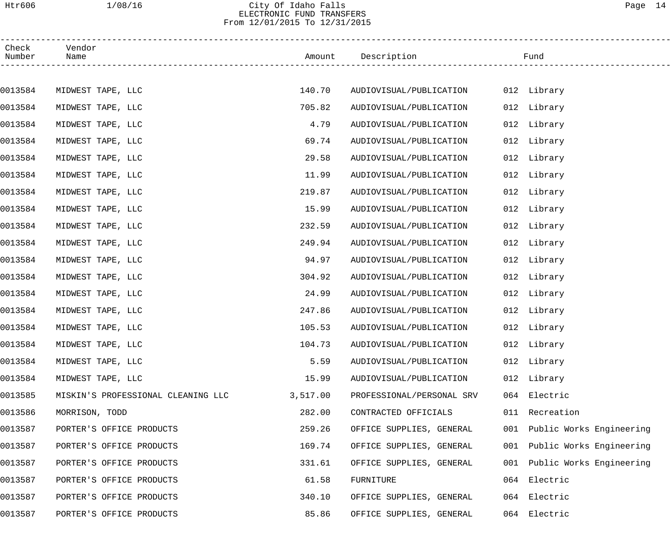# Htr606 1/08/16 City Of Idaho Falls Page 14 ELECTRONIC FUND TRANSFERS From 12/01/2015 To 12/31/2015

| Check<br>Number | Vendor<br>Name           |                                    |          | Amount Description        |     | Fund                     |
|-----------------|--------------------------|------------------------------------|----------|---------------------------|-----|--------------------------|
|                 |                          |                                    |          |                           |     |                          |
| 0013584         | MIDWEST TAPE, LLC        |                                    | 140.70   | AUDIOVISUAL/PUBLICATION   |     | 012 Library              |
| 0013584         | MIDWEST TAPE, LLC        |                                    | 705.82   | AUDIOVISUAL/PUBLICATION   |     | 012 Library              |
| 0013584         | MIDWEST TAPE, LLC        |                                    | 4.79     | AUDIOVISUAL/PUBLICATION   |     | 012 Library              |
| 0013584         | MIDWEST TAPE, LLC        |                                    | 69.74    | AUDIOVISUAL/PUBLICATION   |     | 012 Library              |
| 0013584         | MIDWEST TAPE, LLC        |                                    | 29.58    | AUDIOVISUAL/PUBLICATION   |     | 012 Library              |
| 0013584         | MIDWEST TAPE, LLC        |                                    | 11.99    | AUDIOVISUAL/PUBLICATION   |     | 012 Library              |
| 0013584         | MIDWEST TAPE, LLC        |                                    | 219.87   | AUDIOVISUAL/PUBLICATION   |     | 012 Library              |
| 0013584         | MIDWEST TAPE, LLC        |                                    | 15.99    | AUDIOVISUAL/PUBLICATION   |     | 012 Library              |
| 0013584         | MIDWEST TAPE, LLC        |                                    | 232.59   | AUDIOVISUAL/PUBLICATION   |     | 012 Library              |
| 0013584         | MIDWEST TAPE, LLC        |                                    | 249.94   | AUDIOVISUAL/PUBLICATION   |     | 012 Library              |
| 0013584         | MIDWEST TAPE, LLC        |                                    | 94.97    | AUDIOVISUAL/PUBLICATION   |     | 012 Library              |
| 0013584         | MIDWEST TAPE, LLC        |                                    | 304.92   | AUDIOVISUAL/PUBLICATION   |     | 012 Library              |
| 0013584         | MIDWEST TAPE, LLC        |                                    | 24.99    | AUDIOVISUAL/PUBLICATION   |     | 012 Library              |
| 0013584         | MIDWEST TAPE, LLC        |                                    | 247.86   | AUDIOVISUAL/PUBLICATION   |     | 012 Library              |
| 0013584         | MIDWEST TAPE, LLC        |                                    | 105.53   | AUDIOVISUAL/PUBLICATION   |     | 012 Library              |
| 0013584         | MIDWEST TAPE, LLC        |                                    | 104.73   | AUDIOVISUAL/PUBLICATION   |     | 012 Library              |
| 0013584         | MIDWEST TAPE, LLC        |                                    | 5.59     | AUDIOVISUAL/PUBLICATION   |     | 012 Library              |
| 0013584         | MIDWEST TAPE, LLC        |                                    | 15.99    | AUDIOVISUAL/PUBLICATION   |     | 012 Library              |
| 0013585         |                          | MISKIN'S PROFESSIONAL CLEANING LLC | 3,517.00 | PROFESSIONAL/PERSONAL SRV | 064 | Electric                 |
| 0013586         | MORRISON, TODD           |                                    | 282.00   | CONTRACTED OFFICIALS      | 011 | Recreation               |
| 0013587         | PORTER'S OFFICE PRODUCTS |                                    | 259.26   | OFFICE SUPPLIES, GENERAL  | 001 | Public Works Engineering |
| 0013587         | PORTER'S OFFICE PRODUCTS |                                    | 169.74   | OFFICE SUPPLIES, GENERAL  | 001 | Public Works Engineering |
| 0013587         | PORTER'S OFFICE PRODUCTS |                                    | 331.61   | OFFICE SUPPLIES, GENERAL  | 001 | Public Works Engineering |
| 0013587         | PORTER'S OFFICE PRODUCTS |                                    | 61.58    | FURNITURE                 | 064 | Electric                 |
| 0013587         | PORTER'S OFFICE PRODUCTS |                                    | 340.10   | OFFICE SUPPLIES, GENERAL  | 064 | Electric                 |
| 0013587         | PORTER'S OFFICE PRODUCTS |                                    | 85.86    | OFFICE SUPPLIES, GENERAL  | 064 | Electric                 |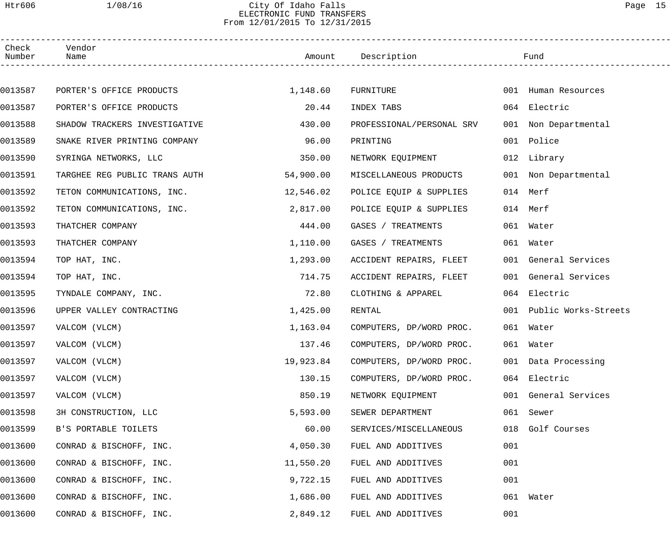# Htr606 1/08/16 City Of Idaho Falls Page 15 ELECTRONIC FUND TRANSFERS From 12/01/2015 To 12/31/2015

| Check<br>Number | Vendor<br>Name                |           | Amount Description        |     | Fund                     |  |
|-----------------|-------------------------------|-----------|---------------------------|-----|--------------------------|--|
|                 |                               |           |                           |     |                          |  |
| 0013587         | PORTER'S OFFICE PRODUCTS      | 1,148.60  | FURNITURE                 |     | 001 Human Resources      |  |
| 0013587         | PORTER'S OFFICE PRODUCTS      | 20.44     | INDEX TABS                |     | 064 Electric             |  |
| 0013588         | SHADOW TRACKERS INVESTIGATIVE | 430.00    | PROFESSIONAL/PERSONAL SRV |     | 001 Non Departmental     |  |
| 0013589         | SNAKE RIVER PRINTING COMPANY  | 96.00     | PRINTING                  |     | 001 Police               |  |
| 0013590         | SYRINGA NETWORKS, LLC         | 350.00    | NETWORK EQUIPMENT         |     | 012 Library              |  |
| 0013591         | TARGHEE REG PUBLIC TRANS AUTH | 54,900.00 | MISCELLANEOUS PRODUCTS    |     | 001 Non Departmental     |  |
| 0013592         | TETON COMMUNICATIONS, INC.    | 12,546.02 | POLICE EQUIP & SUPPLIES   |     | 014 Merf                 |  |
| 0013592         | TETON COMMUNICATIONS, INC.    | 2,817.00  | POLICE EQUIP & SUPPLIES   |     | 014 Merf                 |  |
| 0013593         | THATCHER COMPANY              | 444.00    | GASES / TREATMENTS        |     | 061 Water                |  |
| 0013593         | THATCHER COMPANY              | 1,110.00  | GASES / TREATMENTS        |     | 061 Water                |  |
| 0013594         | TOP HAT, INC.                 | 1,293.00  | ACCIDENT REPAIRS, FLEET   |     | 001 General Services     |  |
| 0013594         | TOP HAT, INC.                 | 714.75    | ACCIDENT REPAIRS, FLEET   |     | 001 General Services     |  |
| 0013595         | TYNDALE COMPANY, INC.         | 72.80     | CLOTHING & APPAREL        |     | 064 Electric             |  |
| 0013596         | UPPER VALLEY CONTRACTING      | 1,425.00  | RENTAL                    |     | 001 Public Works-Streets |  |
| 0013597         | VALCOM (VLCM)                 | 1,163.04  | COMPUTERS, DP/WORD PROC.  |     | 061 Water                |  |
| 0013597         | VALCOM (VLCM)                 | 137.46    | COMPUTERS, DP/WORD PROC.  |     | 061 Water                |  |
| 0013597         | VALCOM (VLCM)                 | 19,923.84 | COMPUTERS, DP/WORD PROC.  |     | 001 Data Processing      |  |
| 0013597         | VALCOM (VLCM)                 | 130.15    | COMPUTERS, DP/WORD PROC.  |     | 064 Electric             |  |
| 0013597         | VALCOM (VLCM)                 | 850.19    | NETWORK EQUIPMENT         |     | 001 General Services     |  |
| 0013598         | 3H CONSTRUCTION, LLC          | 5,593.00  | SEWER DEPARTMENT          |     | 061 Sewer                |  |
| 0013599         | B'S PORTABLE TOILETS          | 60.00     | SERVICES/MISCELLANEOUS    | 018 | Golf Courses             |  |
| 0013600         | CONRAD & BISCHOFF, INC.       | 4,050.30  | FUEL AND ADDITIVES        | 001 |                          |  |
| 0013600         | CONRAD & BISCHOFF, INC.       | 11,550.20 | FUEL AND ADDITIVES        | 001 |                          |  |
| 0013600         | CONRAD & BISCHOFF, INC.       | 9,722.15  | FUEL AND ADDITIVES        | 001 |                          |  |
| 0013600         | CONRAD & BISCHOFF, INC.       | 1,686.00  | FUEL AND ADDITIVES        | 061 | Water                    |  |
| 0013600         | CONRAD & BISCHOFF, INC.       | 2,849.12  | FUEL AND ADDITIVES        | 001 |                          |  |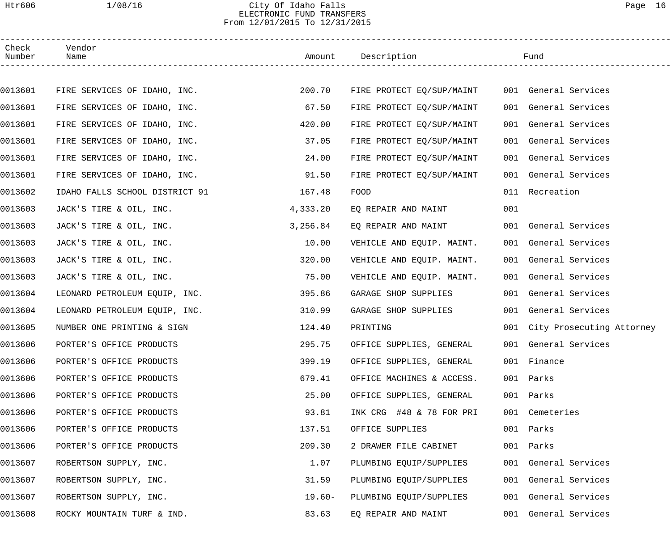# Htr606 1/08/16 City Of Idaho Falls Page 16 ELECTRONIC FUND TRANSFERS From 12/01/2015 To 12/31/2015

| Check<br>Number | Vendor<br>Name                 |           | Amount Description        |     | Fund                          |
|-----------------|--------------------------------|-----------|---------------------------|-----|-------------------------------|
|                 |                                |           |                           |     |                               |
| 0013601         | FIRE SERVICES OF IDAHO, INC.   | 200.70    | FIRE PROTECT EQ/SUP/MAINT |     | 001 General Services          |
| 0013601         | FIRE SERVICES OF IDAHO, INC.   | 67.50     | FIRE PROTECT EQ/SUP/MAINT |     | 001 General Services          |
| 0013601         | FIRE SERVICES OF IDAHO, INC.   | 420.00    | FIRE PROTECT EQ/SUP/MAINT |     | 001 General Services          |
| 0013601         | FIRE SERVICES OF IDAHO, INC.   | 37.05     | FIRE PROTECT EQ/SUP/MAINT |     | 001 General Services          |
| 0013601         | FIRE SERVICES OF IDAHO, INC.   | 24.00     | FIRE PROTECT EQ/SUP/MAINT |     | 001 General Services          |
| 0013601         | FIRE SERVICES OF IDAHO, INC.   | 91.50     | FIRE PROTECT EQ/SUP/MAINT |     | 001 General Services          |
| 0013602         | IDAHO FALLS SCHOOL DISTRICT 91 | 167.48    | FOOD                      |     | 011 Recreation                |
| 0013603         | JACK'S TIRE & OIL, INC.        | 4,333.20  | EQ REPAIR AND MAINT       | 001 |                               |
| 0013603         | JACK'S TIRE & OIL, INC.        | 3,256.84  | EO REPAIR AND MAINT       |     | 001 General Services          |
| 0013603         | JACK'S TIRE & OIL, INC.        | 10.00     | VEHICLE AND EQUIP. MAINT. |     | 001 General Services          |
| 0013603         | JACK'S TIRE & OIL, INC.        | 320.00    | VEHICLE AND EQUIP. MAINT. |     | 001 General Services          |
| 0013603         | JACK'S TIRE & OIL, INC.        | 75.00     | VEHICLE AND EQUIP. MAINT. |     | 001 General Services          |
| 0013604         | LEONARD PETROLEUM EQUIP, INC.  | 395.86    | GARAGE SHOP SUPPLIES      |     | 001 General Services          |
| 0013604         | LEONARD PETROLEUM EQUIP, INC.  | 310.99    | GARAGE SHOP SUPPLIES      |     | 001 General Services          |
| 0013605         | NUMBER ONE PRINTING & SIGN     | 124.40    | PRINTING                  |     | 001 City Prosecuting Attorney |
| 0013606         | PORTER'S OFFICE PRODUCTS       | 295.75    | OFFICE SUPPLIES, GENERAL  |     | 001 General Services          |
| 0013606         | PORTER'S OFFICE PRODUCTS       | 399.19    | OFFICE SUPPLIES, GENERAL  |     | 001 Finance                   |
| 0013606         | PORTER'S OFFICE PRODUCTS       | 679.41    | OFFICE MACHINES & ACCESS. |     | 001 Parks                     |
| 0013606         | PORTER'S OFFICE PRODUCTS       | 25.00     | OFFICE SUPPLIES, GENERAL  |     | 001 Parks                     |
| 0013606         | PORTER'S OFFICE PRODUCTS       | 93.81     | INK CRG #48 & 78 FOR PRI  |     | 001 Cemeteries                |
| 0013606         | PORTER'S OFFICE PRODUCTS       | 137.51    | OFFICE SUPPLIES           |     | 001 Parks                     |
| 0013606         | PORTER'S OFFICE PRODUCTS       | 209.30    | 2 DRAWER FILE CABINET     | 001 | Parks                         |
| 0013607         | ROBERTSON SUPPLY, INC.         | 1.07      | PLUMBING EQUIP/SUPPLIES   |     | 001 General Services          |
| 0013607         | ROBERTSON SUPPLY, INC.         | 31.59     | PLUMBING EQUIP/SUPPLIES   |     | 001 General Services          |
| 0013607         | ROBERTSON SUPPLY, INC.         | $19.60 -$ | PLUMBING EQUIP/SUPPLIES   |     | 001 General Services          |
| 0013608         | ROCKY MOUNTAIN TURF & IND.     | 83.63     | EQ REPAIR AND MAINT       |     | 001 General Services          |
|                 |                                |           |                           |     |                               |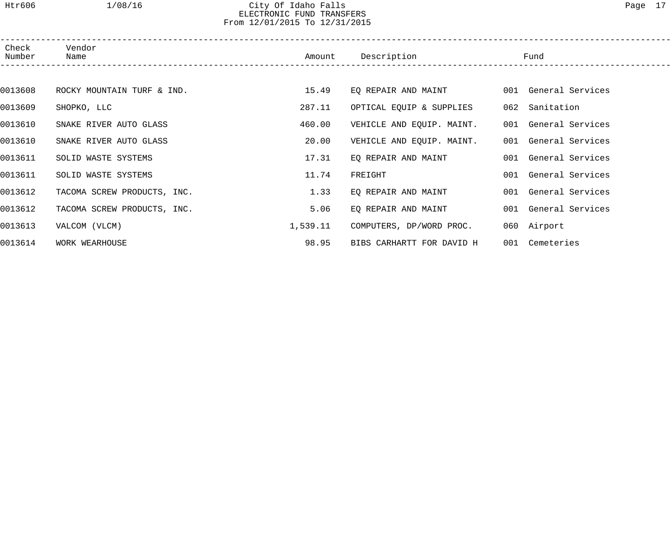# Htr606 1/08/16 City Of Idaho Falls Page 17 ELECTRONIC FUND TRANSFERS From 12/01/2015 To 12/31/2015

| Check<br>Number | Vendor<br>Name              | Amount   | Description               | Fund                 |  |
|-----------------|-----------------------------|----------|---------------------------|----------------------|--|
|                 |                             |          |                           |                      |  |
| 0013608         | ROCKY MOUNTAIN TURF & IND.  | 15.49    | EQ REPAIR AND MAINT       | 001 General Services |  |
| 0013609         | SHOPKO, LLC                 | 287.11   | OPTICAL EQUIP & SUPPLIES  | 062 Sanitation       |  |
| 0013610         | SNAKE RIVER AUTO GLASS      | 460.00   | VEHICLE AND EQUIP. MAINT. | 001 General Services |  |
| 0013610         | SNAKE RIVER AUTO GLASS      | 20.00    | VEHICLE AND EQUIP. MAINT. | 001 General Services |  |
| 0013611         | SOLID WASTE SYSTEMS         | 17.31    | EQ REPAIR AND MAINT       | 001 General Services |  |
| 0013611         | SOLID WASTE SYSTEMS         | 11.74    | FREIGHT                   | 001 General Services |  |
| 0013612         | TACOMA SCREW PRODUCTS, INC. | 1.33     | EQ REPAIR AND MAINT       | 001 General Services |  |
| 0013612         | TACOMA SCREW PRODUCTS, INC. | 5.06     | EQ REPAIR AND MAINT       | 001 General Services |  |
| 0013613         | VALCOM (VLCM)               | 1,539.11 | COMPUTERS, DP/WORD PROC.  | 060 Airport          |  |
| 0013614         | WORK WEARHOUSE              | 98.95    | BIBS CARHARTT FOR DAVID H | 001 Cemeteries       |  |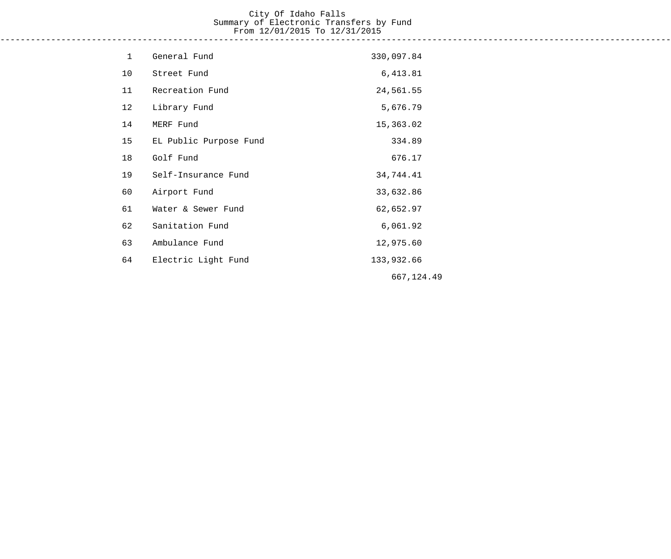# City Of Idaho Falls Summary of Electronic Transfers by Fund From 12/01/2015 To 12/31/2015 ------------------------------------------------------------------------------------------------------------------------------------

| $\mathbf{1}$ | General Fund           | 330,097.84 |
|--------------|------------------------|------------|
| 10           | Street Fund            | 6,413.81   |
| 11           | Recreation Fund        | 24,561.55  |
| 12           | Library Fund           | 5,676.79   |
| 14           | MERF Fund              | 15,363.02  |
| 15           | EL Public Purpose Fund | 334.89     |
| 18           | Golf Fund              | 676.17     |
| 19           | Self-Insurance Fund    | 34,744.41  |
| 60           | Airport Fund           | 33,632.86  |
| 61           | Water & Sewer Fund     | 62,652.97  |
| 62           | Sanitation Fund        | 6,061.92   |
| 63           | Ambulance Fund         | 12,975.60  |
| 64           | Electric Light Fund    | 133,932.66 |
|              |                        | 667,124.49 |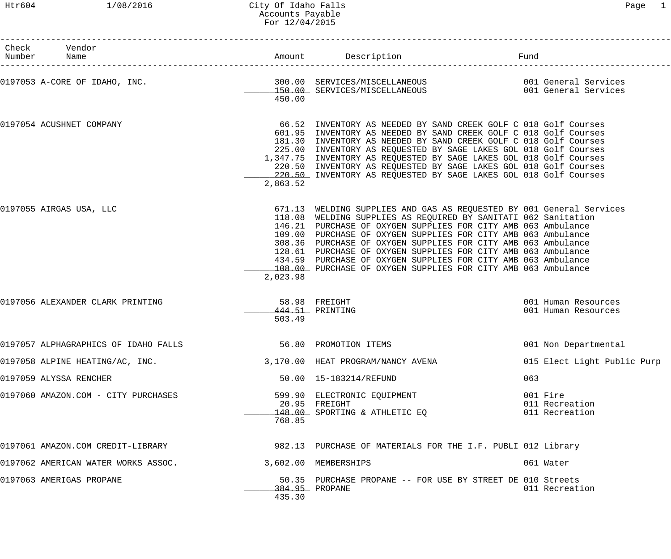## Htr604 1/08/2016 City Of Idaho Falls Page 1 Accounts Payable For 12/04/2015

| Check Vendor<br>Number Name          |                                   |          | Amount Description                                                                                                                                                                                                                                                                                                                                                                                                                                                                                                                           | Fund                                         |                             |
|--------------------------------------|-----------------------------------|----------|----------------------------------------------------------------------------------------------------------------------------------------------------------------------------------------------------------------------------------------------------------------------------------------------------------------------------------------------------------------------------------------------------------------------------------------------------------------------------------------------------------------------------------------------|----------------------------------------------|-----------------------------|
| 0197053 A-CORE OF IDAHO, INC.        |                                   | 450.00   |                                                                                                                                                                                                                                                                                                                                                                                                                                                                                                                                              |                                              |                             |
| 0197054 ACUSHNET COMPANY             |                                   | 2,863.52 | 66.52 INVENTORY AS NEEDED BY SAND CREEK GOLF C 018 Golf Courses<br>601.95 INVENTORY AS NEEDED BY SAND CREEK GOLF C 018 Golf Courses<br>181.30 INVENTORY AS NEEDED BY SAND CREEK GOLF C 018 Golf Courses<br>225.00 INVENTORY AS REQUESTED BY SAGE LAKES GOL 018 Golf Courses<br>1,347.75 INVENTORY AS REQUESTED BY SAGE LAKES GOL 018 Golf Courses<br>220.50 INVENTORY AS REQUESTED BY SAGE LAKES GOL 018 Golf Courses<br>220.50 INVENTORY AS REQUESTED BY SAGE LAKES GOL 018 Golf Courses                                                    |                                              |                             |
| 0197055 AIRGAS USA, LLC              |                                   | 2,023.98 | 671.13 WELDING SUPPLIES AND GAS AS REQUESTED BY 001 General Services<br>118.08 WELDING SUPPLIES AS REQUIRED BY SANITATI 062 Sanitation<br>146.21 PURCHASE OF OXYGEN SUPPLIES FOR CITY AMB 063 Ambulance<br>109.00 PURCHASE OF OXYGEN SUPPLIES FOR CITY AMB 063 Ambulance<br>308.36 PURCHASE OF OXYGEN SUPPLIES FOR CITY AMB 063 Ambulance<br>128.61 PURCHASE OF OXYGEN SUPPLIES FOR CITY AMB 063 Ambulance<br>434.59 PURCHASE OF OXYGEN SUPPLIES FOR CITY AMB 063 Ambulance<br>108.00 PURCHASE OF OXYGEN SUPPLIES FOR CITY AMB 063 Ambulance |                                              |                             |
| 0197056 ALEXANDER CLARK PRINTING     |                                   | 503.49   | 58.98 FREIGHT<br>444.51 PRINTING                                                                                                                                                                                                                                                                                                                                                                                                                                                                                                             | 001 Human Resources<br>001 Human Resources   |                             |
| 0197057 ALPHAGRAPHICS OF IDAHO FALLS |                                   |          | 56.80 PROMOTION ITEMS                                                                                                                                                                                                                                                                                                                                                                                                                                                                                                                        | 001 Non Departmental                         |                             |
|                                      | 0197058 ALPINE HEATING/AC, INC.   |          | 3,170.00 HEAT PROGRAM/NANCY AVENA                                                                                                                                                                                                                                                                                                                                                                                                                                                                                                            |                                              | 015 Elect Light Public Purp |
| 0197059 ALYSSA RENCHER               |                                   |          | 50.00  15-183214/REFUND                                                                                                                                                                                                                                                                                                                                                                                                                                                                                                                      | 063                                          |                             |
| 0197060 AMAZON.COM - CITY PURCHASES  |                                   | 768.85   | 599.90 ELECTRONIC EQUIPMENT<br>20.95 FREIGHT<br>148.00 SPORTING & ATHLETIC EQ                                                                                                                                                                                                                                                                                                                                                                                                                                                                | 001 Fire<br>011 Recreation<br>011 Recreation |                             |
|                                      | 0197061 AMAZON.COM CREDIT-LIBRARY |          | 982.13 PURCHASE OF MATERIALS FOR THE I.F. PUBLI 012 Library                                                                                                                                                                                                                                                                                                                                                                                                                                                                                  |                                              |                             |
| 0197062 AMERICAN WATER WORKS ASSOC.  |                                   |          | 3,602.00 MEMBERSHIPS                                                                                                                                                                                                                                                                                                                                                                                                                                                                                                                         | 061 Water                                    |                             |
| 0197063 AMERIGAS PROPANE             |                                   | 435.30   | 50.35 PURCHASE PROPANE -- FOR USE BY STREET DE 010 Streets<br>384.95 PROPANE                                                                                                                                                                                                                                                                                                                                                                                                                                                                 | 011 Recreation                               |                             |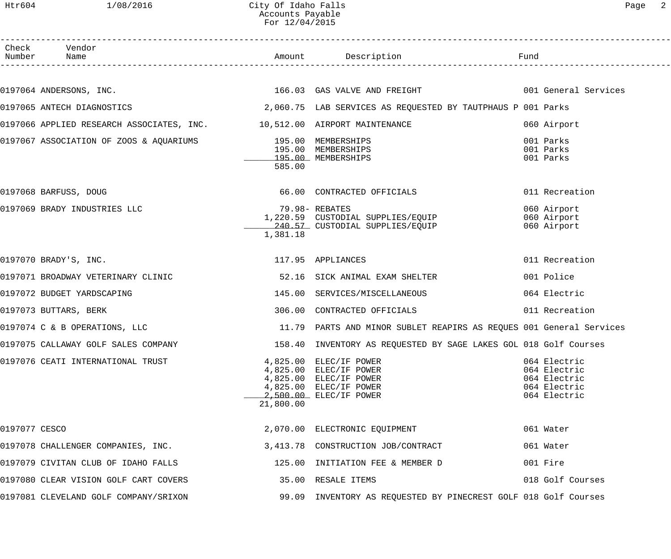## Htr604 1/08/2016 City Of Idaho Falls Page 2 Accounts Payable For 12/04/2015

|               | Check Vendor<br>Number Name                                             |           |                                                                                                                                |                                                                              |
|---------------|-------------------------------------------------------------------------|-----------|--------------------------------------------------------------------------------------------------------------------------------|------------------------------------------------------------------------------|
|               |                                                                         |           |                                                                                                                                |                                                                              |
|               |                                                                         |           | 0197064 ANDERSONS, INC. The services of the services of the services of the services of the services of the services           |                                                                              |
|               |                                                                         |           | 0197065 ANTECH DIAGNOSTICS (2,060.75 LAB SERVICES AS REQUESTED BY TAUTPHAUS P 001 Parks                                        |                                                                              |
|               | 0197066 APPLIED RESEARCH ASSOCIATES, INC. 10,512.00 AIRPORT MAINTENANCE |           |                                                                                                                                | 060 Airport                                                                  |
|               | 0197067 ASSOCIATION OF ZOOS & AQUARIUMS 195.00 MEMBERSHIPS              | 585.00    | 195.00 MEMBERSHIPS<br>195.00 MEMBERSHIPS                                                                                       | 001 Parks<br>001 Parks<br>001 Parks                                          |
|               | 0197068 BARFUSS, DOUG                                                   |           | 66.00 CONTRACTED OFFICIALS                                                                                                     | 011 Recreation                                                               |
|               | 0197069 BRADY INDUSTRIES LLC                                            | 1,381.18  | 79.98- REBATES<br>1,220.59 CUSTODIAL SUPPLIES/EQUIP<br>240.57 CUSTODIAL SUPPLIES/EQUIP                                         | 060 Airport<br>060 Airport<br>060 Airport                                    |
|               | 0197070 BRADY'S, INC.                                                   |           | 117.95 APPLIANCES                                                                                                              | 011 Recreation                                                               |
|               | 0197071 BROADWAY VETERINARY CLINIC                                      |           | 52.16 SICK ANIMAL EXAM SHELTER                                                                                                 | 001 Police                                                                   |
|               | 0197072 BUDGET YARDSCAPING                                              | 145.00    | SERVICES/MISCELLANEOUS                                                                                                         | 064 Electric                                                                 |
|               | 0197073 BUTTARS, BERK                                                   |           | 306.00 CONTRACTED OFFICIALS                                                                                                    | 011 Recreation                                                               |
|               | 0197074 C & B OPERATIONS, LLC                                           |           | 11.79 PARTS AND MINOR SUBLET REAPIRS AS REQUES 001 General Services                                                            |                                                                              |
|               | 0197075 CALLAWAY GOLF SALES COMPANY                                     |           | 158.40 INVENTORY AS REQUESTED BY SAGE LAKES GOL 018 Golf Courses                                                               |                                                                              |
|               | 0197076 CEATI INTERNATIONAL TRUST                                       | 21,800.00 | 4,825.00 ELEC/IF POWER<br>4,825.00 ELEC/IF POWER<br>4,825.00 ELEC/IF POWER<br>4,825.00 ELEC/IF POWER<br>2,500.00 ELEC/IF POWER | 064 Electric<br>064 Electric<br>064 Electric<br>064 Electric<br>064 Electric |
| 0197077 CESCO |                                                                         |           | 2,070.00 ELECTRONIC EQUIPMENT                                                                                                  | 061 Water                                                                    |
|               | 0197078 CHALLENGER COMPANIES, INC.                                      |           | 3,413.78 CONSTRUCTION JOB/CONTRACT                                                                                             | 061 Water                                                                    |
|               | 0197079 CIVITAN CLUB OF IDAHO FALLS                                     |           | 125.00 INITIATION FEE & MEMBER D                                                                                               | 001 Fire                                                                     |
|               | 0197080 CLEAR VISION GOLF CART COVERS                                   |           | 35.00 RESALE ITEMS                                                                                                             | 018 Golf Courses                                                             |
|               | 0197081 CLEVELAND GOLF COMPANY/SRIXON                                   |           | 99.09 INVENTORY AS REQUESTED BY PINECREST GOLF 018 Golf Courses                                                                |                                                                              |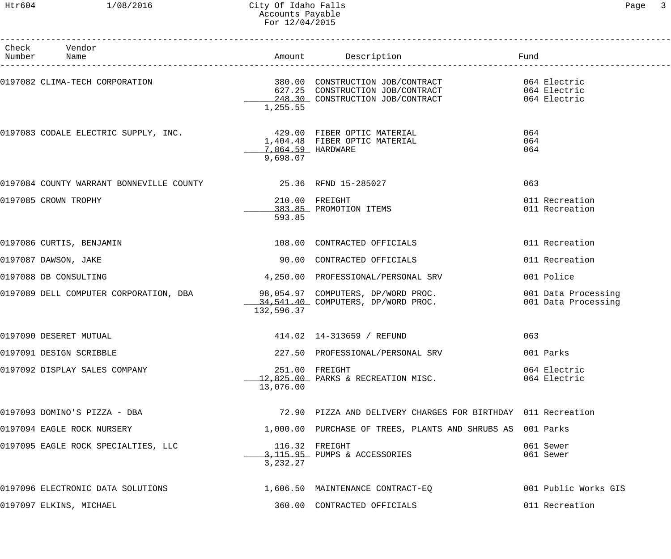# Htr604 1/08/2016 City Of Idaho Falls Page 3 Accounts Payable For 12/04/2015

| Check Vendor<br>Number Name                                             |                                      |                                                                                                                                                         |                                            |
|-------------------------------------------------------------------------|--------------------------------------|---------------------------------------------------------------------------------------------------------------------------------------------------------|--------------------------------------------|
|                                                                         | 1,255.55                             | 0197082 CLIMA-TECH CORPORATION<br>627.25 CONSTRUCTION JOB/CONTRACT 627.25<br>248.30 CONSTRUCTION JOB/CONTRACT 627.25 CONSTRUCTION CONTRACT 064 Electric |                                            |
| 0197083 CODALE ELECTRIC SUPPLY, INC.<br>1,404.48 FIBER OPTIC MATERIAL 1 | _______7,864.59 HARDWARE<br>9,698.07 |                                                                                                                                                         | 064<br>064<br>064                          |
| 0197084 COUNTY WARRANT BONNEVILLE COUNTY 48 15.36 RFND 15-285027        |                                      |                                                                                                                                                         | 063                                        |
| 0197085 CROWN TROPHY                                                    | 593.85                               | 210.00 FREIGHT<br>383.85 PROMOTION ITEMS                                                                                                                | 011 Recreation<br>011 Recreation           |
| 0197086 CURTIS, BENJAMIN                                                |                                      | 108.00 CONTRACTED OFFICIALS                                                                                                                             | 011 Recreation                             |
| 0197087 DAWSON, JAKE                                                    |                                      | 90.00 CONTRACTED OFFICIALS                                                                                                                              | 011 Recreation                             |
| 0197088 DB CONSULTING                                                   |                                      | 4,250.00 PROFESSIONAL/PERSONAL SRV                                                                                                                      | 001 Police                                 |
|                                                                         | 132,596.37                           | .0197089 DELL COMPUTER CORPORATION, DBA        98,054.97 COMPUTERS, DP/WORD PROC<br>34,541.40 COMPUTERS, DP/WORD PROC.                                  | 001 Data Processing<br>001 Data Processing |
| 0197090 DESERET MUTUAL                                                  |                                      | 414.02  14-313659 / REFUND                                                                                                                              | 063                                        |
| 0197091 DESIGN SCRIBBLE                                                 |                                      | 227.50 PROFESSIONAL/PERSONAL SRV                                                                                                                        | 001 Parks                                  |
| 0197092 DISPLAY SALES COMPANY                                           | 13,076.00                            | 251.00 FREIGHT<br>12,825.00 PARKS & RECREATION MISC.                                                                                                    | 064 Electric<br>064 Electric               |
| 0197093 DOMINO'S PIZZA - DBA                                            |                                      | 72.90 PIZZA AND DELIVERY CHARGES FOR BIRTHDAY 011 Recreation                                                                                            |                                            |
| 0197094 EAGLE ROCK NURSERY                                              |                                      | 1,000.00 PURCHASE OF TREES, PLANTS AND SHRUBS AS 001 Parks                                                                                              |                                            |
| 0197095 EAGLE ROCK SPECIALTIES, LLC                                     | 3,232.27                             | 116.32 FREIGHT<br>3,115.95 PUMPS & ACCESSORIES                                                                                                          | 061 Sewer<br>061 Sewer                     |
| 0197096 ELECTRONIC DATA SOLUTIONS                                       |                                      | 1,606.50 MAINTENANCE CONTRACT-EQ                                                                                                                        | 001 Public Works GIS                       |
| 0197097 ELKINS, MICHAEL                                                 |                                      | 360.00 CONTRACTED OFFICIALS                                                                                                                             | 011 Recreation                             |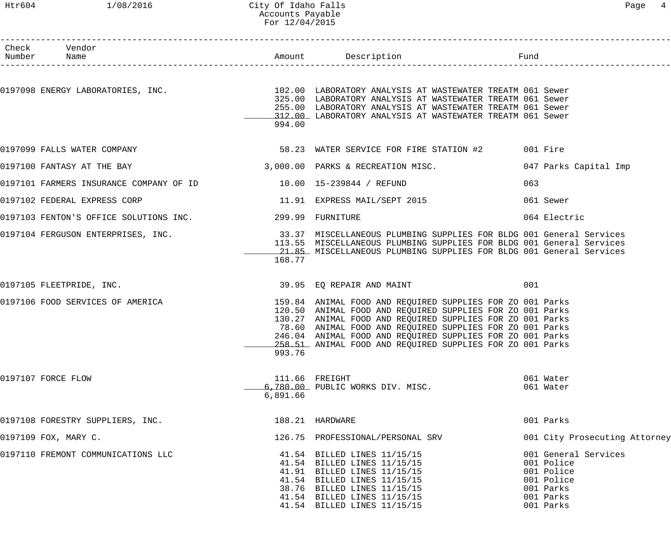#### Htr604 1/08/2016 City Of Idaho Falls Page 4 Accounts Payable For 12/04/2015

| Check Vendor<br>Number Name                                      |          |                                                                                                                                                                                                                                                                                                                                                                           |     |                                                                                                       |
|------------------------------------------------------------------|----------|---------------------------------------------------------------------------------------------------------------------------------------------------------------------------------------------------------------------------------------------------------------------------------------------------------------------------------------------------------------------------|-----|-------------------------------------------------------------------------------------------------------|
|                                                                  | 994.00   | 0197098 ENERGY LABORATORIES, INC.<br>102.00 LABORATORIES, INC. 102.00 LABORATORY ANALYSIS AT WASTEWATER TREATM 061 Sewer<br>325.00 LABORATORY ANALYSIS AT WASTEWATER TREATM 061 Sewer<br>255.00 LABORATORY ANALYSIS AT WASTEWATER TREATM 061 Sewer<br>312.00 LABORATORY ANALYSIS AT WASTEWATER TREATM 061 Sewer                                                           |     |                                                                                                       |
| 0197099 FALLS WATER COMPANY                                      |          | 58.23 WATER SERVICE FOR FIRE STATION #2 001 Fire                                                                                                                                                                                                                                                                                                                          |     |                                                                                                       |
| 0197100 FANTASY AT THE BAY                                       |          | 3,000.00 PARKS & RECREATION MISC.                                                                                                                                                                                                                                                                                                                                         |     | 047 Parks Capital Imp                                                                                 |
| 0197101 FARMERS INSURANCE COMPANY OF ID 10.00 15-239844 / REFUND |          |                                                                                                                                                                                                                                                                                                                                                                           | 063 |                                                                                                       |
| 0197102 FEDERAL EXPRESS CORP                                     |          | 11.91 EXPRESS MAIL/SEPT 2015                                                                                                                                                                                                                                                                                                                                              |     | 061 Sewer                                                                                             |
| 0197103 FENTON'S OFFICE SOLUTIONS INC. 299.99 FURNITURE          |          |                                                                                                                                                                                                                                                                                                                                                                           |     | 064 Electric                                                                                          |
|                                                                  | 168.77   | 21.85 MISCELLANEOUS PLUMBING SUPPLIES FOR BLDG 001 General Services                                                                                                                                                                                                                                                                                                       |     |                                                                                                       |
| 0197105 FLEETPRIDE, INC.                                         |          | 39.95 EQ REPAIR AND MAINT                                                                                                                                                                                                                                                                                                                                                 | 001 |                                                                                                       |
| 0197106 FOOD SERVICES OF AMERICA                                 | 993.76   | 159.84 ANIMAL FOOD AND REQUIRED SUPPLIES FOR ZO 001 Parks<br>120.50 ANIMAL FOOD AND REQUIRED SUPPLIES FOR ZO 001 Parks<br>130.27 ANIMAL FOOD AND REQUIRED SUPPLIES FOR ZO 001 Parks<br>78.60 ANIMAL FOOD AND REQUIRED SUPPLIES FOR ZO 001 Parks<br>246.04 ANIMAL FOOD AND REQUIRED SUPPLIES FOR ZO 001 Parks<br>258.51 ANIMAL FOOD AND REQUIRED SUPPLIES FOR ZO 001 Parks |     |                                                                                                       |
| 0197107 FORCE FLOW                                               | 6,891.66 | 111.66 FREIGHT<br>6,780.00 PUBLIC WORKS DIV. MISC.                                                                                                                                                                                                                                                                                                                        |     | 061 Water<br>061 Water                                                                                |
| 0197108 FORESTRY SUPPLIERS, INC.                                 |          | 188.21 HARDWARE                                                                                                                                                                                                                                                                                                                                                           |     | 001 Parks                                                                                             |
| 0197109 FOX, MARY C.                                             |          | 126.75 PROFESSIONAL/PERSONAL SRV                                                                                                                                                                                                                                                                                                                                          |     | 001 City Prosecuting Attorney                                                                         |
| 0197110 FREMONT COMMUNICATIONS LLC                               |          | 41.54 BILLED LINES 11/15/15<br>41.54 BILLED LINES 11/15/15<br>41.91 BILLED LINES 11/15/15<br>41.54 BILLED LINES 11/15/15<br>38.76 BILLED LINES 11/15/15<br>41.54 BILLED LINES 11/15/15<br>41.54 BILLED LINES 11/15/15                                                                                                                                                     |     | 001 General Services<br>001 Police<br>001 Police<br>001 Police<br>001 Parks<br>001 Parks<br>001 Parks |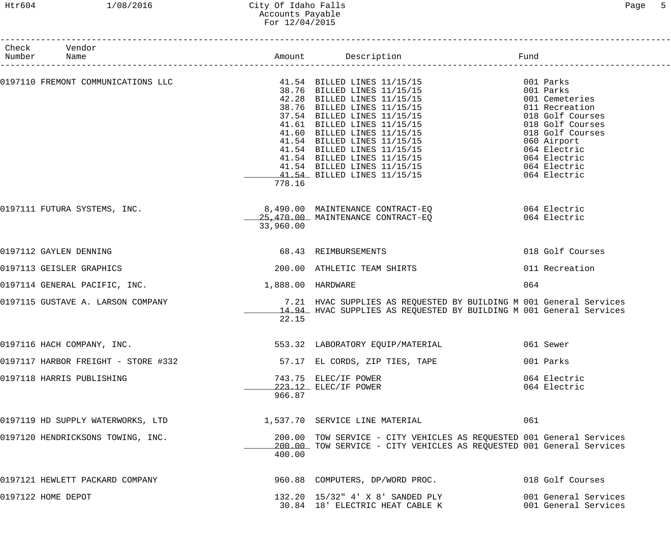# Htr604 1/08/2016 City Of Idaho Falls Page 5 Accounts Payable For 12/04/2015

| Check Vendor<br>Number Name                                                                                                                                                                                                              |                   |                                                                                                                                              |                                                                                                                                           |
|------------------------------------------------------------------------------------------------------------------------------------------------------------------------------------------------------------------------------------------|-------------------|----------------------------------------------------------------------------------------------------------------------------------------------|-------------------------------------------------------------------------------------------------------------------------------------------|
|                                                                                                                                                                                                                                          |                   |                                                                                                                                              | 001 Parks<br>001 Parks<br>001 Cemeteries                                                                                                  |
| 0197110 FREMONT COMMUNICATIONS LLC<br>$41.54$ BILLED LINES 11/15/15<br>$42.28$ BILLED LINES 11/15/15<br>$42.28$ BILLED LINES 11/15/15<br>$37.54$ BILLED LINES 11/15/15<br>$37.54$ BILLED LINES 11/15/15<br>$41.60$ BILLED LINES 11/15/15 |                   |                                                                                                                                              | 011 Recreation<br>018 Golf Courses<br>018 Golf Courses<br>018 Golf Courses<br>060 Airport<br>064 Electric<br>064 Electric<br>064 Electric |
|                                                                                                                                                                                                                                          | 778.16            |                                                                                                                                              | 064 Electric                                                                                                                              |
| 0197111 FUTURA SYSTEMS, INC.                                                                                                                                                                                                             | 33,960.00         | 8,490.00 MAINTENANCE CONTRACT-EQ 664 Electric<br>25,470.00 MAINTENANCE CONTRACT-EO                                                           | 064 Electric                                                                                                                              |
| 0197112 GAYLEN DENNING                                                                                                                                                                                                                   |                   | 68.43 REIMBURSEMENTS                                                                                                                         | 018 Golf Courses                                                                                                                          |
| 0197113 GEISLER GRAPHICS                                                                                                                                                                                                                 |                   | 200.00 ATHLETIC TEAM SHIRTS                                                                                                                  | 011 Recreation                                                                                                                            |
| 0197114 GENERAL PACIFIC, INC.                                                                                                                                                                                                            | 1,888.00 HARDWARE |                                                                                                                                              | 064                                                                                                                                       |
| 0197115 GUSTAVE A. LARSON COMPANY                                                                                                                                                                                                        | 22.15             | 7.21 HVAC SUPPLIES AS REQUESTED BY BUILDING M 001 General Services<br>14.94 HVAC SUPPLIES AS REQUESTED BY BUILDING M 001 General Services    |                                                                                                                                           |
| 0197116 HACH COMPANY, INC.                                                                                                                                                                                                               |                   | 553.32 LABORATORY EQUIP/MATERIAL<br>061 Sewer                                                                                                |                                                                                                                                           |
| 0197117 HARBOR FREIGHT - STORE #332                                                                                                                                                                                                      |                   | 57.17 EL CORDS, ZIP TIES, TAPE                                                                                                               | 001 Parks                                                                                                                                 |
| 0197118 HARRIS PUBLISHING                                                                                                                                                                                                                | 966.87            | 743.75 ELEC/IF POWER<br>223.12 ELEC/IF POWER                                                                                                 | 064 Electric<br>064 Electric                                                                                                              |
| $0197119$ HD SUPPLY WATERWORKS, LTD $1,537.70$ SERVICE LINE MATERIAL                                                                                                                                                                     |                   |                                                                                                                                              | 061                                                                                                                                       |
| 0197120 HENDRICKSONS TOWING, INC.                                                                                                                                                                                                        | 400.00            | 200.00 TOW SERVICE - CITY VEHICLES AS REQUESTED 001 General Services<br>200.00 TOW SERVICE - CITY VEHICLES AS REQUESTED 001 General Services |                                                                                                                                           |
| 0197121 HEWLETT PACKARD COMPANY                                                                                                                                                                                                          |                   | 960.88 COMPUTERS, DP/WORD PROC.                                                                                                              | 018 Golf Courses                                                                                                                          |
| 0197122 HOME DEPOT                                                                                                                                                                                                                       |                   | 132.20 15/32" 4' X 8' SANDED PLY<br>30.84 18' ELECTRIC HEAT CABLE K                                                                          | 001 General Services<br>001 General Services                                                                                              |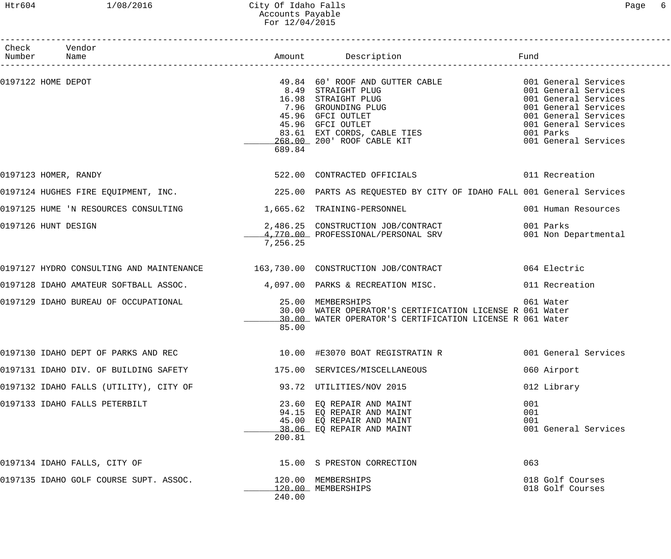## Htr604 1/08/2016 City Of Idaho Falls Page 6 Accounts Payable For 12/04/2015

| Check Vendor<br>Number Name                                         |          |                                                                                                                                                                                                                                            |                                                                                                                                                           |
|---------------------------------------------------------------------|----------|--------------------------------------------------------------------------------------------------------------------------------------------------------------------------------------------------------------------------------------------|-----------------------------------------------------------------------------------------------------------------------------------------------------------|
| 0197122 HOME DEPOT                                                  | 689.84   | 49.84 60' ROOF AND GUTTER CABLE 6001 General Services<br>3.04 00 NOOF AND GOTTER CADER<br>8.49 STRAIGHT PLUG<br>7.96 GROUNDING PLUG<br>45.96 GFCI OUTLET<br>45.96 GFCI OUTLET<br>83.61 EXT CORDS, CABLE TIES<br>268.00 200' ROOF CABLE KIT | 001 General Services<br>001 General Services<br>001 General Services<br>001 General Services<br>001 General Services<br>001 Parks<br>001 General Services |
| 0197123 HOMER, RANDY                                                |          | 522.00 CONTRACTED OFFICIALS                                                                                                                                                                                                                | 011 Recreation                                                                                                                                            |
|                                                                     |          | 0197124 HUGHES FIRE EQUIPMENT, INC. THE SAND MARTS AS REQUESTED BY CITY OF IDAHO FALL 001 General Services                                                                                                                                 |                                                                                                                                                           |
| 0197125 HUME 'N RESOURCES CONSULTING                                |          | 1,665.62 TRAINING-PERSONNEL                                                                                                                                                                                                                | 001 Human Resources                                                                                                                                       |
| 0197126 HUNT DESIGN                                                 | 7,256.25 | 2,486.25 CONSTRUCTION JOB/CONTRACT 6001 Parks 001 Parks 2,770.00 PROFESSIONAL/PERSONAL SRV 6001 Non Departmental                                                                                                                           |                                                                                                                                                           |
|                                                                     |          | 0197127 HYDRO CONSULTING AND MAINTENANCE 163,730.00 CONSTRUCTION JOB/CONTRACT 064 Electric                                                                                                                                                 |                                                                                                                                                           |
|                                                                     |          | 0197128 IDAHO AMATEUR SOFTBALL ASSOC. 4,097.00 PARKS & RECREATION MISC. 011 Recreation                                                                                                                                                     |                                                                                                                                                           |
| 0197129 IDAHO BUREAU OF OCCUPATIONAL <b>1999 125.00 MEMBERSHIPS</b> | 85.00    | 30.00 WATER OPERATOR'S CERTIFICATION LICENSE R 061 Water<br>30.00 WATER OPERATOR'S CERTIFICATION LICENSE R 061 Water                                                                                                                       | 061 Water                                                                                                                                                 |
| 0197130 IDAHO DEPT OF PARKS AND REC                                 |          |                                                                                                                                                                                                                                            |                                                                                                                                                           |
| 0197131 IDAHO DIV. OF BUILDING SAFETY                               |          | 175.00 SERVICES/MISCELLANEOUS                                                                                                                                                                                                              | 060 Airport                                                                                                                                               |
| 0197132 IDAHO FALLS (UTILITY), CITY OF                              |          | 93.72 UTILITIES/NOV 2015                                                                                                                                                                                                                   | 012 Library                                                                                                                                               |
| 0197133 IDAHO FALLS PETERBILT                                       | 200.81   | 23.60 EQ REPAIR AND MAINT<br>94.15 EQ REPAIR AND MAINT<br>45.00 EQ REPAIR AND MAINT<br>38.06 EQ REPAIR AND MAINT                                                                                                                           | 001<br>001<br>001<br>001 General Services                                                                                                                 |
| 0197134 IDAHO FALLS, CITY OF                                        |          | 15.00 S PRESTON CORRECTION                                                                                                                                                                                                                 | 063                                                                                                                                                       |
| 0197135 IDAHO GOLF COURSE SUPT. ASSOC.                              | 240.00   | 120.00 MEMBERSHIPS<br>120.00 MEMBERSHIPS                                                                                                                                                                                                   | 018 Golf Courses<br>018 Golf Courses                                                                                                                      |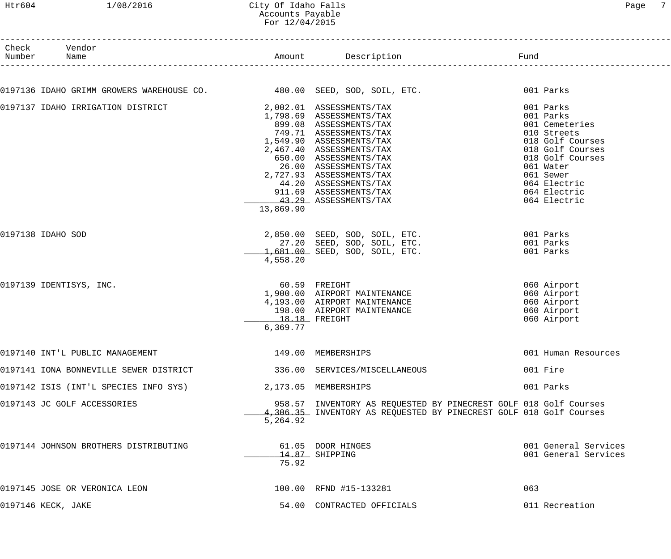#### Htr604 1/08/2016 City Of Idaho Falls Page 7 Accounts Payable For 12/04/2015

| Number | Check Vendor<br>Name                                                   |                             | Amount Description <b>Example 1</b> Fund                                                                                                                                                                                                                                                                                    |                                                                                                                                                                                               |
|--------|------------------------------------------------------------------------|-----------------------------|-----------------------------------------------------------------------------------------------------------------------------------------------------------------------------------------------------------------------------------------------------------------------------------------------------------------------------|-----------------------------------------------------------------------------------------------------------------------------------------------------------------------------------------------|
|        |                                                                        |                             |                                                                                                                                                                                                                                                                                                                             |                                                                                                                                                                                               |
|        | 0197136 IDAHO GRIMM GROWERS WAREHOUSE CO. 480.00 SEED, SOD, SOIL, ETC. |                             |                                                                                                                                                                                                                                                                                                                             | 001 Parks                                                                                                                                                                                     |
|        | 0197137 IDAHO IRRIGATION DISTRICT                                      | 13,869.90                   | 2,002.01 ASSESSMENTS/TAX<br>1,798.69 ASSESSMENTS/TAX<br>899.08 ASSESSMENTS/TAX<br>749.71 ASSESSMENTS/TAX<br>1,549.90 ASSESSMENTS/TAX<br>2,467.40 ASSESSMENTS/TAX<br>650.00 ASSESSMENTS/TAX<br>26.00 ASSESSMENTS/TAX<br>2,727.93 ASSESSMENTS/TAX<br>44.20 ASSESSMENTS/TAX<br>911.69 ASSESSMENTS/TAX<br>43.29 ASSESSMENTS/TAX | 001 Parks<br>001 Parks<br>001 Cemeteries<br>010 Streets<br>018 Golf Courses<br>018 Golf Courses<br>018 Golf Courses<br>061 Water<br>061 Sewer<br>064 Electric<br>064 Electric<br>064 Electric |
|        | 0197138 IDAHO SOD                                                      | 4,558.20                    | 2,850.00 SEED, SOD, SOIL, ETC.<br>27.20 SEED, SOD, SOIL, ETC.<br>1,681.00 SEED, SOD, SOIL, ETC.                                                                                                                                                                                                                             | 001 Parks<br>001 Parks<br>001 Parks                                                                                                                                                           |
|        | 0197139 IDENTISYS, INC.                                                | $18.18$ FREIGHT<br>6,369.77 | 60.59 FREIGHT<br>1,900.00 AIRPORT MAINTENANCE<br>4,193.00 AIRPORT MAINTENANCE<br>198.00 AIRPORT MAINTENANCE                                                                                                                                                                                                                 | 060 Airport<br>060 Airport<br>060 Airport<br>060 Airport<br>060 Airport                                                                                                                       |
|        | 0197140 INT'L PUBLIC MANAGEMENT                                        | 149.00 MEMBERSHIPS          |                                                                                                                                                                                                                                                                                                                             | 001 Human Resources                                                                                                                                                                           |
|        | 0197141 IONA BONNEVILLE SEWER DISTRICT                                 |                             | 336.00 SERVICES/MISCELLANEOUS                                                                                                                                                                                                                                                                                               | 001 Fire                                                                                                                                                                                      |
|        | 0197142 ISIS (INT'L SPECIES INFO SYS)                                  | 2,173.05 MEMBERSHIPS        |                                                                                                                                                                                                                                                                                                                             | 001 Parks                                                                                                                                                                                     |
|        | 0197143 JC GOLF ACCESSORIES                                            | 5,264.92                    | 958.57 INVENTORY AS REQUESTED BY PINECREST GOLF 018 Golf Courses<br>4,306.35 INVENTORY AS REQUESTED BY PINECREST GOLF 018 Golf Courses                                                                                                                                                                                      |                                                                                                                                                                                               |
|        | 0197144 JOHNSON BROTHERS DISTRIBUTING                                  | 75.92                       | 61.05 DOOR HINGES<br>14.87 SHIPPING                                                                                                                                                                                                                                                                                         | 001 General Services<br>001 General Services                                                                                                                                                  |
|        | 0197145 JOSE OR VERONICA LEON                                          |                             | 100.00 RFND #15-133281                                                                                                                                                                                                                                                                                                      | 063                                                                                                                                                                                           |
|        | 0197146 KECK, JAKE                                                     |                             | 54.00 CONTRACTED OFFICIALS                                                                                                                                                                                                                                                                                                  | 011 Recreation                                                                                                                                                                                |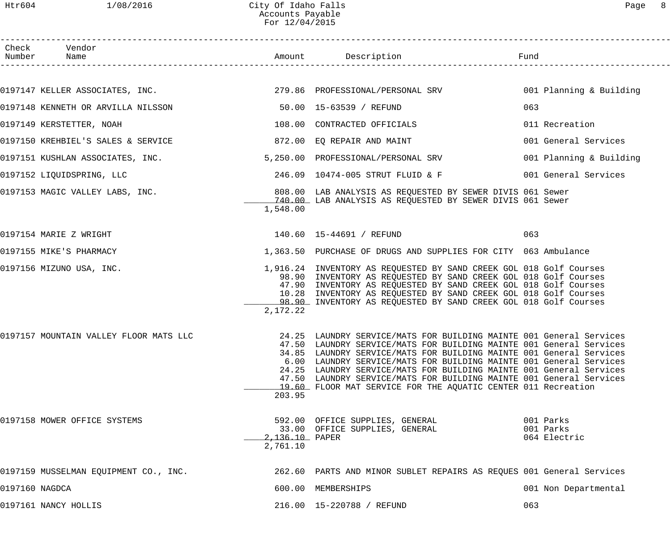# Htr604 1/08/2016 City Of Idaho Falls Page 8 Accounts Payable For 12/04/2015

|                | Check Vendor<br>Number Name                                            |                            | Amount Description                                                                                                                                                                                                                                                                                                                                                                                                                                                                                                                            | Fund                                   |
|----------------|------------------------------------------------------------------------|----------------------------|-----------------------------------------------------------------------------------------------------------------------------------------------------------------------------------------------------------------------------------------------------------------------------------------------------------------------------------------------------------------------------------------------------------------------------------------------------------------------------------------------------------------------------------------------|----------------------------------------|
|                |                                                                        |                            |                                                                                                                                                                                                                                                                                                                                                                                                                                                                                                                                               |                                        |
|                |                                                                        |                            | 0197147 KELLER ASSOCIATES, INC. 279.86 PROFESSIONAL/PERSONAL SRV 001 Planning & Building                                                                                                                                                                                                                                                                                                                                                                                                                                                      |                                        |
|                | 0197148 KENNETH OR ARVILLA NILSSON 60 15-63539 / REFUND                |                            |                                                                                                                                                                                                                                                                                                                                                                                                                                                                                                                                               | 063                                    |
|                | 0197149 KERSTETTER, NOAH                                               |                            | 108.00 CONTRACTED OFFICIALS                                                                                                                                                                                                                                                                                                                                                                                                                                                                                                                   | 011 Recreation                         |
|                | 0197150 KREHBIEL'S SALES & SERVICE 6 6 6 6 6 72.00 EQ REPAIR AND MAINT |                            |                                                                                                                                                                                                                                                                                                                                                                                                                                                                                                                                               | 001 General Services                   |
|                | 0197151 KUSHLAN ASSOCIATES, INC.                                       |                            | 5,250.00 PROFESSIONAL/PERSONAL SRV                                                                                                                                                                                                                                                                                                                                                                                                                                                                                                            | 001 Planning & Building                |
|                | 0197152 LIQUIDSPRING, LLC                                              |                            | 246.09    10474-005 STRUT FLUID & F                                                                                                                                                                                                                                                                                                                                                                                                                                                                                                           | 001 General Services                   |
|                |                                                                        | 1,548.00                   | 0197153 MAGIC VALLEY LABS, INC. THE READ SERVICE OF SERVICES AS REQUESTED BY SEWER DIVIS 061 Sewer<br>140.00 LAB ANALYSIS AS REQUESTED BY SEWER DIVIS 061 Sewer                                                                                                                                                                                                                                                                                                                                                                               |                                        |
|                | 0197154 MARIE Z WRIGHT                                                 |                            | 140.60 15-44691 / REFUND                                                                                                                                                                                                                                                                                                                                                                                                                                                                                                                      | 063                                    |
|                | 0197155 MIKE'S PHARMACY                                                |                            | 1,363.50 PURCHASE OF DRUGS AND SUPPLIES FOR CITY 063 Ambulance                                                                                                                                                                                                                                                                                                                                                                                                                                                                                |                                        |
|                | 0197156 MIZUNO USA, INC.                                               | 2,172.22                   | 1,916.24 INVENTORY AS REQUESTED BY SAND CREEK GOL 018 Golf Courses<br>98.90 INVENTORY AS REQUESTED BY SAND CREEK GOL 018 Golf Courses<br>47.90 INVENTORY AS REQUESTED BY SAND CREEK GOL 018 Golf Courses<br>10.28 INVENTORY AS REQUESTED BY SAND CREEK GOL 018 Golf Courses<br>98.90 INVENTORY AS REQUESTED BY SAND CREEK GOL 018 Golf Courses                                                                                                                                                                                                |                                        |
|                |                                                                        | 203.95                     | 0197157 MOUNTAIN VALLEY FLOOR MATS LLC 24.25 LAUNDRY SERVICE/MATS FOR BUILDING MAINTE 001 General Services<br>47.50 LAUNDRY SERVICE/MATS FOR BUILDING MAINTE 001 General Services<br>34.85 LAUNDRY SERVICE/MATS FOR BUILDING MAINTE 001 General Services<br>6.00 LAUNDRY SERVICE/MATS FOR BUILDING MAINTE 001 General Services<br>24.25 LAUNDRY SERVICE/MATS FOR BUILDING MAINTE 001 General Services<br>47.50 LAUNDRY SERVICE/MATS FOR BUILDING MAINTE 001 General Services<br>19.60 FLOOR MAT SERVICE FOR THE AQUATIC CENTER 011 Recreation |                                        |
|                | 0197158 MOWER OFFICE SYSTEMS                                           | 2,136.10 PAPER<br>2,761.10 | 592.00 OFFICE SUPPLIES, GENERAL<br>33.00 OFFICE SUPPLIES, GENERAL                                                                                                                                                                                                                                                                                                                                                                                                                                                                             | 001 Parks<br>001 Parks<br>064 Electric |
|                | 0197159 MUSSELMAN EQUIPMENT CO., INC.                                  |                            | 262.60 PARTS AND MINOR SUBLET REPAIRS AS REQUES 001 General Services                                                                                                                                                                                                                                                                                                                                                                                                                                                                          |                                        |
| 0197160 NAGDCA |                                                                        |                            | 600.00 MEMBERSHIPS                                                                                                                                                                                                                                                                                                                                                                                                                                                                                                                            | 001 Non Departmental                   |
|                | 0197161 NANCY HOLLIS                                                   |                            | 216.00  15-220788 / REFUND                                                                                                                                                                                                                                                                                                                                                                                                                                                                                                                    | 063                                    |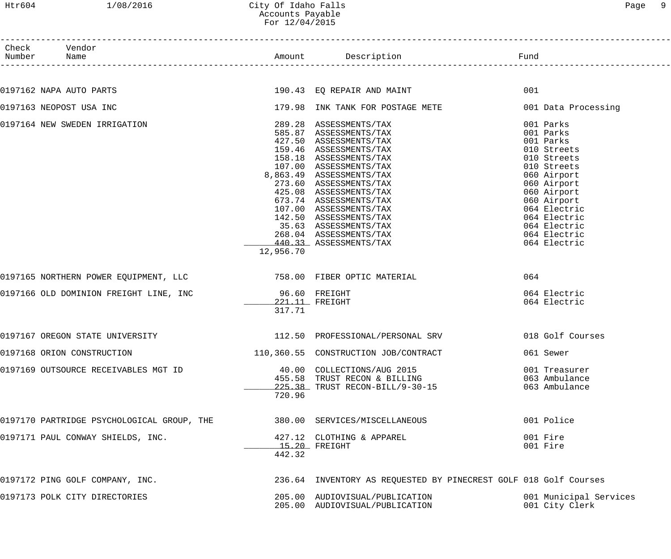------------------------------------------------------------------------------------------------------------------------------------

| Check<br>Number | Vendor<br>Name                             |                         | Amount Description                                                                                                                                                                                                                                                                                                                                                                                  | Fund                                                                                                                                                                                                                         |
|-----------------|--------------------------------------------|-------------------------|-----------------------------------------------------------------------------------------------------------------------------------------------------------------------------------------------------------------------------------------------------------------------------------------------------------------------------------------------------------------------------------------------------|------------------------------------------------------------------------------------------------------------------------------------------------------------------------------------------------------------------------------|
|                 |                                            |                         |                                                                                                                                                                                                                                                                                                                                                                                                     |                                                                                                                                                                                                                              |
|                 | 0197162 NAPA AUTO PARTS                    |                         | 190.43 EQ REPAIR AND MAINT                                                                                                                                                                                                                                                                                                                                                                          | 001                                                                                                                                                                                                                          |
|                 | 0197163 NEOPOST USA INC                    |                         | 179.98 INK TANK FOR POSTAGE METE                                                                                                                                                                                                                                                                                                                                                                    | 001 Data Processing                                                                                                                                                                                                          |
|                 | 0197164 NEW SWEDEN IRRIGATION              | 12,956.70               | 289.28 ASSESSMENTS/TAX<br>585.87 ASSESSMENTS/TAX<br>427.50 ASSESSMENTS/TAX<br>159.46 ASSESSMENTS/TAX<br>158.18 ASSESSMENTS/TAX<br>107.00 ASSESSMENTS/TAX<br>8,863.49 ASSESSMENTS/TAX<br>273.60 ASSESSMENTS/TAX<br>425.08 ASSESSMENTS/TAX<br>673.74 ASSESSMENTS/TAX<br>107.00 ASSESSMENTS/TAX<br>142.50 ASSESSMENTS/TAX<br>35.63 ASSESSMENTS/TAX<br>268.04 ASSESSMENTS/TAX<br>440.33 ASSESSMENTS/TAX | 001 Parks<br>001 Parks<br>001 Parks<br>010 Streets<br>010 Streets<br>010 Streets<br>060 Airport<br>060 Airport<br>060 Airport<br>060 Airport<br>064 Electric<br>064 Electric<br>064 Electric<br>064 Electric<br>064 Electric |
|                 |                                            |                         |                                                                                                                                                                                                                                                                                                                                                                                                     | 064                                                                                                                                                                                                                          |
|                 | 0197166 OLD DOMINION FREIGHT LINE, INC     | 96.60 FREIGHT<br>317.71 | 221.11 FREIGHT                                                                                                                                                                                                                                                                                                                                                                                      | 064 Electric<br>064 Electric                                                                                                                                                                                                 |
|                 | 0197167 OREGON STATE UNIVERSITY            |                         | 112.50 PROFESSIONAL/PERSONAL SRV                                                                                                                                                                                                                                                                                                                                                                    | 018 Golf Courses                                                                                                                                                                                                             |
|                 | 0197168 ORION CONSTRUCTION                 |                         | 110,360.55 CONSTRUCTION JOB/CONTRACT                                                                                                                                                                                                                                                                                                                                                                | 061 Sewer                                                                                                                                                                                                                    |
|                 | 0197169 OUTSOURCE RECEIVABLES MGT ID       | 720.96                  | 40.00 COLLECTIONS/AUG 2015<br>455.58 TRUST RECON & BILLING<br>225.38 TRUST RECON-BILL/9-30-15                                                                                                                                                                                                                                                                                                       | 001 Treasurer<br>063 Ambulance<br>063 Ambulance                                                                                                                                                                              |
|                 | 0197170 PARTRIDGE PSYCHOLOGICAL GROUP, THE |                         | 380.00 SERVICES/MISCELLANEOUS                                                                                                                                                                                                                                                                                                                                                                       | 001 Police                                                                                                                                                                                                                   |
|                 | 0197171 PAUL CONWAY SHIELDS, INC.          | 442.32                  | 427.12 CLOTHING & APPAREL<br>$15.20$ FREIGHT                                                                                                                                                                                                                                                                                                                                                        | 001 Fire<br>001 Fire                                                                                                                                                                                                         |
|                 | 0197172 PING GOLF COMPANY, INC.            |                         | 236.64 INVENTORY AS REQUESTED BY PINECREST GOLF 018 Golf Courses                                                                                                                                                                                                                                                                                                                                    |                                                                                                                                                                                                                              |
|                 | 0197173 POLK CITY DIRECTORIES              |                         | 205.00 AUDIOVISUAL/PUBLICATION<br>205.00 AUDIOVISUAL/PUBLICATION                                                                                                                                                                                                                                                                                                                                    | 001 Municipal Services<br>001 City Clerk                                                                                                                                                                                     |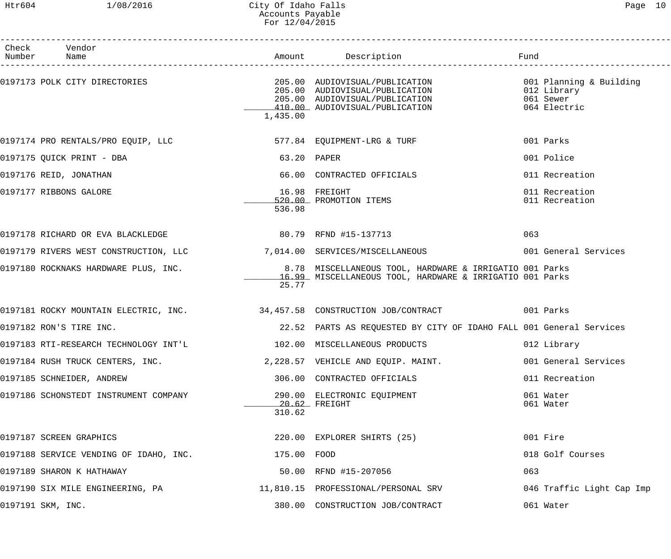## Htr604 1/08/2016 City Of Idaho Falls Page 10 Accounts Payable For 12/04/2015

| Check Vendor<br>Number Name            |             |                                                                                                                                      | Fund                                                                |
|----------------------------------------|-------------|--------------------------------------------------------------------------------------------------------------------------------------|---------------------------------------------------------------------|
| 0197173 POLK CITY DIRECTORIES          | 1,435.00    | 205.00 AUDIOVISUAL/PUBLICATION<br>205.00 AUDIOVISUAL/PUBLICATION<br>205.00 AUDIOVISUAL/PUBLICATION<br>410.00 AUDIOVISUAL/PUBLICATION | 001 Planning & Building<br>012 Library<br>061 Sewer<br>064 Electric |
| 0197174 PRO RENTALS/PRO EQUIP, LLC     |             | 577.84 EQUIPMENT-LRG & TURF                                                                                                          | 001 Parks                                                           |
| 0197175 QUICK PRINT - DBA              | 63.20 PAPER |                                                                                                                                      | 001 Police                                                          |
| 0197176 REID, JONATHAN                 |             | 66.00 CONTRACTED OFFICIALS                                                                                                           | 011 Recreation                                                      |
| 0197177 RIBBONS GALORE                 | 536.98      | 16.98 FREIGHT<br>16.98 FREIGHT<br><u>520.00</u> PROMOTION ITEMS                                                                      | 011 Recreation<br>011 Recreation                                    |
|                                        |             |                                                                                                                                      | 063                                                                 |
|                                        |             | 0197179 RIVERS WEST CONSTRUCTION, LLC<br>7,014.00 SERVICES/MISCELLANEOUS<br>001 General Services                                     |                                                                     |
| 0197180 ROCKNAKS HARDWARE PLUS, INC.   | 25.77       | 8.78 MISCELLANEOUS TOOL, HARDWARE & IRRIGATIO 001 Parks<br>16.99 MISCELLANEOUS TOOL, HARDWARE & IRRIGATIO 001 Parks                  |                                                                     |
|                                        |             | 0197181 ROCKY MOUNTAIN ELECTRIC, INC. 34,457.58 CONSTRUCTION JOB/CONTRACT 001 Parks                                                  |                                                                     |
| 0197182 RON'S TIRE INC.                |             | 22.52 PARTS AS REQUESTED BY CITY OF IDAHO FALL 001 General Services                                                                  |                                                                     |
|                                        |             |                                                                                                                                      | 012 Library                                                         |
| 0197184 RUSH TRUCK CENTERS, INC.       |             | 2,228.57 VEHICLE AND EQUIP. MAINT.                                                                                                   | 001 General Services                                                |
| 0197185 SCHNEIDER, ANDREW              |             | 306.00 CONTRACTED OFFICIALS                                                                                                          | 011 Recreation                                                      |
| 0197186 SCHONSTEDT INSTRUMENT COMPANY  | 310.62      | 290.00 ELECTRONIC EQUIPMENT<br>20.62 FREIGHT                                                                                         | 061 Water<br>061 Water                                              |
| 0197187 SCREEN GRAPHICS                |             | 220.00 EXPLORER SHIRTS (25)                                                                                                          | 001 Fire                                                            |
| 0197188 SERVICE VENDING OF IDAHO, INC. | 175.00 FOOD |                                                                                                                                      | 018 Golf Courses                                                    |
| 0197189 SHARON K HATHAWAY              |             | 50.00 RFND #15-207056                                                                                                                | 063                                                                 |
| 0197190 SIX MILE ENGINEERING, PA       |             | 11,810.15 PROFESSIONAL/PERSONAL SRV                                                                                                  | 046 Traffic Light Cap Imp                                           |
| 0197191 SKM, INC.                      |             | 380.00 CONSTRUCTION JOB/CONTRACT                                                                                                     | 061 Water                                                           |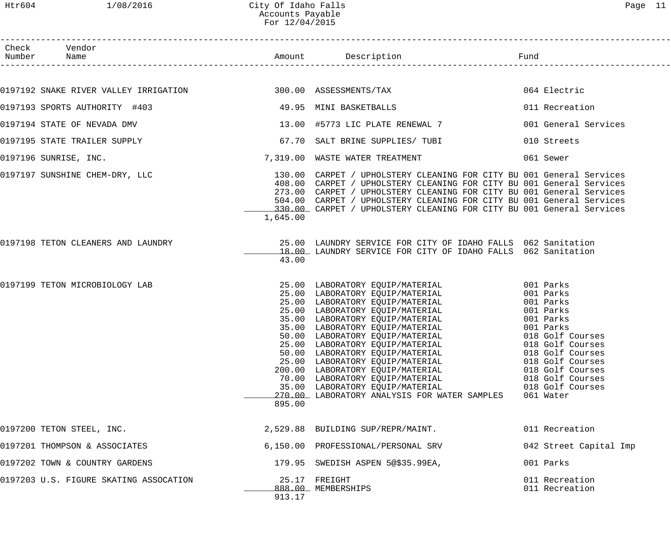|--|--|

| Check Vendor<br>Number Name                                      |          |                                                                                                                                                                                                                                                                                                                                                                                                                                                                          | Fund |                                                                                                                                                       |
|------------------------------------------------------------------|----------|--------------------------------------------------------------------------------------------------------------------------------------------------------------------------------------------------------------------------------------------------------------------------------------------------------------------------------------------------------------------------------------------------------------------------------------------------------------------------|------|-------------------------------------------------------------------------------------------------------------------------------------------------------|
|                                                                  |          |                                                                                                                                                                                                                                                                                                                                                                                                                                                                          |      |                                                                                                                                                       |
| 0197192 SNAKE RIVER VALLEY IRRIGATION 600 300.00 ASSESSMENTS/TAX |          |                                                                                                                                                                                                                                                                                                                                                                                                                                                                          |      | 064 Electric                                                                                                                                          |
| 0197193 SPORTS AUTHORITY #403                                    |          | 49.95 MINI BASKETBALLS                                                                                                                                                                                                                                                                                                                                                                                                                                                   |      | 011 Recreation                                                                                                                                        |
| 0197194 STATE OF NEVADA DMV                                      |          | 13.00 #5773 LIC PLATE RENEWAL 7                                                                                                                                                                                                                                                                                                                                                                                                                                          |      | 001 General Services                                                                                                                                  |
| 0197195 STATE TRAILER SUPPLY                                     |          | 67.70 SALT BRINE SUPPLIES/ TUBI                                                                                                                                                                                                                                                                                                                                                                                                                                          |      | 010 Streets                                                                                                                                           |
| 0197196 SUNRISE, INC.                                            |          | 7,319.00 WASTE WATER TREATMENT                                                                                                                                                                                                                                                                                                                                                                                                                                           |      | 061 Sewer                                                                                                                                             |
| 0197197 SUNSHINE CHEM-DRY, LLC                                   | 1,645.00 | 130.00 CARPET / UPHOLSTERY CLEANING FOR CITY BU 001 General Services<br>408.00 CARPET / UPHOLSTERY CLEANING FOR CITY BU 001 General Services<br>273.00 CARPET / UPHOLSTERY CLEANING FOR CITY BU 001 General Services<br>504.00 CARPET / UPHOLSTERY CLEANING FOR CITY BU 001 General Services<br>330.00 CARPET / UPHOLSTERY CLEANING FOR CITY BU 001 General Services                                                                                                     |      |                                                                                                                                                       |
| 0197198 TETON CLEANERS AND LAUNDRY                               | 43.00    | 25.00 LAUNDRY SERVICE FOR CITY OF IDAHO FALLS 062 Sanitation<br>18.00 LAUNDRY SERVICE FOR CITY OF IDAHO FALLS 062 Sanitation                                                                                                                                                                                                                                                                                                                                             |      |                                                                                                                                                       |
| 0197199 TETON MICROBIOLOGY LAB                                   | 895.00   | 25.00 LABORATORY EQUIP/MATERIAL 001 Parks<br>25.00 LABORATORY EQUIP/MATERIAL 001 Parks<br>25.00 LABORATORY EQUIP/MATERIAL 001 Parks<br>25.00 LABORATORY EQUIP/MATERIAL 001 Parks<br>35.00 LABORATORY EQUIP/MATERIAL 001 Parks<br>35.00 L<br>50.00 LABORATORY EQUIP/MATERIAL<br>25.00 LABORATORY EQUIP/MATERIAL<br>200.00 LABORATORY EQUIP/MATERIAL<br>70.00 LABORATORY EQUIP/MATERIAL<br>35.00 LABORATORY EQUIP/MATERIAL<br>270.00 LABORATORY ANALYSIS FOR WATER SAMPLES |      | 018 Golf Courses<br>018 Golf Courses<br>018 Golf Courses<br>018 Golf Courses<br>018 Golf Courses<br>018 Golf Courses<br>018 Golf Courses<br>061 Water |
| 0197200 TETON STEEL, INC.                                        |          | 2,529.88 BUILDING SUP/REPR/MAINT.                                                                                                                                                                                                                                                                                                                                                                                                                                        |      | 011 Recreation                                                                                                                                        |
| 0197201 THOMPSON & ASSOCIATES                                    |          | 6,150.00 PROFESSIONAL/PERSONAL SRV                                                                                                                                                                                                                                                                                                                                                                                                                                       |      | 042 Street Capital Imp                                                                                                                                |
| 0197202 TOWN & COUNTRY GARDENS                                   |          | 179.95 SWEDISH ASPEN 5@\$35.99EA,                                                                                                                                                                                                                                                                                                                                                                                                                                        |      | 001 Parks                                                                                                                                             |
| 0197203 U.S. FIGURE SKATING ASSOCATION                           | 913.17   | 25.17 FREIGHT<br>888.00 MEMBERSHIPS                                                                                                                                                                                                                                                                                                                                                                                                                                      |      | 011 Recreation<br>011 Recreation                                                                                                                      |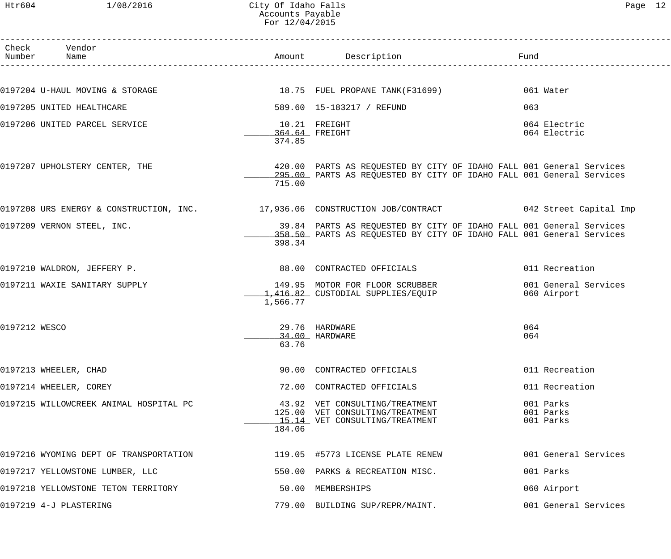| Htr604          | 1/08/2016                              | City Of Idaho Falls<br>Accounts Payable<br>For 12/04/2015 |                                                                                                                                              |                                     | Page 12 |
|-----------------|----------------------------------------|-----------------------------------------------------------|----------------------------------------------------------------------------------------------------------------------------------------------|-------------------------------------|---------|
| Check<br>Number | Vendor<br>Name                         |                                                           | Amount Description                                                                                                                           | Fund                                |         |
|                 |                                        |                                                           | 0197204 U-HAUL MOVING & STORAGE 18.75 FUEL PROPANE TANK(F31699)                                                                              | 061 Water                           |         |
|                 | 0197205 UNITED HEALTHCARE              |                                                           | 589.60 15-183217 / REFUND                                                                                                                    | 063                                 |         |
|                 | 0197206 UNITED PARCEL SERVICE          | 374.85                                                    | 10.21 FREIGHT<br>364.64 FREIGHT                                                                                                              | 064 Electric<br>064 Electric        |         |
|                 | 0197207 UPHOLSTERY CENTER, THE         | 715.00                                                    | 420.00 PARTS AS REQUESTED BY CITY OF IDAHO FALL 001 General Services<br>295.00 PARTS AS REQUESTED BY CITY OF IDAHO FALL 001 General Services |                                     |         |
|                 |                                        |                                                           | 0197208 URS ENERGY & CONSTRUCTION, INC. 17,936.06 CONSTRUCTION JOB/CONTRACT 6042 Street Capital Imp                                          |                                     |         |
|                 | 0197209 VERNON STEEL, INC.             | 398.34                                                    | 39.84 PARTS AS REQUESTED BY CITY OF IDAHO FALL 001 General Services<br>358.50 PARTS AS REQUESTED BY CITY OF IDAHO FALL 001 General Services  |                                     |         |
|                 | 0197210 WALDRON, JEFFERY P.            |                                                           | 88.00 CONTRACTED OFFICIALS                                                                                                                   | 011 Recreation                      |         |
|                 | 0197211 WAXIE SANITARY SUPPLY          | 1,566.77                                                  | 149.95 MOTOR FOR FLOOR SCRUBBER<br>1,416.82 CUSTODIAL SUPPLIES/EQUIP                                                                         | 001 General Services<br>060 Airport |         |
| 0197212 WESCO   |                                        | 63.76                                                     | 29.76 HARDWARE<br>34.00 HARDWARE                                                                                                             | 064<br>064                          |         |
|                 | 0197213 WHEELER, CHAD                  |                                                           | 90.00 CONTRACTED OFFICIALS                                                                                                                   | 011 Recreation                      |         |
|                 | 0197214 WHEELER, COREY                 |                                                           | 72.00 CONTRACTED OFFICIALS                                                                                                                   | 011 Recreation                      |         |
|                 | 0197215 WILLOWCREEK ANIMAL HOSPITAL PC | 184.06                                                    | 43.92 VET CONSULTING/TREATMENT<br>125.00 VET CONSULTING/TREATMENT<br>15.14 VET CONSULTING/TREATMENT                                          | 001 Parks<br>001 Parks<br>001 Parks |         |
|                 | 0197216 WYOMING DEPT OF TRANSPORTATION |                                                           | 119.05 #5773 LICENSE PLATE RENEW                                                                                                             | 001 General Services                |         |
|                 | 0197217 YELLOWSTONE LUMBER, LLC        |                                                           | 550.00 PARKS & RECREATION MISC.                                                                                                              | 001 Parks                           |         |
|                 | 0197218 YELLOWSTONE TETON TERRITORY    |                                                           | 50.00 MEMBERSHIPS                                                                                                                            | 060 Airport                         |         |

0197219 4-J PLASTERING 779.00 BUILDING SUP/REPR/MAINT. 001 General Services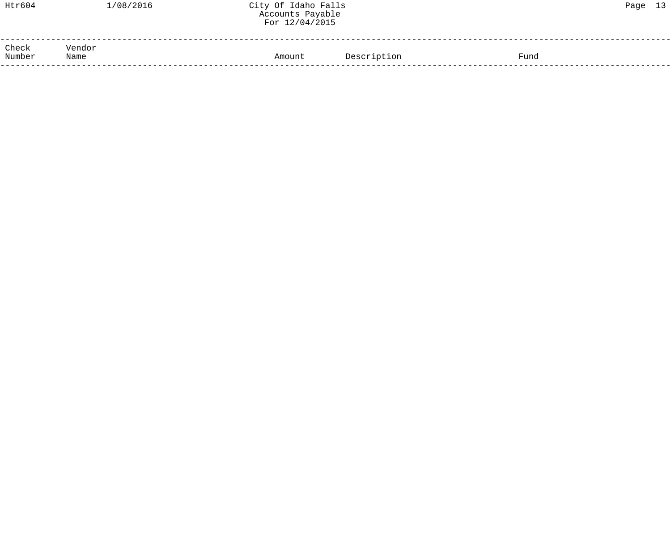| Htr604          | 1/08/2016      | City Of Idaho Falls<br>Accounts Payable<br>For 12/04/2015 |             |      | Page 13 |  |
|-----------------|----------------|-----------------------------------------------------------|-------------|------|---------|--|
| Check<br>Number | Vendor<br>Name | Amount                                                    | Description | Fund |         |  |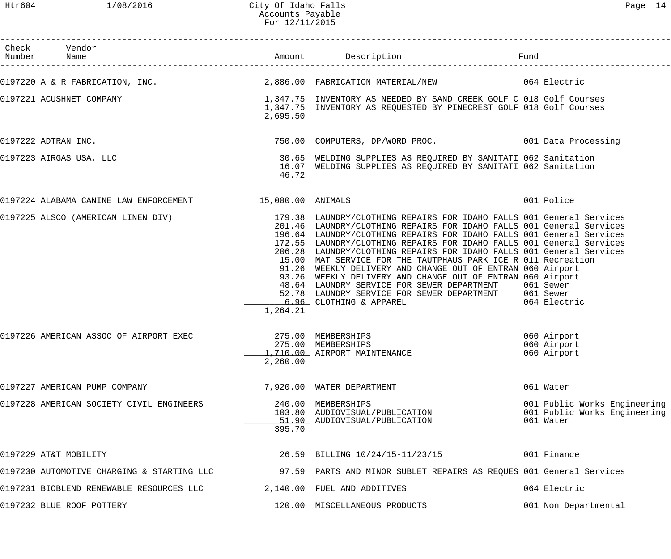| ⌒<br>- |  |
|--------|--|
|--------|--|

| Check Vendor                                             |                                |                                                                                                                                                                                                                                                                                                                                                                                                                                                                                                                                                                                                                                                                                                                                                 | Fund                                                                      |
|----------------------------------------------------------|--------------------------------|-------------------------------------------------------------------------------------------------------------------------------------------------------------------------------------------------------------------------------------------------------------------------------------------------------------------------------------------------------------------------------------------------------------------------------------------------------------------------------------------------------------------------------------------------------------------------------------------------------------------------------------------------------------------------------------------------------------------------------------------------|---------------------------------------------------------------------------|
|                                                          |                                | 0197220 A & R FABRICATION, INC. 2,886.00 FABRICATION MATERIAL/NEW 064 Electric                                                                                                                                                                                                                                                                                                                                                                                                                                                                                                                                                                                                                                                                  |                                                                           |
| 0197221 ACUSHNET COMPANY                                 | 2,695.50                       | 1,347.75 INVENTORY AS NEEDED BY SAND CREEK GOLF C 018 Golf Courses<br>1,347.75 INVENTORY AS REQUESTED BY PINECREST GOLF 018 Golf Courses                                                                                                                                                                                                                                                                                                                                                                                                                                                                                                                                                                                                        |                                                                           |
| 0197222 ADTRAN INC.                                      |                                | 750.00 COMPUTERS, DP/WORD PROC. 001 Data Processing                                                                                                                                                                                                                                                                                                                                                                                                                                                                                                                                                                                                                                                                                             |                                                                           |
| 0197223 AIRGAS USA, LLC                                  | 46.72                          | 30.65 WELDING SUPPLIES AS REQUIRED BY SANITATI 062 Sanitation<br>16.07 WELDING SUPPLIES AS REQUIRED BY SANITATI 062 Sanitation                                                                                                                                                                                                                                                                                                                                                                                                                                                                                                                                                                                                                  |                                                                           |
| 0197224 ALABAMA CANINE LAW ENFORCEMENT 15,000.00 ANIMALS |                                |                                                                                                                                                                                                                                                                                                                                                                                                                                                                                                                                                                                                                                                                                                                                                 | 001 Police                                                                |
|                                                          | 1,264.21                       | 0197225 ALSCO (AMERICAN LINEN DIV) 179.38 LAUNDRY/CLOTHING REPAIRS FOR IDAHO FALLS 001 General Services<br>201.46 LAUNDRY/CLOTHING REPAIRS FOR IDAHO FALLS 001 General Services<br>196.64 LAUNDRY/CLOTHING REPAIRS FOR IDAHO FALLS 001 General Services<br>172.55 LAUNDRY/CLOTHING REPAIRS FOR IDAHO FALLS 001 General Services<br>206.28 LAUNDRY/CLOTHING REPAIRS FOR IDAHO FALLS 001 General Services<br>15.00 MAT SERVICE FOR THE TAUTPHAUS PARK ICE R 011 Recreation<br>91.26 WEEKLY DELIVERY AND CHANGE OUT OF ENTRAN 060 Airport<br>93.26 WEEKLY DELIVERY AND CHANGE OUT OF ENTRAN 060 Airport<br>48.64 LAUNDRY SERVICE FOR SEWER DEPARTMENT 061 Sewer<br>52.78 LAUNDRY SERVICE FOR SEWER DEPARTMENT 061 Sewer<br>6.96 CLOTHING & APPAREL | 064 Electric                                                              |
| 0197226 AMERICAN ASSOC OF AIRPORT EXEC                   | 275.00 MEMBERSHIPS<br>2,260.00 | 275.00 MEMBERSHIPS<br>1,710.00 AIRPORT MAINTENANCE                                                                                                                                                                                                                                                                                                                                                                                                                                                                                                                                                                                                                                                                                              | 060 Airport<br>060 Airport<br>060 Airport                                 |
| 0197227 AMERICAN PUMP COMPANY                            |                                | 7,920.00 WATER DEPARTMENT                                                                                                                                                                                                                                                                                                                                                                                                                                                                                                                                                                                                                                                                                                                       | 061 Water                                                                 |
| 0197228 AMERICAN SOCIETY CIVIL ENGINEERS                 | 395.70                         | 240.00 MEMBERSHIPS<br>103.80 AUDIOVISUAL/PUBLICATION<br>51.90 AUDIOVISUAL/PUBLICATION                                                                                                                                                                                                                                                                                                                                                                                                                                                                                                                                                                                                                                                           | 001 Public Works Engineering<br>001 Public Works Engineering<br>061 Water |
| 0197229 AT&T MOBILITY                                    |                                | 26.59 BILLING 10/24/15-11/23/15                                                                                                                                                                                                                                                                                                                                                                                                                                                                                                                                                                                                                                                                                                                 | 001 Finance                                                               |
| 0197230 AUTOMOTIVE CHARGING & STARTING LLC               |                                | 97.59 PARTS AND MINOR SUBLET REPAIRS AS REQUES 001 General Services                                                                                                                                                                                                                                                                                                                                                                                                                                                                                                                                                                                                                                                                             |                                                                           |
| 0197231 BIOBLEND RENEWABLE RESOURCES LLC                 |                                | 2,140.00 FUEL AND ADDITIVES                                                                                                                                                                                                                                                                                                                                                                                                                                                                                                                                                                                                                                                                                                                     | 064 Electric                                                              |
| 0197232 BLUE ROOF POTTERY                                |                                | 120.00 MISCELLANEOUS PRODUCTS                                                                                                                                                                                                                                                                                                                                                                                                                                                                                                                                                                                                                                                                                                                   | 001 Non Departmental                                                      |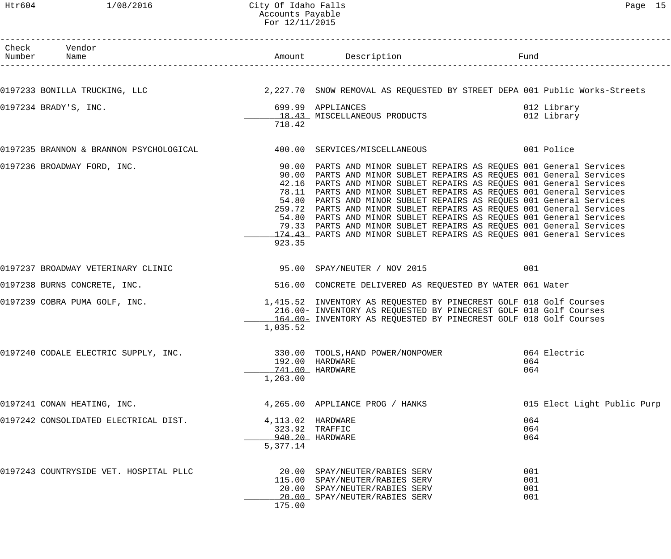#### Htr604 1/08/2016 City Of Idaho Falls Page 15 Accounts Payable For 12/11/2015

| Check Vendor<br>Number Name            |                    |                                                                                                                                            |                             |
|----------------------------------------|--------------------|--------------------------------------------------------------------------------------------------------------------------------------------|-----------------------------|
|                                        |                    |                                                                                                                                            |                             |
|                                        |                    | 0197233 BONILLA TRUCKING, LLC (Campus 2,227.70 SNOW REMOVAL AS REQUESTED BY STREET DEPA 001 Public Works-Streets                           |                             |
| 0197234 BRADY'S, INC.                  |                    | 699.99 APPLIANCES                                                                                                                          | 012 Library                 |
|                                        |                    | 18.43 MISCELLANEOUS PRODUCTS                                                                                                               | 012 Library                 |
|                                        | 718.42             |                                                                                                                                            |                             |
|                                        |                    | 0197235 BRANNON & BRANNON PSYCHOLOGICAL<br>400.00 SERVICES/MISCELLANEOUS<br>001 Police                                                     |                             |
| 0197236 BROADWAY FORD, INC.            |                    | 90.00 PARTS AND MINOR SUBLET REPAIRS AS REQUES 001 General Services                                                                        |                             |
|                                        |                    | 90.00 PARTS AND MINOR SUBLET REPAIRS AS REQUES 001 General Services                                                                        |                             |
|                                        |                    | 42.16 PARTS AND MINOR SUBLET REPAIRS AS REQUES 001 General Services<br>78.11 PARTS AND MINOR SUBLET REPAIRS AS REQUES 001 General Services |                             |
|                                        |                    | 54.80 PARTS AND MINOR SUBLET REPAIRS AS REQUES 001 General Services                                                                        |                             |
|                                        |                    | 259.72 PARTS AND MINOR SUBLET REPAIRS AS REQUES 001 General Services                                                                       |                             |
|                                        |                    | 54.80 PARTS AND MINOR SUBLET REPAIRS AS REQUES 001 General Services                                                                        |                             |
|                                        |                    | 79.33 PARTS AND MINOR SUBLET REPAIRS AS REQUES 001 General Services                                                                        |                             |
|                                        |                    | 174.43 PARTS AND MINOR SUBLET REPAIRS AS REQUES 001 General Services                                                                       |                             |
|                                        | 923.35             |                                                                                                                                            |                             |
| 0197237 BROADWAY VETERINARY CLINIC     |                    | 95.00 SPAY/NEUTER / NOV 2015                                                                                                               | 001                         |
| 0197238 BURNS CONCRETE, INC.           |                    | 516.00 CONCRETE DELIVERED AS REQUESTED BY WATER 061 Water                                                                                  |                             |
| 0197239 COBRA PUMA GOLF, INC.          |                    | 1,415.52 INVENTORY AS REQUESTED BY PINECREST GOLF 018 Golf Courses                                                                         |                             |
|                                        |                    | 216.00- INVENTORY AS REQUESTED BY PINECREST GOLF 018 Golf Courses                                                                          |                             |
|                                        | 1,035.52           | 164.00- INVENTORY AS REQUESTED BY PINECREST GOLF 018 Golf Courses                                                                          |                             |
|                                        |                    |                                                                                                                                            |                             |
| 0197240 CODALE ELECTRIC SUPPLY, INC.   |                    | 330.00 TOOLS, HAND POWER/NONPOWER 664 Electric<br>192.00 HARDWARE                                                                          | 064                         |
|                                        |                    | 741.00 HARDWARE                                                                                                                            | 064                         |
|                                        | 1,263.00           |                                                                                                                                            |                             |
| 0197241 CONAN HEATING, INC.            |                    | 4,265.00 APPLIANCE PROG / HANKS                                                                                                            | 015 Elect Light Public Purp |
|                                        |                    |                                                                                                                                            |                             |
| 0197242 CONSOLIDATED ELECTRICAL DIST.  | 4, 113.02 HARDWARE |                                                                                                                                            | 064                         |
|                                        |                    | 323.92 TRAFFIC                                                                                                                             | 064                         |
|                                        | 5,377.14           | 940.20 HARDWARE                                                                                                                            | 064                         |
| 0197243 COUNTRYSIDE VET. HOSPITAL PLLC |                    |                                                                                                                                            | 001                         |
|                                        |                    | 20.00 SPAY/NEUTER/RABIES SERV<br>115.00 SPAY/NEUTER/RABIES SERV                                                                            | 001                         |
|                                        |                    | 20.00 SPAY/NEUTER/RABIES SERV                                                                                                              | 001                         |
|                                        |                    | 20.00 SPAY/NEUTER/RABIES SERV                                                                                                              | 001                         |
|                                        | 175.00             |                                                                                                                                            |                             |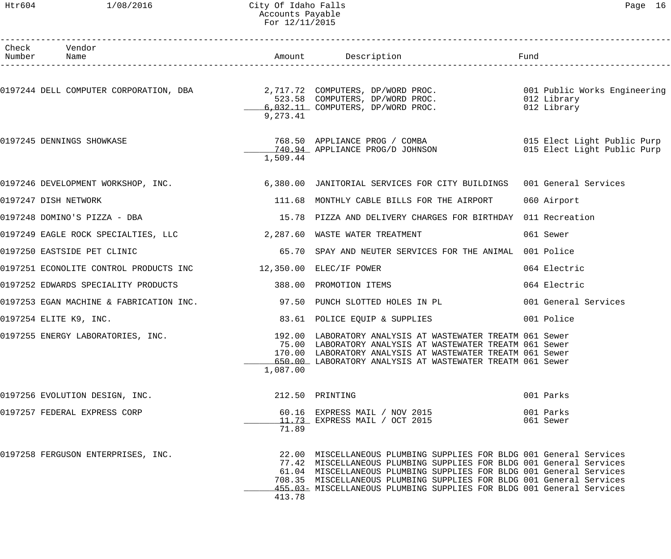## Htr604 1/08/2016 City Of Idaho Falls 2006 Controller Page 16 Accounts Payable For 12/11/2015

|                                                                | L'UL LA/LL/AULJ |                                                                                                                                                                                                                                                                                                                                                                   |                                                            |
|----------------------------------------------------------------|-----------------|-------------------------------------------------------------------------------------------------------------------------------------------------------------------------------------------------------------------------------------------------------------------------------------------------------------------------------------------------------------------|------------------------------------------------------------|
| Check Vendor<br>Number Name                                    |                 |                                                                                                                                                                                                                                                                                                                                                                   | Fund                                                       |
|                                                                | 9,273.41        | .0197244 DELL COMPUTER CORPORATION, DBA 2,717.72 COMPUTERS, DP/WORD PROC<br>523.58 COMPUTERS, DP/WORD PROC<br>6,032.11 COMPUTERS, DP/WORD PROC.                                                                                                                                                                                                                   | 001 Public Works Engineering<br>012 Library<br>012 Library |
| 0197245 DENNINGS SHOWKASE                                      | 1,509.44        | 768.50 APPLIANCE PROG / COMBA<br>2009 - 140.94 APPLIANCE PROG/D JOHNSON                                                                                                                                                                                                                                                                                           | 015 Elect Light Public Purp<br>015 Elect Light Public Purp |
|                                                                |                 | 0197246 DEVELOPMENT WORKSHOP, INC. 6,380.00 JANITORIAL SERVICES FOR CITY BUILDINGS                                                                                                                                                                                                                                                                                | 001 General Services                                       |
| 0197247 DISH NETWORK                                           |                 | 111.68 MONTHLY CABLE BILLS FOR THE AIRPORT                                                                                                                                                                                                                                                                                                                        | 060 Airport                                                |
| 0197248 DOMINO'S PIZZA - DBA                                   |                 | 15.78 PIZZA AND DELIVERY CHARGES FOR BIRTHDAY 011 Recreation                                                                                                                                                                                                                                                                                                      |                                                            |
|                                                                |                 |                                                                                                                                                                                                                                                                                                                                                                   | 061 Sewer                                                  |
| 0197250 EASTSIDE PET CLINIC                                    |                 | 65.70 SPAY AND NEUTER SERVICES FOR THE ANIMAL                                                                                                                                                                                                                                                                                                                     | 001 Police                                                 |
| 0197251 ECONOLITE CONTROL PRODUCTS INC 42,350.00 ELEC/IF POWER |                 |                                                                                                                                                                                                                                                                                                                                                                   | 064 Electric                                               |
| 0197252 EDWARDS SPECIALITY PRODUCTS                            |                 | 388.00 PROMOTION ITEMS                                                                                                                                                                                                                                                                                                                                            | 064 Electric                                               |
|                                                                |                 | 0197253 EGAN MACHINE & FABRICATION INC. $\qquad \qquad$ 97.50 PUNCH SLOTTED HOLES IN PL                                                                                                                                                                                                                                                                           | 001 General Services                                       |
| 0197254 ELITE K9, INC.                                         |                 | 83.61 POLICE EQUIP & SUPPLIES                                                                                                                                                                                                                                                                                                                                     | 001 Police                                                 |
| 0197255 ENERGY LABORATORIES, INC.                              | 1,087.00        | 192.00 LABORATORY ANALYSIS AT WASTEWATER TREATM 061 Sewer<br>75.00 LABORATORY ANALYSIS AT WASTEWATER TREATM 061 Sewer<br>170.00 LABORATORY ANALYSIS AT WASTEWATER TREATM 061 Sewer<br>650.00 LABORATORY ANALYSIS AT WASTEWATER TREATM 061 Sewer                                                                                                                   |                                                            |
| 0197256 EVOLUTION DESIGN, INC.                                 |                 | 212.50 PRINTING                                                                                                                                                                                                                                                                                                                                                   | 001 Parks                                                  |
| 0197257 FEDERAL EXPRESS CORP                                   | 71.89           | 60.16 EXPRESS MAIL / NOV 2015<br>11.73 EXPRESS MAIL / OCT 2015                                                                                                                                                                                                                                                                                                    | 001 Parks<br>061 Sewer                                     |
| 0197258 FERGUSON ENTERPRISES, INC.                             | 413.78          | 22.00 MISCELLANEOUS PLUMBING SUPPLIES FOR BLDG 001 General Services<br>77.42 MISCELLANEOUS PLUMBING SUPPLIES FOR BLDG 001 General Services<br>61.04 MISCELLANEOUS PLUMBING SUPPLIES FOR BLDG 001 General Services<br>708.35 MISCELLANEOUS PLUMBING SUPPLIES FOR BLDG 001 General Services<br>455.03 MISCELLANEOUS PLUMBING SUPPLIES FOR BLDG 001 General Services |                                                            |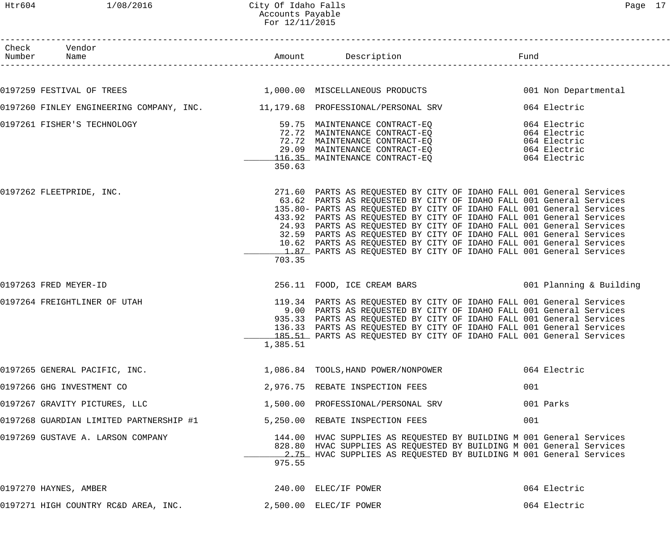------------------------------------------------------------------------------------------------------------------------------------ Check Vendor Number Name Rund Reserves Name Rund Amount Description Communist Pund ------------------------------------------------------------------------------------------------------------------------------------

| 0197259 FESTIVAL OF TREES                                                      |          | 1,000.00 MISCELLANEOUS PRODUCTS                                                                                                                                                                                                                                                                                                                                                                                                                                                                                                                                                         | 001 Non Departmental |
|--------------------------------------------------------------------------------|----------|-----------------------------------------------------------------------------------------------------------------------------------------------------------------------------------------------------------------------------------------------------------------------------------------------------------------------------------------------------------------------------------------------------------------------------------------------------------------------------------------------------------------------------------------------------------------------------------------|----------------------|
| 0197260 FINLEY ENGINEERING COMPANY, INC. 11,179.68 PROFESSIONAL/PERSONAL SRV   |          |                                                                                                                                                                                                                                                                                                                                                                                                                                                                                                                                                                                         | 064 Electric         |
| 0197261 FISHER'S TECHNOLOGY                                                    | 350.63   | 59.75 MAINTENANCE CONTRACT-EQ<br>72.72 MAINTENANCE CONTRACT-EQ<br>72.72 MAINTENANCE CONTRACT-EQ<br>29.09 MAINTENANCE CONTRACT-EQ<br>116.35 MAINTENANCE CONTRACT-EQ<br>116.35 MAINTENANCE CONTRACT-EQ<br>116.35                                                                                                                                                                                                                                                                                                                                                                          |                      |
| 0197262 FLEETPRIDE, INC.                                                       | 703.35   | 271.60 PARTS AS REQUESTED BY CITY OF IDAHO FALL 001 General Services<br>63.62 PARTS AS REQUESTED BY CITY OF IDAHO FALL 001 General Services<br>135.80- PARTS AS REQUESTED BY CITY OF IDAHO FALL 001 General Services<br>433.92 PARTS AS REQUESTED BY CITY OF IDAHO FALL 001 General Services<br>24.93 PARTS AS REQUESTED BY CITY OF IDAHO FALL 001 General Services<br>32.59 PARTS AS REQUESTED BY CITY OF IDAHO FALL 001 General Services<br>10.62 PARTS AS REQUESTED BY CITY OF IDAHO FALL 001 General Services<br>1.87 PARTS AS REQUESTED BY CITY OF IDAHO FALL 001 General Services |                      |
| 0197263 FRED MEYER-ID                                                          |          | 256.11 FOOD, ICE CREAM BARS 6001 Planning & Building                                                                                                                                                                                                                                                                                                                                                                                                                                                                                                                                    |                      |
| 0197264 FREIGHTLINER OF UTAH                                                   | 1,385.51 | 119.34 PARTS AS REQUESTED BY CITY OF IDAHO FALL 001 General Services<br>9.00 PARTS AS REQUESTED BY CITY OF IDAHO FALL 001 General Services<br>935.33 PARTS AS REQUESTED BY CITY OF IDAHO FALL 001 General Services<br>136.33 PARTS AS REQUESTED BY CITY OF IDAHO FALL 001 General Services<br>185.51 PARTS AS REQUESTED BY CITY OF IDAHO FALL 001 General Services                                                                                                                                                                                                                      |                      |
| 0197265 GENERAL PACIFIC, INC. 1.086.84 TOOLS, HAND POWER/NONPOWER 064 Electric |          |                                                                                                                                                                                                                                                                                                                                                                                                                                                                                                                                                                                         |                      |
| 0197266 GHG INVESTMENT CO                                                      |          | 2,976.75 REBATE INSPECTION FEES                                                                                                                                                                                                                                                                                                                                                                                                                                                                                                                                                         | 001                  |
| 0197267 GRAVITY PICTURES, LLC                                                  |          | 1,500.00 PROFESSIONAL/PERSONAL SRV                                                                                                                                                                                                                                                                                                                                                                                                                                                                                                                                                      | 001 Parks            |
| 0197268 GUARDIAN LIMITED PARTNERSHIP #1                                        |          | 5,250.00 REBATE INSPECTION FEES                                                                                                                                                                                                                                                                                                                                                                                                                                                                                                                                                         | 001                  |
| 0197269 GUSTAVE A. LARSON COMPANY                                              | 975.55   | 144.00 HVAC SUPPLIES AS REQUESTED BY BUILDING M 001 General Services<br>828.80 HVAC SUPPLIES AS REQUESTED BY BUILDING M 001 General Services<br>2.75 HVAC SUPPLIES AS REQUESTED BY BUILDING M 001 General Services                                                                                                                                                                                                                                                                                                                                                                      |                      |
| 0197270 HAYNES, AMBER                                                          |          | 240.00 ELEC/IF POWER                                                                                                                                                                                                                                                                                                                                                                                                                                                                                                                                                                    | 064 Electric         |

| 0197271<br><sup>1</sup> HIGH COUNTRY RC&D AREA,<br>INC. | $\sim$ ,500.00 | ELEC/IF POWER | 064<br>Electric |
|---------------------------------------------------------|----------------|---------------|-----------------|
|---------------------------------------------------------|----------------|---------------|-----------------|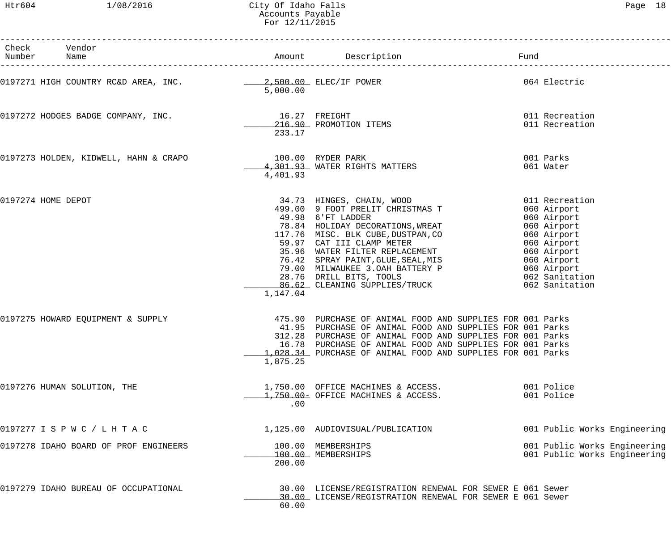Htr604 1/08/2016 City Of Idaho Falls Page 18 Accounts Payable For 12/11/2015

| Check Vendor<br>Number Name                             |                         |                                                                                                                                                                                                                                                                                                                                                                                                                                                       |                                                              |
|---------------------------------------------------------|-------------------------|-------------------------------------------------------------------------------------------------------------------------------------------------------------------------------------------------------------------------------------------------------------------------------------------------------------------------------------------------------------------------------------------------------------------------------------------------------|--------------------------------------------------------------|
|                                                         | 5,000.00                |                                                                                                                                                                                                                                                                                                                                                                                                                                                       | 064 Electric                                                 |
| 0197272 HODGES BADGE COMPANY, INC.                      | 16.27 FREIGHT<br>233.17 | 216.90 PROMOTION ITEMS                                                                                                                                                                                                                                                                                                                                                                                                                                | 011 Recreation<br>011 Recreation                             |
| 0197273 HOLDEN, KIDWELL, HAHN & CRAPO 100.00 RYDER PARK | 4,401.93                | 4,301.93 WATER RIGHTS MATTERS                                                                                                                                                                                                                                                                                                                                                                                                                         | 001 Parks<br>061 Water                                       |
| 0197274 HOME DEPOT                                      | 1,147.04                | 34.73 HINGES, CHAIN, WOOD<br>499.00 9 FOOT PRELIT CHRISTMAS T 060 Airport<br>49.98 6'FT LADDER<br>49.98 6'FT LADDER<br>78.84 HOLIDAY DECORATIONS, WREAT<br>117.76 MISC. BLK CUBE, DUSTPAN, CO<br>59.97 CAT III CLAMP METER<br>35.96 WATER FILTER REPLACEMENT<br>76.42 SPRAY PAINT, GLUE, SEAL, MIS<br>79.00 MILWAUKEE 3.OAH BATTERY P<br>28.76<br>78.84 HOLIDAY DECORATIONS, WREAT<br>117.76 MISC. BLK CUBE, DUSTPAN, CO<br>59.97 CAT III CLAMP METER | 060 Airport                                                  |
| 0197275 HOWARD EQUIPMENT & SUPPLY                       | 1,875.25                | 475.90 PURCHASE OF ANIMAL FOOD AND SUPPLIES FOR 001 Parks<br>41.95 PURCHASE OF ANIMAL FOOD AND SUPPLIES FOR 001 Parks<br>312.28 PURCHASE OF ANIMAL FOOD AND SUPPLIES FOR 001 Parks<br>16.78 PURCHASE OF ANIMAL FOOD AND SUPPLIES FOR 001 Parks<br>1,028.34 PURCHASE OF ANIMAL FOOD AND SUPPLIES FOR 001 Parks                                                                                                                                         |                                                              |
| 0197276 HUMAN SOLUTION, THE                             | .00                     | 1,750.00 OFFICE MACHINES & ACCESS.<br>1,750.00- OFFICE MACHINES & ACCESS.                                                                                                                                                                                                                                                                                                                                                                             | 001 Police<br>001 Police                                     |
| 0197277 I S P W C / L H T A C                           |                         | 1,125.00 AUDIOVISUAL/PUBLICATION                                                                                                                                                                                                                                                                                                                                                                                                                      | 001 Public Works Engineering                                 |
| 0197278 IDAHO BOARD OF PROF ENGINEERS                   | 200.00                  | 100.00 MEMBERSHIPS<br>100.00 MEMBERSHIPS                                                                                                                                                                                                                                                                                                                                                                                                              | 001 Public Works Engineering<br>001 Public Works Engineering |
| 0197279 IDAHO BUREAU OF OCCUPATIONAL                    | 60.00                   | 30.00 LICENSE/REGISTRATION RENEWAL FOR SEWER E 061 Sewer<br>30.00 LICENSE/REGISTRATION RENEWAL FOR SEWER E 061 Sewer                                                                                                                                                                                                                                                                                                                                  |                                                              |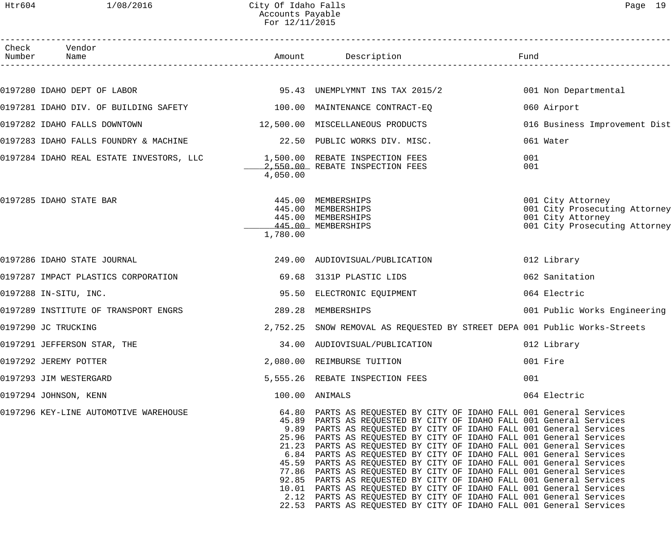#### Htr604 1/08/2016 City Of Idaho Falls Page 19 Accounts Payable For 12/11/2015

| Check | Vendor<br>Number Name                                                                         |          | Amount Description                                                                                                                                                                                                                                                                                                                                                                                                                                                                                                                                                                                                                                                                                                                                                                                                                                                            | Fund                                                                                                     |
|-------|-----------------------------------------------------------------------------------------------|----------|-------------------------------------------------------------------------------------------------------------------------------------------------------------------------------------------------------------------------------------------------------------------------------------------------------------------------------------------------------------------------------------------------------------------------------------------------------------------------------------------------------------------------------------------------------------------------------------------------------------------------------------------------------------------------------------------------------------------------------------------------------------------------------------------------------------------------------------------------------------------------------|----------------------------------------------------------------------------------------------------------|
|       |                                                                                               |          |                                                                                                                                                                                                                                                                                                                                                                                                                                                                                                                                                                                                                                                                                                                                                                                                                                                                               |                                                                                                          |
|       | 0197280 IDAHO DEPT OF LABOR                                   95.43 UNEMPLYMNT INS TAX 2015/2 |          |                                                                                                                                                                                                                                                                                                                                                                                                                                                                                                                                                                                                                                                                                                                                                                                                                                                                               | 001 Non Departmental                                                                                     |
|       | 0197281 IDAHO DIV. OF BUILDING SAFETY 100.00 MAINTENANCE CONTRACT-EQ                          |          |                                                                                                                                                                                                                                                                                                                                                                                                                                                                                                                                                                                                                                                                                                                                                                                                                                                                               | 060 Airport                                                                                              |
|       | 0197282 IDAHO FALLS DOWNTOWN                                                                  |          | 12,500.00 MISCELLANEOUS PRODUCTS                                                                                                                                                                                                                                                                                                                                                                                                                                                                                                                                                                                                                                                                                                                                                                                                                                              | 016 Business Improvement Dist                                                                            |
|       | 0197283 IDAHO FALLS FOUNDRY & MACHINE                                                         |          | 22.50 PUBLIC WORKS DIV. MISC.                                                                                                                                                                                                                                                                                                                                                                                                                                                                                                                                                                                                                                                                                                                                                                                                                                                 | 061 Water                                                                                                |
|       | 0197284 IDAHO REAL ESTATE INVESTORS, LLC $1,500.00$ REBATE INSPECTION FEES                    | 4,050.00 | 2,550.00 REBATE INSPECTION FEES                                                                                                                                                                                                                                                                                                                                                                                                                                                                                                                                                                                                                                                                                                                                                                                                                                               | 001<br>001                                                                                               |
|       | 0197285 IDAHO STATE BAR                                                                       | 1,780.00 | 445.00 MEMBERSHIPS<br>445.00 MEMBERSHIPS<br>445.00 MEMBERSHIPS<br>445.00 MEMBERSHIPS                                                                                                                                                                                                                                                                                                                                                                                                                                                                                                                                                                                                                                                                                                                                                                                          | 001 City Attorney<br>001 City Prosecuting Attorney<br>001 City Attorney<br>001 City Prosecuting Attorney |
|       | 0197286 IDAHO STATE JOURNAL                                                                   |          | 249.00 AUDIOVISUAL/PUBLICATION                                                                                                                                                                                                                                                                                                                                                                                                                                                                                                                                                                                                                                                                                                                                                                                                                                                | 012 Library                                                                                              |
|       | 0197287 IMPACT PLASTICS CORPORATION                                                           |          | 69.68 3131P PLASTIC LIDS                                                                                                                                                                                                                                                                                                                                                                                                                                                                                                                                                                                                                                                                                                                                                                                                                                                      | 062 Sanitation                                                                                           |
|       | 0197288 IN-SITU, INC.                                                                         |          | 95.50 ELECTRONIC EQUIPMENT                                                                                                                                                                                                                                                                                                                                                                                                                                                                                                                                                                                                                                                                                                                                                                                                                                                    | 064 Electric                                                                                             |
|       | 0197289 INSTITUTE OF TRANSPORT ENGRS                                                          | 289.28   | MEMBERSHIPS                                                                                                                                                                                                                                                                                                                                                                                                                                                                                                                                                                                                                                                                                                                                                                                                                                                                   | 001 Public Works Engineering                                                                             |
|       | 0197290 JC TRUCKING                                                                           |          | 2,752.25 SNOW REMOVAL AS REQUESTED BY STREET DEPA 001 Public Works-Streets                                                                                                                                                                                                                                                                                                                                                                                                                                                                                                                                                                                                                                                                                                                                                                                                    |                                                                                                          |
|       | 0197291 JEFFERSON STAR, THE                                                                   |          | 34.00 AUDIOVISUAL/PUBLICATION                                                                                                                                                                                                                                                                                                                                                                                                                                                                                                                                                                                                                                                                                                                                                                                                                                                 | 012 Library                                                                                              |
|       | 0197292 JEREMY POTTER                                                                         |          | 2,080.00 REIMBURSE TUITION                                                                                                                                                                                                                                                                                                                                                                                                                                                                                                                                                                                                                                                                                                                                                                                                                                                    | 001 Fire                                                                                                 |
|       | 0197293 JIM WESTERGARD                                                                        |          | 5,555.26 REBATE INSPECTION FEES                                                                                                                                                                                                                                                                                                                                                                                                                                                                                                                                                                                                                                                                                                                                                                                                                                               | 001                                                                                                      |
|       | 0197294 JOHNSON, KENN                                                                         |          | 100.00 ANIMALS                                                                                                                                                                                                                                                                                                                                                                                                                                                                                                                                                                                                                                                                                                                                                                                                                                                                | 064 Electric                                                                                             |
|       | 0197296 KEY-LINE AUTOMOTIVE WAREHOUSE                                                         |          | 64.80 PARTS AS REQUESTED BY CITY OF IDAHO FALL 001 General Services<br>45.89 PARTS AS REQUESTED BY CITY OF IDAHO FALL 001 General Services<br>9.89 PARTS AS REQUESTED BY CITY OF IDAHO FALL 001 General Services<br>25.96 PARTS AS REQUESTED BY CITY OF IDAHO FALL 001 General Services<br>21.23 PARTS AS REQUESTED BY CITY OF IDAHO FALL 001 General Services<br>6.84 PARTS AS REQUESTED BY CITY OF IDAHO FALL 001 General Services<br>45.59 PARTS AS REQUESTED BY CITY OF IDAHO FALL 001 General Services<br>77.86 PARTS AS REQUESTED BY CITY OF IDAHO FALL 001 General Services<br>92.85 PARTS AS REQUESTED BY CITY OF IDAHO FALL 001 General Services<br>10.01 PARTS AS REQUESTED BY CITY OF IDAHO FALL 001 General Services<br>2.12 PARTS AS REQUESTED BY CITY OF IDAHO FALL 001 General Services<br>22.53 PARTS AS REQUESTED BY CITY OF IDAHO FALL 001 General Services |                                                                                                          |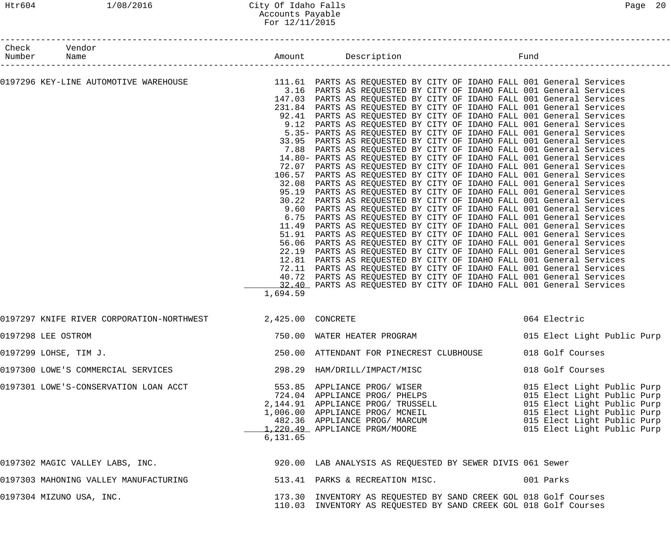#### Htr604 1/08/2016 City Of Idaho Falls Page 20 Accounts Payable For 12/11/2015

| Check Vendor<br>Number Name                                   |                   | Amount Description<br>---------------------------------<br>Fund                                                                                                                                                                                                                                                                                                                                                                                                                                                                                                                                                                                                                                                                                                                                                                                                                                                                                                                                                                                                                                                                                                                                                                                                                                                                                                                                                                                                                                                                                                                                                                                                                                                                                                                                                                             |                                                                                                                                                                                        |
|---------------------------------------------------------------|-------------------|---------------------------------------------------------------------------------------------------------------------------------------------------------------------------------------------------------------------------------------------------------------------------------------------------------------------------------------------------------------------------------------------------------------------------------------------------------------------------------------------------------------------------------------------------------------------------------------------------------------------------------------------------------------------------------------------------------------------------------------------------------------------------------------------------------------------------------------------------------------------------------------------------------------------------------------------------------------------------------------------------------------------------------------------------------------------------------------------------------------------------------------------------------------------------------------------------------------------------------------------------------------------------------------------------------------------------------------------------------------------------------------------------------------------------------------------------------------------------------------------------------------------------------------------------------------------------------------------------------------------------------------------------------------------------------------------------------------------------------------------------------------------------------------------------------------------------------------------|----------------------------------------------------------------------------------------------------------------------------------------------------------------------------------------|
| --------------------<br>0197296 KEY-LINE AUTOMOTIVE WAREHOUSE | 1,694.59          | 111.61 PARTS AS REQUESTED BY CITY OF IDAHO FALL 001 General Services<br>3.16 PARTS AS REQUESTED BY CITY OF IDAHO FALL 001 General Services<br>147.03 PARTS AS REQUESTED BY CITY OF IDAHO FALL 001 General Services<br>231.84 PARTS AS REQUESTED BY CITY OF IDAHO FALL 001 General Services<br>92.41 PARTS AS REQUESTED BY CITY OF IDAHO FALL 001 General Services<br>9.12 PARTS AS REQUESTED BY CITY OF IDAHO FALL 001 General Services<br>5.35- PARTS AS REQUESTED BY CITY OF IDAHO FALL 001 General Services<br>33.95 PARTS AS REQUESTED BY CITY OF IDAHO FALL 001 General Services<br>7.88 PARTS AS REQUESTED BY CITY OF IDAHO FALL 001 General Services<br>14.80- PARTS AS REQUESTED BY CITY OF IDAHO FALL 001 General Services<br>72.07 PARTS AS REQUESTED BY CITY OF IDAHO FALL 001 General Services<br>106.57 PARTS AS REQUESTED BY CITY OF IDAHO FALL 001 General Services<br>32.08 PARTS AS REQUESTED BY CITY OF IDAHO FALL 001 General Services<br>95.19 PARTS AS REQUESTED BY CITY OF IDAHO FALL 001 General Services<br>30.22 PARTS AS REQUESTED BY CITY OF IDAHO FALL 001 General Services<br>9.60 PARTS AS REQUESTED BY CITY OF IDAHO FALL 001 General Services<br>6.75 PARTS AS REQUESTED BY CITY OF IDAHO FALL 001 General Services<br>11.49 PARTS AS REQUESTED BY CITY OF IDAHO FALL 001 General Services<br>51.91 PARTS AS REQUESTED BY CITY OF IDAHO FALL 001 General Services<br>56.06 PARTS AS REQUESTED BY CITY OF IDAHO FALL 001 General Services<br>22.19 PARTS AS REQUESTED BY CITY OF IDAHO FALL 001 General Services<br>12.81 PARTS AS REQUESTED BY CITY OF IDAHO FALL 001 General Services<br>72.11 PARTS AS REQUESTED BY CITY OF IDAHO FALL 001 General Services<br>40.72 PARTS AS REQUESTED BY CITY OF IDAHO FALL 001 General Services<br>12.40 PARTS AS REQUESTED BY CITY OF IDAHO FALL 001 General Services |                                                                                                                                                                                        |
| 0197297 KNIFE RIVER CORPORATION-NORTHWEST                     | 2,425.00 CONCRETE |                                                                                                                                                                                                                                                                                                                                                                                                                                                                                                                                                                                                                                                                                                                                                                                                                                                                                                                                                                                                                                                                                                                                                                                                                                                                                                                                                                                                                                                                                                                                                                                                                                                                                                                                                                                                                                             | 064 Electric                                                                                                                                                                           |
| 0197298 LEE OSTROM                                            |                   | 750.00 WATER HEATER PROGRAM                                                                                                                                                                                                                                                                                                                                                                                                                                                                                                                                                                                                                                                                                                                                                                                                                                                                                                                                                                                                                                                                                                                                                                                                                                                                                                                                                                                                                                                                                                                                                                                                                                                                                                                                                                                                                 | 015 Elect Light Public Purp                                                                                                                                                            |
| 0197299 LOHSE, TIM J.                                         |                   | 250.00 ATTENDANT FOR PINECREST CLUBHOUSE 018 Golf Courses                                                                                                                                                                                                                                                                                                                                                                                                                                                                                                                                                                                                                                                                                                                                                                                                                                                                                                                                                                                                                                                                                                                                                                                                                                                                                                                                                                                                                                                                                                                                                                                                                                                                                                                                                                                   |                                                                                                                                                                                        |
| 0197300 LOWE'S COMMERCIAL SERVICES                            |                   | 298.29 HAM/DRILL/IMPACT/MISC                                                                                                                                                                                                                                                                                                                                                                                                                                                                                                                                                                                                                                                                                                                                                                                                                                                                                                                                                                                                                                                                                                                                                                                                                                                                                                                                                                                                                                                                                                                                                                                                                                                                                                                                                                                                                | 018 Golf Courses                                                                                                                                                                       |
| 0197301 LOWE'S-CONSERVATION LOAN ACCT                         | 6, 131.65         | 553.85 APPLIANCE PROG/ WISER<br>724.04 APPLIANCE PROG/ PHELPS<br>2,144.91 APPLIANCE PROG/ TRUSSELL<br>1,006.00 APPLIANCE PROG/ MCNEIL<br>482.36 APPLIANCE PROG/ MARCUM<br>1,220.49 APPLIANCE PRGM/MOORE                                                                                                                                                                                                                                                                                                                                                                                                                                                                                                                                                                                                                                                                                                                                                                                                                                                                                                                                                                                                                                                                                                                                                                                                                                                                                                                                                                                                                                                                                                                                                                                                                                     | 015 Elect Light Public Purp<br>015 Elect Light Public Purp<br>015 Elect Light Public Purp<br>015 Elect Light Public Purp<br>015 Elect Light Public Purp<br>015 Elect Light Public Purp |
| 0197302 MAGIC VALLEY LABS, INC.                               |                   | 920.00 LAB ANALYSIS AS REQUESTED BY SEWER DIVIS 061 Sewer                                                                                                                                                                                                                                                                                                                                                                                                                                                                                                                                                                                                                                                                                                                                                                                                                                                                                                                                                                                                                                                                                                                                                                                                                                                                                                                                                                                                                                                                                                                                                                                                                                                                                                                                                                                   |                                                                                                                                                                                        |
| 0197303 MAHONING VALLEY MANUFACTURING                         |                   | 513.41 PARKS & RECREATION MISC.                                                                                                                                                                                                                                                                                                                                                                                                                                                                                                                                                                                                                                                                                                                                                                                                                                                                                                                                                                                                                                                                                                                                                                                                                                                                                                                                                                                                                                                                                                                                                                                                                                                                                                                                                                                                             | 001 Parks                                                                                                                                                                              |
| 0197304 MIZUNO USA, INC.                                      |                   | 173.30 INVENTORY AS REQUESTED BY SAND CREEK GOL 018 Golf Courses<br>110.03 INVENTORY AS REQUESTED BY SAND CREEK GOL 018 Golf Courses                                                                                                                                                                                                                                                                                                                                                                                                                                                                                                                                                                                                                                                                                                                                                                                                                                                                                                                                                                                                                                                                                                                                                                                                                                                                                                                                                                                                                                                                                                                                                                                                                                                                                                        |                                                                                                                                                                                        |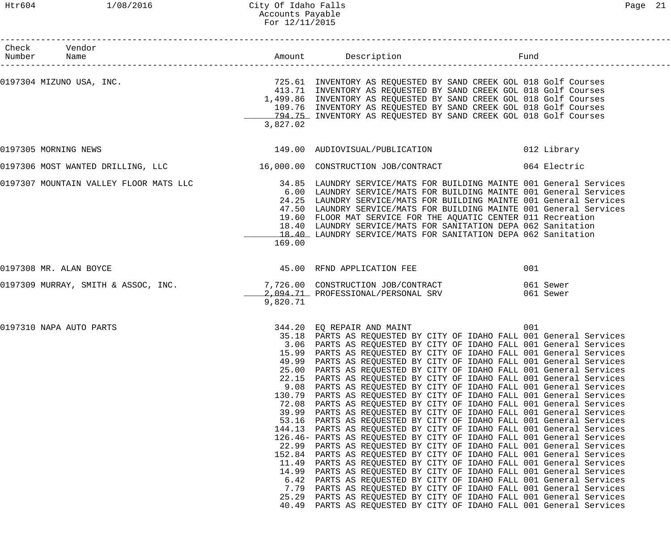## Htr604 1/08/2016 City Of Idaho Falls Page 21 Accounts Payable For 12/11/2015

| Check Vendor                           |                                                                                                                                                                |                                                                                                                                                                                                                                                                                                                                                                                                                                                                                                                                                                                                                                                                                                                                                                                                                                                                                                                                                                                                                                                                                                                                                                                                                                                                                                                                                                                                                                                                    |      |
|----------------------------------------|----------------------------------------------------------------------------------------------------------------------------------------------------------------|--------------------------------------------------------------------------------------------------------------------------------------------------------------------------------------------------------------------------------------------------------------------------------------------------------------------------------------------------------------------------------------------------------------------------------------------------------------------------------------------------------------------------------------------------------------------------------------------------------------------------------------------------------------------------------------------------------------------------------------------------------------------------------------------------------------------------------------------------------------------------------------------------------------------------------------------------------------------------------------------------------------------------------------------------------------------------------------------------------------------------------------------------------------------------------------------------------------------------------------------------------------------------------------------------------------------------------------------------------------------------------------------------------------------------------------------------------------------|------|
| Number Name                            |                                                                                                                                                                |                                                                                                                                                                                                                                                                                                                                                                                                                                                                                                                                                                                                                                                                                                                                                                                                                                                                                                                                                                                                                                                                                                                                                                                                                                                                                                                                                                                                                                                                    | Fund |
| 0197304 MIZUNO USA, INC.               | 3,827.02                                                                                                                                                       | 725.61 INVENTORY AS REQUESTED BY SAND CREEK GOL 018 Golf Courses<br>413.71 INVENTORY AS REQUESTED BY SAND CREEK GOL 018 Golf Courses<br>1,499.86 INVENTORY AS REQUESTED BY SAND CREEK GOL 018 Golf Courses<br>109.76 INVENTORY AS REQUESTED BY SAND CREEK GOL 018 Golf Courses<br>794.75 INVENTORY AS REQUESTED BY SAND CREEK GOL 018 Golf Courses                                                                                                                                                                                                                                                                                                                                                                                                                                                                                                                                                                                                                                                                                                                                                                                                                                                                                                                                                                                                                                                                                                                 |      |
| 0197305 MORNING NEWS                   |                                                                                                                                                                | 149.00 AUDIOVISUAL/PUBLICATION 012 Library                                                                                                                                                                                                                                                                                                                                                                                                                                                                                                                                                                                                                                                                                                                                                                                                                                                                                                                                                                                                                                                                                                                                                                                                                                                                                                                                                                                                                         |      |
|                                        |                                                                                                                                                                | 0197306 MOST WANTED DRILLING, LLC 16,000.00 CONSTRUCTION JOB/CONTRACT 064 Electric                                                                                                                                                                                                                                                                                                                                                                                                                                                                                                                                                                                                                                                                                                                                                                                                                                                                                                                                                                                                                                                                                                                                                                                                                                                                                                                                                                                 |      |
| 0197307 MOUNTAIN VALLEY FLOOR MATS LLC | 169.00                                                                                                                                                         | 34.85 LAUNDRY SERVICE/MATS FOR BUILDING MAINTE 001 General Services<br>6.00 LAUNDRY SERVICE/MATS FOR BUILDING MAINTE 001 General Services<br>24.25 LAUNDRY SERVICE/MATS FOR BUILDING MAINTE 001 General Services<br>47.50 LAUNDRY SERVICE/MATS FOR BUILDING MAINTE 001 General Services<br>19.60 FLOOR MAT SERVICE FOR THE AQUATIC CENTER 011 Recreation<br>18.40 LAUNDRY SERVICE/MATS FOR SANITATION DEPA 062 Sanitation<br>18.40 LAUNDRY SERVICE/MATS FOR SANITATION DEPA 062 Sanitation                                                                                                                                                                                                                                                                                                                                                                                                                                                                                                                                                                                                                                                                                                                                                                                                                                                                                                                                                                         |      |
| 0197308 MR. ALAN BOYCE                 |                                                                                                                                                                | 45.00 RFND APPLICATION FEE                                                                                                                                                                                                                                                                                                                                                                                                                                                                                                                                                                                                                                                                                                                                                                                                                                                                                                                                                                                                                                                                                                                                                                                                                                                                                                                                                                                                                                         | 001  |
|                                        | 9,820.71                                                                                                                                                       | 0197309 MURRAY, SMITH & ASSOC, INC. 27,726.00 CONSTRUCTION JOB/CONTRACT 300 061 Sewer<br>2,094.71 PROFESSIONAL/PERSONAL SRV 061 Sewer                                                                                                                                                                                                                                                                                                                                                                                                                                                                                                                                                                                                                                                                                                                                                                                                                                                                                                                                                                                                                                                                                                                                                                                                                                                                                                                              |      |
| 0197310 NAPA AUTO PARTS                | 15.99<br>49.99<br>25.00<br>22.15<br>9.08<br>130.79<br>72.08<br>39.99<br>53.16<br>144.13<br>22.99<br>152.84<br>11.49<br>14.99<br>6.42<br>7.79<br>25.29<br>40.49 | 344.20 EQ REPAIR AND MAINT<br>35.18 PARTS AS REQUESTED BY CITY OF IDAHO FALL 001 General Services<br>3.06 PARTS AS REQUESTED BY CITY OF IDAHO FALL 001 General Services<br>PARTS AS REQUESTED BY CITY OF IDAHO FALL 001 General Services<br>PARTS AS REQUESTED BY CITY OF IDAHO FALL 001 General Services<br>PARTS AS REQUESTED BY CITY OF IDAHO FALL 001 General Services<br>PARTS AS REQUESTED BY CITY OF IDAHO FALL 001 General Services<br>PARTS AS REQUESTED BY CITY OF IDAHO FALL 001 General Services<br>PARTS AS REQUESTED BY CITY OF IDAHO FALL 001 General Services<br>PARTS AS REQUESTED BY CITY OF IDAHO FALL 001 General Services<br>PARTS AS REQUESTED BY CITY OF IDAHO FALL 001 General Services<br>PARTS AS REQUESTED BY CITY OF IDAHO FALL 001 General Services<br>PARTS AS REQUESTED BY CITY OF IDAHO FALL 001 General Services<br>126.46- PARTS AS REQUESTED BY CITY OF IDAHO FALL 001 General Services<br>PARTS AS REQUESTED BY CITY OF IDAHO FALL 001 General Services<br>PARTS AS REQUESTED BY CITY OF IDAHO FALL 001 General Services<br>PARTS AS REQUESTED BY CITY OF IDAHO FALL 001 General Services<br>PARTS AS REQUESTED BY CITY OF IDAHO FALL 001 General Services<br>PARTS AS REQUESTED BY CITY OF IDAHO FALL 001 General Services<br>PARTS AS REQUESTED BY CITY OF IDAHO FALL 001 General Services<br>PARTS AS REQUESTED BY CITY OF IDAHO FALL 001 General Services<br>PARTS AS REQUESTED BY CITY OF IDAHO FALL 001 General Services | 001  |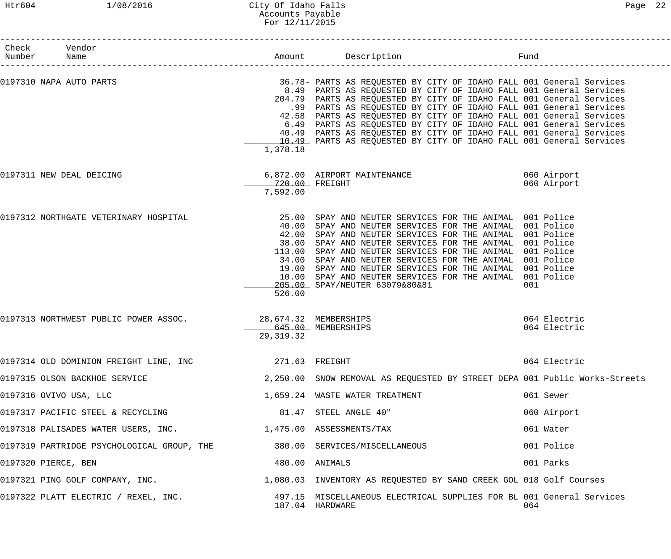### Htr604 1/08/2016 City Of Idaho Falls Page 22 Accounts Payable For 12/11/2015

| Check Vendor<br>Number Name                                              |                            | Fund                                                                                                                                                                                                                                                                                                                                                                                                                                                                                                                                                                               |                              |
|--------------------------------------------------------------------------|----------------------------|------------------------------------------------------------------------------------------------------------------------------------------------------------------------------------------------------------------------------------------------------------------------------------------------------------------------------------------------------------------------------------------------------------------------------------------------------------------------------------------------------------------------------------------------------------------------------------|------------------------------|
| 0197310 NAPA AUTO PARTS                                                  | 1,378.18                   | 36.78- PARTS AS REQUESTED BY CITY OF IDAHO FALL 001 General Services<br>8.49 PARTS AS REQUESTED BY CITY OF IDAHO FALL 001 General Services<br>204.79 PARTS AS REQUESTED BY CITY OF IDAHO FALL 001 General Services<br>.99 PARTS AS REQUESTED BY CITY OF IDAHO FALL 001 General Services<br>42.58 PARTS AS REQUESTED BY CITY OF IDAHO FALL 001 General Services<br>6.49 PARTS AS REQUESTED BY CITY OF IDAHO FALL 001 General Services<br>40.49 PARTS AS REQUESTED BY CITY OF IDAHO FALL 001 General Services<br>10.49 PARTS AS REQUESTED BY CITY OF IDAHO FALL 001 General Services |                              |
| 0197311 NEW DEAL DEICING                                                 | 720.00 FREIGHT<br>7,592.00 | 6,872.00 AIRPORT MAINTENANCE 060 Airport                                                                                                                                                                                                                                                                                                                                                                                                                                                                                                                                           | 060 Airport                  |
| 0197312 NORTHGATE VETERINARY HOSPITAL                                    | 526.00                     | 25.00 SPAY AND NEUTER SERVICES FOR THE ANIMAL 001 Police<br>40.00 SPAY AND NEUTER SERVICES FOR THE ANIMAL 001 Police<br>42.00 SPAY AND NEUTER SERVICES FOR THE ANIMAL 001 Police<br>38.00 SPAY AND NEUTER SERVICES FOR THE ANIMAL 001 Police<br>113.00 SPAY AND NEUTER SERVICES FOR THE ANIMAL 001 Police<br>34.00 SPAY AND NEUTER SERVICES FOR THE ANIMAL 001 Police<br>19.00 SPAY AND NEUTER SERVICES FOR THE ANIMAL 001 Police<br>10.00 SPAY AND NEUTER SERVICES FOR THE ANIMAL 001 Police<br>205.00 SPAY/NEUTER 63079&80&81                                                    | 001                          |
| 0197313 NORTHWEST PUBLIC POWER ASSOC. 28,674.32 MEMBERSHIPS              | 29, 319. 32                | 645.00 MEMBERSHIPS                                                                                                                                                                                                                                                                                                                                                                                                                                                                                                                                                                 | 064 Electric<br>064 Electric |
| 0197314 OLD DOMINION FREIGHT LINE, INC $271.63$ FREIGHT                  |                            |                                                                                                                                                                                                                                                                                                                                                                                                                                                                                                                                                                                    | 064 Electric                 |
| 0197315 OLSON BACKHOE SERVICE                                            |                            | 2,250.00 SNOW REMOVAL AS REQUESTED BY STREET DEPA 001 Public Works-Streets                                                                                                                                                                                                                                                                                                                                                                                                                                                                                                         |                              |
| 0197316 OVIVO USA, LLC                                                   |                            | 1,659.24 WASTE WATER TREATMENT                                                                                                                                                                                                                                                                                                                                                                                                                                                                                                                                                     | 061 Sewer                    |
| 0197317 PACIFIC STEEL & RECYCLING                                        |                            | 81.47 STEEL ANGLE 40"                                                                                                                                                                                                                                                                                                                                                                                                                                                                                                                                                              | 060 Airport                  |
| 0197318 PALISADES WATER USERS, INC. $1,475.00$ ASSESSMENTS/TAX           |                            |                                                                                                                                                                                                                                                                                                                                                                                                                                                                                                                                                                                    | 061 Water                    |
| 0197319 PARTRIDGE PSYCHOLOGICAL GROUP, THE 380.00 SERVICES/MISCELLANEOUS |                            |                                                                                                                                                                                                                                                                                                                                                                                                                                                                                                                                                                                    | 001 Police                   |
| 0197320 PIERCE, BEN                                                      |                            | 480.00 ANIMALS                                                                                                                                                                                                                                                                                                                                                                                                                                                                                                                                                                     | 001 Parks                    |
|                                                                          |                            | 0197321 PING GOLF COMPANY, INC.<br>1,080.03 INVENTORY AS REQUESTED BY SAND CREEK GOL 018 Golf Courses                                                                                                                                                                                                                                                                                                                                                                                                                                                                              |                              |
| 0197322 PLATT ELECTRIC / REXEL, INC.                                     |                            | 497.15 MISCELLANEOUS ELECTRICAL SUPPLIES FOR BL 001 General Services<br>187.04 HARDWARE                                                                                                                                                                                                                                                                                                                                                                                                                                                                                            | 064                          |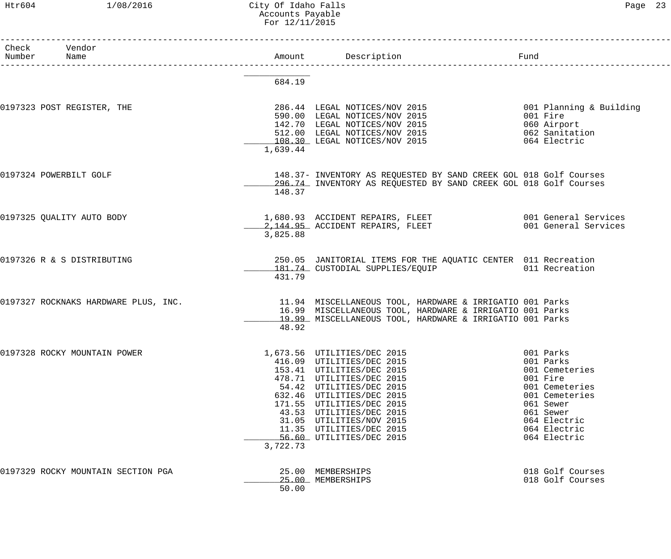#### Htr604 1/08/2016 City Of Idaho Falls Page 23 Accounts Payable For 12/11/2015

| Check | Vendor<br>Number Name                |          | Amount Description<br>-----------------------                                                                                                                                                                                                                                                                            | Fund                                                                                                                                                               |
|-------|--------------------------------------|----------|--------------------------------------------------------------------------------------------------------------------------------------------------------------------------------------------------------------------------------------------------------------------------------------------------------------------------|--------------------------------------------------------------------------------------------------------------------------------------------------------------------|
|       |                                      | 684.19   |                                                                                                                                                                                                                                                                                                                          |                                                                                                                                                                    |
|       | 0197323 POST REGISTER, THE           | 1,639.44 | 286.44 LEGAL NOTICES/NOV 2015<br>590.00 LEGAL NOTICES/NOV 2015<br>142.70 LEGAL NOTICES/NOV 2015<br>512.00 LEGAL NOTICES/NOV 2015 062 Sanitation<br>108.30 LEGAL NOTICES/NOV 2015                                                                                                                                         | 001 Planning & Building<br>001 Fire<br>060 Airport<br>064 Electric                                                                                                 |
|       | 0197324 POWERBILT GOLF               | 148.37   | 148.37- INVENTORY AS REQUESTED BY SAND CREEK GOL 018 Golf Courses<br>296.74 INVENTORY AS REQUESTED BY SAND CREEK GOL 018 Golf Courses                                                                                                                                                                                    |                                                                                                                                                                    |
|       | 0197325 QUALITY AUTO BODY            | 3,825.88 | 1,680.93 ACCIDENT REPAIRS, FLEET 6001 General Services<br>2,144.95 ACCIDENT REPAIRS, FLEET 001 General Services                                                                                                                                                                                                          |                                                                                                                                                                    |
|       | 0197326 R & S DISTRIBUTING           | 431.79   | 250.05 JANITORIAL ITEMS FOR THE AQUATIC CENTER 011 Recreation<br>181.74 CUSTODIAL SUPPLIES/EQUIP 611 Recreation                                                                                                                                                                                                          |                                                                                                                                                                    |
|       | 0197327 ROCKNAKS HARDWARE PLUS, INC. | 48.92    | 11.94 MISCELLANEOUS TOOL, HARDWARE & IRRIGATIO 001 Parks<br>16.99 MISCELLANEOUS TOOL, HARDWARE & IRRIGATIO 001 Parks<br>19.99 MISCELLANEOUS TOOL, HARDWARE & IRRIGATIO 001 Parks                                                                                                                                         |                                                                                                                                                                    |
|       | 0197328 ROCKY MOUNTAIN POWER         | 3,722.73 | 1,673.56 UTILITIES/DEC 2015<br>416.09 UTILITIES/DEC 2015<br>153.41 UTILITIES/DEC 2015<br>478.71 UTILITIES/DEC 2015<br>54.42 UTILITIES/DEC 2015<br>632.46 UTILITIES/DEC 2015<br>171.55 UTILITIES/DEC 2015<br>43.53 UTILITIES/DEC 2015<br>31.05 UTILITIES/NOV 2015<br>11.35 UTILITIES/DEC 2015<br>56.60 UTILITIES/DEC 2015 | 001 Parks<br>001 Parks<br>001 Cemeteries<br>001 Fire<br>001 Cemeteries<br>001 Cemeteries<br>061 Sewer<br>061 Sewer<br>064 Electric<br>064 Electric<br>064 Electric |
|       | 0197329 ROCKY MOUNTAIN SECTION PGA   | 50.00    | 25.00 MEMBERSHIPS<br>25.00 MEMBERSHIPS                                                                                                                                                                                                                                                                                   | 018 Golf Courses<br>018 Golf Courses                                                                                                                               |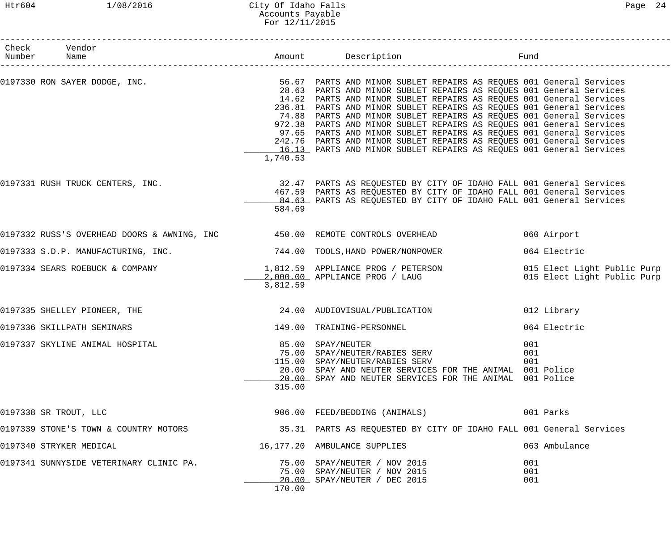## Htr604 1/08/2016 City Of Idaho Falls Page 24 Accounts Payable For 12/11/2015

| Check Vendor<br>Number Name             |          | Amount Description Destriction Fund                                                                                                                                                                                                                                                                                                                                                                                                                                                                                                                                                                                                                                                              |                                                            |
|-----------------------------------------|----------|--------------------------------------------------------------------------------------------------------------------------------------------------------------------------------------------------------------------------------------------------------------------------------------------------------------------------------------------------------------------------------------------------------------------------------------------------------------------------------------------------------------------------------------------------------------------------------------------------------------------------------------------------------------------------------------------------|------------------------------------------------------------|
|                                         | 1,740.53 | 0197330 RON SAYER DODGE, INC. THE SAND SEARTS AND MINOR SUBLET REPAIRS AS REQUES 001 General Services<br>28.63 PARTS AND MINOR SUBLET REPAIRS AS REQUES 001 General Services<br>14.62 PARTS AND MINOR SUBLET REPAIRS AS REQUES 001 General Services<br>236.81 PARTS AND MINOR SUBLET REPAIRS AS REQUES 001 General Services<br>74.88 PARTS AND MINOR SUBLET REPAIRS AS REQUES 001 General Services<br>972.38 PARTS AND MINOR SUBLET REPAIRS AS REQUES 001 General Services<br>97.65 PARTS AND MINOR SUBLET REPAIRS AS REQUES 001 General Services<br>242.76 PARTS AND MINOR SUBLET REPAIRS AS REQUES 001 General Services<br>16.13 PARTS AND MINOR SUBLET REPAIRS AS REQUES 001 General Services |                                                            |
| 0197331 RUSH TRUCK CENTERS, INC.        | 584.69   | 32.47 PARTS AS REQUESTED BY CITY OF IDAHO FALL 001 General Services<br>467.59 PARTS AS REQUESTED BY CITY OF IDAHO FALL 001 General Services<br>84.63 PARTS AS REQUESTED BY CITY OF IDAHO FALL 001 General Services                                                                                                                                                                                                                                                                                                                                                                                                                                                                               |                                                            |
|                                         |          | 0197332 RUSS'S OVERHEAD DOORS & AWNING, INC 450.00 REMOTE CONTROLS OVERHEAD                                                                                                                                                                                                                                                                                                                                                                                                                                                                                                                                                                                                                      | 060 Airport                                                |
| 0197333 S.D.P. MANUFACTURING, INC.      |          | 744.00 TOOLS, HAND POWER/NONPOWER                                                                                                                                                                                                                                                                                                                                                                                                                                                                                                                                                                                                                                                                | 064 Electric                                               |
|                                         | 3,812.59 | 0197334 SEARS ROEBUCK & COMPANY $\begin{array}{r} 1,812.59 \\ -2,000.00 \end{array}$ APPLIANCE PROG / PETERSON                                                                                                                                                                                                                                                                                                                                                                                                                                                                                                                                                                                   | 015 Elect Light Public Purp<br>015 Elect Light Public Purp |
| 0197335 SHELLEY PIONEER, THE            |          | 24.00 AUDIOVISUAL/PUBLICATION                                                                                                                                                                                                                                                                                                                                                                                                                                                                                                                                                                                                                                                                    | 012 Library                                                |
| 0197336 SKILLPATH SEMINARS              |          | 149.00 TRAINING-PERSONNEL                                                                                                                                                                                                                                                                                                                                                                                                                                                                                                                                                                                                                                                                        | 064 Electric                                               |
| 0197337 SKYLINE ANIMAL HOSPITAL         | 315.00   | 85.00 SPAY/NEUTER<br>75.00 SPAY/NEUTER/RABIES SERV<br>115.00 SPAY/NEUTER/RABIES SERV<br>20.00 SPAY AND NEUTER SERVICES FOR THE ANIMAL 001 Police<br>20.00 SPAY AND NEUTER SERVICES FOR THE ANIMAL 001 Police                                                                                                                                                                                                                                                                                                                                                                                                                                                                                     | 001<br>001<br>001                                          |
| 0197338 SR TROUT, LLC                   |          | 906.00 FEED/BEDDING (ANIMALS)                                                                                                                                                                                                                                                                                                                                                                                                                                                                                                                                                                                                                                                                    | 001 Parks                                                  |
| 0197339 STONE'S TOWN & COUNTRY MOTORS   |          | 35.31 PARTS AS REQUESTED BY CITY OF IDAHO FALL 001 General Services                                                                                                                                                                                                                                                                                                                                                                                                                                                                                                                                                                                                                              |                                                            |
| 0197340 STRYKER MEDICAL                 |          | 16,177.20 AMBULANCE SUPPLIES                                                                                                                                                                                                                                                                                                                                                                                                                                                                                                                                                                                                                                                                     | 063 Ambulance                                              |
| 0197341 SUNNYSIDE VETERINARY CLINIC PA. | 170.00   | 75.00 SPAY/NEUTER / NOV 2015<br>75.00 SPAY/NEUTER / NOV 2015<br>20.00 SPAY/NEUTER / DEC 2015                                                                                                                                                                                                                                                                                                                                                                                                                                                                                                                                                                                                     | 001<br>001<br>001                                          |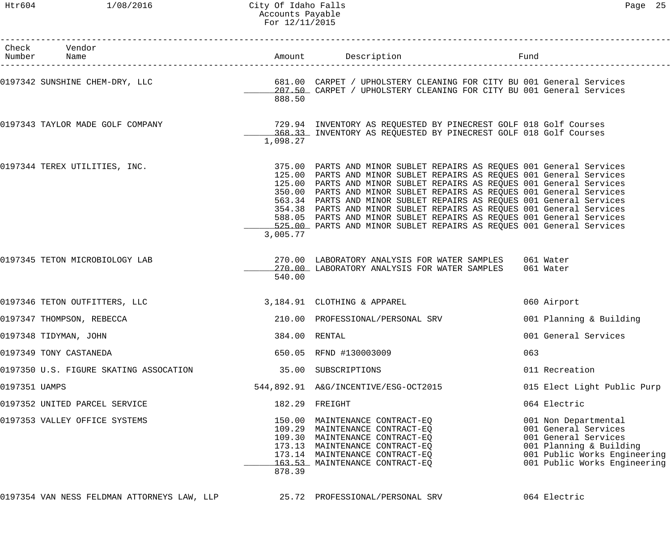#### Htr604 1/08/2016 City Of Idaho Falls Page 25 Accounts Payable For 12/11/2015

|               | Check Vendor<br>Number Name                 |               | Amount Description                                                                                                                                                                                                                                                                                                                                                                                                                                                                                                                                                                           | Fund                                                                                                                                                            |
|---------------|---------------------------------------------|---------------|----------------------------------------------------------------------------------------------------------------------------------------------------------------------------------------------------------------------------------------------------------------------------------------------------------------------------------------------------------------------------------------------------------------------------------------------------------------------------------------------------------------------------------------------------------------------------------------------|-----------------------------------------------------------------------------------------------------------------------------------------------------------------|
|               | 0197342 SUNSHINE CHEM-DRY, LLC              | 888.50        | 681.00 CARPET / UPHOLSTERY CLEANING FOR CITY BU 001 General Services<br>207.50 CARPET / UPHOLSTERY CLEANING FOR CITY BU 001 General Services                                                                                                                                                                                                                                                                                                                                                                                                                                                 |                                                                                                                                                                 |
|               | 0197343 TAYLOR MADE GOLF COMPANY            | 1,098.27      | 729.94 INVENTORY AS REQUESTED BY PINECREST GOLF 018 Golf Courses<br>368.33 INVENTORY AS REQUESTED BY PINECREST GOLF 018 Golf Courses                                                                                                                                                                                                                                                                                                                                                                                                                                                         |                                                                                                                                                                 |
|               | 0197344 TEREX UTILITIES, INC.               | 3,005.77      | 375.00 PARTS AND MINOR SUBLET REPAIRS AS REQUES 001 General Services<br>125.00 PARTS AND MINOR SUBLET REPAIRS AS REQUES 001 General Services<br>125.00 PARTS AND MINOR SUBLET REPAIRS AS REQUES 001 General Services<br>350.00 PARTS AND MINOR SUBLET REPAIRS AS REQUES 001 General Services<br>563.34 PARTS AND MINOR SUBLET REPAIRS AS REQUES 001 General Services<br>354.38 PARTS AND MINOR SUBLET REPAIRS AS REQUES 001 General Services<br>588.05 PARTS AND MINOR SUBLET REPAIRS AS REQUES 001 General Services<br>525.00 PARTS AND MINOR SUBLET REPAIRS AS REQUES 001 General Services |                                                                                                                                                                 |
|               | 0197345 TETON MICROBIOLOGY LAB              | 540.00        | 270.00 LABORATORY ANALYSIS FOR WATER SAMPLES<br>270.00 LABORATORY ANALYSIS FOR WATER SAMPLES                                                                                                                                                                                                                                                                                                                                                                                                                                                                                                 | 061 Water<br>061 Water                                                                                                                                          |
|               | 0197346 TETON OUTFITTERS, LLC               |               | 3,184.91 CLOTHING & APPAREL                                                                                                                                                                                                                                                                                                                                                                                                                                                                                                                                                                  | 060 Airport                                                                                                                                                     |
|               | 0197347 THOMPSON, REBECCA                   |               | 210.00 PROFESSIONAL/PERSONAL SRV                                                                                                                                                                                                                                                                                                                                                                                                                                                                                                                                                             | 001 Planning & Building                                                                                                                                         |
|               | 0197348 TIDYMAN, JOHN                       | 384.00 RENTAL |                                                                                                                                                                                                                                                                                                                                                                                                                                                                                                                                                                                              | 001 General Services                                                                                                                                            |
|               | 0197349 TONY CASTANEDA                      |               | 650.05 RFND #130003009                                                                                                                                                                                                                                                                                                                                                                                                                                                                                                                                                                       | 063                                                                                                                                                             |
|               | 0197350 U.S. FIGURE SKATING ASSOCATION      |               | 35.00 SUBSCRIPTIONS                                                                                                                                                                                                                                                                                                                                                                                                                                                                                                                                                                          | 011 Recreation                                                                                                                                                  |
| 0197351 UAMPS |                                             |               | 544,892.91 A&G/INCENTIVE/ESG-OCT2015                                                                                                                                                                                                                                                                                                                                                                                                                                                                                                                                                         | 015 Elect Light Public Purp                                                                                                                                     |
|               | 0197352 UNITED PARCEL SERVICE               |               | 182.29 FREIGHT                                                                                                                                                                                                                                                                                                                                                                                                                                                                                                                                                                               | 064 Electric                                                                                                                                                    |
|               | 0197353 VALLEY OFFICE SYSTEMS               | 878.39        | 150.00 MAINTENANCE CONTRACT-EQ<br>109.29 MAINTENANCE CONTRACT-EQ<br>109.30 MAINTENANCE CONTRACT-EQ<br>173.13 MAINTENANCE CONTRACT-EQ<br>173.14 MAINTENANCE CONTRACT-EQ<br>163.53 MAINTENANCE CONTRACT-EQ                                                                                                                                                                                                                                                                                                                                                                                     | 001 Non Departmental<br>001 General Services<br>001 General Services<br>001 Planning & Building<br>001 Public Works Engineering<br>001 Public Works Engineering |
|               | 0197354 VAN NESS FELDMAN ATTORNEYS LAW, LLP |               | 25.72 PROFESSIONAL/PERSONAL SRV                                                                                                                                                                                                                                                                                                                                                                                                                                                                                                                                                              | 064 Electric                                                                                                                                                    |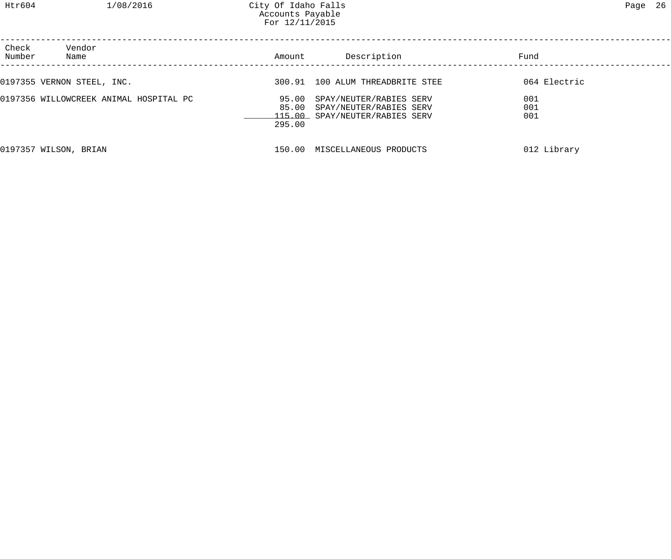# Htr604 1/08/2016 City Of Idaho Falls 26 Accounts Payable For 12/11/2015

| Check<br>Number | Vendor<br>Name                         | Amount                   | Description                                                                          | Fund              |  |
|-----------------|----------------------------------------|--------------------------|--------------------------------------------------------------------------------------|-------------------|--|
|                 | 0197355 VERNON STEEL, INC.             |                          | 300.91 100 ALUM THREADBRITE STEE                                                     | 064 Electric      |  |
|                 | 0197356 WILLOWCREEK ANIMAL HOSPITAL PC | 95.00<br>85.00<br>295.00 | SPAY/NEUTER/RABIES SERV<br>SPAY/NEUTER/RABIES SERV<br>115.00 SPAY/NEUTER/RABIES SERV | 001<br>001<br>001 |  |
|                 | 0197357 WILSON, BRIAN                  | 150.00                   | MISCELLANEOUS PRODUCTS                                                               | 012 Library       |  |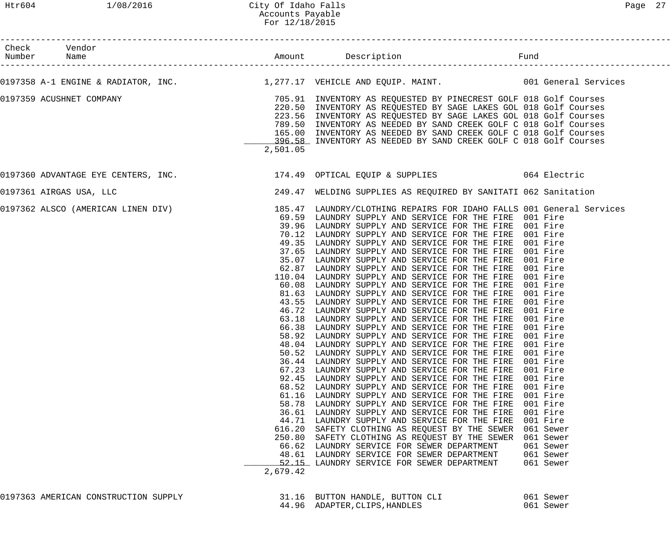# Htr604 1/08/2016 City Of Idaho Falls 27 Accounts Payable For 12/18/2015

| Check Vendor                         |                              |                                                                                                                                                                                                                                                                                                                                                                                                                                                                                                                                                                                                                                                                                                                                                                                                                                                                                                                                                                                                                                                                                                                                                                                                                                                                                                                                                                                                                                                                                                                                                                                                                                                                                                                                                                                                                  |                                                                                                             |
|--------------------------------------|------------------------------|------------------------------------------------------------------------------------------------------------------------------------------------------------------------------------------------------------------------------------------------------------------------------------------------------------------------------------------------------------------------------------------------------------------------------------------------------------------------------------------------------------------------------------------------------------------------------------------------------------------------------------------------------------------------------------------------------------------------------------------------------------------------------------------------------------------------------------------------------------------------------------------------------------------------------------------------------------------------------------------------------------------------------------------------------------------------------------------------------------------------------------------------------------------------------------------------------------------------------------------------------------------------------------------------------------------------------------------------------------------------------------------------------------------------------------------------------------------------------------------------------------------------------------------------------------------------------------------------------------------------------------------------------------------------------------------------------------------------------------------------------------------------------------------------------------------|-------------------------------------------------------------------------------------------------------------|
|                                      |                              | 0197358 A-1 ENGINE & RADIATOR, INC. 1,277.17 VEHICLE AND EQUIP. MAINT. 001 General Services                                                                                                                                                                                                                                                                                                                                                                                                                                                                                                                                                                                                                                                                                                                                                                                                                                                                                                                                                                                                                                                                                                                                                                                                                                                                                                                                                                                                                                                                                                                                                                                                                                                                                                                      |                                                                                                             |
| 0197359 ACUSHNET COMPANY             | 2,501.05                     | 705.91  INVENTORY AS REQUESTED BY PINECREST GOLF 018 Golf Courses<br>220.50  INVENTORY AS REQUESTED BY SAGE LAKES GOL 018 Golf Courses<br>220.50 INVENTORY AS REQUESTED BY SAGE LAKES GOL 018 Golf Courses<br>223.56 INVENTORY AS REQUESTED BY SAGE LAKES GOL 018 Golf Courses<br>789.50 INVENTORY AS NEEDED BY SAND CREEK GOLF C 018 Golf Courses<br>165.00 INVENTORY AS NEEDED BY SAND CREEK GOLF C 018 Golf Courses<br>196.58 INVENTORY AS NEEDED BY SAND CREEK GOLF C 018 Golf Courses                                                                                                                                                                                                                                                                                                                                                                                                                                                                                                                                                                                                                                                                                                                                                                                                                                                                                                                                                                                                                                                                                                                                                                                                                                                                                                                       |                                                                                                             |
|                                      |                              | 0197360 ADVANTAGE EYE CENTERS, INC. 174.49 OPTICAL EQUIP & SUPPLIES 064 Electric                                                                                                                                                                                                                                                                                                                                                                                                                                                                                                                                                                                                                                                                                                                                                                                                                                                                                                                                                                                                                                                                                                                                                                                                                                                                                                                                                                                                                                                                                                                                                                                                                                                                                                                                 |                                                                                                             |
| 0197361 AIRGAS USA, LLC              |                              | 249.47 WELDING SUPPLIES AS REQUIRED BY SANITATI 062 Sanitation                                                                                                                                                                                                                                                                                                                                                                                                                                                                                                                                                                                                                                                                                                                                                                                                                                                                                                                                                                                                                                                                                                                                                                                                                                                                                                                                                                                                                                                                                                                                                                                                                                                                                                                                                   |                                                                                                             |
|                                      | 616.20<br>250.80<br>2,679.42 | 0197362 ALSCO (AMERICAN LINEN DIV) 185.47 LAUNDRY/CLOTHING REPAIRS FOR IDAHO FALLS 001 General Services<br>69.59 LAUNDRY SUPPLY AND SERVICE FOR THE FIRE 001 Fire<br>39.96 LAUNDRY SUPPLY AND SERVICE FOR THE FIRE 001 Fire<br>70.12 LAUNDRY SUPPLY AND SERVICE FOR THE FIRE 001 Fire<br>49.35 LAUNDRY SUPPLY AND SERVICE FOR THE FIRE 001 Fire<br>37.65 LAUNDRY SUPPLY AND SERVICE FOR THE FIRE 001 Fire<br>35.07 LAUNDRY SUPPLY AND SERVICE FOR THE FIRE 001 Fire<br>62.87 LAUNDRY SUPPLY AND SERVICE FOR THE FIRE 001 Fire<br>110.04 LAUNDRY SUPPLY AND SERVICE FOR THE FIRE 001 Fire<br>60.08 LAUNDRY SUPPLY AND SERVICE FOR THE FIRE 001 Fire<br>81.63 LAUNDRY SUPPLY AND SERVICE FOR THE FIRE 001 Fire<br>43.55 LAUNDRY SUPPLY AND SERVICE FOR THE FIRE 001 Fire<br>46.72 LAUNDRY SUPPLY AND SERVICE FOR THE FIRE 001 Fire<br>63.18 LAUNDRY SUPPLY AND SERVICE FOR THE FIRE 001 Fire<br>66.38 LAUNDRY SUPPLY AND SERVICE FOR THE FIRE 001 Fire<br>58.92 LAUNDRY SUPPLY AND SERVICE FOR THE FIRE 001 Fire<br>48.04 LAUNDRY SUPPLY AND SERVICE FOR THE FIRE 001 Fire<br>50.52 LAUNDRY SUPPLY AND SERVICE FOR THE FIRE 001 Fire<br>36.44 LAUNDRY SUPPLY AND SERVICE FOR THE FIRE 001 Fire<br>67.23 LAUNDRY SUPPLY AND SERVICE FOR THE FIRE 001 Fire<br>92.45 LAUNDRY SUPPLY AND SERVICE FOR THE FIRE<br>68.52 LAUNDRY SUPPLY AND SERVICE FOR THE FIRE<br>61.16 LAUNDRY SUPPLY AND SERVICE FOR THE FIRE<br>58.78 LAUNDRY SUPPLY AND SERVICE FOR THE FIRE<br>36.61 LAUNDRY SUPPLY AND SERVICE FOR THE FIRE<br>44.71 LAUNDRY SUPPLY AND SERVICE FOR THE FIRE<br>SAFETY CLOTHING AS REQUEST BY THE SEWER 061 Sewer<br>SAFETY CLOTHING AS REQUEST BY THE SEWER 061 Sewer<br>66.62 LAUNDRY SERVICE FOR SEWER DEPARTMENT<br>48.61 LAUNDRY SERVICE FOR SEWER DEPARTMENT<br>52.15 LAUNDRY SERVICE FOR SEWER DEPARTMENT | 001 Fire<br>001 Fire<br>001 Fire<br>001 Fire<br>001 Fire<br>001 Fire<br>061 Sewer<br>061 Sewer<br>061 Sewer |
| 0197363 AMERICAN CONSTRUCTION SUPPLY |                              | 31.16 BUTTON HANDLE, BUTTON CLI                                                                                                                                                                                                                                                                                                                                                                                                                                                                                                                                                                                                                                                                                                                                                                                                                                                                                                                                                                                                                                                                                                                                                                                                                                                                                                                                                                                                                                                                                                                                                                                                                                                                                                                                                                                  | 061 Sewer                                                                                                   |

44.96 ADAPTER,CLIPS,HANDLES 061 Sewer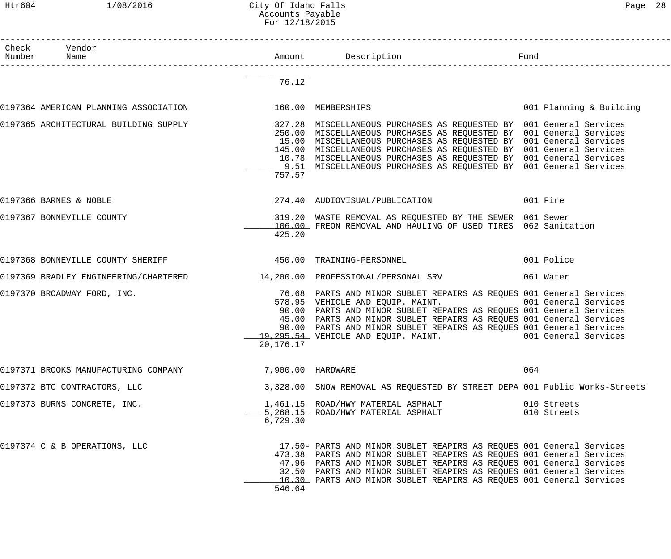#### Htr604 1/08/2016 City Of Idaho Falls Page 28 Accounts Payable For 12/18/2015

| Paqe | 28 |
|------|----|
|------|----|

| Check Vendor<br>Number Name                              |                   |                                                                                                                                                                                                                                                                                                                                                                                                                                                                          |                            |
|----------------------------------------------------------|-------------------|--------------------------------------------------------------------------------------------------------------------------------------------------------------------------------------------------------------------------------------------------------------------------------------------------------------------------------------------------------------------------------------------------------------------------------------------------------------------------|----------------------------|
|                                                          | 76.12             |                                                                                                                                                                                                                                                                                                                                                                                                                                                                          |                            |
| 0197364 AMERICAN PLANNING ASSOCIATION 160.00 MEMBERSHIPS |                   |                                                                                                                                                                                                                                                                                                                                                                                                                                                                          | 001 Planning & Building    |
|                                                          | 757.57            | 0197365 ARCHITECTURAL BUILDING SUPPLY 327.28 MISCELLANEOUS PURCHASES AS REQUESTED BY 001 General Services<br>250.00 MISCELLANEOUS PURCHASES AS REQUESTED BY 001 General Services<br>15.00 MISCELLANEOUS PURCHASES AS REQUESTED BY 001 General Services<br>145.00 MISCELLANEOUS PURCHASES AS REQUESTED BY 001 General Services<br>10.78 MISCELLANEOUS PURCHASES AS REQUESTED BY 001 General Services<br>9.51 MISCELLANEOUS PURCHASES AS REQUESTED BY 001 General Services |                            |
| 0197366 BARNES & NOBLE                                   |                   | 274.40 AUDIOVISUAL/PUBLICATION 001 Fire                                                                                                                                                                                                                                                                                                                                                                                                                                  |                            |
| 0197367 BONNEVILLE COUNTY                                | 425.20            | 319.20 WASTE REMOVAL AS REQUESTED BY THE SEWER 061 Sewer<br>106.00 FREON REMOVAL AND HAULING OF USED TIRES 062 Sanitation                                                                                                                                                                                                                                                                                                                                                |                            |
|                                                          |                   |                                                                                                                                                                                                                                                                                                                                                                                                                                                                          | 001 Police                 |
|                                                          |                   | 0197369 BRADLEY ENGINEERING/CHARTERED 14,200.00 PROFESSIONAL/PERSONAL SRV                                                                                                                                                                                                                                                                                                                                                                                                | 061 Water                  |
| 0197370 BROADWAY FORD, INC.                              | 20,176.17         | 76.68 PARTS AND MINOR SUBLET REPAIRS AS REQUES 001 General Services<br>578.95 VEHICLE AND EQUIP. MAINT. 001 General Services<br>90.00 PARTS AND MINOR SUBLET REPAIRS AS REQUES 001 General Services<br>45.00 PARTS AND MINOR SUBLET REPAIRS AS REQUES 001 General Services<br>90.00 PARTS AND MINOR SUBLET REPAIRS AS REQUES 001 General Services<br>19,295.54 VEHICLE AND EQUIP. MAINT. 001 General Services                                                            |                            |
| 0197371 BROOKS MANUFACTURING COMPANY                     | 7,900.00 HARDWARE |                                                                                                                                                                                                                                                                                                                                                                                                                                                                          | 064                        |
| 0197372 BTC CONTRACTORS, LLC                             |                   | 3,328.00 SNOW REMOVAL AS REQUESTED BY STREET DEPA 001 Public Works-Streets                                                                                                                                                                                                                                                                                                                                                                                               |                            |
| 0197373 BURNS CONCRETE, INC.                             | 6,729.30          | 1,461.15 ROAD/HWY MATERIAL ASPHALT<br>5,268.15 ROAD/HWY MATERIAL ASPHALT                                                                                                                                                                                                                                                                                                                                                                                                 | 010 Streets<br>010 Streets |
| 0197374 C & B OPERATIONS, LLC                            | 546.64            | 17.50- PARTS AND MINOR SUBLET REAPIRS AS REQUES 001 General Services<br>473.38 PARTS AND MINOR SUBLET REAPIRS AS REQUES 001 General Services<br>47.96 PARTS AND MINOR SUBLET REAPIRS AS REQUES 001 General Services<br>32.50 PARTS AND MINOR SUBLET REAPIRS AS REQUES 001 General Services<br>10.30 PARTS AND MINOR SUBLET REAPIRS AS REQUES 001 General Services                                                                                                        |                            |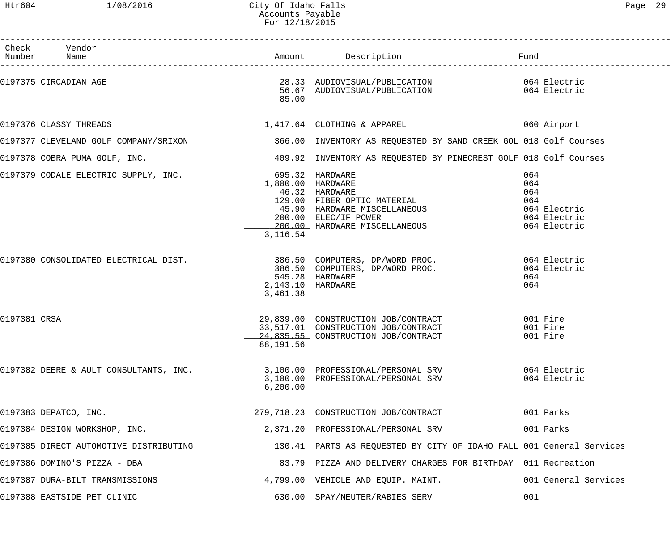|                                                                                                             | Accounts Payable<br>For 12/18/2015 |                                                                                                                                                                                |                                                                          |
|-------------------------------------------------------------------------------------------------------------|------------------------------------|--------------------------------------------------------------------------------------------------------------------------------------------------------------------------------|--------------------------------------------------------------------------|
| Check Vendor<br>Number<br>Name                                                                              | Amount                             | Description                                                                                                                                                                    | Fund                                                                     |
| 0197375 CIRCADIAN AGE                                                                                       | 85.00                              | 56.67 AUDIOVISUAL/PUBLICATION                                                                                                                                                  | 064 Electric                                                             |
| 0197376 CLASSY THREADS                                                                                      |                                    | 1,417.64 CLOTHING & APPAREL                                                                                                                                                    | 060 Airport                                                              |
| 0197377 CLEVELAND GOLF COMPANY/SRIXON 600 2006.00 INVENTORY AS REQUESTED BY SAND CREEK GOL 018 Golf Courses |                                    |                                                                                                                                                                                |                                                                          |
| 0197378 COBRA PUMA GOLF, INC.                                                                               |                                    | 409.92 INVENTORY AS REQUESTED BY PINECREST GOLF 018 Golf Courses                                                                                                               |                                                                          |
| 0197379 CODALE ELECTRIC SUPPLY, INC.                                                                        | 3,116.54                           | 695.32 HARDWARE<br>1,800.00 HARDWARE<br>46.32 HARDWARE<br>129.00 FIBER OPTIC MATERIAL<br>45.90 HARDWARE MISCELLANEOUS<br>200.00 ELEC/IF POWER<br>200.00 HARDWARE MISCELLANEOUS | 064<br>064<br>064<br>064<br>064 Electric<br>064 Electric<br>064 Electric |
| 0197380 CONSOLIDATED ELECTRICAL DIST.                                                                       | 2,143.10 HARDWARE<br>3,461.38      | 386.50 COMPUTERS, DP/WORD PROC.<br>386.50 COMPUTERS, DP/WORD PROC.<br>545.28 HARDWARE                                                                                          | 064 Electric<br>064 Electric<br>064<br>064                               |
| 0197381 CRSA                                                                                                | 88,191.56                          | 29,839.00 CONSTRUCTION JOB/CONTRACT<br>33,517.01 CONSTRUCTION JOB/CONTRACT<br>24,835.55 CONSTRUCTION JOB/CONTRACT                                                              | 001 Fire<br>001 Fire<br>001 Fire                                         |
| 0197382 DEERE & AULT CONSULTANTS, INC.                                                                      | 6, 200.00                          | 3,100.00 PROFESSIONAL/PERSONAL SRV<br>3,100.00 PROFESSIONAL/PERSONAL SRV                                                                                                       | 064 Electric<br>064 Electric                                             |
| 0197383 DEPATCO, INC.                                                                                       |                                    | 279,718.23 CONSTRUCTION JOB/CONTRACT                                                                                                                                           | 001 Parks                                                                |
| 0197384 DESIGN WORKSHOP, INC.                                                                               |                                    | 2,371.20 PROFESSIONAL/PERSONAL SRV                                                                                                                                             | 001 Parks                                                                |
| 0197385 DIRECT AUTOMOTIVE DISTRIBUTING                                                                      |                                    | 130.41 PARTS AS REQUESTED BY CITY OF IDAHO FALL 001 General Services                                                                                                           |                                                                          |

| 0197386 DOMINO'S PIZZA - DBA    | 83.79 PIZZA AND DELIVERY CHARGES FOR BIRTHDAY 011 Recreation |                      |
|---------------------------------|--------------------------------------------------------------|----------------------|
| 0197387 DURA-BILT TRANSMISSIONS | 4,799.00 VEHICLE AND EQUIP. MAINT.                           | 001 General Services |
| 0197388 EASTSIDE PET CLINIC     | 630.00 SPAY/NEUTER/RABIES SERV                               | 001                  |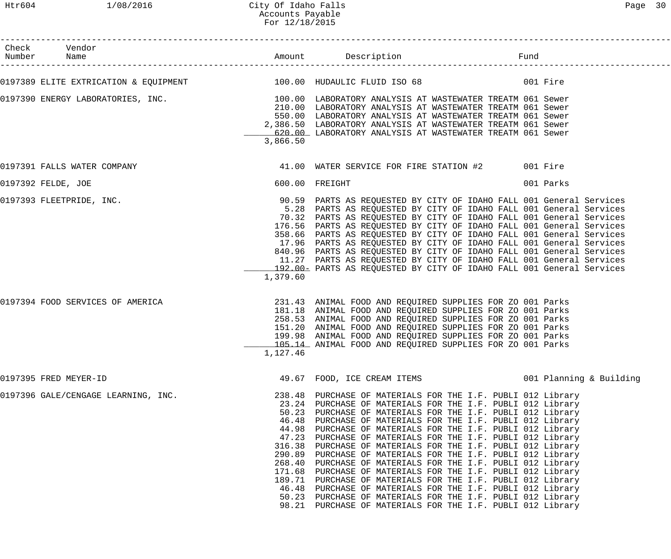| Check Vendor<br>Number Name                                                                                              |                                                                                            |                                                                                                                                                                                                                                                                                                                                                                                                                                                                                                                                                                                                                                                                                                                                                                                                                                        | Fund     |           |
|--------------------------------------------------------------------------------------------------------------------------|--------------------------------------------------------------------------------------------|----------------------------------------------------------------------------------------------------------------------------------------------------------------------------------------------------------------------------------------------------------------------------------------------------------------------------------------------------------------------------------------------------------------------------------------------------------------------------------------------------------------------------------------------------------------------------------------------------------------------------------------------------------------------------------------------------------------------------------------------------------------------------------------------------------------------------------------|----------|-----------|
| 0197389 ELITE EXTRICATION & EQUIPMENT $100.00$ HUDAULIC FLUID ISO 68                                                     |                                                                                            |                                                                                                                                                                                                                                                                                                                                                                                                                                                                                                                                                                                                                                                                                                                                                                                                                                        | 001 Fire |           |
| 0197390 ENERGY LABORATORIES, INC.<br>100.00 LABORATORIES, INC. 100.00 LABORATORY ANALYSIS AT WASTEWATER TREATM 061 Sewer | 3,866.50                                                                                   | 210.00 LABORATORY ANALYSIS AT WASTEWATER TREATM 061 Sewer<br>550.00 LABORATORY ANALYSIS AT WASTEWATER TREATM 061 Sewer<br>2,386.50 LABORATORY ANALYSIS AT WASTEWATER TREATM 061 Sewer<br>620.00 LABORATORY ANALYSIS AT WASTEWATER TREATM 061 Sewer                                                                                                                                                                                                                                                                                                                                                                                                                                                                                                                                                                                     |          |           |
| 0197391 FALLS WATER COMPANY                                                                                              |                                                                                            | 41.00 WATER SERVICE FOR FIRE STATION #2 001 Fire                                                                                                                                                                                                                                                                                                                                                                                                                                                                                                                                                                                                                                                                                                                                                                                       |          |           |
| 0197392 FELDE, JOE                                                                                                       |                                                                                            | 600.00 FREIGHT                                                                                                                                                                                                                                                                                                                                                                                                                                                                                                                                                                                                                                                                                                                                                                                                                         |          | 001 Parks |
| 0197393 FLEETPRIDE, INC.                                                                                                 | 1,379.60                                                                                   | 90.59 PARTS AS REQUESTED BY CITY OF IDAHO FALL 001 General Services<br>5.28 PARTS AS REQUESTED BY CITY OF IDAHO FALL 001 General Services<br>70.32 PARTS AS REQUESTED BY CITY OF IDAHO FALL 001 General Services<br>176.56 PARTS AS REQUESTED BY CITY OF IDAHO FALL 001 General Services<br>358.66 PARTS AS REQUESTED BY CITY OF IDAHO FALL 001 General Services<br>17.96 PARTS AS REQUESTED BY CITY OF IDAHO FALL 001 General Services<br>840.96 PARTS AS REQUESTED BY CITY OF IDAHO FALL 001 General Services<br>11.27 PARTS AS REQUESTED BY CITY OF IDAHO FALL 001 General Services<br>192.00 PARTS AS REQUESTED BY CITY OF IDAHO FALL 001 General Services                                                                                                                                                                         |          |           |
| 0197394 FOOD SERVICES OF AMERICA                                                                                         | 1,127.46                                                                                   | 231.43 ANIMAL FOOD AND REQUIRED SUPPLIES FOR ZO 001 Parks<br>181.18 ANIMAL FOOD AND REQUIRED SUPPLIES FOR ZO 001 Parks<br>258.53 ANIMAL FOOD AND REQUIRED SUPPLIES FOR ZO 001 Parks<br>151.20 ANIMAL FOOD AND REQUIRED SUPPLIES FOR ZO 001 Parks<br>199.98 ANIMAL FOOD AND REQUIRED SUPPLIES FOR ZO 001 Parks<br>105.14 ANIMAL FOOD AND REQUIRED SUPPLIES FOR ZO 001 Parks                                                                                                                                                                                                                                                                                                                                                                                                                                                             |          |           |
| 0197395 FRED MEYER-ID                                                                                                    |                                                                                            | 49.67 FOOD, ICE CREAM ITEMS 6001 Planning & Building                                                                                                                                                                                                                                                                                                                                                                                                                                                                                                                                                                                                                                                                                                                                                                                   |          |           |
| 0197396 GALE/CENGAGE LEARNING, INC.                                                                                      | 50.23<br>46.48<br>44.98<br>47.23<br>316.38<br>290.89<br>268.40<br>171.68<br>46.48<br>98.21 | 238.48 PURCHASE OF MATERIALS FOR THE I.F. PUBLI 012 Library<br>23.24 PURCHASE OF MATERIALS FOR THE I.F. PUBLI 012 Library<br>PURCHASE OF MATERIALS FOR THE I.F. PUBLI 012 Library<br>PURCHASE OF MATERIALS FOR THE I.F. PUBLI 012 Library<br>PURCHASE OF MATERIALS FOR THE I.F. PUBLI 012 Library<br>PURCHASE OF MATERIALS FOR THE I.F. PUBLI 012 Library<br>PURCHASE OF MATERIALS FOR THE I.F. PUBLI 012 Library<br>PURCHASE OF MATERIALS FOR THE I.F. PUBLI 012 Library<br>PURCHASE OF MATERIALS FOR THE I.F. PUBLI 012 Library<br>PURCHASE OF MATERIALS FOR THE I.F. PUBLI 012 Library<br>189.71 PURCHASE OF MATERIALS FOR THE I.F. PUBLI 012 Library<br>PURCHASE OF MATERIALS FOR THE I.F. PUBLI 012 Library<br>50.23 PURCHASE OF MATERIALS FOR THE I.F. PUBLI 012 Library<br>PURCHASE OF MATERIALS FOR THE I.F. PUBLI 012 Library |          |           |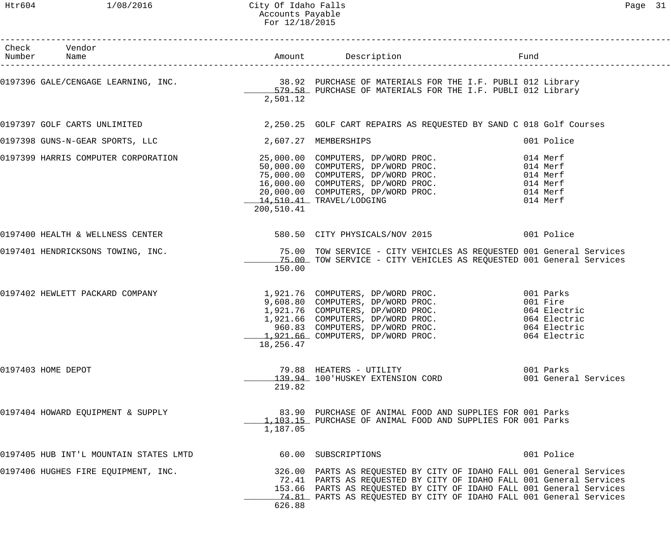#### Htr604 1/08/2016 City Of Idaho Falls Page 31 Accounts Payable For 12/18/2015

| Check Vendor<br>Number Name            |                      |                                                                                                                                                                                                                                                                                            |                                                                      |
|----------------------------------------|----------------------|--------------------------------------------------------------------------------------------------------------------------------------------------------------------------------------------------------------------------------------------------------------------------------------------|----------------------------------------------------------------------|
|                                        | 2,501.12             | 0197396 GALE/CENGAGE LEARNING, INC. 38.92 PURCHASE OF MATERIALS FOR THE I.F. PUBLI 012 Library<br>579.58 PURCHASE OF MATERIALS FOR THE I.F. PUBLI 012 Library                                                                                                                              |                                                                      |
|                                        |                      | 0197397 GOLF CARTS UNLIMITED 3.250.25 GOLF CART REPAIRS AS REQUESTED BY SAND C 018 Golf Courses                                                                                                                                                                                            |                                                                      |
| 0197398 GUNS-N-GEAR SPORTS, LLC        | 2,607.27 MEMBERSHIPS |                                                                                                                                                                                                                                                                                            | 001 Police                                                           |
|                                        | 200,510.41           | 0197399 HARRIS COMPUTER CORPORATION<br>0197399 HARRIS COMPUTER CORPORATION<br>50,000.00 COMPUTERS, DP/WORD PROC.<br>75,000.00 COMPUTERS, DP/WORD PROC.<br>16,000.00 COMPUTERS, DP/WORD PROC.<br>20,000.00 COMPUTERS, DP/WORD PROC.<br>20,0<br>14,510.41 TRAVEL/LODGING                     | 014 Merf<br>014 Merf<br>014 Merf<br>014 Merf<br>014 Merf<br>014 Merf |
| 0197400 HEALTH & WELLNESS CENTER       |                      | 580.50 CITY PHYSICALS/NOV 2015 001 Police                                                                                                                                                                                                                                                  |                                                                      |
|                                        | 150.00               | 0197401 HENDRICKSONS TOWING, INC. THE SAME READ TOW SERVICE - CITY VEHICLES AS REQUESTED 001 General Services<br>15.00 TOW SERVICE - CITY VEHICLES AS REQUESTED 001 General Services                                                                                                       |                                                                      |
| 0197402 HEWLETT PACKARD COMPANY        | 18,256.47            | 1,921.76 COMPUTERS, DP/WORD PROC. 001 Parks<br>9,608.80 COMPUTERS, DP/WORD PROC. 001 Fire<br>1,921.76 COMPUTERS, DP/WORD PROC. 064 Electric<br>1,921.66 COMPUTERS, DP/WORD PROC. 064 Electric<br>960.83 COMPUTERS, DP/WORD PROC. 064 E                                                     |                                                                      |
| 0197403 HOME DEPOT                     | 219.82               | 79.88 HEATERS - UTILITY<br>139.94 100'HUSKEY EXTENSION CORD                                                                                                                                                                                                                                | 001 Parks<br>001 General Services                                    |
| 0197404 HOWARD EQUIPMENT & SUPPLY      | 1,187.05             | 83.90 PURCHASE OF ANIMAL FOOD AND SUPPLIES FOR 001 Parks<br>1,103.15 PURCHASE OF ANIMAL FOOD AND SUPPLIES FOR 001 Parks                                                                                                                                                                    |                                                                      |
| 0197405 HUB INT'L MOUNTAIN STATES LMTD |                      | 60.00 SUBSCRIPTIONS                                                                                                                                                                                                                                                                        | 001 Police                                                           |
| 0197406 HUGHES FIRE EQUIPMENT, INC.    | 626.88               | 326.00 PARTS AS REQUESTED BY CITY OF IDAHO FALL 001 General Services<br>72.41 PARTS AS REQUESTED BY CITY OF IDAHO FALL 001 General Services<br>153.66 PARTS AS REQUESTED BY CITY OF IDAHO FALL 001 General Services<br>74.81 PARTS AS REQUESTED BY CITY OF IDAHO FALL 001 General Services |                                                                      |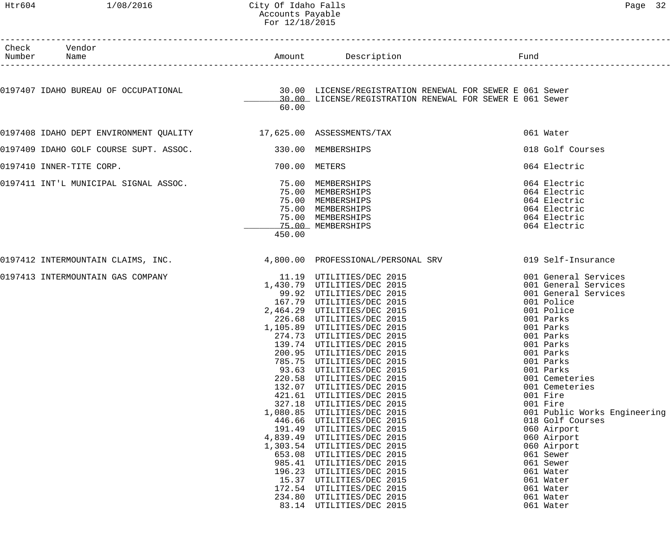## Htr604 1/08/2016 City Of Idaho Falls Page 32 Accounts Payable For 12/18/2015

| Check Vendor<br>Number Name                                                                                                                                |               | Amount Description Description Fund |           |                              |
|------------------------------------------------------------------------------------------------------------------------------------------------------------|---------------|-------------------------------------|-----------|------------------------------|
|                                                                                                                                                            |               |                                     |           |                              |
| 0197407 IDAHO BUREAU OF OCCUPATIONAL (30.00 LICENSE/REGISTRATION RENEWAL FOR SEWER E 061 Sewer<br>30.00 LICENSE/REGISTRATION RENEWAL FOR SEWER E 061 Sewer |               |                                     |           |                              |
|                                                                                                                                                            | 60.00         |                                     |           |                              |
| 0197408 IDAHO DEPT ENVIRONMENT QUALITY 17,625.00 ASSESSMENTS/TAX                                                                                           |               |                                     |           | 061 Water                    |
| 0197409 IDAHO GOLF COURSE SUPT. ASSOC. 330.00 MEMBERSHIPS                                                                                                  |               |                                     |           | 018 Golf Courses             |
| 0197410 INNER-TITE CORP.                                                                                                                                   | 700.00 METERS |                                     |           | 064 Electric                 |
| 0197411 INT'L MUNICIPAL SIGNAL ASSOC. 75.00 MEMBERSHIPS                                                                                                    |               |                                     |           | 064 Electric                 |
|                                                                                                                                                            |               | 75.00 MEMBERSHIPS                   |           | 064 Electric                 |
|                                                                                                                                                            |               | 75.00 MEMBERSHIPS                   |           | 064 Electric                 |
|                                                                                                                                                            |               | 75.00 MEMBERSHIPS                   |           | 064 Electric                 |
|                                                                                                                                                            |               | 75.00 MEMBERSHIPS                   |           | 064 Electric                 |
|                                                                                                                                                            |               | 75.00 MEMBERSHIPS                   |           | 064 Electric                 |
|                                                                                                                                                            | 450.00        |                                     |           |                              |
| 0197412 INTERMOUNTAIN CLAIMS, INC. 4,800.00 PROFESSIONAL/PERSONAL SRV 019 Self-Insurance                                                                   |               |                                     |           |                              |
| 0197413 INTERMOUNTAIN GAS COMPANY                                                                                                                          |               | 11.19 UTILITIES/DEC 2015            |           | 001 General Services         |
|                                                                                                                                                            |               | 1,430.79 UTILITIES/DEC 2015         |           | 001 General Services         |
|                                                                                                                                                            |               | 99.92 UTILITIES/DEC 2015            |           | 001 General Services         |
|                                                                                                                                                            |               | 167.79 UTILITIES/DEC 2015           |           | 001 Police                   |
|                                                                                                                                                            |               | 2,464.29 UTILITIES/DEC 2015         |           | 001 Police                   |
|                                                                                                                                                            |               | 226.68 UTILITIES/DEC 2015           |           | 001 Parks                    |
|                                                                                                                                                            |               | 1,105.89 UTILITIES/DEC 2015         |           | 001 Parks                    |
|                                                                                                                                                            |               | 274.73 UTILITIES/DEC 2015           |           | 001 Parks                    |
|                                                                                                                                                            |               | 139.74 UTILITIES/DEC 2015           |           | 001 Parks                    |
|                                                                                                                                                            |               | 200.95 UTILITIES/DEC 2015           | 001 Parks |                              |
|                                                                                                                                                            | 785.75        | UTILITIES/DEC 2015                  |           | 001 Parks                    |
|                                                                                                                                                            | 93.63         | UTILITIES/DEC 2015                  |           | 001 Parks                    |
|                                                                                                                                                            | 220.58        | UTILITIES/DEC 2015                  |           | 001 Cemeteries               |
|                                                                                                                                                            | 132.07        | UTILITIES/DEC 2015                  |           | 001 Cemeteries               |
|                                                                                                                                                            | 421.61        | UTILITIES/DEC 2015                  |           | 001 Fire                     |
|                                                                                                                                                            | 327.18        | UTILITIES/DEC 2015                  |           | 001 Fire                     |
|                                                                                                                                                            | 1,080.85      | UTILITIES/DEC 2015                  |           | 001 Public Works Engineering |
|                                                                                                                                                            | 446.66        | UTILITIES/DEC 2015                  |           | 018 Golf Courses             |
|                                                                                                                                                            | 191.49        | UTILITIES/DEC 2015                  |           | 060 Airport                  |
|                                                                                                                                                            | 4,839.49      | UTILITIES/DEC 2015                  |           | 060 Airport                  |
|                                                                                                                                                            | 1,303.54      | UTILITIES/DEC 2015                  |           | 060 Airport                  |
|                                                                                                                                                            | 653.08        | UTILITIES/DEC 2015                  |           | 061 Sewer                    |
|                                                                                                                                                            | 985.41        | UTILITIES/DEC 2015                  |           | 061 Sewer                    |
|                                                                                                                                                            | 196.23        | UTILITIES/DEC 2015                  |           | 061 Water                    |
|                                                                                                                                                            | 15.37         | UTILITIES/DEC 2015                  |           | 061 Water                    |
|                                                                                                                                                            | 172.54        | UTILITIES/DEC 2015                  |           | 061 Water                    |
|                                                                                                                                                            | 234.80        | UTILITIES/DEC 2015                  |           | 061 Water                    |
|                                                                                                                                                            | 83.14         | UTILITIES/DEC 2015                  |           | 061 Water                    |
|                                                                                                                                                            |               |                                     |           |                              |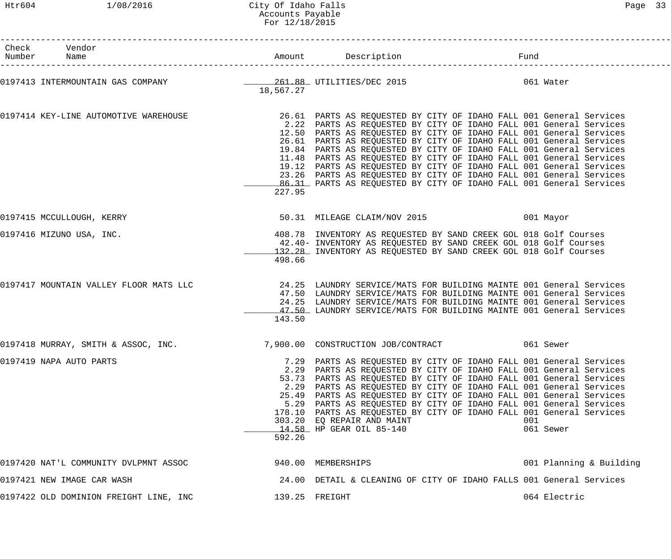#### Htr604 1/08/2016 City Of Idaho Falls Page 33 Accounts Payable For 12/18/2015

| Check Vendor<br>Number Name                                                      |           |                                                                                                                                                                                                                                                                                                                                                                                                                                                                                                                                                                                                                                                            | Fund      |                         |
|----------------------------------------------------------------------------------|-----------|------------------------------------------------------------------------------------------------------------------------------------------------------------------------------------------------------------------------------------------------------------------------------------------------------------------------------------------------------------------------------------------------------------------------------------------------------------------------------------------------------------------------------------------------------------------------------------------------------------------------------------------------------------|-----------|-------------------------|
| 0197413 INTERMOUNTAIN GAS COMPANY 1997 1997 1998 1999 1201.88 UTILITIES/DEC 2015 | 18,567.27 |                                                                                                                                                                                                                                                                                                                                                                                                                                                                                                                                                                                                                                                            | 061 Water |                         |
| 0197414 KEY-LINE AUTOMOTIVE WAREHOUSE                                            | 227.95    | 26.61 PARTS AS REQUESTED BY CITY OF IDAHO FALL 001 General Services<br>2.22 PARTS AS REQUESTED BY CITY OF IDAHO FALL 001 General Services<br>12.50 PARTS AS REQUESTED BY CITY OF IDAHO FALL 001 General Services<br>26.61 PARTS AS REQUESTED BY CITY OF IDAHO FALL 001 General Services<br>19.84 PARTS AS REQUESTED BY CITY OF IDAHO FALL 001 General Services<br>11.48 PARTS AS REQUESTED BY CITY OF IDAHO FALL 001 General Services<br>19.12 PARTS AS REQUESTED BY CITY OF IDAHO FALL 001 General Services<br>23.26 PARTS AS REQUESTED BY CITY OF IDAHO FALL 001 General Services<br>86.31 PARTS AS REQUESTED BY CITY OF IDAHO FALL 001 General Services |           |                         |
| 0197415 MCCULLOUGH, KERRY                                                        |           | 50.31 MILEAGE CLAIM/NOV 2015                                                                                                                                                                                                                                                                                                                                                                                                                                                                                                                                                                                                                               | 001 Mayor |                         |
| 0197416 MIZUNO USA, INC.                                                         | 498.66    | 408.78 INVENTORY AS REQUESTED BY SAND CREEK GOL 018 Golf Courses<br>42.40- INVENTORY AS REQUESTED BY SAND CREEK GOL 018 Golf Courses<br>132.28 INVENTORY AS REQUESTED BY SAND CREEK GOL 018 Golf Courses                                                                                                                                                                                                                                                                                                                                                                                                                                                   |           |                         |
| 0197417 MOUNTAIN VALLEY FLOOR MATS LLC                                           | 143.50    | 24.25 LAUNDRY SERVICE/MATS FOR BUILDING MAINTE 001 General Services<br>47.50 LAUNDRY SERVICE/MATS FOR BUILDING MAINTE 001 General Services<br>24.25 LAUNDRY SERVICE/MATS FOR BUILDING MAINTE 001 General Services<br>47.50 LAUNDRY SERVICE/MATS FOR BUILDING MAINTE 001 General Services                                                                                                                                                                                                                                                                                                                                                                   |           |                         |
|                                                                                  |           |                                                                                                                                                                                                                                                                                                                                                                                                                                                                                                                                                                                                                                                            | 061 Sewer |                         |
| 0197419 NAPA AUTO PARTS                                                          | 592.26    | 7.29 PARTS AS REQUESTED BY CITY OF IDAHO FALL 001 General Services<br>2.29 PARTS AS REQUESTED BY CITY OF IDAHO FALL 001 General Services<br>53.73 PARTS AS REQUESTED BY CITY OF IDAHO FALL 001 General Services<br>2.29 PARTS AS REQUESTED BY CITY OF IDAHO FALL 001 General Services<br>25.49 PARTS AS REQUESTED BY CITY OF IDAHO FALL 001 General Services<br>5.29 PARTS AS REQUESTED BY CITY OF IDAHO FALL 001 General Services<br>178.10 PARTS AS REQUESTED BY CITY OF IDAHO FALL 001 General Services<br>303.20 EQ REPAIR AND MAINT<br>14.58 HP GEAR OIL 85-140                                                                                       | 001       | 061 Sewer               |
| 0197420 NAT'L COMMUNITY DVLPMNT ASSOC                                            |           | 940.00 MEMBERSHIPS                                                                                                                                                                                                                                                                                                                                                                                                                                                                                                                                                                                                                                         |           | 001 Planning & Building |
| 0197421 NEW IMAGE CAR WASH                                                       |           | 24.00 DETAIL & CLEANING OF CITY OF IDAHO FALLS 001 General Services                                                                                                                                                                                                                                                                                                                                                                                                                                                                                                                                                                                        |           |                         |
| 0197422 OLD DOMINION FREIGHT LINE, INC                                           |           | 139.25 FREIGHT                                                                                                                                                                                                                                                                                                                                                                                                                                                                                                                                                                                                                                             |           | 064 Electric            |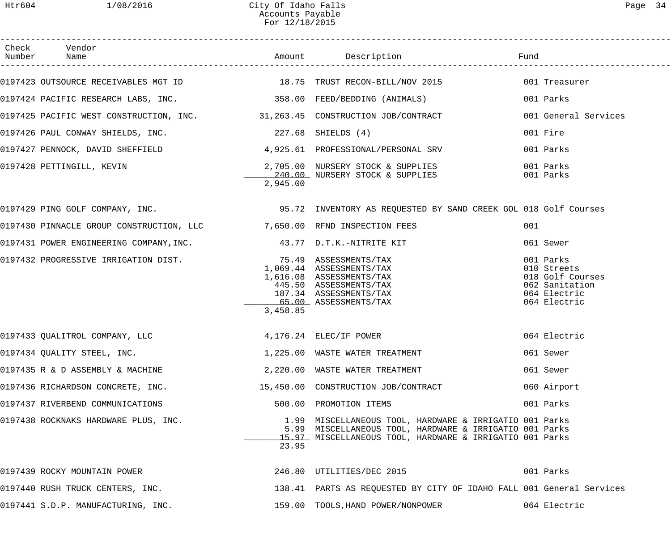| Check Vendor                                                                                                    |          |                                                                                                                                                                                |                                                                                                |
|-----------------------------------------------------------------------------------------------------------------|----------|--------------------------------------------------------------------------------------------------------------------------------------------------------------------------------|------------------------------------------------------------------------------------------------|
| 0197423 OUTSOURCE RECEIVABLES MGT ID 18.75 TRUST RECON-BILL/NOV 2015 001 Treasurer                              |          |                                                                                                                                                                                |                                                                                                |
| 0197424 PACIFIC RESEARCH LABS, INC. 358.00 FEED/BEDDING (ANIMALS)                                               |          |                                                                                                                                                                                | 001 Parks                                                                                      |
| 0197425 PACIFIC WEST CONSTRUCTION, INC. 31,263.45 CONSTRUCTION JOB/CONTRACT                                     |          |                                                                                                                                                                                | 001 General Services                                                                           |
| 0197426 PAUL CONWAY SHIELDS, INC. 227.68 SHIELDS (4)                                                            |          |                                                                                                                                                                                | 001 Fire                                                                                       |
| 0197427 PENNOCK, DAVID SHEFFIELD 4,925.61 PROFESSIONAL/PERSONAL SRV                                             |          |                                                                                                                                                                                | 001 Parks                                                                                      |
|                                                                                                                 | 2,945.00 | 240.00 NURSERY STOCK & SUPPLIES                                                                                                                                                | 001 Parks<br>001 Parks                                                                         |
| 0197429 PING GOLF COMPANY, INC. THE SAME SERVIEW SERVIEW ON STRING SERVESTED BY SAND CREEK GOL 018 Golf Courses |          |                                                                                                                                                                                |                                                                                                |
| 0197430 PINNACLE GROUP CONSTRUCTION, LLC 37,650.00 RFND INSPECTION FEES                                         |          |                                                                                                                                                                                | 001                                                                                            |
| 0197431 POWER ENGINEERING COMPANY, INC. 43.77 D.T.K.-NITRITE KIT                                                |          |                                                                                                                                                                                | 061 Sewer                                                                                      |
| 0197432 PROGRESSIVE IRRIGATION DIST. 75.49 ASSESSMENTS/TAX                                                      | 3,458.85 | 1,069.44 ASSESSMENTS/TAX<br>1,616.08 ASSESSMENTS/TAX<br>445.50 ASSESSMENTS/TAX<br>187.34 ASSESSMENTS/TAX<br>65.00 ASSESSMENTS/TAX                                              | 001 Parks<br>010 Streets<br>018 Golf Courses<br>062 Sanitation<br>064 Electric<br>064 Electric |
| 0197433 QUALITROL COMPANY, LLC                                                                                  |          | 4,176.24 ELEC/IF POWER                                                                                                                                                         | 064 Electric                                                                                   |
| 0197434 QUALITY STEEL, INC.                                                                                     |          | 1,225.00 WASTE WATER TREATMENT                                                                                                                                                 | 061 Sewer                                                                                      |
| 0197435 R & D ASSEMBLY & MACHINE                                                                                |          | 2,220.00 WASTE WATER TREATMENT                                                                                                                                                 | 061 Sewer                                                                                      |
| 0197436 RICHARDSON CONCRETE, INC. 15,450.00 CONSTRUCTION JOB/CONTRACT                                           |          |                                                                                                                                                                                | 060 Airport                                                                                    |
| 0197437 RIVERBEND COMMUNICATIONS                                                                                |          | 500.00 PROMOTION ITEMS                                                                                                                                                         | 001 Parks                                                                                      |
| 0197438 ROCKNAKS HARDWARE PLUS, INC.                                                                            | 23.95    | 1.99 MISCELLANEOUS TOOL, HARDWARE & IRRIGATIO 001 Parks<br>5.99 MISCELLANEOUS TOOL, HARDWARE & IRRIGATIO 001 Parks<br>15.97 MISCELLANEOUS TOOL, HARDWARE & IRRIGATIO 001 Parks |                                                                                                |
| 0197439 ROCKY MOUNTAIN POWER                                                                                    |          | 246.80 UTILITIES/DEC 2015                                                                                                                                                      | 001 Parks                                                                                      |
| 0197440 RUSH TRUCK CENTERS, INC.                                                                                |          | 138.41 PARTS AS REQUESTED BY CITY OF IDAHO FALL 001 General Services                                                                                                           |                                                                                                |
| 0197441 S.D.P. MANUFACTURING, INC.                                                                              |          | 159.00 TOOLS, HAND POWER/NONPOWER                                                                                                                                              | 064 Electric                                                                                   |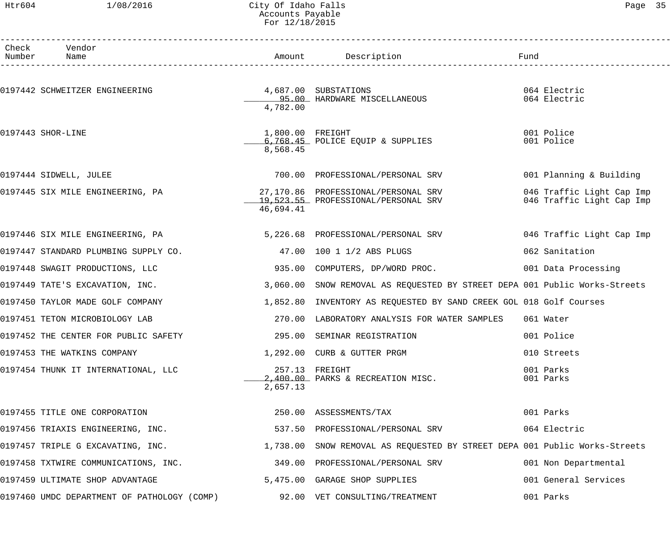#### Htr604 1/08/2016 City Of Idaho Falls Page 35 Accounts Payable For 12/18/2015

| Page |  | c |
|------|--|---|
|------|--|---|

| Check | Vendor<br>Number Name                                                             |                              |                                                                                                                           |                                                        |
|-------|-----------------------------------------------------------------------------------|------------------------------|---------------------------------------------------------------------------------------------------------------------------|--------------------------------------------------------|
|       |                                                                                   |                              | Amount Description                                                                                                        | Fund                                                   |
|       | 4,687.00 SUBSTATIONS<br>0197442 SCHWEITZER ENGINEERING                            | 4,782.00                     | 95.00 HARDWARE MISCELLANEOUS                                                                                              | 064 Electric<br>064 Electric                           |
|       | 0197443 SHOR-LINE                                                                 | 1,800.00 FREIGHT<br>8,568.45 | 6,768.45 POLICE EQUIP & SUPPLIES                                                                                          | 001 Police<br>001 Police                               |
|       | 0197444 SIDWELL, JULEE                                                            |                              | 700.00 PROFESSIONAL/PERSONAL SRV                                                                                          | 001 Planning & Building                                |
|       | 0197445 SIX MILE ENGINEERING, PA                                                  | 46,694.41                    | 27,170.86 PROFESSIONAL/PERSONAL SRV<br>19,523.55 PROFESSIONAL/PERSONAL SRV                                                | 046 Traffic Light Cap Imp<br>046 Traffic Light Cap Imp |
|       | 0197446 SIX MILE ENGINEERING, PA                                                  |                              | 5, 226.68 PROFESSIONAL/PERSONAL SRV                                                                                       | 046 Traffic Light Cap Imp                              |
|       | 0197447 STANDARD PLUMBING SUPPLY CO.                                              |                              | 47.00 100 1 1/2 ABS PLUGS                                                                                                 | 062 Sanitation                                         |
|       | 0197448 SWAGIT PRODUCTIONS, LLC                                                   |                              | 935.00 COMPUTERS, DP/WORD PROC.                                                                                           | 001 Data Processing                                    |
|       | 0197449 TATE'S EXCAVATION, INC.                                                   |                              | 3,060.00 SNOW REMOVAL AS REQUESTED BY STREET DEPA 001 Public Works-Streets                                                |                                                        |
|       | 0197450 TAYLOR MADE GOLF COMPANY                                                  |                              | 1,852.80 INVENTORY AS REQUESTED BY SAND CREEK GOL 018 Golf Courses                                                        |                                                        |
|       | 0197451 TETON MICROBIOLOGY LAB                                                    | 270.00                       | LABORATORY ANALYSIS FOR WATER SAMPLES                                                                                     | 061 Water                                              |
|       | 0197452 THE CENTER FOR PUBLIC SAFETY                                              |                              | 295.00 SEMINAR REGISTRATION                                                                                               | 001 Police                                             |
|       | 0197453 THE WATKINS COMPANY                                                       |                              | 1,292.00 CURB & GUTTER PRGM                                                                                               | 010 Streets                                            |
|       | 0197454 THUNK IT INTERNATIONAL, LLC                                               | 2,657.13                     | 257.13 FREIGHT<br>2,400.00 PARKS & RECREATION MISC.                                                                       | 001 Parks<br>001 Parks                                 |
|       | 0197455 TITLE ONE CORPORATION                                                     |                              | 250.00 ASSESSMENTS/TAX                                                                                                    | 001 Parks                                              |
|       | 0197456 TRIAXIS ENGINEERING, INC.                                                 |                              | 537.50 PROFESSIONAL/PERSONAL SRV                                                                                          | 064 Electric                                           |
|       |                                                                                   |                              | 0197457 TRIPLE G EXCAVATING, INC. THE RELEVIE MANUS AND SNOW REMOVAL AS REQUESTED BY STREET DEPA 001 Public Works-Streets |                                                        |
|       | 0197458 TXTWIRE COMMUNICATIONS, INC.                                              |                              | 349.00 PROFESSIONAL/PERSONAL SRV                                                                                          | 001 Non Departmental                                   |
|       | 0197459 ULTIMATE SHOP ADVANTAGE                                                   |                              | 5,475.00 GARAGE SHOP SUPPLIES                                                                                             | 001 General Services                                   |
|       | 0197460 UMDC DEPARTMENT OF PATHOLOGY (COMP)        92.00 VET CONSULTING/TREATMENT |                              |                                                                                                                           | 001 Parks                                              |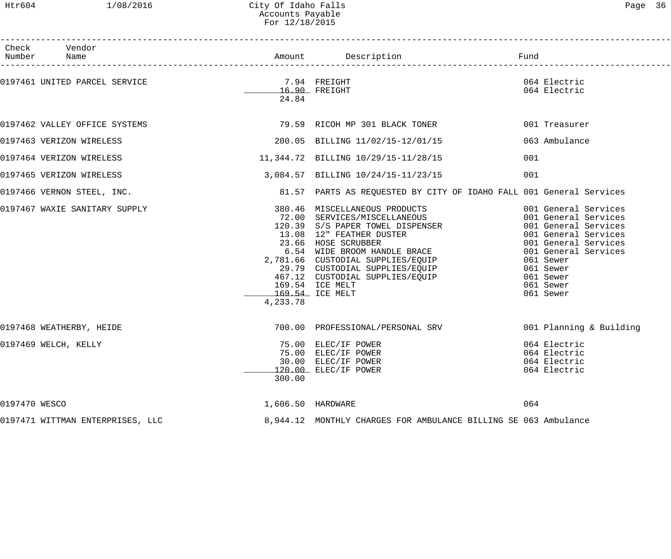## Htr604 1/08/2016 City Of Idaho Falls Page 36 Accounts Payable For 12/18/2015

| `ລα≏ |  |
|------|--|
|------|--|

|               | Check Vendor<br>Number Name      |                       |                                                                                                                                                                                                                                                                                                                                                                        |                                                                                                                                                                                                               |
|---------------|----------------------------------|-----------------------|------------------------------------------------------------------------------------------------------------------------------------------------------------------------------------------------------------------------------------------------------------------------------------------------------------------------------------------------------------------------|---------------------------------------------------------------------------------------------------------------------------------------------------------------------------------------------------------------|
|               | 0197461 UNITED PARCEL SERVICE    | 7.94 FREIGHT<br>24.84 | 16.90 FREIGHT                                                                                                                                                                                                                                                                                                                                                          | 064 Electric<br>064 Electric                                                                                                                                                                                  |
|               | 0197462 VALLEY OFFICE SYSTEMS    |                       | 79.59 RICOH MP 301 BLACK TONER                                                                                                                                                                                                                                                                                                                                         | 001 Treasurer                                                                                                                                                                                                 |
|               | 0197463 VERIZON WIRELESS         |                       | 200.05 BILLING 11/02/15-12/01/15                                                                                                                                                                                                                                                                                                                                       | 063 Ambulance                                                                                                                                                                                                 |
|               | 0197464 VERIZON WIRELESS         |                       | 11,344.72 BILLING 10/29/15-11/28/15                                                                                                                                                                                                                                                                                                                                    | 001                                                                                                                                                                                                           |
|               | 0197465 VERIZON WIRELESS         |                       | 3,084.57 BILLING 10/24/15-11/23/15                                                                                                                                                                                                                                                                                                                                     | 001                                                                                                                                                                                                           |
|               | 0197466 VERNON STEEL, INC.       |                       | 81.57 PARTS AS REQUESTED BY CITY OF IDAHO FALL 001 General Services                                                                                                                                                                                                                                                                                                    |                                                                                                                                                                                                               |
|               | 0197467 WAXIE SANITARY SUPPLY    | 4,233.78              | 380.46 MISCELLANEOUS PRODUCTS<br>72.00 SERVICES/MISCELLANEOUS<br>120.39 S/S PAPER TOWEL DISPENSER<br>13.08 12" FEATHER DUSTER<br>23.66 HOSE SCRUBBER<br>6.54 WIDE BROOM HANDLE BRACE<br>2,781.66 CUSTODIAL SUPPLIES/EQUIP<br>29.79 CUSTODIAL SUPPLIES/EQUIP<br>29.79 CUSTODIAL SUPPLIES/EQUIP<br>467.12 CUSTODIAL SUPPLIES/EQUIP<br>169.54 ICE MELT<br>169.54 ICE MELT | 001 General Services<br>001 General Services<br>001 General Services<br>001 General Services<br>001 General Services<br>001 General Services<br>061 Sewer<br>061 Sewer<br>061 Sewer<br>061 Sewer<br>061 Sewer |
|               | 0197468 WEATHERBY, HEIDE         |                       |                                                                                                                                                                                                                                                                                                                                                                        | 700.00 PROFESSIONAL/PERSONAL SRV 6001 Planning & Building                                                                                                                                                     |
|               | 0197469 WELCH, KELLY             | 300.00                | 75.00 ELEC/IF POWER<br>75.00 ELEC/IF POWER<br>30.00 ELEC/IF POWER<br>120.00 ELEC/IF POWER                                                                                                                                                                                                                                                                              | 064 Electric<br>064 Electric<br>064 Electric<br>064 Electric                                                                                                                                                  |
| 0197470 WESCO |                                  |                       | 1,606.50 HARDWARE                                                                                                                                                                                                                                                                                                                                                      | 064                                                                                                                                                                                                           |
|               | 0197471 WITTMAN ENTERPRISES, LLC |                       | 8,944.12 MONTHLY CHARGES FOR AMBULANCE BILLING SE 063 Ambulance                                                                                                                                                                                                                                                                                                        |                                                                                                                                                                                                               |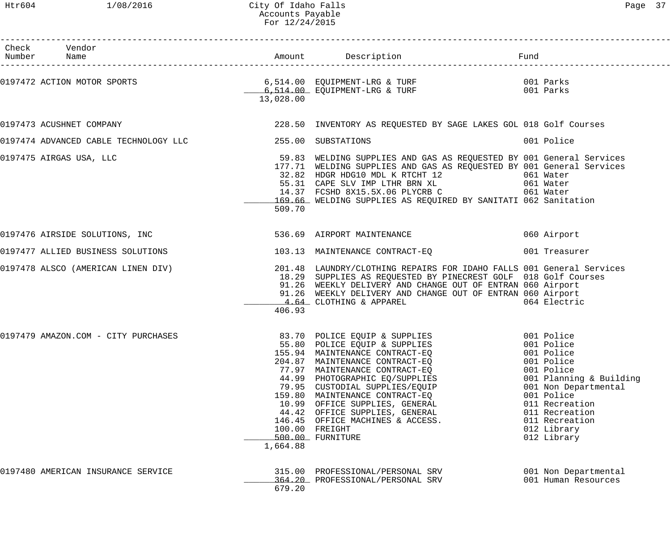#### Htr604 1/08/2016 City Of Idaho Falls Page 37 Accounts Payable For 12/24/2015

| Check Vendor                        |           |                                                                                                                                                                                                                                                                                                                                                                                                                                                          |                                                                                                                                                                               |
|-------------------------------------|-----------|----------------------------------------------------------------------------------------------------------------------------------------------------------------------------------------------------------------------------------------------------------------------------------------------------------------------------------------------------------------------------------------------------------------------------------------------------------|-------------------------------------------------------------------------------------------------------------------------------------------------------------------------------|
|                                     | 13,028.00 | 0197472 ACTION MOTOR SPORTS 6 (514.00 EQUIPMENT-LRG & TURF 197472 ACTION MOTOR SPORTS 14.00 EQUIPMENT-LRG & TURF                                                                                                                                                                                                                                                                                                                                         |                                                                                                                                                                               |
| 0197473 ACUSHNET COMPANY            |           | 228.50 INVENTORY AS REQUESTED BY SAGE LAKES GOL 018 Golf Courses                                                                                                                                                                                                                                                                                                                                                                                         |                                                                                                                                                                               |
|                                     |           |                                                                                                                                                                                                                                                                                                                                                                                                                                                          | 001 Police                                                                                                                                                                    |
| 0197475 AIRGAS USA, LLC             | 509.70    | 59.83 WELDING SUPPLIES AND GAS AS REQUESTED BY 001 General Services<br>177.71 WELDING SUPPLIES AND GAS AS REQUESTED BY 001 General Services<br>32.82 HDGR HDG10 MDL K RTCHT 12 (161 Water 1958)<br>55.31 CAPE SLV IMP LTHR BRN XL (161 Water 14.37 FCSHD 8X15.5X.06 PLYCRB C (161 Water 161 Water<br>169.66 WELDING SUPPLIES AS REQUIRED BY SANITATI 062 Sanitation                                                                                      |                                                                                                                                                                               |
|                                     |           |                                                                                                                                                                                                                                                                                                                                                                                                                                                          |                                                                                                                                                                               |
| 0197477 ALLIED BUSINESS SOLUTIONS   |           | 103.13 MAINTENANCE CONTRACT-EQ 001 Treasurer                                                                                                                                                                                                                                                                                                                                                                                                             |                                                                                                                                                                               |
|                                     | 406.93    | 0197478 ALSCO (AMERICAN LINEN DIV) 201.48 LAUNDRY/CLOTHING REPAIRS FOR IDAHO FALLS 001 General Services<br>18.29 SUPPLIES AS REQUESTED BY PINECREST GOLF 018 Golf Courses<br>91.26 WEEKLY DELIVERY AND CHANGE OUT OF ENTRAN 060 Airport<br>91.26 WEEKLY DELIVERY AND CHANGE OUT OF ENTRAN 060 Airport<br>4.64 CLOTHING & APPAREL                                                                                                                         | 064 Electric                                                                                                                                                                  |
| 0197479 AMAZON.COM - CITY PURCHASES | 1,664.88  | 83.70 POLICE EQUIP & SUPPLIES 001 Police<br>55.80 POLICE EQUIP & SUPPLIES 001 Police<br>155.94 MAINTENANCE CONTRACT-EQ 001 Police<br>204.87 MAINTENANCE CONTRACT-EQ<br>77.97 MAINTENANCE CONTRACT-EQ<br>44.99 PHOTOGRAPHIC EQ/SUPPLIES<br>79.95 CUSTODIAL SUPPLIES/EQUIP<br>159.80 MAINTENANCE CONTRACT-EQ<br>10.99 OFFICE SUPPLIES, GENERAL<br>44.42 OFFICE SUPPLIES, GENERAL<br>146.45 OFFICE MACHINES & ACCESS.<br>100.00 FREIGHT<br>500.00 FURNITURE | 001 Police<br>001 Police<br>001 Planning & Building<br>001 Non Departmental<br>001 Police<br>011 Recreation<br>011 Recreation<br>011 Recreation<br>012 Library<br>012 Library |
| 0197480 AMERICAN INSURANCE SERVICE  | 679.20    | 315.00 PROFESSIONAL/PERSONAL SRV<br>364.20 PROFESSIONAL/PERSONAL SRV                                                                                                                                                                                                                                                                                                                                                                                     | 001 Non Departmental<br>001 Human Resources                                                                                                                                   |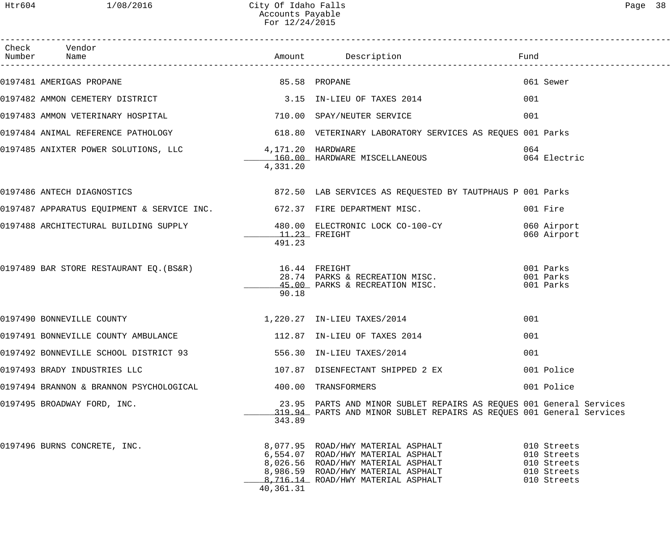| Check Vendor                                                                                    |                           |                                                                                                                                                                                            |                                                                         |
|-------------------------------------------------------------------------------------------------|---------------------------|--------------------------------------------------------------------------------------------------------------------------------------------------------------------------------------------|-------------------------------------------------------------------------|
| 0197481 AMERIGAS PROPANE                                                                        | 85.58 PROPANE             |                                                                                                                                                                                            | 061 Sewer                                                               |
| 0197482 AMMON CEMETERY DISTRICT 3.15 IN-LIEU OF TAXES 2014                                      |                           |                                                                                                                                                                                            | 001                                                                     |
| 0197483 AMMON VETERINARY HOSPITAL                                                               |                           | 710.00 SPAY/NEUTER SERVICE                                                                                                                                                                 | 001                                                                     |
|                                                                                                 |                           |                                                                                                                                                                                            |                                                                         |
| 0197485 ANIXTER POWER SOLUTIONS, LLC 4,171.20 HARDWARE                                          | 4,331.20                  | 160.00 HARDWARE MISCELLANEOUS                                                                                                                                                              | 064<br>064 Electric                                                     |
| 0197486 ANTECH DIAGNOSTICS (2008) 2009 2009 2009 872.50 AB SERVICES AS REQUESTED BY TAUTPHAUS P |                           |                                                                                                                                                                                            |                                                                         |
| 0197487 APPARATUS EQUIPMENT & SERVICE INC. 672.37 FIRE DEPARTMENT MISC.                         |                           |                                                                                                                                                                                            | 001 Fire                                                                |
| 0197488 ARCHITECTURAL BUILDING SUPPLY 480.00 ELECTRONIC LOCK CO-100-CY                          | $11.23$ FREIGHT<br>491.23 |                                                                                                                                                                                            | 060 Airport<br>060 Airport                                              |
| 0197489 BAR STORE RESTAURANT EQ. (BS&R) 16.44 FREIGHT                                           | 90.18                     | 28.74 PARKS & RECREATION MISC.<br>45.00 PARKS & RECREATION MISC.                                                                                                                           | 001 Parks<br>001 Parks<br>001 Parks                                     |
| 0197490 BONNEVILLE COUNTY                                                                       |                           | 1,220.27 IN-LIEU TAXES/2014                                                                                                                                                                | 001                                                                     |
| 0197491 BONNEVILLE COUNTY AMBULANCE 112.87 IN-LIEU OF TAXES 2014                                |                           |                                                                                                                                                                                            | 001                                                                     |
| 0197492 BONNEVILLE SCHOOL DISTRICT 93 556.30 IN-LIEU TAXES/2014                                 |                           |                                                                                                                                                                                            | 001                                                                     |
| 0197493 BRADY INDUSTRIES LLC                                                                    |                           | 107.87 DISENFECTANT SHIPPED 2 EX                                                                                                                                                           | 001 Police                                                              |
| 0197494 BRANNON & BRANNON PSYCHOLOGICAL                                                         |                           | 400.00 TRANSFORMERS                                                                                                                                                                        | 001 Police                                                              |
| 0197495 BROADWAY FORD, INC.                                                                     | 343.89                    | 23.95 PARTS AND MINOR SUBLET REPAIRS AS REQUES 001 General Services<br>319.94 PARTS AND MINOR SUBLET REPAIRS AS REQUES 001 General Services                                                |                                                                         |
| 0197496 BURNS CONCRETE, INC.                                                                    | 40,361.31                 | 8,077.95 ROAD/HWY MATERIAL ASPHALT<br>6,554.07 ROAD/HWY MATERIAL ASPHALT<br>8,026.56 ROAD/HWY MATERIAL ASPHALT<br>8,986.59 ROAD/HWY MATERIAL ASPHALT<br>8,716.14 ROAD/HWY MATERIAL ASPHALT | 010 Streets<br>010 Streets<br>010 Streets<br>010 Streets<br>010 Streets |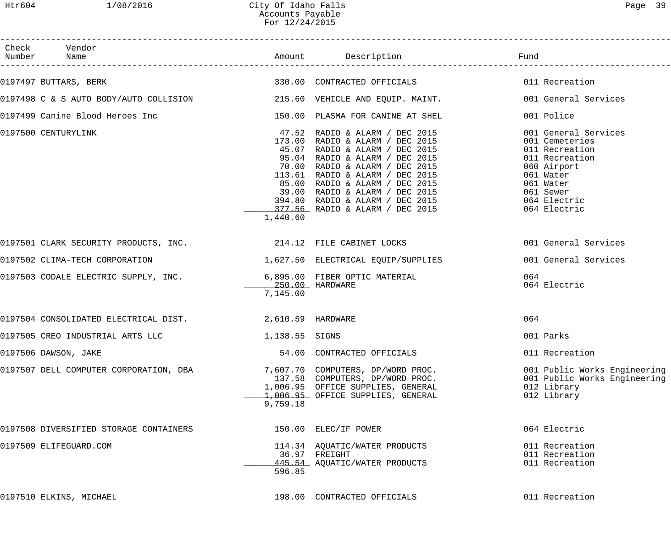| Check Vendor<br>Number Name                                                                  |                |                                                                                                                                                                                                                                                                                                                                                      |                                                                                                                                                                  |
|----------------------------------------------------------------------------------------------|----------------|------------------------------------------------------------------------------------------------------------------------------------------------------------------------------------------------------------------------------------------------------------------------------------------------------------------------------------------------------|------------------------------------------------------------------------------------------------------------------------------------------------------------------|
| 0197497 BUTTARS, BERK                                                                        |                |                                                                                                                                                                                                                                                                                                                                                      |                                                                                                                                                                  |
| 0197498 C & S AUTO BODY/AUTO COLLISION 215.60 VEHICLE AND EQUIP. MAINT.                      |                |                                                                                                                                                                                                                                                                                                                                                      | 001 General Services                                                                                                                                             |
| 0197499 Canine Blood Heroes Inc                             150.00 PLASMA FOR CANINE AT SHEL |                |                                                                                                                                                                                                                                                                                                                                                      | 001 Police                                                                                                                                                       |
| 0197500 CENTURYLINK                                                                          | 1,440.60       | 47.52 RADIO & ALARM / DEC 2015<br>173.00 RADIO & ALARM / DEC 2015<br>45.07 RADIO & ALARM / DEC 2015<br>95.04 RADIO & ALARM / DEC 2015<br>70.00 RADIO & ALARM / DEC 2015<br>113.61 RADIO & ALARM / DEC 2015<br>85.00 RADIO & ALARM / DEC 2015<br>39.00 RADIO & ALARM / DEC 2015<br>394.80 RADIO & ALARM / DEC 2015<br>377.56 RADIO & ALARM / DEC 2015 | 001 General Services<br>001 Cemeteries<br>011 Recreation<br>011 Recreation<br>060 Airport<br>061 Water<br>061 Water<br>061 Sewer<br>064 Electric<br>064 Electric |
| 0197501 CLARK SECURITY PRODUCTS, INC. 214.12 FILE CABINET LOCKS                              |                |                                                                                                                                                                                                                                                                                                                                                      | 001 General Services                                                                                                                                             |
| 0197502 CLIMA-TECH CORPORATION 1,627.50 ELECTRICAL EQUIP/SUPPLIES                            |                |                                                                                                                                                                                                                                                                                                                                                      | 001 General Services                                                                                                                                             |
| 0197503 CODALE ELECTRIC SUPPLY, INC. 6,895.00 FIBER OPTIC MATERIAL                           | 7,145.00       |                                                                                                                                                                                                                                                                                                                                                      | 064<br>064 Electric                                                                                                                                              |
| 0197504 CONSOLIDATED ELECTRICAL DIST. 2,610.59 HARDWARE                                      |                |                                                                                                                                                                                                                                                                                                                                                      | 064                                                                                                                                                              |
| 0197505 CREO INDUSTRIAL ARTS LLC                                                             | 1,138.55 SIGNS |                                                                                                                                                                                                                                                                                                                                                      | 001 Parks                                                                                                                                                        |
| 0197506 DAWSON, JAKE                                                                         |                | 54.00 CONTRACTED OFFICIALS                                                                                                                                                                                                                                                                                                                           | 011 Recreation                                                                                                                                                   |
| 0197507 DELL COMPUTER CORPORATION, DBA                                                       | 9,759.18       | 7,607.70 COMPUTERS, DP/WORD PROC.<br>137.58 COMPUTERS, DP/WORD PROC.<br>1,006.95 OFFICE SUPPLIES, GENERAL<br>1,006.95 OFFICE SUPPLIES, GENERAL                                                                                                                                                                                                       | 001 Public Works Engineering<br>001 Public Works Engineering<br>012 Library<br>012 Library                                                                       |
| 0197508 DIVERSIFIED STORAGE CONTAINERS                                                       |                | 150.00 ELEC/IF POWER                                                                                                                                                                                                                                                                                                                                 | 064 Electric                                                                                                                                                     |
| 0197509 ELIFEGUARD.COM                                                                       | 596.85         | 114.34 AQUATIC/WATER PRODUCTS<br>36.97 FREIGHT<br>445.54 AQUATIC/WATER PRODUCTS                                                                                                                                                                                                                                                                      | 011 Recreation<br>011 Recreation<br>011 Recreation                                                                                                               |
| 0197510 ELKINS, MICHAEL                                                                      |                | 198.00 CONTRACTED OFFICIALS                                                                                                                                                                                                                                                                                                                          | 011 Recreation                                                                                                                                                   |
|                                                                                              |                |                                                                                                                                                                                                                                                                                                                                                      |                                                                                                                                                                  |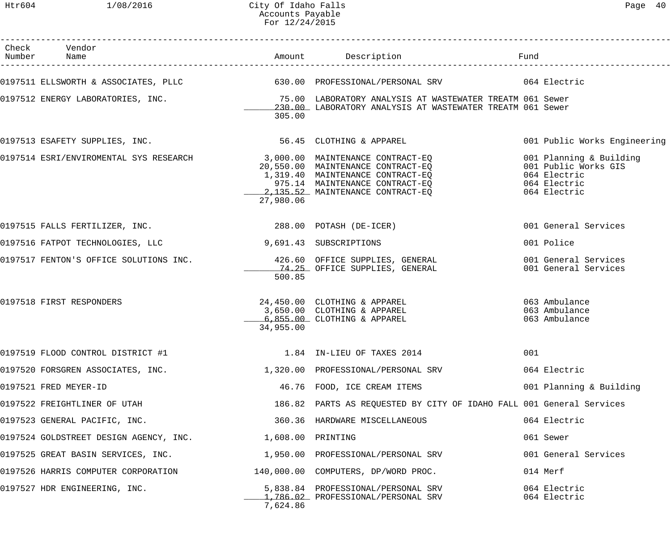Htr604 1/08/2016 City Of Idaho Falls 2006 City Of Idaho Falls Accounts Payable For 12/24/2015

| Check Vendor                                                                    |           |                                                                                                                                                                                                                                                                          |     |                                              |
|---------------------------------------------------------------------------------|-----------|--------------------------------------------------------------------------------------------------------------------------------------------------------------------------------------------------------------------------------------------------------------------------|-----|----------------------------------------------|
|                                                                                 |           | 0197511 ELLSWORTH & ASSOCIATES, PLLC 630.00 PROFESSIONAL/PERSONAL SRV 64 Electric                                                                                                                                                                                        |     |                                              |
| 0197512 ENERGY LABORATORIES, INC.                                               | 305.00    | 75.00 LABORATORY ANALYSIS AT WASTEWATER TREATM 061 Sewer<br>230.00 LABORATORY ANALYSIS AT WASTEWATER TREATM 061 Sewer                                                                                                                                                    |     |                                              |
| 0197513 ESAFETY SUPPLIES, INC. 30 197513 ESAFETY SUPPLIES, INC.                 |           |                                                                                                                                                                                                                                                                          |     | 001 Public Works Engineering                 |
|                                                                                 | 27,980.06 | 0197514 ESRI/ENVIROMENTAL SYS RESEARCH (20,550.00 MAINTENANCE CONTRACT-EQ ) 001 Planning & Building<br>20,550.00 MAINTENANCE CONTRACT-EQ (20,550.00 MAINTENANCE CONTRACT-EQ ) 001 Public Works GIS<br>20,550.00 MAINTENANCE CONTRACT<br>2,135.52 MAINTENANCE CONTRACT-EQ |     | 064 Electric                                 |
| 0197515 FALLS FERTILIZER, INC. 288.00 POTASH (DE-ICER)                          |           |                                                                                                                                                                                                                                                                          |     | 001 General Services                         |
| 0197516 FATPOT TECHNOLOGIES, LLC                                                |           | 9,691.43 SUBSCRIPTIONS                                                                                                                                                                                                                                                   |     | 001 Police                                   |
|                                                                                 | 500.85    | 0197517 FENTON'S OFFICE SOLUTIONS INC. 426.60 OFFICE SUPPLIES, GENERAL                                                                                                                                                                                                   |     | 001 General Services<br>001 General Services |
| 0197518 FIRST RESPONDERS                                                        | 34,955.00 |                                                                                                                                                                                                                                                                          |     |                                              |
| 0197519 FLOOD CONTROL DISTRICT #1                                               |           | 1.84 IN-LIEU OF TAXES 2014                                                                                                                                                                                                                                               | 001 |                                              |
|                                                                                 |           | 0197520 FORSGREN ASSOCIATES, INC.                            1,320.00 PROFESSIONAL/PERSONAL SRV                                                                                                                                                                          |     | 064 Electric                                 |
| 0197521 FRED MEYER-ID                                                           |           | 46.76 FOOD, ICE CREAM ITEMS                                                                                                                                                                                                                                              |     | 001 Planning & Building                      |
| 0197522 FREIGHTLINER OF UTAH                                                    |           | 186.82 PARTS AS REQUESTED BY CITY OF IDAHO FALL 001 General Services                                                                                                                                                                                                     |     |                                              |
| 0197523 GENERAL PACIFIC, INC.                                                   |           | 360.36 HARDWARE MISCELLANEOUS                                                                                                                                                                                                                                            |     | 064 Electric                                 |
| 0197524 GOLDSTREET DESIGN AGENCY, INC. 1,608.00 PRINTING                        |           |                                                                                                                                                                                                                                                                          |     | 061 Sewer                                    |
| 0197525 GREAT BASIN SERVICES, INC. $1,950.00$ PROFESSIONAL/PERSONAL SRV         |           |                                                                                                                                                                                                                                                                          |     | 001 General Services                         |
| 0197526 HARRIS COMPUTER CORPORATION         140,000.00 COMPUTERS, DP/WORD PROC. |           |                                                                                                                                                                                                                                                                          |     | 014 Merf                                     |
| 0197527 HDR ENGINEERING, INC.                                                   | 7,624.86  | 5,838.84 PROFESSIONAL/PERSONAL SRV<br>1,786.02 PROFESSIONAL/PERSONAL SRV                                                                                                                                                                                                 |     | 064 Electric<br>064 Electric                 |
|                                                                                 |           |                                                                                                                                                                                                                                                                          |     |                                              |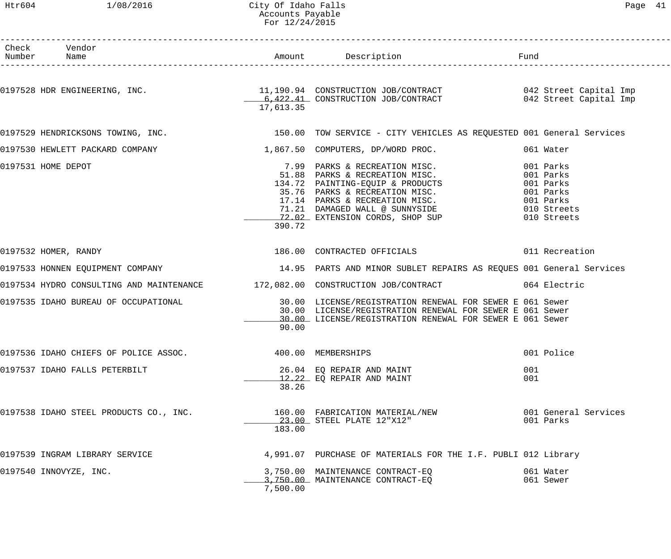#### Htr604 1/08/2016 City Of Idaho Falls Page 41 Accounts Payable For 12/24/2015

| Check Vendor<br>Number Name                                            |           |                                                                                                                                                                                                                                              |                                                                                             |                      |
|------------------------------------------------------------------------|-----------|----------------------------------------------------------------------------------------------------------------------------------------------------------------------------------------------------------------------------------------------|---------------------------------------------------------------------------------------------|----------------------|
|                                                                        | 17,613.35 | 0197528 HDR ENGINEERING, INC. 11,190.94 CONSTRUCTION JOB/CONTRACT 642 Street Capital Imp<br>6,422.41 CONSTRUCTION JOB/CONTRACT 642 Street Capital Imp                                                                                        |                                                                                             |                      |
|                                                                        |           | 0197529 HENDRICKSONS TOWING, INC. THE REAR MALL SERVICE - CITY VEHICLES AS REQUESTED 001 General Services                                                                                                                                    |                                                                                             |                      |
| 0197530 HEWLETT PACKARD COMPANY 1887 1,867.50 COMPUTERS, DP/WORD PROC. |           |                                                                                                                                                                                                                                              | 061 Water                                                                                   |                      |
| 0197531 HOME DEPOT                                                     | 390.72    | 7.99 PARKS & RECREATION MISC.<br>51.88 PARKS & RECREATION MISC.<br>134.72 PAINTING-EQUIP & PRODUCTS<br>35.76 PARKS & RECREATION MISC.<br>17.14 PARKS & RECREATION MISC.<br>71.21 DAMAGED WALL @ SUNNYSIDE<br>72.02 EXTENSION CORDS, SHOP SUP | 001 Parks<br>001 Parks<br>001 Parks<br>001 Parks<br>001 Parks<br>010 Streets<br>010 Streets |                      |
| 0197532 HOMER, RANDY                                                   |           | 186.00 CONTRACTED OFFICIALS 6011 Recreation                                                                                                                                                                                                  |                                                                                             |                      |
|                                                                        |           | 0197533 HONNEN EQUIPMENT COMPANY 14.95 PARTS AND MINOR SUBLET REPAIRS AS REQUES 001 General Services                                                                                                                                         |                                                                                             |                      |
|                                                                        |           | 0197534 HYDRO CONSULTING AND MAINTENANCE 172,082.00 CONSTRUCTION JOB/CONTRACT 064 Electric                                                                                                                                                   |                                                                                             |                      |
| 0197535 IDAHO BUREAU OF OCCUPATIONAL                                   | 90.00     | 30.00 LICENSE/REGISTRATION RENEWAL FOR SEWER E 061 Sewer<br>30.00 LICENSE/REGISTRATION RENEWAL FOR SEWER E 061 Sewer<br>10.00 LICENSE/REGISTRATION RENEWAL FOR SEWER E 061 Sewer                                                             |                                                                                             |                      |
| 0197536 IDAHO CHIEFS OF POLICE ASSOC. 400.00 MEMBERSHIPS               |           |                                                                                                                                                                                                                                              | 001 Police                                                                                  |                      |
| 0197537 IDAHO FALLS PETERBILT                                          | 38.26     | 26.04 EO REPAIR AND MAINT<br>12.22 EQ REPAIR AND MAINT                                                                                                                                                                                       | 001<br>001                                                                                  |                      |
| 0197538 IDAHO STEEL PRODUCTS CO., INC.                                 | 183.00    | 160.00 FABRICATION MATERIAL/NEW<br>23.00 STEEL PLATE 12"X12"                                                                                                                                                                                 | 001 Parks                                                                                   | 001 General Services |
| 0197539 INGRAM LIBRARY SERVICE                                         |           | 4,991.07 PURCHASE OF MATERIALS FOR THE I.F. PUBLI 012 Library                                                                                                                                                                                |                                                                                             |                      |
| 0197540 INNOVYZE, INC.                                                 | 7,500.00  | 3,750.00 MAINTENANCE CONTRACT-EQ<br>3,750.00 MAINTENANCE CONTRACT-EQ                                                                                                                                                                         | 061 Water<br>061 Sewer                                                                      |                      |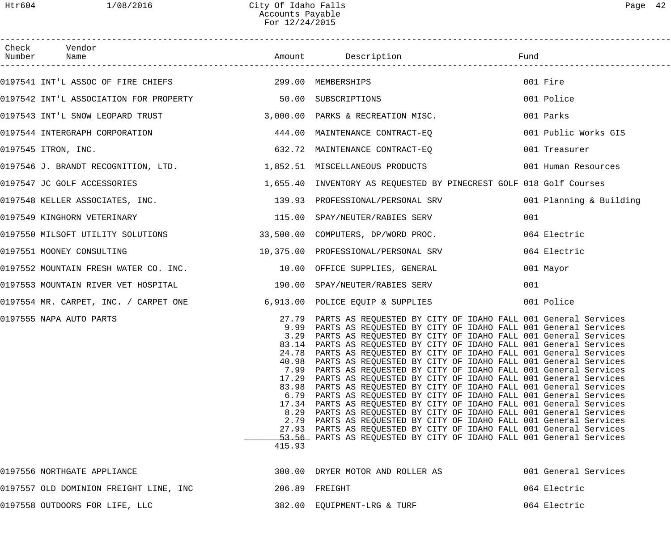| Check Vendor<br>Number Name                                          |                |                                                                                                                                                                                                                                                                                                                                                                                                                                                                                                                                                                                                                                                                                                                                                                                                                                                                                                                                                                                                                                                                                            |                         |
|----------------------------------------------------------------------|----------------|--------------------------------------------------------------------------------------------------------------------------------------------------------------------------------------------------------------------------------------------------------------------------------------------------------------------------------------------------------------------------------------------------------------------------------------------------------------------------------------------------------------------------------------------------------------------------------------------------------------------------------------------------------------------------------------------------------------------------------------------------------------------------------------------------------------------------------------------------------------------------------------------------------------------------------------------------------------------------------------------------------------------------------------------------------------------------------------------|-------------------------|
| 0197541 INT'L ASSOC OF FIRE CHIEFS 299.00 MEMBERSHIPS                |                |                                                                                                                                                                                                                                                                                                                                                                                                                                                                                                                                                                                                                                                                                                                                                                                                                                                                                                                                                                                                                                                                                            | 001 Fire                |
| 0197542 INT'L ASSOCIATION FOR PROPERTY 50.00 SUBSCRIPTIONS           |                |                                                                                                                                                                                                                                                                                                                                                                                                                                                                                                                                                                                                                                                                                                                                                                                                                                                                                                                                                                                                                                                                                            | 001 Police              |
|                                                                      |                | 0197543 INT'L SNOW LEOPARD TRUST 3,000.00 PARKS & RECREATION MISC.                                                                                                                                                                                                                                                                                                                                                                                                                                                                                                                                                                                                                                                                                                                                                                                                                                                                                                                                                                                                                         | 001 Parks               |
|                                                                      |                |                                                                                                                                                                                                                                                                                                                                                                                                                                                                                                                                                                                                                                                                                                                                                                                                                                                                                                                                                                                                                                                                                            | 001 Public Works GIS    |
| 0197545 ITRON, INC.                                                  |                | 632.72 MAINTENANCE CONTRACT-EQ                                                                                                                                                                                                                                                                                                                                                                                                                                                                                                                                                                                                                                                                                                                                                                                                                                                                                                                                                                                                                                                             | 001 Treasurer           |
|                                                                      |                | 0197546 J. BRANDT RECOGNITION, LTD. 1,852.51 MISCELLANEOUS PRODUCTS                                                                                                                                                                                                                                                                                                                                                                                                                                                                                                                                                                                                                                                                                                                                                                                                                                                                                                                                                                                                                        | 001 Human Resources     |
| 0197547 JC GOLF ACCESSORIES                                          |                | 1,655.40 INVENTORY AS REQUESTED BY PINECREST GOLF 018 Golf Courses                                                                                                                                                                                                                                                                                                                                                                                                                                                                                                                                                                                                                                                                                                                                                                                                                                                                                                                                                                                                                         |                         |
|                                                                      |                | 0197548 KELLER ASSOCIATES, INC. 139.93 PROFESSIONAL/PERSONAL SRV                                                                                                                                                                                                                                                                                                                                                                                                                                                                                                                                                                                                                                                                                                                                                                                                                                                                                                                                                                                                                           | 001 Planning & Building |
| 0197549 KINGHORN VETERINARY                                          |                | 115.00 SPAY/NEUTER/RABIES SERV                                                                                                                                                                                                                                                                                                                                                                                                                                                                                                                                                                                                                                                                                                                                                                                                                                                                                                                                                                                                                                                             | 001                     |
|                                                                      |                | 0197550 MILSOFT UTILITY SOLUTIONS 33,500.00 COMPUTERS, DP/WORD PROC.                                                                                                                                                                                                                                                                                                                                                                                                                                                                                                                                                                                                                                                                                                                                                                                                                                                                                                                                                                                                                       | 064 Electric            |
| 0197551 MOONEY CONSULTING                                            |                | 10,375.00 PROFESSIONAL/PERSONAL SRV                                                                                                                                                                                                                                                                                                                                                                                                                                                                                                                                                                                                                                                                                                                                                                                                                                                                                                                                                                                                                                                        | 064 Electric            |
| 0197552 MOUNTAIN FRESH WATER CO. INC. 10.00 OFFICE SUPPLIES, GENERAL |                |                                                                                                                                                                                                                                                                                                                                                                                                                                                                                                                                                                                                                                                                                                                                                                                                                                                                                                                                                                                                                                                                                            | 001 Mayor               |
|                                                                      |                | 0197553 MOUNTAIN RIVER VET HOSPITAL 190.00 SPAY/NEUTER/RABIES SERV                                                                                                                                                                                                                                                                                                                                                                                                                                                                                                                                                                                                                                                                                                                                                                                                                                                                                                                                                                                                                         | 001                     |
|                                                                      |                | 0197554 MR. CARPET, INC. / CARPET ONE 6,913.00 POLICE EQUIP & SUPPLIES                                                                                                                                                                                                                                                                                                                                                                                                                                                                                                                                                                                                                                                                                                                                                                                                                                                                                                                                                                                                                     | 001 Police              |
| 0197555 NAPA AUTO PARTS                                              | 3.29<br>415.93 | 27.79 PARTS AS REQUESTED BY CITY OF IDAHO FALL 001 General Services<br>9.99 PARTS AS REQUESTED BY CITY OF IDAHO FALL 001 General Services<br>PARTS AS REQUESTED BY CITY OF IDAHO FALL 001 General Services<br>83.14 PARTS AS REQUESTED BY CITY OF IDAHO FALL 001 General Services<br>24.78 PARTS AS REQUESTED BY CITY OF IDAHO FALL 001 General Services<br>40.98 PARTS AS REQUESTED BY CITY OF IDAHO FALL 001 General Services<br>7.99 PARTS AS REQUESTED BY CITY OF IDAHO FALL 001 General Services<br>17.29 PARTS AS REQUESTED BY CITY OF IDAHO FALL 001 General Services<br>83.98 PARTS AS REQUESTED BY CITY OF IDAHO FALL 001 General Services<br>6.79 PARTS AS REQUESTED BY CITY OF IDAHO FALL 001 General Services<br>17.34 PARTS AS REQUESTED BY CITY OF IDAHO FALL 001 General Services<br>8.29 PARTS AS REQUESTED BY CITY OF IDAHO FALL 001 General Services<br>2.79 PARTS AS REQUESTED BY CITY OF IDAHO FALL 001 General Services<br>27.93 PARTS AS REQUESTED BY CITY OF IDAHO FALL 001 General Services<br>53.56 PARTS AS REQUESTED BY CITY OF IDAHO FALL 001 General Services |                         |
| 0197556 NORTHGATE APPLIANCE                                          |                | 300.00 DRYER MOTOR AND ROLLER AS                                                                                                                                                                                                                                                                                                                                                                                                                                                                                                                                                                                                                                                                                                                                                                                                                                                                                                                                                                                                                                                           | 001 General Services    |
| 0197557 OLD DOMINION FREIGHT LINE, INC                               |                | 206.89 FREIGHT                                                                                                                                                                                                                                                                                                                                                                                                                                                                                                                                                                                                                                                                                                                                                                                                                                                                                                                                                                                                                                                                             | 064 Electric            |
| 0197558 OUTDOORS FOR LIFE, LLC                                       |                | 382.00 EQUIPMENT-LRG & TURF                                                                                                                                                                                                                                                                                                                                                                                                                                                                                                                                                                                                                                                                                                                                                                                                                                                                                                                                                                                                                                                                | 064 Electric            |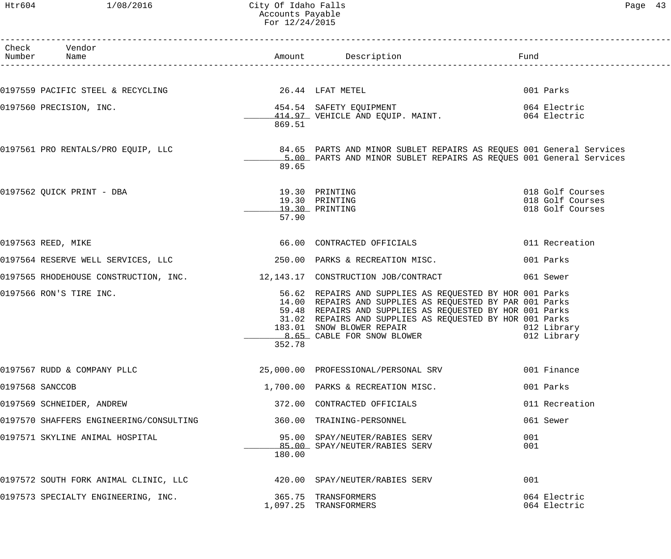#### Htr604 1/08/2016 City Of Idaho Falls Page 43 Accounts Payable For 12/24/2015

| Раае | ٠, |
|------|----|
|------|----|

| Check Vendor<br>Number Name             |        |                                                                                                                                                                                                                                                                |                                                          |
|-----------------------------------------|--------|----------------------------------------------------------------------------------------------------------------------------------------------------------------------------------------------------------------------------------------------------------------|----------------------------------------------------------|
|                                         |        | 0197559 PACIFIC STEEL & RECYCLING $26.44$ LFAT METEL                                                                                                                                                                                                           | 001 Parks                                                |
|                                         | 869.51 | 0197560 PRECISION, INC. <sup>454.54</sup> SAFETY EQUIPMENT 454.54 SAFETY EQUIPMENT 664 Electric<br>414.97 VEHICLE AND EQUIP. MAINT. 664 Electric                                                                                                               |                                                          |
|                                         | 89.65  | 0197561 PRO RENTALS/PRO EQUIP, LLC 34.65 PARTS AND MINOR SUBLET REPAIRS AS REQUES 001 General Services 001 Control<br>E 00 DARER AND MINOR SUBLET REPAIRS 19 REQUES 001 General Services<br>5.00 PARTS AND MINOR SUBLET REPAIRS AS REQUES 001 General Services |                                                          |
|                                         | 57.90  | 0197562 QUICK PRINT - DBA<br>19.30 PRINTING<br>19.30 PRINTING<br>19.30 PRINTING                                                                                                                                                                                | 018 Golf Courses<br>018 Golf Courses<br>018 Golf Courses |
| 0197563 REED, MIKE                      |        | 66.00 CONTRACTED OFFICIALS                                                                                                                                                                                                                                     | 011 Recreation                                           |
|                                         |        |                                                                                                                                                                                                                                                                | 001 Parks                                                |
|                                         |        | 0197565 RHODEHOUSE CONSTRUCTION, INC. 12,143.17 CONSTRUCTION JOB/CONTRACT                                                                                                                                                                                      | 061 Sewer                                                |
| 0197566 RON'S TIRE INC.                 | 352.78 | 56.62 REPAIRS AND SUPPLIES AS REQUESTED BY HOR 001 Parks<br>14.00 REPAIRS AND SUPPLIES AS REQUESTED BY PAR 001 Parks<br>59.48 REPAIRS AND SUPPLIES AS REQUESTED BY HOR 001 Parks<br>31.02 REPAIRS AND SUPPLIES AS REQUESTED BY HOR 001 Parks                   | 012 Library<br>012 Library                               |
| 0197567 RUDD & COMPANY PLLC             |        | 25,000.00 PROFESSIONAL/PERSONAL SRV                                                                                                                                                                                                                            | 001 Finance                                              |
| 0197568 SANCCOB                         |        | 1,700.00 PARKS & RECREATION MISC.                                                                                                                                                                                                                              | 001 Parks                                                |
| 0197569 SCHNEIDER, ANDREW               |        | 372.00 CONTRACTED OFFICIALS                                                                                                                                                                                                                                    | 011 Recreation                                           |
| 0197570 SHAFFERS ENGINEERING/CONSULTING |        | 360.00 TRAINING-PERSONNEL                                                                                                                                                                                                                                      | 061 Sewer                                                |
| 0197571 SKYLINE ANIMAL HOSPITAL         | 180.00 | 95.00 SPAY/NEUTER/RABIES SERV<br>85.00 SPAY/NEUTER/RABIES SERV                                                                                                                                                                                                 | 001<br>001                                               |
| 0197572 SOUTH FORK ANIMAL CLINIC, LLC   |        | 420.00 SPAY/NEUTER/RABIES SERV                                                                                                                                                                                                                                 | 001                                                      |
| 0197573 SPECIALTY ENGINEERING, INC.     |        | 365.75 TRANSFORMERS<br>1,097.25 TRANSFORMERS                                                                                                                                                                                                                   | 064 Electric<br>064 Electric                             |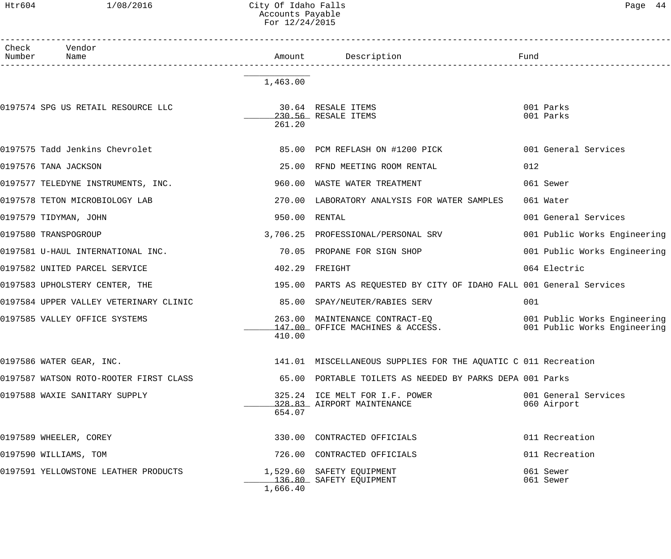## Htr604 1/08/2016 City Of Idaho Falls Page 44 Accounts Payable For 12/24/2015

| Check<br>Number | Vendor<br>Name                         | Amount           | Description                                                          | Fund                                                         |
|-----------------|----------------------------------------|------------------|----------------------------------------------------------------------|--------------------------------------------------------------|
|                 |                                        | 1,463.00         |                                                                      |                                                              |
|                 | 0197574 SPG US RETAIL RESOURCE LLC     | 261.20           | 30.64 RESALE ITEMS<br>230.56 RESALE ITEMS                            | 001 Parks<br>001 Parks                                       |
|                 | 0197575 Tadd Jenkins Chevrolet         |                  | 85.00 PCM REFLASH ON #1200 PICK                                      | 001 General Services                                         |
|                 | 0197576 TANA JACKSON                   | 25.00            | RFND MEETING ROOM RENTAL                                             | 012                                                          |
|                 | 0197577 TELEDYNE INSTRUMENTS, INC.     | 960.00           | WASTE WATER TREATMENT                                                | 061 Sewer                                                    |
|                 | 0197578 TETON MICROBIOLOGY LAB         | 270.00           | LABORATORY ANALYSIS FOR WATER SAMPLES                                | 061 Water                                                    |
|                 | 0197579 TIDYMAN, JOHN                  | 950.00           | RENTAL                                                               | 001 General Services                                         |
|                 | 0197580 TRANSPOGROUP                   |                  | 3,706.25 PROFESSIONAL/PERSONAL SRV                                   | 001 Public Works Engineering                                 |
|                 | 0197581 U-HAUL INTERNATIONAL INC.      | 70.05            | PROPANE FOR SIGN SHOP                                                | 001 Public Works Engineering                                 |
|                 | 0197582 UNITED PARCEL SERVICE          | 402.29           | FREIGHT                                                              | 064 Electric                                                 |
|                 | 0197583 UPHOLSTERY CENTER, THE         |                  | 195.00 PARTS AS REQUESTED BY CITY OF IDAHO FALL 001 General Services |                                                              |
|                 | 0197584 UPPER VALLEY VETERINARY CLINIC |                  | 85.00 SPAY/NEUTER/RABIES SERV                                        | 001                                                          |
|                 | 0197585 VALLEY OFFICE SYSTEMS          | 263.00<br>410.00 | MAINTENANCE CONTRACT-EQ<br>147.00 OFFICE MACHINES & ACCESS.          | 001 Public Works Engineering<br>001 Public Works Engineering |
|                 | 0197586 WATER GEAR, INC.               |                  | 141.01 MISCELLANEOUS SUPPLIES FOR THE AQUATIC C 011 Recreation       |                                                              |
|                 | 0197587 WATSON ROTO-ROOTER FIRST CLASS |                  | 65.00 PORTABLE TOILETS AS NEEDED BY PARKS DEPA 001 Parks             |                                                              |
|                 | 0197588 WAXIE SANITARY SUPPLY          | 654.07           | 325.24 ICE MELT FOR I.F. POWER<br>328.83 AIRPORT MAINTENANCE         | 001 General Services<br>060 Airport                          |
|                 | 0197589 WHEELER, COREY                 |                  | 330.00 CONTRACTED OFFICIALS                                          | 011 Recreation                                               |
|                 | 0197590 WILLIAMS, TOM                  |                  | 726.00 CONTRACTED OFFICIALS                                          | 011 Recreation                                               |
|                 | 0197591 YELLOWSTONE LEATHER PRODUCTS   | 1,666.40         | 1,529.60 SAFETY EQUIPMENT<br>136.80 SAFETY EQUIPMENT                 | 061 Sewer<br>061 Sewer                                       |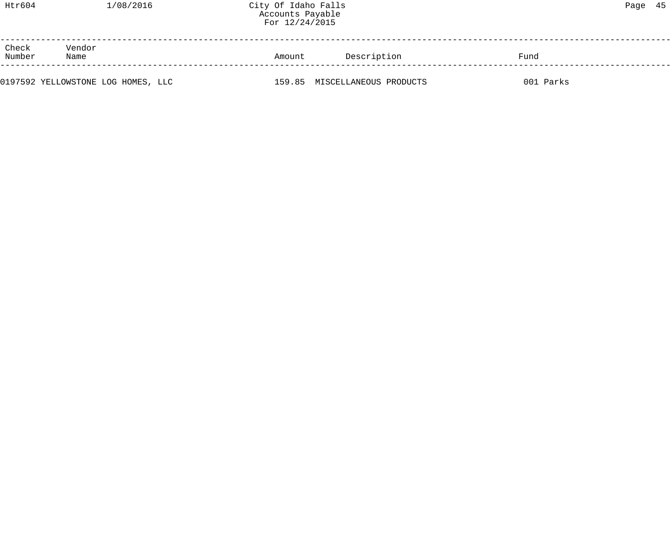| Htr604          | 1/08/2016      | City Of Idaho Falls<br>Accounts Payable<br>For 12/24/2015 |             |      | Page 45 |  |
|-----------------|----------------|-----------------------------------------------------------|-------------|------|---------|--|
| Check<br>Number | Vendor<br>Name | Amount                                                    | Description | Fund |         |  |

0197592 YELLOWSTONE LOG HOMES, LLC 159.85 MISCELLANEOUS PRODUCTS 001 Parks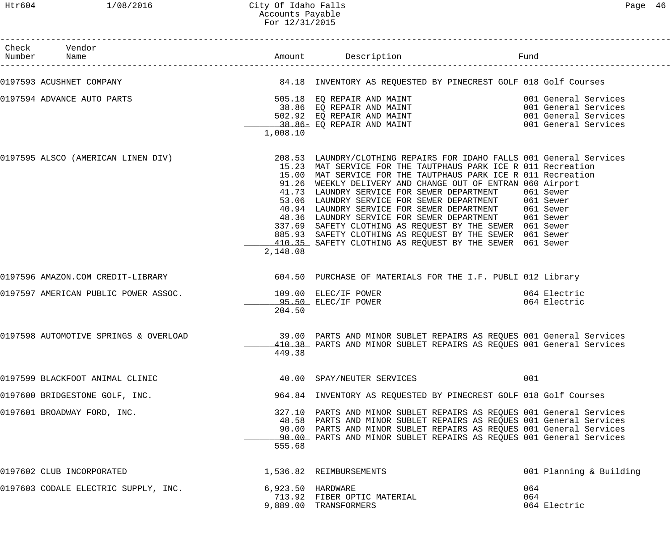| Check Vendor<br>Number Name           |                   | Amount Description                                                                                                                                                                                                                                                                                                                                                                                                                                                                                                                                                                                                                                                                                                          | Fund                         |
|---------------------------------------|-------------------|-----------------------------------------------------------------------------------------------------------------------------------------------------------------------------------------------------------------------------------------------------------------------------------------------------------------------------------------------------------------------------------------------------------------------------------------------------------------------------------------------------------------------------------------------------------------------------------------------------------------------------------------------------------------------------------------------------------------------------|------------------------------|
|                                       |                   | 0197593 ACUSHNET COMPANY COMPANY SALLE SERVENTORY AS REQUESTED BY PINECREST GOLF 018 Golf Courses                                                                                                                                                                                                                                                                                                                                                                                                                                                                                                                                                                                                                           |                              |
| 0197594 ADVANCE AUTO PARTS            | 1,008.10          | 505.18 EQ REPAIR AND MAINT<br>38.86 EQ REPAIR AND MAINT<br>502.92 EQ REPAIR AND MAINT<br>38.86 EQ REPAIR AND MAINT<br>38.86 EQ REPAIR AND MAINT<br>38.86 EQ REPAIR AND MAINT<br>38.86 EQ REPAIR AND MAINT<br>38.86 EQ REPAIR AND MAINT<br>398.                                                                                                                                                                                                                                                                                                                                                                                                                                                                              |                              |
|                                       | 2,148.08          | 0197595 ALSCO (AMERICAN LINEN DIV) 208.53 LAUNDRY/CLOTHING REPAIRS FOR IDAHO FALLS 001 General Services<br>15.23 MAT SERVICE FOR THE TAUTPHAUS PARK ICE R 011 Recreation<br>15.00 MAT SERVICE FOR THE TAUTPHAUS PARK ICE R 011 Recreation<br>91.26 WEEKLY DELIVERY AND CHANGE OUT OF ENTRAN 060 Airport<br>41.73 LAUNDRY SERVICE FOR SEWER DEPARTMENT 061 Sewer<br>53.06 LAUNDRY SERVICE FOR SEWER DEPARTMENT 061 Sewer<br>40.94 LAUNDRY SERVICE FOR SEWER DEPARTMENT 061 Sewer<br>48.36 LAUNDRY SERVICE FOR SEWER DEPARTMENT 061 Sewer<br>337.69 SAFETY CLOTHING AS REQUEST BY THE SEWER 061 Sewer<br>885.93 SAFETY CLOTHING AS REQUEST BY THE SEWER 061 Sewer<br>410.35 SAFETY CLOTHING AS REQUEST BY THE SEWER 061 Sewer |                              |
| 0197596 AMAZON.COM CREDIT-LIBRARY     |                   | 604.50 PURCHASE OF MATERIALS FOR THE I.F. PUBLI 012 Library                                                                                                                                                                                                                                                                                                                                                                                                                                                                                                                                                                                                                                                                 |                              |
| 0197597 AMERICAN PUBLIC POWER ASSOC.  | 204.50            | 109.00 ELEC/IF POWER<br>95.50 ELEC/IF POWER                                                                                                                                                                                                                                                                                                                                                                                                                                                                                                                                                                                                                                                                                 | 064 Electric<br>064 Electric |
| 0197598 AUTOMOTIVE SPRINGS & OVERLOAD | 449.38            | 39.00 PARTS AND MINOR SUBLET REPAIRS AS REQUES 001 General Services<br>410.38 PARTS AND MINOR SUBLET REPAIRS AS REQUES 001 General Services                                                                                                                                                                                                                                                                                                                                                                                                                                                                                                                                                                                 |                              |
| 0197599 BLACKFOOT ANIMAL CLINIC       |                   | 40.00 SPAY/NEUTER SERVICES                                                                                                                                                                                                                                                                                                                                                                                                                                                                                                                                                                                                                                                                                                  | 001                          |
| 0197600 BRIDGESTONE GOLF, INC.        |                   | 964.84 INVENTORY AS REQUESTED BY PINECREST GOLF 018 Golf Courses                                                                                                                                                                                                                                                                                                                                                                                                                                                                                                                                                                                                                                                            |                              |
| 0197601 BROADWAY FORD, INC.           | 555.68            | 327.10 PARTS AND MINOR SUBLET REPAIRS AS REQUES 001 General Services<br>48.58 PARTS AND MINOR SUBLET REPAIRS AS REQUES 001 General Services<br>90.00 PARTS AND MINOR SUBLET REPAIRS AS REQUES 001 General Services<br>90.00 PARTS AND MINOR SUBLET REPAIRS AS REQUES 001 General Services                                                                                                                                                                                                                                                                                                                                                                                                                                   |                              |
| 0197602 CLUB INCORPORATED             |                   | 1,536.82 REIMBURSEMENTS                                                                                                                                                                                                                                                                                                                                                                                                                                                                                                                                                                                                                                                                                                     | 001 Planning & Building      |
| 0197603 CODALE ELECTRIC SUPPLY, INC.  | 6,923.50 HARDWARE | 713.92 FIBER OPTIC MATERIAL<br>9,889.00 TRANSFORMERS                                                                                                                                                                                                                                                                                                                                                                                                                                                                                                                                                                                                                                                                        | 064<br>064<br>064 Electric   |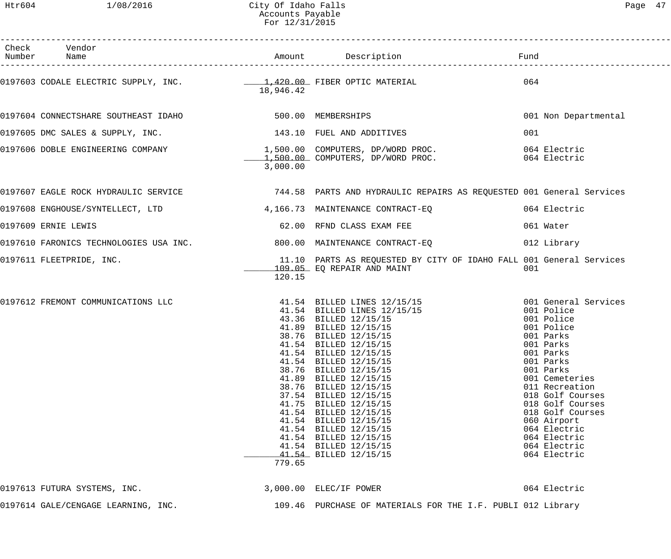Htr604 1/08/2016 City Of Idaho Falls Page 47 Accounts Payable For 12/31/2015

| Check Vendor<br>Number Name                                  |                 |                                                                                                                                                                                                                                                                                                                                                                                                                                                                                                                                                                                           |                                                                                                                                                                                                                                                                                        |
|--------------------------------------------------------------|-----------------|-------------------------------------------------------------------------------------------------------------------------------------------------------------------------------------------------------------------------------------------------------------------------------------------------------------------------------------------------------------------------------------------------------------------------------------------------------------------------------------------------------------------------------------------------------------------------------------------|----------------------------------------------------------------------------------------------------------------------------------------------------------------------------------------------------------------------------------------------------------------------------------------|
|                                                              | 18,946.42       |                                                                                                                                                                                                                                                                                                                                                                                                                                                                                                                                                                                           | 064                                                                                                                                                                                                                                                                                    |
| 0197604 CONNECTSHARE SOUTHEAST IDAHO 600 100 100 MEMBERSHIPS |                 |                                                                                                                                                                                                                                                                                                                                                                                                                                                                                                                                                                                           | 001 Non Departmental                                                                                                                                                                                                                                                                   |
| 0197605 DMC SALES & SUPPLY, INC. 143.10 FUEL AND ADDITIVES   |                 |                                                                                                                                                                                                                                                                                                                                                                                                                                                                                                                                                                                           | 001                                                                                                                                                                                                                                                                                    |
|                                                              | 3,000.00        | 0197606 DOBLE ENGINEERING COMPANY 1,500.00 COMPUTERS, DP/WORD PROC.<br>1,500.00 COMPUTERS, DP/WORD PROC. 064 Electric (164 Electric                                                                                                                                                                                                                                                                                                                                                                                                                                                       |                                                                                                                                                                                                                                                                                        |
|                                                              |                 | 0197607 EAGLE ROCK HYDRAULIC SERVICE <b>1999 - 1999 METAL PEARTS AND HYDRAULIC REPAIRS AS REQUESTED 001 General Services</b>                                                                                                                                                                                                                                                                                                                                                                                                                                                              |                                                                                                                                                                                                                                                                                        |
|                                                              |                 | 0197608 ENGHOUSE/SYNTELLECT, LTD 3 4,166.73 MAINTENANCE CONTRACT-EQ 64 Electric                                                                                                                                                                                                                                                                                                                                                                                                                                                                                                           |                                                                                                                                                                                                                                                                                        |
| 0197609 ERNIE LEWIS                                          |                 | 62.00 RFND CLASS EXAM FEE                                                                                                                                                                                                                                                                                                                                                                                                                                                                                                                                                                 | 061 Water                                                                                                                                                                                                                                                                              |
|                                                              |                 |                                                                                                                                                                                                                                                                                                                                                                                                                                                                                                                                                                                           | 012 Library                                                                                                                                                                                                                                                                            |
| 0197611 FLEETPRIDE, INC.                                     | 120.15          | 11.10 PARTS AS REQUESTED BY CITY OF IDAHO FALL 001 General Services<br>109.05 EQ REPAIR AND MAINT                                                                                                                                                                                                                                                                                                                                                                                                                                                                                         | 001                                                                                                                                                                                                                                                                                    |
|                                                              | 41.75<br>779.65 | 0197612 FREMONT COMMUNICATIONS LLC <sup>41.54</sup> BILLED LINES 12/15/15 001 General Services<br>41.54 BILLED LINES 12/15/15<br>43.36 BILLED 12/15/15<br>41.89 BILLED 12/15/15<br>38.76 BILLED 12/15/15<br>41.54 BILLED 12/15/15<br>41.54 BILLED 12/15/15<br>41.54 BILLED 12/15/15<br>41.54 BILLED 12/15/15<br>38.76 BILLED 12/15/15<br>41.89 BILLED 12/15/15<br>38.76 BILLED 12/15/15<br>37.54 BILLED 12/15/15<br>BILLED 12/15/15<br>41.54 BILLED 12/15/15<br>41.54 BILLED 12/15/15<br>41.54 BILLED 12/15/15<br>41.54 BILLED 12/15/15<br>41.54 BILLED 12/15/15<br>41.54 BILLED 12/15/15 | 001 Police<br>001 Police<br>001 Police<br>001 Parks<br>001 Parks<br>001 Parks<br>001 Parks<br>001 Parks<br>001 Cemeteries<br>011 Recreation<br>018 Golf Courses<br>018 Golf Courses<br>018 Golf Courses<br>060 Airport<br>064 Electric<br>064 Electric<br>064 Electric<br>064 Electric |
| 0197613 FUTURA SYSTEMS, INC.                                 |                 | 3,000.00 ELEC/IF POWER                                                                                                                                                                                                                                                                                                                                                                                                                                                                                                                                                                    | 064 Electric                                                                                                                                                                                                                                                                           |
| 0197614 GALE/CENGAGE LEARNING, INC.                          |                 | 109.46 PURCHASE OF MATERIALS FOR THE I.F. PUBLI 012 Library                                                                                                                                                                                                                                                                                                                                                                                                                                                                                                                               |                                                                                                                                                                                                                                                                                        |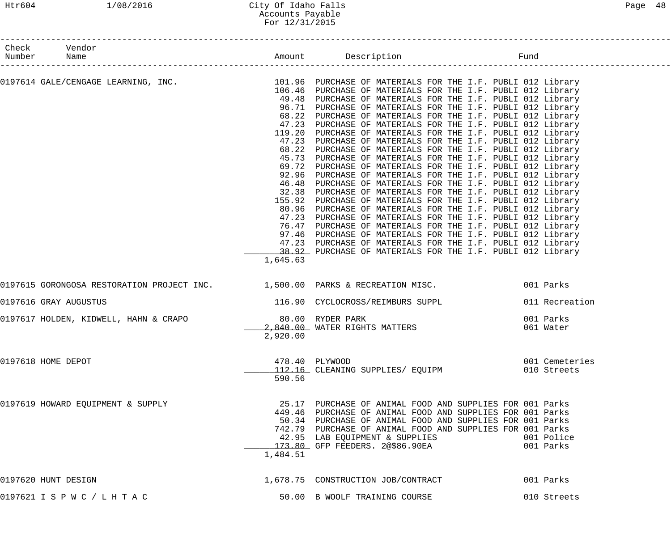# Htr604 1/08/2016 City Of Idaho Falls Page 48 Accounts Payable For 12/31/2015

| Check Vendor<br>Number Name                             |          |                                                                                                                                                                                                                                                                                                                                                                                                                                                                                                                                                                                                                                                                                                                                                                                                                                                                                                                                                                                                                                                                                                                                                                                                                                                                                                                                                                                            |                               |
|---------------------------------------------------------|----------|--------------------------------------------------------------------------------------------------------------------------------------------------------------------------------------------------------------------------------------------------------------------------------------------------------------------------------------------------------------------------------------------------------------------------------------------------------------------------------------------------------------------------------------------------------------------------------------------------------------------------------------------------------------------------------------------------------------------------------------------------------------------------------------------------------------------------------------------------------------------------------------------------------------------------------------------------------------------------------------------------------------------------------------------------------------------------------------------------------------------------------------------------------------------------------------------------------------------------------------------------------------------------------------------------------------------------------------------------------------------------------------------|-------------------------------|
| ______________________                                  | 1,645.63 | 0197614 GALE/CENGAGE LEARNING, INC. 101.96 PURCHASE OF MATERIALS FOR THE I.F. PUBLI 012 Library<br>106.46 PURCHASE OF MATERIALS FOR THE I.F. PUBLI 012 Library<br>49.48 PURCHASE OF MATERIALS FOR THE I.F. PUBLI 012 Library<br>96.71 PURCHASE OF MATERIALS FOR THE I.F. PUBLI 012 Library<br>68.22 PURCHASE OF MATERIALS FOR THE I.F. PUBLI 012 Library<br>47.23 PURCHASE OF MATERIALS FOR THE I.F. PUBLI 012 Library<br>119.20 PURCHASE OF MATERIALS FOR THE I.F. PUBLI 012 Library<br>47.23 PURCHASE OF MATERIALS FOR THE I.F. PUBLI 012 Library<br>68.22 PURCHASE OF MATERIALS FOR THE I.F. PUBLI 012 Library<br>45.73 PURCHASE OF MATERIALS FOR THE I.F. PUBLI 012 Library<br>69.72 PURCHASE OF MATERIALS FOR THE I.F. PUBLI 012 Library<br>92.96 PURCHASE OF MATERIALS FOR THE I.F. PUBLI 012 Library<br>46.48 PURCHASE OF MATERIALS FOR THE I.F. PUBLI 012 Library<br>32.38 PURCHASE OF MATERIALS FOR THE I.F. PUBLI 012 Library<br>155.92 PURCHASE OF MATERIALS FOR THE I.F. PUBLI 012 Library<br>80.96 PURCHASE OF MATERIALS FOR THE I.F. PUBLI 012 Library<br>47.23 PURCHASE OF MATERIALS FOR THE I.F. PUBLI 012 Library<br>76.47 PURCHASE OF MATERIALS FOR THE I.F. PUBLI 012 Library<br>97.46 PURCHASE OF MATERIALS FOR THE I.F. PUBLI 012 Library<br>47.23 PURCHASE OF MATERIALS FOR THE I.F. PUBLI 012 Library<br>38.92 PURCHASE OF MATERIALS FOR THE I.F. PUBLI 012 Library |                               |
|                                                         |          | 0197615 GORONGOSA RESTORATION PROJECT INC. 1,500.00 PARKS & RECREATION MISC. 001 Parks                                                                                                                                                                                                                                                                                                                                                                                                                                                                                                                                                                                                                                                                                                                                                                                                                                                                                                                                                                                                                                                                                                                                                                                                                                                                                                     |                               |
| 0197616 GRAY AUGUSTUS                                   |          | 116.90 CYCLOCROSS/REIMBURS SUPPL                                                                                                                                                                                                                                                                                                                                                                                                                                                                                                                                                                                                                                                                                                                                                                                                                                                                                                                                                                                                                                                                                                                                                                                                                                                                                                                                                           | 011 Recreation                |
| 0197617 HOLDEN, KIDWELL, HAHN & CRAPO 60 000 RYDER PARK | 2,920.00 | 2,840.00 WATER RIGHTS MATTERS                                                                                                                                                                                                                                                                                                                                                                                                                                                                                                                                                                                                                                                                                                                                                                                                                                                                                                                                                                                                                                                                                                                                                                                                                                                                                                                                                              | 001 Parks<br>061 Water        |
| 0197618 HOME DEPOT                                      | 590.56   | 478.40 PLYWOOD<br>112.16 CLEANING SUPPLIES/ EQUIPM                                                                                                                                                                                                                                                                                                                                                                                                                                                                                                                                                                                                                                                                                                                                                                                                                                                                                                                                                                                                                                                                                                                                                                                                                                                                                                                                         | 001 Cemeteries<br>010 Streets |
| 0197619 HOWARD EQUIPMENT & SUPPLY                       | 1,484.51 | 25.17 PURCHASE OF ANIMAL FOOD AND SUPPLIES FOR 001 Parks<br>449.46 PURCHASE OF ANIMAL FOOD AND SUPPLIES FOR 001 Parks<br>50.34 PURCHASE OF ANIMAL FOOD AND SUPPLIES FOR 001 Parks<br>742.79 PURCHASE OF ANIMAL FOOD AND SUPPLIES FOR 001 Parks<br>42.95 LAB EQUIPMENT & SUPPLIES<br>$\overline{173.80}$ GFP FEEDERS. 2@\$86.90EA                                                                                                                                                                                                                                                                                                                                                                                                                                                                                                                                                                                                                                                                                                                                                                                                                                                                                                                                                                                                                                                           | 001 Police<br>001 Parks       |
| 0197620 HUNT DESIGN                                     |          | 1,678.75 CONSTRUCTION JOB/CONTRACT                                                                                                                                                                                                                                                                                                                                                                                                                                                                                                                                                                                                                                                                                                                                                                                                                                                                                                                                                                                                                                                                                                                                                                                                                                                                                                                                                         | 001 Parks                     |
| 0197621 I S P W C / L H T A C                           |          | 50.00 B WOOLF TRAINING COURSE                                                                                                                                                                                                                                                                                                                                                                                                                                                                                                                                                                                                                                                                                                                                                                                                                                                                                                                                                                                                                                                                                                                                                                                                                                                                                                                                                              | 010 Streets                   |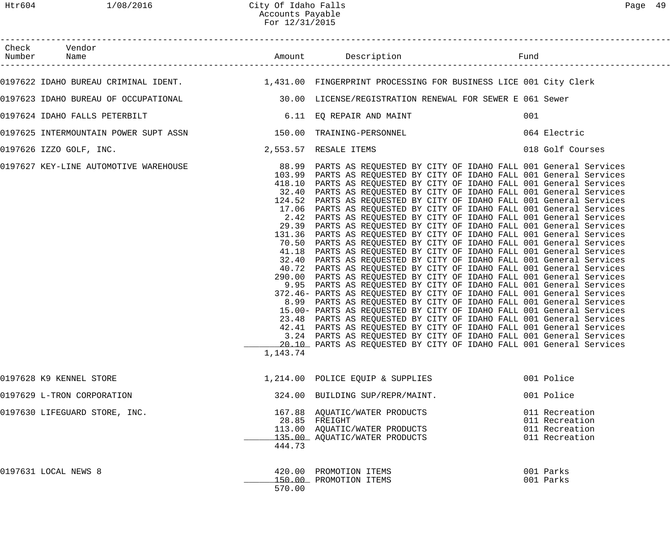|                                                                                                           | For 12/31/2015        |                                                                                                                                                                                                                                                                                                                                                                                                                                                                                                                                                                                                                                                                                                                                                                                                                                                                                                                                                                                                                                                                                                                                                                                                                                                                                                                                                                                                                                                                                                                                                     |                                                                      |  |
|-----------------------------------------------------------------------------------------------------------|-----------------------|-----------------------------------------------------------------------------------------------------------------------------------------------------------------------------------------------------------------------------------------------------------------------------------------------------------------------------------------------------------------------------------------------------------------------------------------------------------------------------------------------------------------------------------------------------------------------------------------------------------------------------------------------------------------------------------------------------------------------------------------------------------------------------------------------------------------------------------------------------------------------------------------------------------------------------------------------------------------------------------------------------------------------------------------------------------------------------------------------------------------------------------------------------------------------------------------------------------------------------------------------------------------------------------------------------------------------------------------------------------------------------------------------------------------------------------------------------------------------------------------------------------------------------------------------------|----------------------------------------------------------------------|--|
| Check Vendor                                                                                              |                       |                                                                                                                                                                                                                                                                                                                                                                                                                                                                                                                                                                                                                                                                                                                                                                                                                                                                                                                                                                                                                                                                                                                                                                                                                                                                                                                                                                                                                                                                                                                                                     |                                                                      |  |
| 0197622 IDAHO BUREAU CRIMINAL IDENT. 1,431.00 FINGERPRINT PROCESSING FOR BUSINESS LICE 001 City Clerk     |                       |                                                                                                                                                                                                                                                                                                                                                                                                                                                                                                                                                                                                                                                                                                                                                                                                                                                                                                                                                                                                                                                                                                                                                                                                                                                                                                                                                                                                                                                                                                                                                     |                                                                      |  |
| 0197623 IDAHO BUREAU OF OCCUPATIONAL (30.00 LICENSE/REGISTRATION RENEWAL FOR SEWER E 061 Sewer            |                       |                                                                                                                                                                                                                                                                                                                                                                                                                                                                                                                                                                                                                                                                                                                                                                                                                                                                                                                                                                                                                                                                                                                                                                                                                                                                                                                                                                                                                                                                                                                                                     |                                                                      |  |
| 0197624 IDAHO FALLS PETERBILT                                                                             |                       | 6.11 EQ REPAIR AND MAINT                                                                                                                                                                                                                                                                                                                                                                                                                                                                                                                                                                                                                                                                                                                                                                                                                                                                                                                                                                                                                                                                                                                                                                                                                                                                                                                                                                                                                                                                                                                            | 001                                                                  |  |
| 0197625 INTERMOUNTAIN POWER SUPT ASSN 150.00 TRAINING-PERSONNEL                                           |                       |                                                                                                                                                                                                                                                                                                                                                                                                                                                                                                                                                                                                                                                                                                                                                                                                                                                                                                                                                                                                                                                                                                                                                                                                                                                                                                                                                                                                                                                                                                                                                     | 064 Electric                                                         |  |
| 0197626 IZZO GOLF, INC.                                                                                   | 2,553.57 RESALE ITEMS |                                                                                                                                                                                                                                                                                                                                                                                                                                                                                                                                                                                                                                                                                                                                                                                                                                                                                                                                                                                                                                                                                                                                                                                                                                                                                                                                                                                                                                                                                                                                                     | 018 Golf Courses                                                     |  |
| 0197627 KEY-LINE AUTOMOTIVE WAREHOUSE 68.99 PARTS AS REQUESTED BY CITY OF IDAHO FALL 001 General Services | 1,143.74              | 103.99 PARTS AS REQUESTED BY CITY OF IDAHO FALL 001 General Services<br>418.10 PARTS AS REQUESTED BY CITY OF IDAHO FALL 001 General Services<br>32.40 PARTS AS REQUESTED BY CITY OF IDAHO FALL 001 General Services<br>124.52 PARTS AS REQUESTED BY CITY OF IDAHO FALL 001 General Services<br>17.06 PARTS AS REQUESTED BY CITY OF IDAHO FALL 001 General Services<br>2.42 PARTS AS REQUESTED BY CITY OF IDAHO FALL 001 General Services<br>29.39 PARTS AS REQUESTED BY CITY OF IDAHO FALL 001 General Services<br>131.36 PARTS AS REQUESTED BY CITY OF IDAHO FALL 001 General Services<br>70.50 PARTS AS REQUESTED BY CITY OF IDAHO FALL 001 General Services<br>41.18 PARTS AS REQUESTED BY CITY OF IDAHO FALL 001 General Services<br>32.40 PARTS AS REQUESTED BY CITY OF IDAHO FALL 001 General Services<br>40.72 PARTS AS REQUESTED BY CITY OF IDAHO FALL 001 General Services<br>290.00 PARTS AS REQUESTED BY CITY OF IDAHO FALL 001 General Services<br>9.95 PARTS AS REQUESTED BY CITY OF IDAHO FALL 001 General Services<br>372.46- PARTS AS REQUESTED BY CITY OF IDAHO FALL 001 General Services<br>8.99 PARTS AS REQUESTED BY CITY OF IDAHO FALL 001 General Services<br>15.00- PARTS AS REQUESTED BY CITY OF IDAHO FALL 001 General Services<br>23.48 PARTS AS REQUESTED BY CITY OF IDAHO FALL 001 General Services<br>42.41 PARTS AS REOUESTED BY CITY OF IDAHO FALL 001 General Services<br>3.24 PARTS AS REQUESTED BY CITY OF IDAHO FALL 001 General Services<br>20.10 PARTS AS REQUESTED BY CITY OF IDAHO FALL 001 General Services |                                                                      |  |
| 0197628 K9 KENNEL STORE                                                                                   |                       | 1,214.00 POLICE EQUIP & SUPPLIES                                                                                                                                                                                                                                                                                                                                                                                                                                                                                                                                                                                                                                                                                                                                                                                                                                                                                                                                                                                                                                                                                                                                                                                                                                                                                                                                                                                                                                                                                                                    | 001 Police                                                           |  |
| 0197629 L-TRON CORPORATION                                                                                |                       | 324.00 BUILDING SUP/REPR/MAINT.                                                                                                                                                                                                                                                                                                                                                                                                                                                                                                                                                                                                                                                                                                                                                                                                                                                                                                                                                                                                                                                                                                                                                                                                                                                                                                                                                                                                                                                                                                                     | 001 Police                                                           |  |
| 0197630 LIFEGUARD STORE, INC.                                                                             | 444.73                | 167.88 AQUATIC/WATER PRODUCTS<br>28.85 FREIGHT<br>113.00 AQUATIC/WATER PRODUCTS<br>135.00 AQUATIC/WATER PRODUCTS                                                                                                                                                                                                                                                                                                                                                                                                                                                                                                                                                                                                                                                                                                                                                                                                                                                                                                                                                                                                                                                                                                                                                                                                                                                                                                                                                                                                                                    | 011 Recreation<br>011 Recreation<br>011 Recreation<br>011 Recreation |  |
| 0197631 LOCAL NEWS 8                                                                                      | 570.00                | 420.00 PROMOTION ITEMS<br>150.00 PROMOTION ITEMS                                                                                                                                                                                                                                                                                                                                                                                                                                                                                                                                                                                                                                                                                                                                                                                                                                                                                                                                                                                                                                                                                                                                                                                                                                                                                                                                                                                                                                                                                                    | 001 Parks<br>001 Parks                                               |  |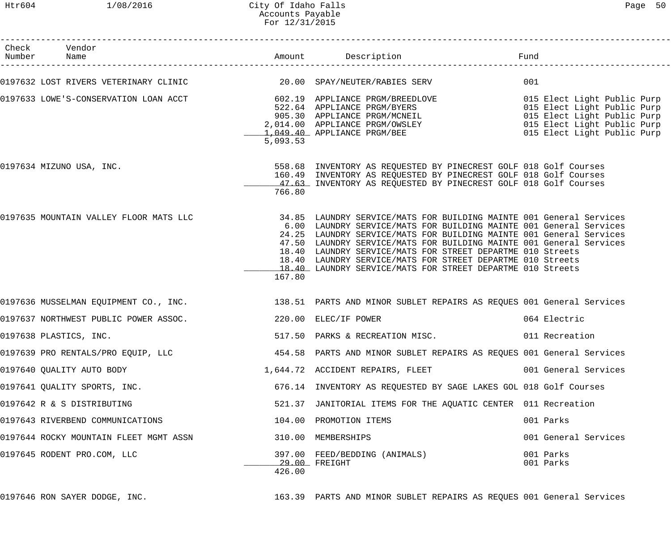# Htr604 1/08/2016 City Of Idaho Falls Page 50 Accounts Payable For 12/31/2015

| Check Vendor<br>Number Name            |          | Amount Description Description                                                                                                                                                                                                                                                                                                                                                                                                                                                    |                        |
|----------------------------------------|----------|-----------------------------------------------------------------------------------------------------------------------------------------------------------------------------------------------------------------------------------------------------------------------------------------------------------------------------------------------------------------------------------------------------------------------------------------------------------------------------------|------------------------|
|                                        |          |                                                                                                                                                                                                                                                                                                                                                                                                                                                                                   | 001                    |
|                                        | 5,093.53 | 0197633 LOWE'S-CONSERVATION LOAN ACCT 602.19 APPLIANCE PRGM/BREEDLOVE 602.19<br>522.64 APPLIANCE PRGM/BYERS 9RGM/EXERS 015 Elect Light Public Purp<br>905.30 APPLIANCE PRGM/MCNEIL 015 Elect Light Public Purp<br>2,014.00 APPLIANCE                                                                                                                                                                                                                                              |                        |
| 0197634 MIZUNO USA, INC.               | 766.80   | 558.68 INVENTORY AS REQUESTED BY PINECREST GOLF 018 Golf Courses<br>160.49 INVENTORY AS REQUESTED BY PINECREST GOLF 018 Golf Courses<br>47.63 INVENTORY AS REQUESTED BY PINECREST GOLF 018 Golf Courses                                                                                                                                                                                                                                                                           |                        |
| 0197635 MOUNTAIN VALLEY FLOOR MATS LLC | 167.80   | 34.85 LAUNDRY SERVICE/MATS FOR BUILDING MAINTE 001 General Services<br>6.00 LAUNDRY SERVICE/MATS FOR BUILDING MAINTE 001 General Services<br>24.25 LAUNDRY SERVICE/MATS FOR BUILDING MAINTE 001 General Services<br>47.50 LAUNDRY SERVICE/MATS FOR BUILDING MAINTE 001 General Services<br>18.40 LAUNDRY SERVICE/MATS FOR STREET DEPARTME 010 Streets<br>18.40 LAUNDRY SERVICE/MATS FOR STREET DEPARTME 010 Streets<br>18.40 LAUNDRY SERVICE/MATS FOR STREET DEPARTME 010 Streets |                        |
|                                        |          | 0197636 MUSSELMAN EQUIPMENT CO., INC. 188.51 PARTS AND MINOR SUBLET REPAIRS AS REQUES 001 General Services                                                                                                                                                                                                                                                                                                                                                                        |                        |
| 0197637 NORTHWEST PUBLIC POWER ASSOC.  |          | 220.00 ELEC/IF POWER                                                                                                                                                                                                                                                                                                                                                                                                                                                              | 064 Electric           |
| 0197638 PLASTICS, INC.                 |          | 517.50 PARKS & RECREATION MISC.                                                                                                                                                                                                                                                                                                                                                                                                                                                   | 011 Recreation         |
| 0197639 PRO RENTALS/PRO EQUIP, LLC     |          | 454.58 PARTS AND MINOR SUBLET REPAIRS AS REQUES 001 General Services                                                                                                                                                                                                                                                                                                                                                                                                              |                        |
| 0197640 QUALITY AUTO BODY              |          | 1,644.72 ACCIDENT REPAIRS, FLEET                                                                                                                                                                                                                                                                                                                                                                                                                                                  | 001 General Services   |
| 0197641 QUALITY SPORTS, INC.           |          | 676.14 INVENTORY AS REQUESTED BY SAGE LAKES GOL 018 Golf Courses                                                                                                                                                                                                                                                                                                                                                                                                                  |                        |
| 0197642 R & S DISTRIBUTING             |          | 521.37 JANITORIAL ITEMS FOR THE AQUATIC CENTER 011 Recreation                                                                                                                                                                                                                                                                                                                                                                                                                     |                        |
| 0197643 RIVERBEND COMMUNICATIONS       |          | 104.00 PROMOTION ITEMS                                                                                                                                                                                                                                                                                                                                                                                                                                                            | 001 Parks              |
| 0197644 ROCKY MOUNTAIN FLEET MGMT ASSN |          | 310.00 MEMBERSHIPS                                                                                                                                                                                                                                                                                                                                                                                                                                                                | 001 General Services   |
| 0197645 RODENT PRO.COM, LLC            | 426.00   | 397.00 FEED/BEDDING (ANIMALS)<br>29.00 FREIGHT                                                                                                                                                                                                                                                                                                                                                                                                                                    | 001 Parks<br>001 Parks |
|                                        |          |                                                                                                                                                                                                                                                                                                                                                                                                                                                                                   |                        |

0197646 RON SAYER DODGE, INC. 163.39 PARTS AND MINOR SUBLET REPAIRS AS REQUES 001 General Services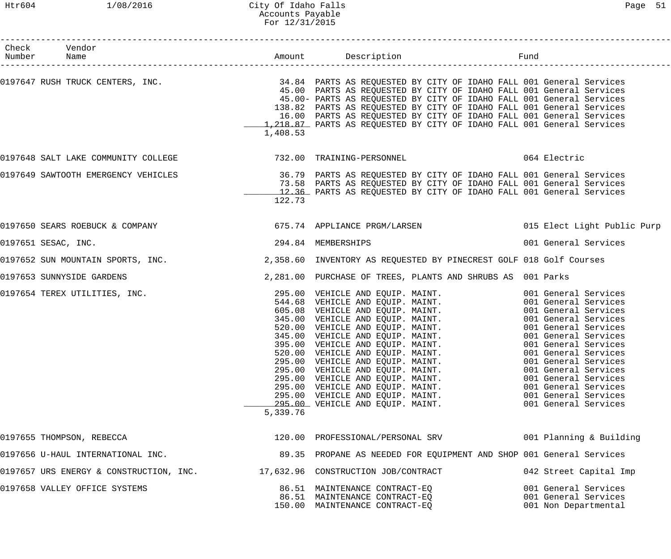# Htr604 1/08/2016 City Of Idaho Falls Page 51 Accounts Payable For 12/31/2015

| Check Vendor<br>Number Name                                                 |                    |                                                                                                                                                                                                                                                                                                                                                                                                                                                                                                                      |                                                                      |
|-----------------------------------------------------------------------------|--------------------|----------------------------------------------------------------------------------------------------------------------------------------------------------------------------------------------------------------------------------------------------------------------------------------------------------------------------------------------------------------------------------------------------------------------------------------------------------------------------------------------------------------------|----------------------------------------------------------------------|
|                                                                             | 1,408.53           | 0197647 RUSH TRUCK CENTERS, INC.                               34.84  PARTS AS REQUESTED BY CITY OF IDAHO FALL 001 General Services<br>45.00  PARTS AS REQUESTED BY CITY OF IDAHO FALL 001 General Services<br>45.00- PARTS AS REQUESTED BY CITY OF IDAHO FALL 001 General Services<br>138.82 PARTS AS REQUESTED BY CITY OF IDAHO FALL 001 General Services<br>16.00 PARTS AS REQUESTED BY CITY OF IDAHO FALL 001 General Services<br>1,218.87 PARTS AS REQUESTED BY CITY OF IDAHO FALL 001 General Services         |                                                                      |
|                                                                             |                    | 0197648 SALT LAKE COMMUNITY COLLEGE 6 732.00 TRAINING-PERSONNEL 6 739.00 TRAINING PERSONNEL                                                                                                                                                                                                                                                                                                                                                                                                                          |                                                                      |
|                                                                             | 122.73             | 0197649 SAWTOOTH EMERGENCY VEHICLES TO THE REAST ON SALLY STARTS AS REQUESTED BY CITY OF IDAHO FALL 001 General Services<br>73.58 PARTS AS REQUESTED BY CITY OF IDAHO FALL 001 General Services<br>12.36 PARTS AS REQUESTED BY CITY OF IDAHO FALL 001 General Services                                                                                                                                                                                                                                               |                                                                      |
|                                                                             |                    | 0197650 SEARS ROEBUCK & COMPANY                                     675.74 APPLIANCE PRGM/LARSEN                           015 Elect Light Public Purp                                                                                                                                                                                                                                                                                                                                                               |                                                                      |
| 0197651 SESAC, INC.                                                         | 294.84 MEMBERSHIPS |                                                                                                                                                                                                                                                                                                                                                                                                                                                                                                                      | 001 General Services                                                 |
|                                                                             |                    |                                                                                                                                                                                                                                                                                                                                                                                                                                                                                                                      |                                                                      |
| 0197653 SUNNYSIDE GARDENS                                                   |                    | 2,281.00 PURCHASE OF TREES, PLANTS AND SHRUBS AS 001 Parks                                                                                                                                                                                                                                                                                                                                                                                                                                                           |                                                                      |
| 0197654 TEREX UTILITIES, INC.                                               | 5,339.76           | 295.00 VEHICLE AND EQUIP. MAINT.<br>295.00 VEHICLE AND EQUIP. MAINT. 001 General Services<br>605.08 VEHICLE AND EQUIP. MAINT. 001 General Services<br>345.00 VEHICLE AND EQUIP. MAINT. 001 General Services<br>520.00 VEHICLE AND EQUIP. MAINT. 001 General Services<br>34<br>520.00 VEHICLE AND EQUIP. MAINT. 001 General Services<br>295.00 VEHICLE AND EQUIP. MAINT. 001 General Services<br>295.00 VEHICLE AND EQUIP. MAINT. 001 General Services<br>295.00 VEHICLE AND EQUIP. MAINT. 001 General Services<br>29 | 001 General Services                                                 |
| 0197655 THOMPSON, REBECCA                                                   |                    | 120.00 PROFESSIONAL/PERSONAL SRV 601 Planning & Building                                                                                                                                                                                                                                                                                                                                                                                                                                                             |                                                                      |
| 0197656 U-HAUL INTERNATIONAL INC.                                           |                    | 89.35 PROPANE AS NEEDED FOR EQUIPMENT AND SHOP 001 General Services                                                                                                                                                                                                                                                                                                                                                                                                                                                  |                                                                      |
| 0197657 URS ENERGY & CONSTRUCTION, INC. 47,632.96 CONSTRUCTION JOB/CONTRACT |                    |                                                                                                                                                                                                                                                                                                                                                                                                                                                                                                                      | 042 Street Capital Imp                                               |
| 0197658 VALLEY OFFICE SYSTEMS                                               |                    | 86.51 MAINTENANCE CONTRACT-EQ<br>86.51 MAINTENANCE CONTRACT-EQ<br>150.00 MAINTENANCE CONTRACT-EQ                                                                                                                                                                                                                                                                                                                                                                                                                     | 001 General Services<br>001 General Services<br>001 Non Departmental |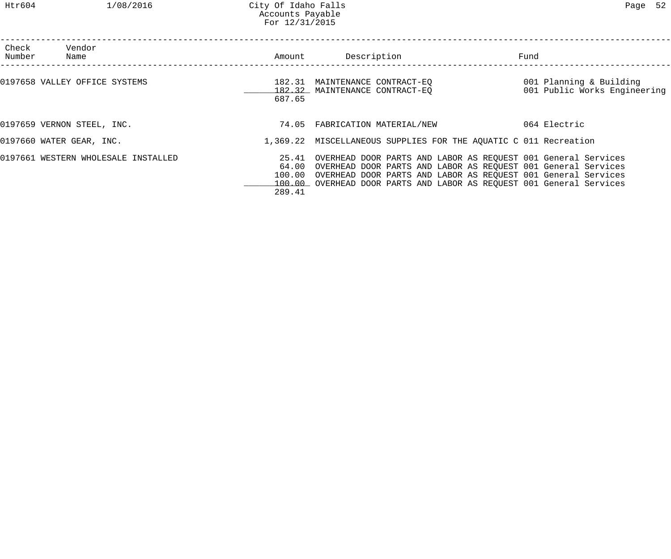| Check<br>Number | Vendor<br>Name                      | Amount                    | Description                                                                                                                                                                                                                                                                   | Fund                                                    |
|-----------------|-------------------------------------|---------------------------|-------------------------------------------------------------------------------------------------------------------------------------------------------------------------------------------------------------------------------------------------------------------------------|---------------------------------------------------------|
|                 | 0197658 VALLEY OFFICE SYSTEMS       | 687.65                    | 182.31 MAINTENANCE CONTRACT-EO<br>182.32 MAINTENANCE CONTRACT-EQ                                                                                                                                                                                                              | 001 Planning & Building<br>001 Public Works Engineering |
|                 | 0197659 VERNON STEEL, INC.          | 74.05                     | FABRICATION MATERIAL/NEW                                                                                                                                                                                                                                                      | 064 Electric                                            |
|                 | 0197660 WATER GEAR, INC.            |                           | 1,369.22 MISCELLANEOUS SUPPLIES FOR THE AQUATIC C 011 Recreation                                                                                                                                                                                                              |                                                         |
|                 | 0197661 WESTERN WHOLESALE INSTALLED | 64.00<br>100.00<br>289.41 | 25.41 OVERHEAD DOOR PARTS AND LABOR AS REQUEST 001 General Services<br>OVERHEAD DOOR PARTS AND LABOR AS REQUEST 001 General Services<br>OVERHEAD DOOR PARTS AND LABOR AS REQUEST 001 General Services<br>100.00 OVERHEAD DOOR PARTS AND LABOR AS REQUEST 001 General Services |                                                         |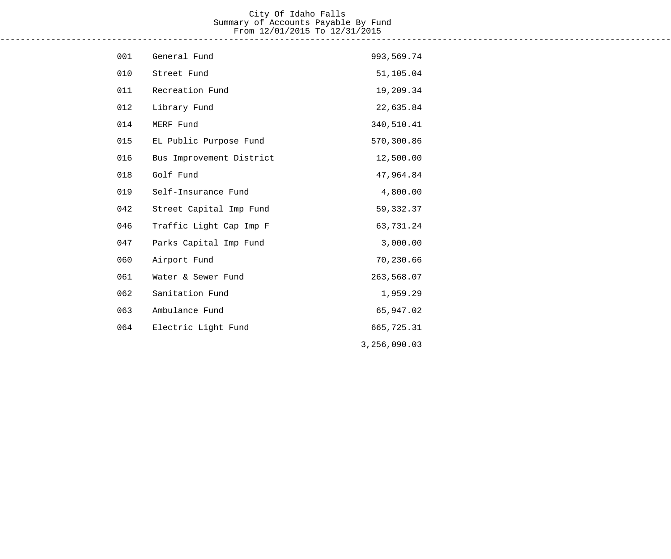### City Of Idaho Falls Summary of Accounts Payable By Fund From 12/01/2015 To 12/31/2015 ------------------------------------------------------------------------------------------------------------------------------------

| 001 | General Fund             | 993,569.74   |
|-----|--------------------------|--------------|
| 010 | Street Fund              | 51,105.04    |
| 011 | Recreation Fund          | 19,209.34    |
| 012 | Library Fund             | 22,635.84    |
| 014 | MERF Fund                | 340,510.41   |
| 015 | EL Public Purpose Fund   | 570,300.86   |
| 016 | Bus Improvement District | 12,500.00    |
| 018 | Golf Fund                | 47,964.84    |
| 019 | Self-Insurance Fund      | 4,800.00     |
| 042 | Street Capital Imp Fund  | 59, 332.37   |
| 046 | Traffic Light Cap Imp F  | 63,731.24    |
| 047 | Parks Capital Imp Fund   | 3,000.00     |
| 060 | Airport Fund             | 70,230.66    |
| 061 | Water & Sewer Fund       | 263,568.07   |
| 062 | Sanitation Fund          | 1,959.29     |
| 063 | Ambulance Fund           | 65,947.02    |
| 064 | Electric Light Fund      | 665,725.31   |
|     |                          | 3,256,090.03 |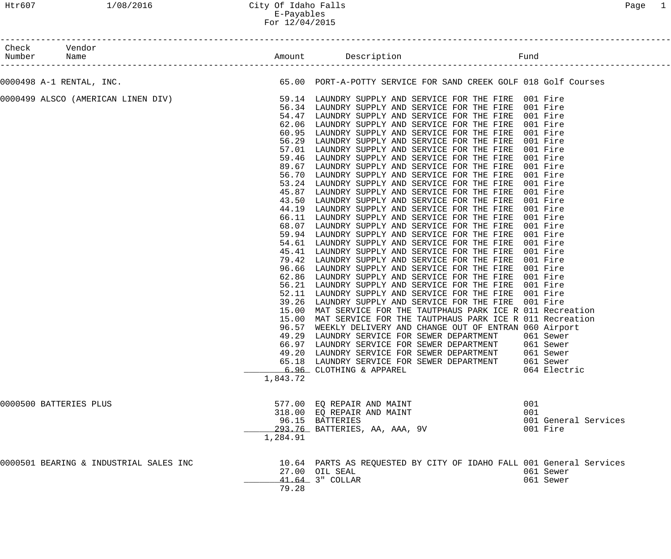# Htr607 1/08/2016 City Of Idaho Falls Page 1 E-Payables For 12/04/2015

| Number Name | Check Vendor                                                                                                                                                    |                                                                                                                                                                                                             |                                                                                                                                                                                                                                                                                                                                                                                                                                                                                                                                                                                                                                                                                                                                                                                                                                                                                                                                                                                                                                                                                                                                                                                                                                                                                                                                                                                         |                                                                                                                                                                                                                                                                                               |
|-------------|-----------------------------------------------------------------------------------------------------------------------------------------------------------------|-------------------------------------------------------------------------------------------------------------------------------------------------------------------------------------------------------------|-----------------------------------------------------------------------------------------------------------------------------------------------------------------------------------------------------------------------------------------------------------------------------------------------------------------------------------------------------------------------------------------------------------------------------------------------------------------------------------------------------------------------------------------------------------------------------------------------------------------------------------------------------------------------------------------------------------------------------------------------------------------------------------------------------------------------------------------------------------------------------------------------------------------------------------------------------------------------------------------------------------------------------------------------------------------------------------------------------------------------------------------------------------------------------------------------------------------------------------------------------------------------------------------------------------------------------------------------------------------------------------------|-----------------------------------------------------------------------------------------------------------------------------------------------------------------------------------------------------------------------------------------------------------------------------------------------|
|             | 0000498 A-1 RENTAL, INC.                                                                                                                                        |                                                                                                                                                                                                             | 65.00 PORT-A-POTTY SERVICE FOR SAND CREEK GOLF 018 Golf Courses                                                                                                                                                                                                                                                                                                                                                                                                                                                                                                                                                                                                                                                                                                                                                                                                                                                                                                                                                                                                                                                                                                                                                                                                                                                                                                                         |                                                                                                                                                                                                                                                                                               |
|             | 0000499 ALSCO (AMERICAN LINEN DIV)             59.14 LAUNDRY SUPPLY AND SERVICE FOR THE FIRE 001 Fire<br>56.34 LAUNDRY SUPPLY AND SERVICE FOR THE FIRE 001 Fire | 54.47<br>62.06<br>60.95<br>56.29<br>57.01<br>59.46<br>89.67<br>56.70<br>53.24<br>45.87<br>43.50<br>44.19<br>68.07<br>59.94<br>96.66<br>62.86<br>56.21<br>52.11<br>39.26<br>15.00<br>15.00<br>96.57<br>49.29 | LAUNDRY SUPPLY AND SERVICE FOR THE FIRE<br>LAUNDRY SUPPLY AND SERVICE FOR THE FIRE<br>LAUNDRY SUPPLY AND SERVICE FOR THE FIRE<br>LAUNDRY SUPPLY AND SERVICE FOR THE FIRE<br>LAUNDRY SUPPLY AND SERVICE FOR THE FIRE<br>LAUNDRY SUPPLY AND SERVICE FOR THE FIRE<br>LAUNDRY SUPPLY AND SERVICE FOR THE FIRE<br>LAUNDRY SUPPLY AND SERVICE FOR THE FIRE<br>LAUNDRY SUPPLY AND SERVICE FOR THE FIRE<br>LAUNDRY SUPPLY AND SERVICE FOR THE FIRE<br>LAUNDRY SUPPLY AND SERVICE FOR THE FIRE<br>LAUNDRY SUPPLY AND SERVICE FOR THE FIRE<br>66.11 LAUNDRY SUPPLY AND SERVICE FOR THE FIRE<br>LAUNDRY SUPPLY AND SERVICE FOR THE FIRE<br>LAUNDRY SUPPLY AND SERVICE FOR THE FIRE<br>54.61 LAUNDRY SUPPLY AND SERVICE FOR THE FIRE<br>45.41 LAUNDRY SUPPLY AND SERVICE FOR THE FIRE<br>79.42 LAUNDRY SUPPLY AND SERVICE FOR THE FIRE<br>LAUNDRY SUPPLY AND SERVICE FOR THE FIRE<br>LAUNDRY SUPPLY AND SERVICE FOR THE FIRE<br>LAUNDRY SUPPLY AND SERVICE FOR THE FIRE<br>LAUNDRY SUPPLY AND SERVICE FOR THE FIRE<br>LAUNDRY SUPPLY AND SERVICE FOR THE FIRE<br>MAT SERVICE FOR THE TAUTPHAUS PARK ICE R 011 Recreation<br>MAT SERVICE FOR THE TAUTPHAUS PARK ICE R 011 Recreation<br>WEEKLY DELIVERY AND CHANGE OUT OF ENTRAN 060 Airport<br>LAUNDRY SERVICE FOR SEWER DEPARTMENT 061 Sewer<br>66.97 LAUNDRY SERVICE FOR SEWER DEPARTMENT<br>49.20 LAUNDRY SERVICE FOR SEWER DEPARTMENT 061 Sewer | 001 Fire<br>001 Fire<br>001 Fire<br>001 Fire<br>001 Fire<br>001 Fire<br>001 Fire<br>001 Fire<br>001 Fire<br>001 Fire<br>001 Fire<br>001 Fire<br>001 Fire<br>001 Fire<br>001 Fire<br>001 Fire<br>001 Fire<br>001 Fire<br>001 Fire<br>001 Fire<br>001 Fire<br>001 Fire<br>001 Fire<br>061 Sewer |
|             | 0000500 BATTERIES PLUS<br>0000501 BEARING & INDUSTRIAL SALES INC                                                                                                | 1,843.72<br>1,284.91                                                                                                                                                                                        | 65.18 LAUNDRY SERVICE FOR SEWER DEPARTMENT<br>6.96 CLOTHING & APPAREL<br>577.00 EQ REPAIR AND MAINT<br>318.00 EQ REPAIR AND MAINT<br>96.15 BATTERIES<br>293.76 BATTERIES, AA, AAA, 9V<br>10.64 PARTS AS REQUESTED BY CITY OF IDAHO FALL 001 General Services                                                                                                                                                                                                                                                                                                                                                                                                                                                                                                                                                                                                                                                                                                                                                                                                                                                                                                                                                                                                                                                                                                                            | 061 Sewer<br>064 Electric<br>001<br>001<br>001 General Services<br>001 Fire                                                                                                                                                                                                                   |
|             |                                                                                                                                                                 | 79.28                                                                                                                                                                                                       | 27.00 OIL SEAL<br>41.64 3" COLLAR                                                                                                                                                                                                                                                                                                                                                                                                                                                                                                                                                                                                                                                                                                                                                                                                                                                                                                                                                                                                                                                                                                                                                                                                                                                                                                                                                       | 061 Sewer<br>061 Sewer                                                                                                                                                                                                                                                                        |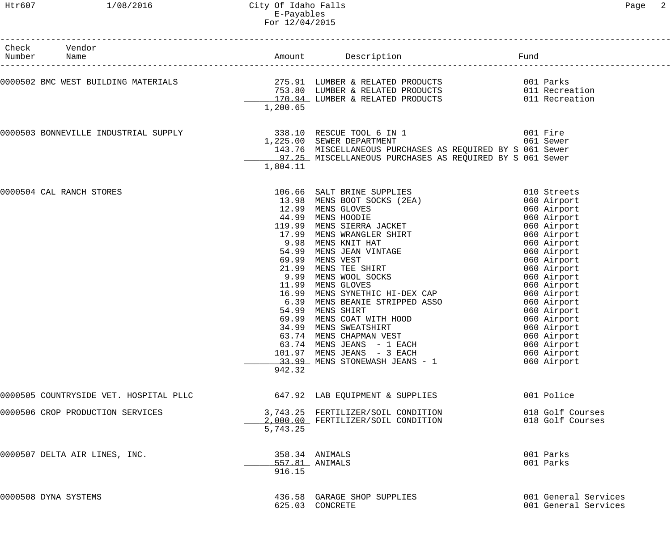| 1/08/2016<br>Htr607                                                                                                                                                                                         | City Of Idaho Falls<br>E-Payables<br>For 12/04/2015                          |                                                                                                                                                                                                                                                                                                                                                                                                                                                                                                                                |                                                                                                                                                                                                                                                                                                                         | 2<br>Page |
|-------------------------------------------------------------------------------------------------------------------------------------------------------------------------------------------------------------|------------------------------------------------------------------------------|--------------------------------------------------------------------------------------------------------------------------------------------------------------------------------------------------------------------------------------------------------------------------------------------------------------------------------------------------------------------------------------------------------------------------------------------------------------------------------------------------------------------------------|-------------------------------------------------------------------------------------------------------------------------------------------------------------------------------------------------------------------------------------------------------------------------------------------------------------------------|-----------|
| Vendor<br>Check<br>Number<br>Name                                                                                                                                                                           |                                                                              | Amount Description                                                                                                                                                                                                                                                                                                                                                                                                                                                                                                             | Fund                                                                                                                                                                                                                                                                                                                    |           |
| 0000502 BMC WEST BUILDING MATERIALS <b>1999 12000000 12000 12000</b> 275.91 LUMBER & RELATED PRODUCTS<br>753.80 LUMBER & RELATED PRODUCTS 011 Recreation<br>170.94 LUMBER & RELATED PRODUCTS 011 Recreation | 1,200.65                                                                     | 753.80 LUMBER & RELATED PRODUCTS<br>170.94 LUMBER & RELATED PRODUCTS                                                                                                                                                                                                                                                                                                                                                                                                                                                           |                                                                                                                                                                                                                                                                                                                         |           |
| 0000503 BONNEVILLE INDUSTRIAL SUPPLY                                                                                                                                                                        | 1,804.11                                                                     | 338.10 RESCUE TOOL 6 IN 1<br>1,225.00 SEWER DEPARTMENT<br>143.76 MISCELLANEOUS PURCHASES AS REQUIRED BY S 061 Sewer<br>97.25 MISCELLANEOUS PURCHASES AS REQUIRED BY S 061 Sewer                                                                                                                                                                                                                                                                                                                                                | 001 Fire<br>061 Sewer                                                                                                                                                                                                                                                                                                   |           |
| 0000504 CAL RANCH STORES                                                                                                                                                                                    | 17.99<br>9.98<br>54.99<br>69.99<br>21.99<br>9.99<br>11.99<br>54.99<br>942.32 | 106.66 SALT BRINE SUPPLIES<br>13.98 MENS BOOT SOCKS (2EA)<br>12.99 MENS GLOVES<br>44.99 MENS HOODIE<br>119.99 MENS SIERRA JACKET<br>MENS WRANGLER SHIRT<br>MENS KNIT HAT<br>MENS JEAN VINTAGE<br>MENS VEST<br>MENS TEE SHIRT<br>MENS WOOL SOCKS<br>MENS GLOVES<br>16.99 MENS SYNETHIC HI-DEX CAP<br>6.39 MENS BEANIE STRIPPED ASSO<br>MENS SHIRT<br>69.99 MENS COAT WITH HOOD<br>34.99 MENS SWEATSHIRT<br>63.74 MENS CHAPMAN VEST<br>63.74 MENS JEANS - 1 EACH<br>101.97 MENS JEANS - 3 EACH<br>33.99 MENS STONEWASH JEANS - 1 | 010 Streets<br>060 Airport<br>060 Airport<br>060 Airport<br>060 Airport<br>060 Airport<br>060 Airport<br>060 Airport<br>060 Airport<br>060 Airport<br>060 Airport<br>060 Airport<br>060 Airport<br>060 Airport<br>060 Airport<br>060 Airport<br>060 Airport<br>060 Airport<br>060 Airport<br>060 Airport<br>060 Airport |           |
| 0000505 COUNTRYSIDE VET. HOSPITAL PLLC                                                                                                                                                                      |                                                                              | 647.92 LAB EQUIPMENT & SUPPLIES                                                                                                                                                                                                                                                                                                                                                                                                                                                                                                | 001 Police                                                                                                                                                                                                                                                                                                              |           |
| 0000506 CROP PRODUCTION SERVICES                                                                                                                                                                            | 5,743.25                                                                     | 3,743.25 FERTILIZER/SOIL CONDITION<br>2,000.00 FERTILIZER/SOIL CONDITION                                                                                                                                                                                                                                                                                                                                                                                                                                                       | 018 Golf Courses<br>018 Golf Courses                                                                                                                                                                                                                                                                                    |           |

| 0000507 DELTA AIR LINES, INC. | 358.34 ANIMALS<br>557.81 ANIMALS<br>916.15        | 001 Parks<br>001 Parks                       |
|-------------------------------|---------------------------------------------------|----------------------------------------------|
| 0000508 DYNA SYSTEMS          | 436.58 GARAGE SHOP SUPPLIES<br>625.03<br>CONCRETE | 001 General Services<br>001 General Services |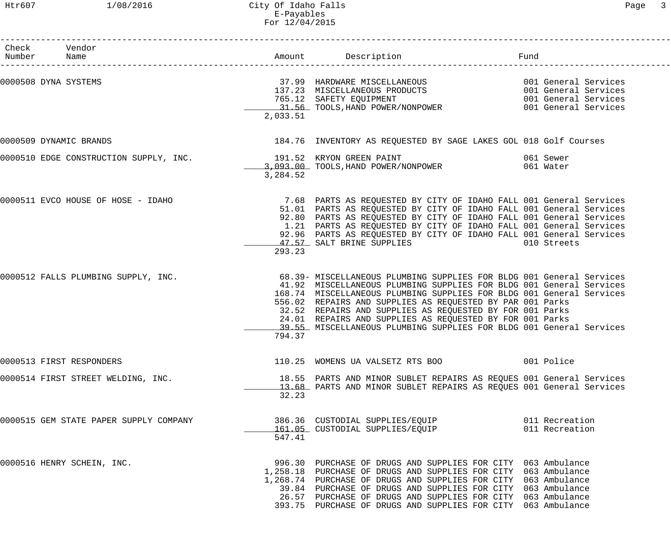| Check Vendor<br>Number Name            |          | Amount Description                                                                                                                                                                                                                                                                                                                                                                                                                                                              | Fund        |
|----------------------------------------|----------|---------------------------------------------------------------------------------------------------------------------------------------------------------------------------------------------------------------------------------------------------------------------------------------------------------------------------------------------------------------------------------------------------------------------------------------------------------------------------------|-------------|
| 0000508 DYNA SYSTEMS                   | 2,033.51 | 37.99 HARDWARE MISCELLANEOUS 001 General Services<br>137.23 MISCELLANEOUS PRODUCTS 001 General Services<br>765.12 SAFETY EQUIPMENT 001 General Services<br>31.56 TOOLS,HAND POWER/NONPOWER 001 General Services                                                                                                                                                                                                                                                                 |             |
| 0000509 DYNAMIC BRANDS                 |          | 184.76 INVENTORY AS REQUESTED BY SAGE LAKES GOL 018 Golf Courses                                                                                                                                                                                                                                                                                                                                                                                                                |             |
| 0000510 EDGE CONSTRUCTION SUPPLY, INC. | 3,284.52 | 191.52 KRYON GREEN PAINT<br>3,093.00 TOOLS, HAND POWER/NONPOWER 061 Water                                                                                                                                                                                                                                                                                                                                                                                                       |             |
|                                        | 293.23   | 0000511 EVCO HOUSE OF HOSE - IDAHO 30 100 100 1000 7.68 PARTS AS REQUESTED BY CITY OF IDAHO FALL 001 General Services<br>51.01 PARTS AS REQUESTED BY CITY OF IDAHO FALL 001 General Services<br>92.80 PARTS AS REQUESTED BY CITY OF IDAHO FALL 001 General Services<br>1.21 PARTS AS REQUESTED BY CITY OF IDAHO FALL 001 General Services<br>92.96 PARTS AS REQUESTED BY CITY OF IDAHO FALL 001 General Services<br>47.57 SALT BRINE SUPPLIES                                   | 010 Streets |
| 0000512 FALLS PLUMBING SUPPLY, INC.    | 794.37   | 68.39- MISCELLANEOUS PLUMBING SUPPLIES FOR BLDG 001 General Services<br>41.92 MISCELLANEOUS PLUMBING SUPPLIES FOR BLDG 001 General Services<br>168.74 MISCELLANEOUS PLUMBING SUPPLIES FOR BLDG 001 General Services<br>556.02 REPAIRS AND SUPPLIES AS REQUESTED BY PAR 001 Parks<br>32.52 REPAIRS AND SUPPLIES AS REQUESTED BY FOR 001 Parks<br>24.01 REPAIRS AND SUPPLIES AS REQUESTED BY FOR 001 Parks<br>39.55 MISCELLANEOUS PLUMBING SUPPLIES FOR BLDG 001 General Services |             |
| 0000513 FIRST RESPONDERS               |          | 110.25 WOMENS UA VALSETZ RTS BOO 600 001 Police                                                                                                                                                                                                                                                                                                                                                                                                                                 |             |
| 0000514 FIRST STREET WELDING, INC.     | 32.23    | 18.55 PARTS AND MINOR SUBLET REPAIRS AS REQUES 001 General Services<br>13.68 PARTS AND MINOR SUBLET REPAIRS AS REQUES 001 General Services                                                                                                                                                                                                                                                                                                                                      |             |
| 0000515 GEM STATE PAPER SUPPLY COMPANY | 547.41   |                                                                                                                                                                                                                                                                                                                                                                                                                                                                                 |             |
| 0000516 HENRY SCHEIN, INC.             |          | 996.30 PURCHASE OF DRUGS AND SUPPLIES FOR CITY 063 Ambulance<br>1,258.18 PURCHASE OF DRUGS AND SUPPLIES FOR CITY 063 Ambulance<br>1,268.74 PURCHASE OF DRUGS AND SUPPLIES FOR CITY 063 Ambulance<br>39.84 PURCHASE OF DRUGS AND SUPPLIES FOR CITY 063 Ambulance<br>26.57 PURCHASE OF DRUGS AND SUPPLIES FOR CITY 063 Ambulance<br>393.75 PURCHASE OF DRUGS AND SUPPLIES FOR CITY 063 Ambulance                                                                                  |             |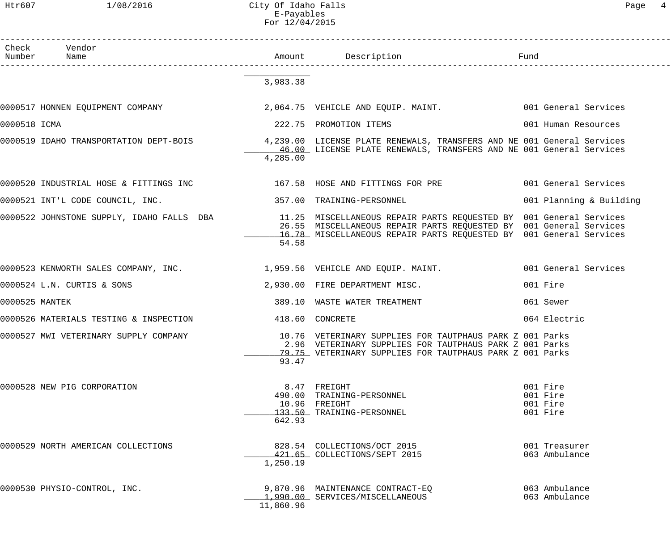Htr607 1/08/2016 City Of Idaho Falls Page 4 E-Payables For 12/04/2015

| $\sigma$<br>ำ<br>L |  |
|--------------------|--|
|--------------------|--|

|              | Check Vendor<br>Number Name                                                                                                                                                                    |           |                                                                                                                                                                                 |                                              |
|--------------|------------------------------------------------------------------------------------------------------------------------------------------------------------------------------------------------|-----------|---------------------------------------------------------------------------------------------------------------------------------------------------------------------------------|----------------------------------------------|
|              |                                                                                                                                                                                                | 3,983.38  |                                                                                                                                                                                 |                                              |
|              | 0000517 HONNEN EQUIPMENT COMPANY 2,064.75 VEHICLE AND EQUIP. MAINT. 001 General Services                                                                                                       |           |                                                                                                                                                                                 |                                              |
| 0000518 ICMA |                                                                                                                                                                                                |           | 222.75 PROMOTION ITEMS                                                                                                                                                          | 001 Human Resources                          |
|              | 0000519 IDAHO TRANSPORTATION DEPT-BOIS             4,239.00 LICENSE PLATE RENEWALS, TRANSFERS AND NE 001 General Services                                                                      | 4,285.00  | 46.00 LICENSE PLATE RENEWALS, TRANSFERS AND NE 001 General Services                                                                                                             |                                              |
|              | 0000520 INDUSTRIAL HOSE & FITTINGS INC                167.58 HOSE AND FITTINGS FOR PRE               001 General Services                                                                      |           |                                                                                                                                                                                 |                                              |
|              | 0000521 INT'L CODE COUNCIL, INC. 257.00 TRAINING-PERSONNEL                                                                                                                                     |           |                                                                                                                                                                                 | 001 Planning & Building                      |
|              | 0000522 JOHNSTONE SUPPLY, IDAHO FALLS DBA             11.25 MISCELLANEOUS REPAIR PARTS REQUESTED BY 001 General Services<br>26.55 MISCELLANEOUS REPAIR PARTS REQUESTED BY 001 General Services | 54.58     | 16.78 MISCELLANEOUS REPAIR PARTS REQUESTED BY 001 General Services                                                                                                              |                                              |
|              | 0000523 KENWORTH SALES COMPANY, INC. 1,959.56 VEHICLE AND EQUIP. MAINT. 001 General Services                                                                                                   |           |                                                                                                                                                                                 |                                              |
|              | 0000524 L.N. CURTIS & SONS                                                                                                                                                                     |           | 2,930.00 FIRE DEPARTMENT MISC.                                                                                                                                                  | 001 Fire                                     |
|              | 0000525 MANTEK                                                                                                                                                                                 |           | 389.10 WASTE WATER TREATMENT                                                                                                                                                    | 061 Sewer                                    |
|              | 0000526 MATERIALS TESTING & INSPECTION 418.60 CONCRETE                                                                                                                                         |           |                                                                                                                                                                                 | 064 Electric                                 |
|              | 0000527 MWI VETERINARY SUPPLY COMPANY                                                                                                                                                          | 93.47     | 10.76 VETERINARY SUPPLIES FOR TAUTPHAUS PARK Z 001 Parks<br>2.96 VETERINARY SUPPLIES FOR TAUTPHAUS PARK Z 001 Parks<br>79.75 VETERINARY SUPPLIES FOR TAUTPHAUS PARK Z 001 Parks |                                              |
|              | 0000528 NEW PIG CORPORATION                                                                                                                                                                    | 642.93    | 8.47 FREIGHT<br>490.00 TRAINING-PERSONNEL<br>10.96 FREIGHT<br>133.50 TRAINING-PERSONNEL                                                                                         | 001 Fire<br>001 Fire<br>001 Fire<br>001 Fire |
|              | 0000529 NORTH AMERICAN COLLECTIONS                                                                                                                                                             | 1,250.19  | 828.54 COLLECTIONS/OCT 2015<br>421.65 COLLECTIONS/SEPT 2015                                                                                                                     | 001 Treasurer<br>063 Ambulance               |
|              | 0000530 PHYSIO-CONTROL, INC.                                                                                                                                                                   | 11,860.96 | 9,870.96 MAINTENANCE CONTRACT-EQ<br>1,990.00 SERVICES/MISCELLANEOUS                                                                                                             | 063 Ambulance<br>063 Ambulance               |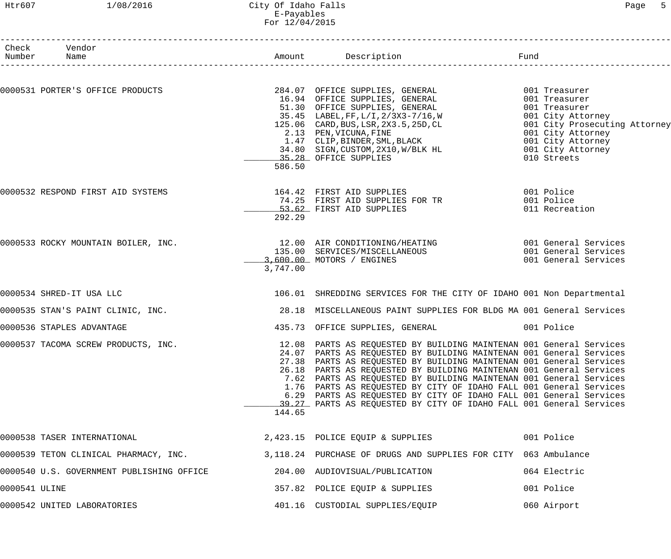# Htr607 1/08/2016 City Of Idaho Falls Page 5 E-Payables For 12/04/2015

|               | Check Vendor<br>Number Name                                                |          |                                                                                                                                                                                                                                                                                                                                                                                                                                                                                                                                                                                   |                                                                                                                                                   |
|---------------|----------------------------------------------------------------------------|----------|-----------------------------------------------------------------------------------------------------------------------------------------------------------------------------------------------------------------------------------------------------------------------------------------------------------------------------------------------------------------------------------------------------------------------------------------------------------------------------------------------------------------------------------------------------------------------------------|---------------------------------------------------------------------------------------------------------------------------------------------------|
|               |                                                                            |          |                                                                                                                                                                                                                                                                                                                                                                                                                                                                                                                                                                                   |                                                                                                                                                   |
|               |                                                                            | 586.50   | 0000531 PORTER'S OFFICE PRODUCTS 284.07 OFFICE SUPPLIES, GENERAL 6001 Treasurer<br>16.94 OFFICE SUPPLIES, GENERAL 6001 Treasurer<br>51.30 OFFICE SUPPLIES, GENERAL<br>35.45 LABEL,FF,L/I,2/3X3-7/16,W<br>125.06 CARD, BUS, LSR, 2X3.5, 25D, CL<br>2.13 PEN, VICUNA, FINE<br>1.47 CLIP, BINDER, SML, BLACK<br>34.80 SIGN, CUSTOM, 2X10, W/BLK HL<br>35.28 OFFICE SUPPLIES                                                                                                                                                                                                          | 001 Treasurer<br>001 City Attorney<br>001 City Prosecuting Attorney<br>001 City Attorney<br>001 City Attorney<br>001 City Attorney<br>010 Streets |
|               | 0000532 RESPOND FIRST AID SYSTEMS                                          | 292.29   | 164.42 FIRST AID SUPPLIES 001 Police<br>74.25 FIRST AID SUPPLIES FOR TR 001 Police<br>53.62 FIRST AID SUPPLIES                                                                                                                                                                                                                                                                                                                                                                                                                                                                    | 011 Recreation                                                                                                                                    |
|               |                                                                            | 3,747.00 | 0000533 ROCKY MOUNTAIN BOILER, INC. 12.00 AIR CONDITIONING/HEATING 60000533 ROCKY MOUNTAIN BOILER, INC.<br>135.00 SERVICES/MISCELLANEOUS 6001 General Services<br>3,600.00 MOTORS / ENGINES                                                                                                                                                                                                                                                                                                                                                                                       | 001 General Services                                                                                                                              |
|               | 0000534 SHRED-IT USA LLC                                                   |          | 106.01 SHREDDING SERVICES FOR THE CITY OF IDAHO 001 Non Departmental                                                                                                                                                                                                                                                                                                                                                                                                                                                                                                              |                                                                                                                                                   |
|               | 0000535 STAN'S PAINT CLINIC, INC.                                          |          | 28.18 MISCELLANEOUS PAINT SUPPLIES FOR BLDG MA 001 General Services                                                                                                                                                                                                                                                                                                                                                                                                                                                                                                               |                                                                                                                                                   |
|               | 0000536 STAPLES ADVANTAGE                                                  |          | 435.73 OFFICE SUPPLIES, GENERAL 6001 Police                                                                                                                                                                                                                                                                                                                                                                                                                                                                                                                                       |                                                                                                                                                   |
|               | 0000537 TACOMA SCREW PRODUCTS, INC.                                        | 144.65   | 12.08 PARTS AS REQUESTED BY BUILDING MAINTENAN 001 General Services<br>24.07 PARTS AS REQUESTED BY BUILDING MAINTENAN 001 General Services<br>27.38 PARTS AS REQUESTED BY BUILDING MAINTENAN 001 General Services<br>26.18 PARTS AS REQUESTED BY BUILDING MAINTENAN 001 General Services<br>7.62 PARTS AS REQUESTED BY BUILDING MAINTENAN 001 General Services<br>1.76 PARTS AS REQUESTED BY CITY OF IDAHO FALL 001 General Services<br>6.29 PARTS AS REQUESTED BY CITY OF IDAHO FALL 001 General Services<br>39.27 PARTS AS REQUESTED BY CITY OF IDAHO FALL 001 General Services |                                                                                                                                                   |
|               | 0000538 TASER INTERNATIONAL                                                |          | 2,423.15 POLICE EQUIP & SUPPLIES                                                                                                                                                                                                                                                                                                                                                                                                                                                                                                                                                  | 001 Police                                                                                                                                        |
|               | 0000539 TETON CLINICAL PHARMACY, INC.                                      |          | 3,118.24 PURCHASE OF DRUGS AND SUPPLIES FOR CITY 063 Ambulance                                                                                                                                                                                                                                                                                                                                                                                                                                                                                                                    |                                                                                                                                                   |
|               | 0000540 U.S. GOVERNMENT PUBLISHING OFFICE $204.00$ AUDIOVISUAL/PUBLICATION |          |                                                                                                                                                                                                                                                                                                                                                                                                                                                                                                                                                                                   | 064 Electric                                                                                                                                      |
| 0000541 ULINE |                                                                            |          | 357.82 POLICE EQUIP & SUPPLIES                                                                                                                                                                                                                                                                                                                                                                                                                                                                                                                                                    | 001 Police                                                                                                                                        |
|               | 0000542 UNITED LABORATORIES                                                |          | 401.16 CUSTODIAL SUPPLIES/EQUIP                                                                                                                                                                                                                                                                                                                                                                                                                                                                                                                                                   | 060 Airport                                                                                                                                       |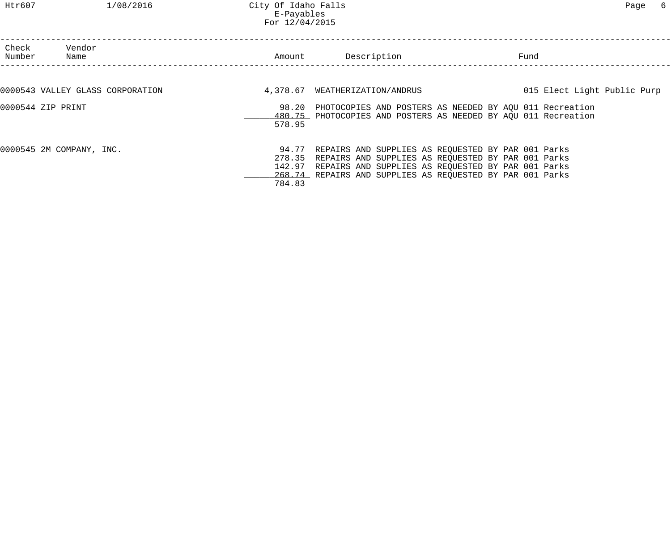Htr607 1/08/2016 City Of Idaho Falls Page 6 E-Payables For 12/04/2015

| Check<br>Number   | Vendor<br>Name                   | Amount                     | Description                                                                                                                                                                                                                       | Fund |                             |
|-------------------|----------------------------------|----------------------------|-----------------------------------------------------------------------------------------------------------------------------------------------------------------------------------------------------------------------------------|------|-----------------------------|
|                   | 0000543 VALLEY GLASS CORPORATION |                            | 4,378.67 WEATHERIZATION/ANDRUS                                                                                                                                                                                                    |      | 015 Elect Light Public Purp |
| 0000544 ZIP PRINT |                                  | 578.95                     | 98.20 PHOTOCOPIES AND POSTERS AS NEEDED BY AQU 011 Recreation<br>480.75 PHOTOCOPIES AND POSTERS AS NEEDED BY AOU 011 Recreation                                                                                                   |      |                             |
|                   | 0000545 2M COMPANY, INC.         | 278.35<br>142.97<br>784.83 | 94.77 REPAIRS AND SUPPLIES AS REQUESTED BY PAR 001 Parks<br>REPAIRS AND SUPPLIES AS REQUESTED BY PAR 001 Parks<br>REPAIRS AND SUPPLIES AS REQUESTED BY PAR 001 Parks<br>268.74 REPAIRS AND SUPPLIES AS REQUESTED BY PAR 001 Parks |      |                             |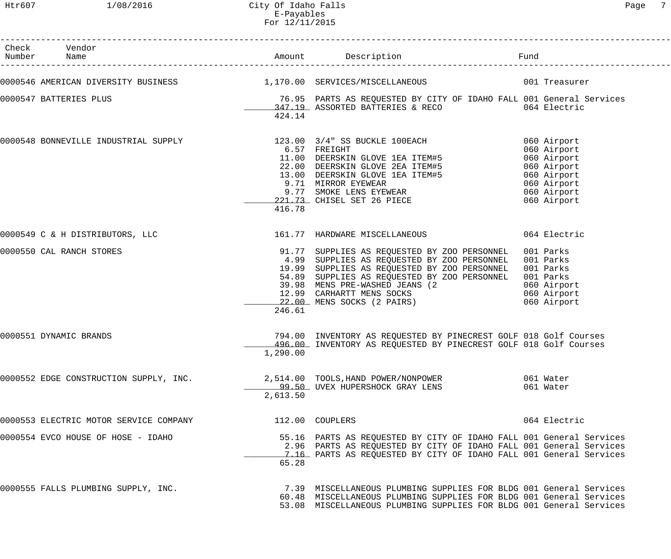| Check Vendor                           |          | Eund Fund<br>Number Name Mame Amount Description Fund Fund Fund Fund Pame Reserted Number Name                                                                                                                                                                                                                                         |                                     |
|----------------------------------------|----------|----------------------------------------------------------------------------------------------------------------------------------------------------------------------------------------------------------------------------------------------------------------------------------------------------------------------------------------|-------------------------------------|
|                                        |          | 0000546 AMERICAN DIVERSITY BUSINESS 1,170.00 SERVICES/MISCELLANEOUS 001 Treasurer                                                                                                                                                                                                                                                      |                                     |
| 0000547 BATTERIES PLUS                 | 424.14   | 76.95 PARTS AS REQUESTED BY CITY OF IDAHO FALL 001 General Services<br>347.19 ASSORTED BATTERIES & RECO 064 Electric                                                                                                                                                                                                                   |                                     |
|                                        | 416.78   |                                                                                                                                                                                                                                                                                                                                        |                                     |
|                                        |          |                                                                                                                                                                                                                                                                                                                                        |                                     |
| 0000550 CAL RANCH STORES               | 246.61   | 91.77 SUPPLIES AS REQUESTED BY ZOO PERSONNEL<br>4.99 SUPPLIES AS REQUESTED BY ZOO PERSONNEL 001 Parks<br>19.99 SUPPLIES AS REQUESTED BY ZOO PERSONNEL<br>54.89 SUPPLIES AS REQUESTED BY ZOO PERSONNEL<br>39.98 MENS PRE-WASHED JEANS (2 060 Airport<br>12.99 CARHARTT MENS SOCKS 060 Airport<br>22.00 MENS SOCKS (2 PAIRS) 060 Airport | 001 Parks<br>001 Parks<br>001 Parks |
| 0000551 DYNAMIC BRANDS                 | 1,290.00 | 794.00 INVENTORY AS REQUESTED BY PINECREST GOLF 018 Golf Courses<br>496.00 INVENTORY AS REQUESTED BY PINECREST GOLF 018 Golf Courses                                                                                                                                                                                                   |                                     |
| 0000552 EDGE CONSTRUCTION SUPPLY, INC. | 2,613.50 | 2,514.00 TOOLS, HAND POWER/NONPOWER<br><u>______99.50</u> __ UVEX_HUPERSHOCK_GRAY_LENS                                                                                                                                                                                                                                                 | 061 Water<br>061 Water              |
| 0000553 ELECTRIC MOTOR SERVICE COMPANY |          | 112.00 COUPLERS                                                                                                                                                                                                                                                                                                                        | 064 Electric                        |
| 0000554 EVCO HOUSE OF HOSE - IDAHO     | 65.28    | 55.16 PARTS AS REQUESTED BY CITY OF IDAHO FALL 001 General Services<br>2.96 PARTS AS REQUESTED BY CITY OF IDAHO FALL 001 General Services<br>7.16 PARTS AS REQUESTED BY CITY OF IDAHO FALL 001 General Services                                                                                                                        |                                     |
| 0000555 FALLS PLUMBING SUPPLY, INC.    |          | 7.39 MISCELLANEOUS PLUMBING SUPPLIES FOR BLDG 001 General Services<br>60.48 MISCELLANEOUS PLUMBING SUPPLIES FOR BLDG 001 General Services<br>53.08 MISCELLANEOUS PLUMBING SUPPLIES FOR BLDG 001 General Services                                                                                                                       |                                     |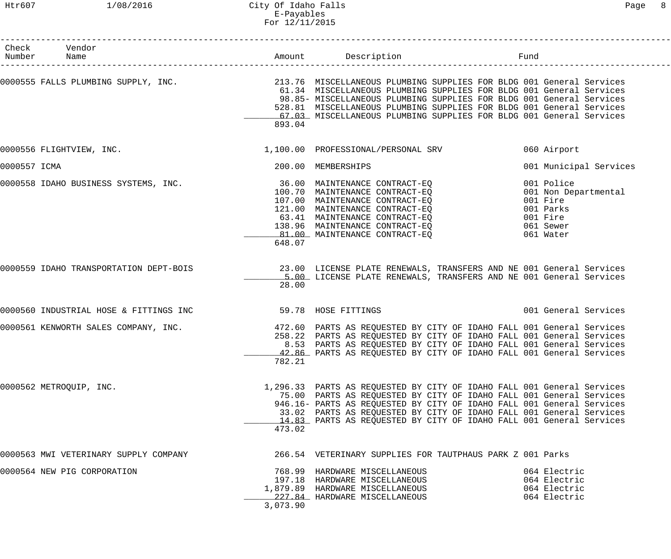|              | Check Vendor<br>Number Name                                                                                                                                                  |          | Amount Description                                                                                                                                                                                                                                                                                                                                                                                     | Fund                                                                                              |
|--------------|------------------------------------------------------------------------------------------------------------------------------------------------------------------------------|----------|--------------------------------------------------------------------------------------------------------------------------------------------------------------------------------------------------------------------------------------------------------------------------------------------------------------------------------------------------------------------------------------------------------|---------------------------------------------------------------------------------------------------|
|              |                                                                                                                                                                              |          |                                                                                                                                                                                                                                                                                                                                                                                                        |                                                                                                   |
|              |                                                                                                                                                                              | 893.04   | 0000555 FALLS PLUMBING SUPPLY, INC. 213.76 MISCELLANEOUS PLUMBING SUPPLIES FOR BLDG 001 General Services<br>61.34 MISCELLANEOUS PLUMBING SUPPLIES FOR BLDG 001 General Services<br>98.85- MISCELLANEOUS PLUMBING SUPPLIES FOR BLDG 001 General Services<br>528.81 MISCELLANEOUS PLUMBING SUPPLIES FOR BLDG 001 General Services<br>67.03 MISCELLANEOUS PLUMBING SUPPLIES FOR BLDG 001 General Services |                                                                                                   |
|              | 0000556 FLIGHTVIEW, INC.                                                                                                                                                     |          | 1,100.00 PROFESSIONAL/PERSONAL SRV                                                                                                                                                                                                                                                                                                                                                                     | 060 Airport                                                                                       |
| 0000557 ICMA |                                                                                                                                                                              |          | 200.00 MEMBERSHIPS                                                                                                                                                                                                                                                                                                                                                                                     | 001 Municipal Services                                                                            |
|              | 0000558 IDAHO BUSINESS SYSTEMS, INC.<br>100.70 MAINTENANCE CONTRACT-EQ<br>107.00 MAINTENANCE CONTRACT-EQ<br>107.00 MAINTENANCE CONTRACT-EQ<br>121.00 MAINTENANCE CONTRACT-EQ | 648.07   | 121.00 MAINTENANCE CONTRACT-EQ<br>63.41 MAINTENANCE CONTRACT-EQ<br>138.96 MAINTENANCE CONTRACT-EQ<br>81.00 MAINTENANCE CONTRACT-EO                                                                                                                                                                                                                                                                     | 001 Police<br>001 Non Departmental<br>001 Fire<br>001 Parks<br>001 Fire<br>061 Sewer<br>061 Water |
|              |                                                                                                                                                                              | 28.00    | 0000559 IDAHO TRANSPORTATION DEPT-BOIS 23.00 LICENSE PLATE RENEWALS, TRANSFERS AND NE 001 General Services<br>5.00 LICENSE PLATE RENEWALS, TRANSFERS AND NE 001 General Services                                                                                                                                                                                                                       |                                                                                                   |
|              | 0000560 INDUSTRIAL HOSE & FITTINGS INC 59.78 HOSE FITTINGS                                                                                                                   |          |                                                                                                                                                                                                                                                                                                                                                                                                        | 001 General Services                                                                              |
|              | 0000561 KENWORTH SALES COMPANY, INC.                                                                                                                                         | 782.21   | 472.60 PARTS AS REQUESTED BY CITY OF IDAHO FALL 001 General Services<br>258.22 PARTS AS REQUESTED BY CITY OF IDAHO FALL 001 General Services<br>8.53 PARTS AS REQUESTED BY CITY OF IDAHO FALL 001 General Services<br>42.86 PARTS AS REQUESTED BY CITY OF IDAHO FALL 001 General Services                                                                                                              |                                                                                                   |
|              | 0000562 METROQUIP, INC.                                                                                                                                                      | 473.02   | 1,296.33 PARTS AS REQUESTED BY CITY OF IDAHO FALL 001 General Services<br>75.00 PARTS AS REQUESTED BY CITY OF IDAHO FALL 001 General Services<br>946.16- PARTS AS REQUESTED BY CITY OF IDAHO FALL 001 General Services<br>33.02 PARTS AS REQUESTED BY CITY OF IDAHO FALL 001 General Services<br>14.83 PARTS AS REQUESTED BY CITY OF IDAHO FALL 001 General Services                                   |                                                                                                   |
|              | 0000563 MWI VETERINARY SUPPLY COMPANY                                                                                                                                        |          | 266.54 VETERINARY SUPPLIES FOR TAUTPHAUS PARK Z 001 Parks                                                                                                                                                                                                                                                                                                                                              |                                                                                                   |
|              | 0000564 NEW PIG CORPORATION                                                                                                                                                  | 3,073.90 | 768.99 HARDWARE MISCELLANEOUS<br>197.18 HARDWARE MISCELLANEOUS<br>1,879.89 HARDWARE MISCELLANEOUS<br>227.84 HARDWARE MISCELLANEOUS                                                                                                                                                                                                                                                                     | 064 Electric<br>064 Electric<br>064 Electric<br>064 Electric                                      |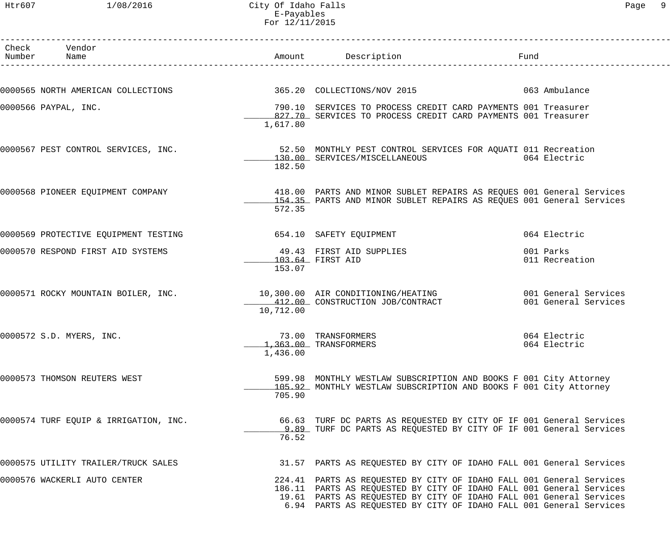Htr607 1/08/2016 City Of Idaho Falls Page 9 E-Payables For 12/11/2015

| Check Vendor<br>Number Name                                  |           | Amount Description                                                                                                                          | Fund                 |
|--------------------------------------------------------------|-----------|---------------------------------------------------------------------------------------------------------------------------------------------|----------------------|
|                                                              |           |                                                                                                                                             |                      |
| 0000565 NORTH AMERICAN COLLECTIONS                           |           | 365.20 COLLECTIONS/NOV 2015 063 Ambulance                                                                                                   |                      |
| 0000566 PAYPAL, INC.                                         |           | 790.10 SERVICES TO PROCESS CREDIT CARD PAYMENTS 001 Treasurer<br>827.70 SERVICES TO PROCESS CREDIT CARD PAYMENTS 001 Treasurer              |                      |
|                                                              | 1,617.80  |                                                                                                                                             |                      |
| 0000567 PEST CONTROL SERVICES, INC.                          |           | 52.50 MONTHLY PEST CONTROL SERVICES FOR AQUATI 011 Recreation<br>130.00 SERVICES/MISCELLANEOUS 064 Electric                                 |                      |
|                                                              | 182.50    |                                                                                                                                             |                      |
|                                                              |           | 0000568 PIONEER EQUIPMENT COMPANY 418.00 PARTS AND MINOR SUBLET REPAIRS AS REQUES 001 General Services                                      |                      |
|                                                              | 572.35    | 154.35 PARTS AND MINOR SUBLET REPAIRS AS REQUES 001 General Services                                                                        |                      |
| 0000569 PROTECTIVE EQUIPMENT TESTING 654.10 SAFETY EQUIPMENT |           |                                                                                                                                             | 064 Electric         |
| 0000570 RESPOND FIRST AID SYSTEMS                            |           | 49.43 FIRST AID SUPPLIES                                                                                                                    | 001 Parks            |
|                                                              | 153.07    | 103.64 FIRST AID                                                                                                                            | 011 Recreation       |
|                                                              |           | 0000571 ROCKY MOUNTAIN BOILER, INC. 10,300.00 AIR CONDITIONING/HEATING 60000571 ROCKY MOUNTAIN BOILER, INC.                                 |                      |
|                                                              | 10,712.00 | 412.00 CONSTRUCTION JOB/CONTRACT                                                                                                            | 001 General Services |
| 0000572 S.D. MYERS, INC.                                     |           | 73.00 TRANSFORMERS                                                                                                                          | 064 Electric         |
|                                                              | 1,436.00  | 1,363.00 TRANSFORMERS                                                                                                                       | 064 Electric         |
| 0000573 THOMSON REUTERS WEST                                 |           | 599.98 MONTHLY WESTLAW SUBSCRIPTION AND BOOKS F 001 City Attorney                                                                           |                      |
|                                                              | 705.90    | 105.92 MONTHLY WESTLAW SUBSCRIPTION AND BOOKS F 001 City Attorney                                                                           |                      |
| 0000574 TURF EQUIP & IRRIGATION, INC.                        |           | 66.63 TURF DC PARTS AS REQUESTED BY CITY OF IF 001 General Services                                                                         |                      |
|                                                              | 76.52     | 9.89 TURF DC PARTS AS REQUESTED BY CITY OF IF 001 General Services                                                                          |                      |
| 0000575 UTILITY TRAILER/TRUCK SALES                          |           | 31.57 PARTS AS REQUESTED BY CITY OF IDAHO FALL 001 General Services                                                                         |                      |
| 0000576 WACKERLI AUTO CENTER                                 |           | 224.41 PARTS AS REQUESTED BY CITY OF IDAHO FALL 001 General Services                                                                        |                      |
|                                                              |           | 186.11 PARTS AS REQUESTED BY CITY OF IDAHO FALL 001 General Services<br>19.61 PARTS AS REQUESTED BY CITY OF IDAHO FALL 001 General Services |                      |
|                                                              |           | 6.94 PARTS AS REQUESTED BY CITY OF IDAHO FALL 001 General Services                                                                          |                      |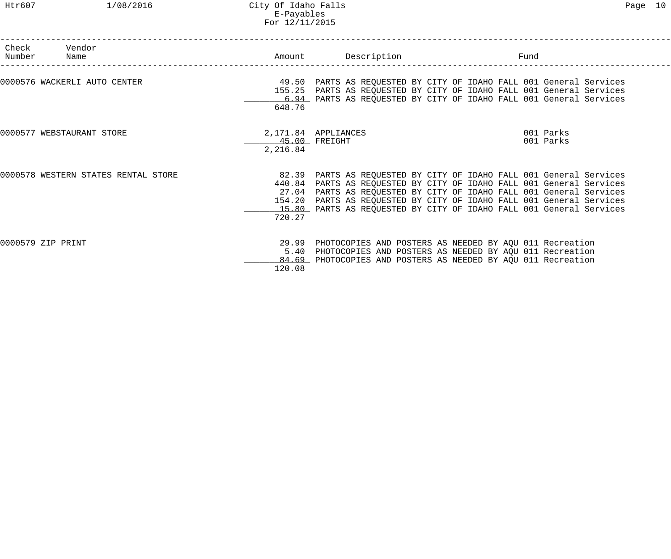| Check<br>Number | Vendor<br>Name                      |                            | Amount Description                                                                                                                                                                                                                                                                                                                                  | Fund |                        |
|-----------------|-------------------------------------|----------------------------|-----------------------------------------------------------------------------------------------------------------------------------------------------------------------------------------------------------------------------------------------------------------------------------------------------------------------------------------------------|------|------------------------|
|                 | 0000576 WACKERLI AUTO CENTER        | 648.76                     | 49.50 PARTS AS REQUESTED BY CITY OF IDAHO FALL 001 General Services<br>155.25 PARTS AS REQUESTED BY CITY OF IDAHO FALL 001 General Services<br>6.94 PARTS AS REQUESTED BY CITY OF IDAHO FALL 001 General Services                                                                                                                                   |      |                        |
|                 | 0000577 WEBSTAURANT STORE           | 2,216.84                   | 2,171.84 APPLIANCES<br>45.00 FREIGHT                                                                                                                                                                                                                                                                                                                |      | 001 Parks<br>001 Parks |
|                 | 0000578 WESTERN STATES RENTAL STORE | 440.84<br>154.20<br>720.27 | 82.39 PARTS AS REQUESTED BY CITY OF IDAHO FALL 001 General Services<br>PARTS AS REQUESTED BY CITY OF IDAHO FALL 001 General Services<br>27.04 PARTS AS REQUESTED BY CITY OF IDAHO FALL 001 General Services<br>PARTS AS REQUESTED BY CITY OF IDAHO FALL 001 General Services<br>15.80 PARTS AS REQUESTED BY CITY OF IDAHO FALL 001 General Services |      |                        |
|                 | 0000579 ZIP PRINT                   | 120.08                     | 29.99 PHOTOCOPIES AND POSTERS AS NEEDED BY AQU 011 Recreation<br>5.40 PHOTOCOPIES AND POSTERS AS NEEDED BY AQU 011 Recreation<br>84.69 PHOTOCOPIES AND POSTERS AS NEEDED BY AOU 011 Recreation                                                                                                                                                      |      |                        |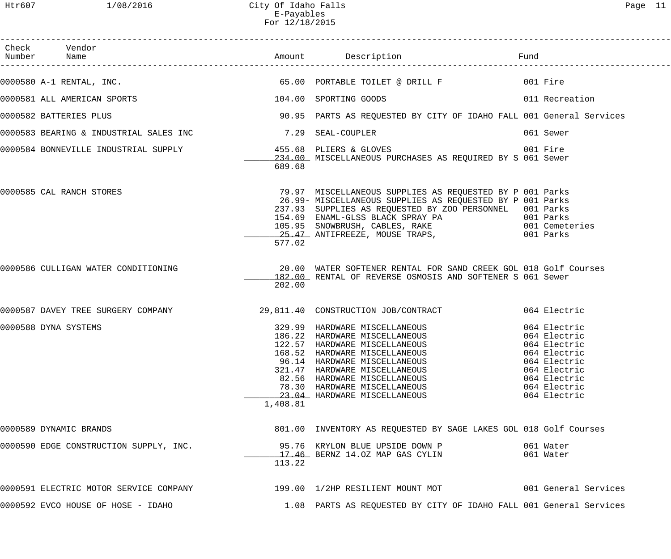| Check Vendor<br>Number Name                                                                                                       |          |                                                                                                                                                                                                                                                                                                                                                                                            |                                                                                              |
|-----------------------------------------------------------------------------------------------------------------------------------|----------|--------------------------------------------------------------------------------------------------------------------------------------------------------------------------------------------------------------------------------------------------------------------------------------------------------------------------------------------------------------------------------------------|----------------------------------------------------------------------------------------------|
|                                                                                                                                   |          |                                                                                                                                                                                                                                                                                                                                                                                            |                                                                                              |
| 0000581 ALL AMERICAN SPORTS 104.00 SPORTING GOODS 011 Recreation                                                                  |          |                                                                                                                                                                                                                                                                                                                                                                                            |                                                                                              |
| 0000582 BATTERIES PLUS                                                                                                            |          | 90.95 PARTS AS REQUESTED BY CITY OF IDAHO FALL 001 General Services                                                                                                                                                                                                                                                                                                                        |                                                                                              |
| 0000583 BEARING & INDUSTRIAL SALES INC                         7.29 SEAL-COUPLER                                                  |          |                                                                                                                                                                                                                                                                                                                                                                                            | 061 Sewer                                                                                    |
| 0000584 BONNEVILLE INDUSTRIAL SUPPLY 155.68 PLIERS & GLOVES 001 Fire<br>234.00 MISCELLANEOUS PURCHASES AS REQUIRED BY S 061 Sewer | 689.68   |                                                                                                                                                                                                                                                                                                                                                                                            |                                                                                              |
| 0000585 CAL RANCH STORES                                                                                                          | 577.02   | 79.97 MISCELLANEOUS SUPPLIES AS REQUESTED BY P 001 Parks<br>26.99- MISCELLANEOUS SUPPLIES AS REQUESTED BY P 001 Parks<br>237.93 SUPPLIES AS REQUESTED BY ZOO PERSONNEL 001 Parks                                                                                                                                                                                                           |                                                                                              |
| 0000586 CULLIGAN WATER CONDITIONING THE SOLUID MATER SOFTENER RENTAL FOR SAND CREEK GOL 018 Golf Courses                          | 202.00   | 182.00 RENTAL OF REVERSE OSMOSIS AND SOFTENER S 061 Sewer                                                                                                                                                                                                                                                                                                                                  |                                                                                              |
| 0000587 DAVEY TREE SURGERY COMPANY 29,811.40 CONSTRUCTION JOB/CONTRACT 064 Electric                                               |          |                                                                                                                                                                                                                                                                                                                                                                                            |                                                                                              |
| 0000588 DYNA SYSTEMS                                                                                                              | 1,408.81 | 329.99 HARDWARE MISCELLANEOUS (064 Electric<br>186.22 HARDWARE MISCELLANEOUS (064 Electric<br>122.57 HARDWARE MISCELLANEOUS (064 Electric<br>168.52 HARDWARE MISCELLANEOUS (064 Electric<br>168.52 HARDWARE MISCELLANEOUS<br>96.14 HARDWARE MISCELLANEOUS<br>321.47 HARDWARE MISCELLANEOUS<br>82.56 HARDWARE MISCELLANEOUS<br>78.30 HARDWARE MISCELLANEOUS<br>23.04 HARDWARE MISCELLANEOUS | 064 Electric<br>064 Electric<br>064 Electric<br>064 Electric<br>064 Electric<br>064 Electric |
| 0000589 DYNAMIC BRANDS                                                                                                            |          | 801.00 INVENTORY AS REQUESTED BY SAGE LAKES GOL 018 Golf Courses                                                                                                                                                                                                                                                                                                                           |                                                                                              |
| 0000590 EDGE CONSTRUCTION SUPPLY, INC.                                                                                            | 113.22   | 95.76 KRYLON BLUE UPSIDE DOWN P<br>17.46 BERNZ 14.0Z MAP GAS CYLIN                                                                                                                                                                                                                                                                                                                         | 061 Water<br>061 Water                                                                       |
| 0000591 ELECTRIC MOTOR SERVICE COMPANY 199.00 1/2HP RESILIENT MOUNT MOT 001 General Services                                      |          |                                                                                                                                                                                                                                                                                                                                                                                            |                                                                                              |
| 0000592 EVCO HOUSE OF HOSE - IDAHO                                                                                                |          | 1.08 PARTS AS REQUESTED BY CITY OF IDAHO FALL 001 General Services                                                                                                                                                                                                                                                                                                                         |                                                                                              |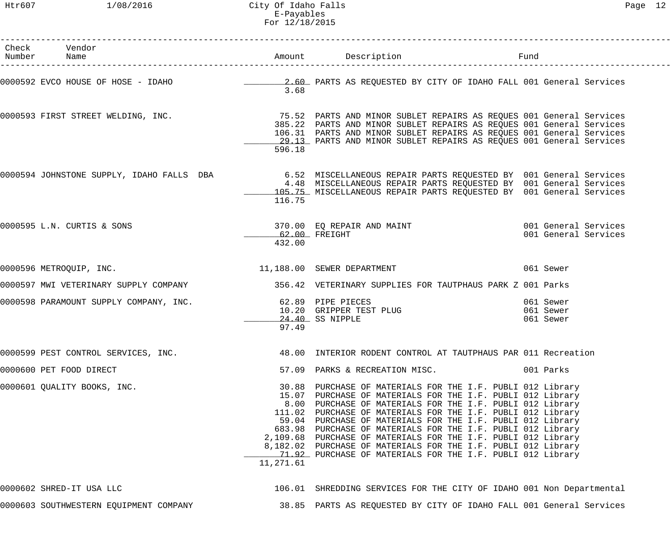Htr607 1/08/2016 City Of Idaho Falls Page 12 E-Payables For 12/18/2015

| Check Vendor<br>Number Name            |                            | Amount Description                                                                                                                                                                                                                                                                                                                                                                                                                                                                                                                                                                | Fund                                         |
|----------------------------------------|----------------------------|-----------------------------------------------------------------------------------------------------------------------------------------------------------------------------------------------------------------------------------------------------------------------------------------------------------------------------------------------------------------------------------------------------------------------------------------------------------------------------------------------------------------------------------------------------------------------------------|----------------------------------------------|
| 0000592 EVCO HOUSE OF HOSE - IDAHO     | 3.68                       | 2.60 PARTS AS REQUESTED BY CITY OF IDAHO FALL 001 General Services                                                                                                                                                                                                                                                                                                                                                                                                                                                                                                                |                                              |
|                                        | 596.18                     | 0000593 FIRST STREET WELDING, INC. THE SALE MANAGER 25.52 PARTS AND MINOR SUBLET REPAIRS AS REQUES 001 General Services<br>385.22 PARTS AND MINOR SUBLET REPAIRS AS REQUES 001 General Services<br>106.31 PARTS AND MINOR SUBLET REPAIRS AS REQUES 001 General Services<br>29.13 PARTS AND MINOR SUBLET REPAIRS AS REQUES 001 General Services                                                                                                                                                                                                                                    |                                              |
|                                        | 116.75                     | 0000594 JOHNSTONE SUPPLY, IDAHO FALLS DBA 1994 6.52 MISCELLANEOUS REPAIR PARTS REQUESTED BY 001 General Services<br>4.48 MISCELLANEOUS REPAIR PARTS REQUESTED BY 001 General Services<br>105.75 MISCELLANEOUS REPAIR PARTS REQUESTED BY 001 General Services                                                                                                                                                                                                                                                                                                                      |                                              |
| 0000595 L.N. CURTIS & SONS             | 62.00 FREIGHT<br>432.00    | 370.00 EQ REPAIR AND MAINT                                                                                                                                                                                                                                                                                                                                                                                                                                                                                                                                                        | 001 General Services<br>001 General Services |
| 0000596 METROQUIP, INC.                |                            | 11,188.00 SEWER DEPARTMENT                                                                                                                                                                                                                                                                                                                                                                                                                                                                                                                                                        | 061 Sewer                                    |
|                                        |                            | 0000597 MWI VETERINARY SUPPLY COMPANY 356.42 VETERINARY SUPPLIES FOR TAUTPHAUS PARK Z 001 Parks                                                                                                                                                                                                                                                                                                                                                                                                                                                                                   |                                              |
| 0000598 PARAMOUNT SUPPLY COMPANY, INC. | 62.89 PIPE PIECES<br>97.49 | 10.20 GRIPPER TEST PLUG<br>24.40 SS NIPPLE                                                                                                                                                                                                                                                                                                                                                                                                                                                                                                                                        | 061 Sewer<br>061 Sewer<br>061 Sewer          |
| 0000599 PEST CONTROL SERVICES, INC.    |                            | 48.00 INTERIOR RODENT CONTROL AT TAUTPHAUS PAR 011 Recreation                                                                                                                                                                                                                                                                                                                                                                                                                                                                                                                     |                                              |
| 0000600 PET FOOD DIRECT                | 57.09                      | PARKS & RECREATION MISC.                                                                                                                                                                                                                                                                                                                                                                                                                                                                                                                                                          | 001 Parks                                    |
| 0000601 QUALITY BOOKS, INC.            | 11,271.61                  | 30.88 PURCHASE OF MATERIALS FOR THE I.F. PUBLI 012 Library<br>15.07 PURCHASE OF MATERIALS FOR THE I.F. PUBLI 012 Library<br>8.00 PURCHASE OF MATERIALS FOR THE I.F. PUBLI 012 Library<br>111.02 PURCHASE OF MATERIALS FOR THE I.F. PUBLI 012 Library<br>59.04 PURCHASE OF MATERIALS FOR THE I.F. PUBLI 012 Library<br>683.98 PURCHASE OF MATERIALS FOR THE I.F. PUBLI 012 Library<br>2,109.68 PURCHASE OF MATERIALS FOR THE I.F. PUBLI 012 Library<br>8,182.02 PURCHASE OF MATERIALS FOR THE I.F. PUBLI 012 Library<br>71.92 PURCHASE OF MATERIALS FOR THE I.F. PUBLI 012 Library |                                              |
| 0000602 SHRED-IT USA LLC               |                            | 106.01 SHREDDING SERVICES FOR THE CITY OF IDAHO 001 Non Departmental                                                                                                                                                                                                                                                                                                                                                                                                                                                                                                              |                                              |
| 0000603 SOUTHWESTERN EQUIPMENT COMPANY |                            | 38.85 PARTS AS REQUESTED BY CITY OF IDAHO FALL 001 General Services                                                                                                                                                                                                                                                                                                                                                                                                                                                                                                               |                                              |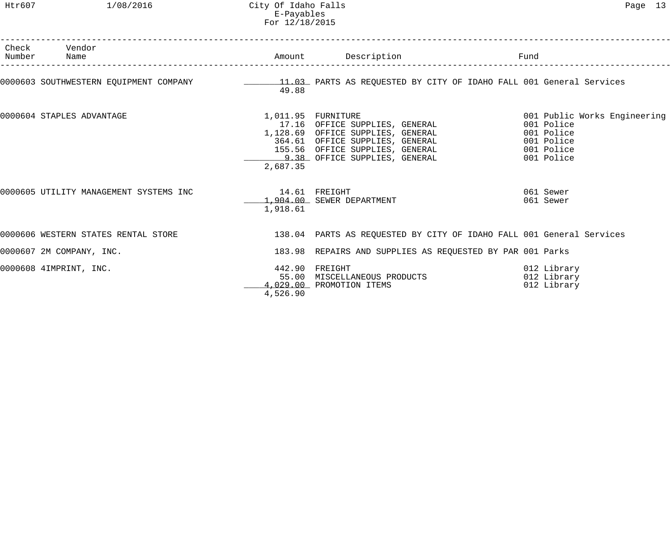| Number | Check Vendor<br>Name                   |                             | Amount Description                                                                                                                                    | Fund                                                                                               |
|--------|----------------------------------------|-----------------------------|-------------------------------------------------------------------------------------------------------------------------------------------------------|----------------------------------------------------------------------------------------------------|
|        |                                        | 49.88                       |                                                                                                                                                       |                                                                                                    |
|        | 0000604 STAPLES ADVANTAGE              | 2,687.35                    | 011.95   FURNITURE<br>17.16   OFFICE SUPPLIES,  GENERAL<br>1,011.95 FURNITURE<br>1,128.69 OFFICE SUPPLIES, GENERAL<br>364.61 OFFICE SUPPLIES, GENERAL | 001 Public Works Engineering<br>001 Police<br>001 Police<br>001 Police<br>001 Police<br>001 Police |
|        | 0000605 UTILITY MANAGEMENT SYSTEMS INC | $14.61$ FREIGHT<br>1,918.61 | 1,904.00 SEWER DEPARTMENT                                                                                                                             | 061 Sewer<br>061 Sewer                                                                             |
|        | 0000606 WESTERN STATES RENTAL STORE    |                             | 138.04 PARTS AS REQUESTED BY CITY OF IDAHO FALL 001 General Services                                                                                  |                                                                                                    |
|        | 0000607 2M COMPANY, INC.               |                             | 183.98 REPAIRS AND SUPPLIES AS REQUESTED BY PAR 001 Parks                                                                                             |                                                                                                    |
|        | 0000608 4IMPRINT, INC.                 | 4,526.90                    | 442.90 FREIGHT<br>55.00 MISCELLANEOUS PRODUCTS<br>4,029.00 PROMOTION ITEMS                                                                            | 012 Library<br>012 Library<br>012 Library                                                          |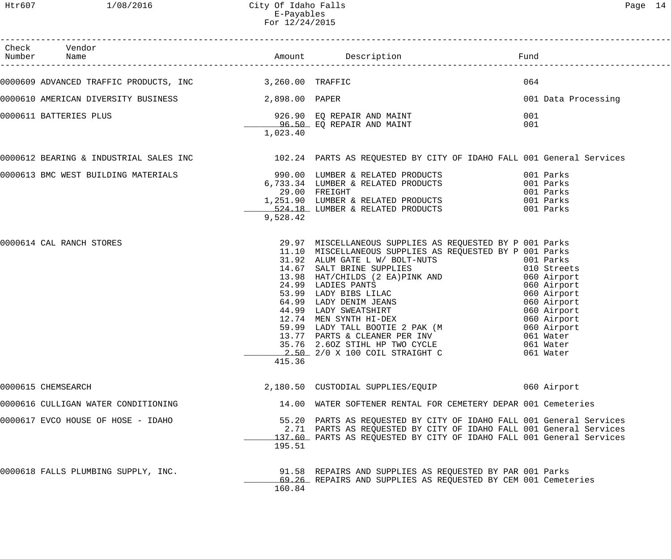Htr607 1/08/2016 City Of Idaho Falls Page 14 E-Payables For 12/24/2015

| Check Vendor<br>Number Name                             |          |                                                                                                                                                                                                                                                                                                                                                                                                        |                     |
|---------------------------------------------------------|----------|--------------------------------------------------------------------------------------------------------------------------------------------------------------------------------------------------------------------------------------------------------------------------------------------------------------------------------------------------------------------------------------------------------|---------------------|
| 0000609 ADVANCED TRAFFIC PRODUCTS, INC 3,260.00 TRAFFIC |          |                                                                                                                                                                                                                                                                                                                                                                                                        | 064                 |
| 0000610 AMERICAN DIVERSITY BUSINESS 2,898.00 PAPER      |          |                                                                                                                                                                                                                                                                                                                                                                                                        | 001 Data Processing |
| 0000611 BATTERIES PLUS                                  | 1,023.40 | 926.90 EQ REPAIR AND MAINT<br><u>-------- 96.50</u> EQ REPAIR AND MAINT                                                                                                                                                                                                                                                                                                                                | 001<br>001          |
|                                                         |          | 0000612 BEARING & INDUSTRIAL SALES INC 102.24 PARTS AS REQUESTED BY CITY OF IDAHO FALL 001 General Services                                                                                                                                                                                                                                                                                            |                     |
|                                                         | 9,528.42 |                                                                                                                                                                                                                                                                                                                                                                                                        |                     |
| 0000614 CAL RANCH STORES                                | 415.36   | 29.97 MISCELLANEOUS SUPPLIES AS REQUESTED BY P 001 Parks<br>11.10 MISCELLANEOUS SUPPLIES AS REQUESTED BY P 001 Parks<br>11.10 MISCELLANEOUS SUPPLIES AS REQUESTED BY P 001 Parks<br>14.67 SALT BRINE SUPPLIES<br>14.67 SALT BRINE SUPPLIES<br>13.98 HAT/CHILDS (2 EA)PINK AND<br>24.99 LADIES PANTS<br>24.99 LADY BIBS LILAC<br>64.99 LADY DENIM JEANS<br>44.99 LADY<br>2.50 2/0 X 100 COIL STRAIGHT C | 061 Water           |
| 0000615 CHEMSEARCH                                      |          | 2,180.50 CUSTODIAL SUPPLIES/EQUIP                                                                                                                                                                                                                                                                                                                                                                      | 060 Airport         |
| 0000616 CULLIGAN WATER CONDITIONING                     |          | 14.00 WATER SOFTENER RENTAL FOR CEMETERY DEPAR 001 Cemeteries                                                                                                                                                                                                                                                                                                                                          |                     |
| 0000617 EVCO HOUSE OF HOSE - IDAHO                      | 195.51   | 55.20 PARTS AS REQUESTED BY CITY OF IDAHO FALL 001 General Services<br>2.71 PARTS AS REQUESTED BY CITY OF IDAHO FALL 001 General Services<br>137.60 PARTS AS REQUESTED BY CITY OF IDAHO FALL 001 General Services                                                                                                                                                                                      |                     |
| 0000618 FALLS PLUMBING SUPPLY, INC.                     | 160.84   | 91.58 REPAIRS AND SUPPLIES AS REQUESTED BY PAR 001 Parks<br>69.26 REPAIRS AND SUPPLIES AS REQUESTED BY CEM 001 Cemeteries                                                                                                                                                                                                                                                                              |                     |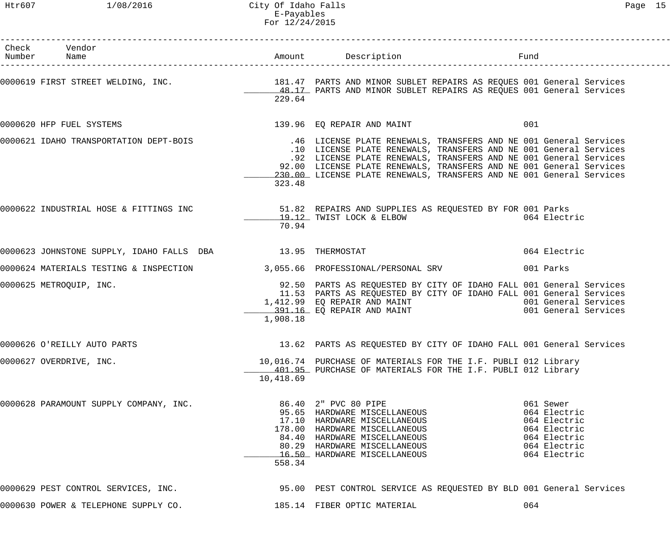| Check Vendor<br>Number Name                                               |           |                                                                                                                                                                                                                                                                                                                                                                                                   | Fund                                                                                                      |
|---------------------------------------------------------------------------|-----------|---------------------------------------------------------------------------------------------------------------------------------------------------------------------------------------------------------------------------------------------------------------------------------------------------------------------------------------------------------------------------------------------------|-----------------------------------------------------------------------------------------------------------|
|                                                                           | 229.64    | 0000619 FIRST STREET WELDING, INC. THE SALE MANAGER 181.47 PARTS AND MINOR SUBLET REPAIRS AS REQUES 001 General Services<br>48.17 PARTS AND MINOR SUBLET REPAIRS AS REQUES 001 General Services                                                                                                                                                                                                   |                                                                                                           |
| 0000620 HFP FUEL SYSTEMS                                                  |           | 139.96 EQ REPAIR AND MAINT                                                                                                                                                                                                                                                                                                                                                                        | 001                                                                                                       |
|                                                                           | 323.48    | 0000621 IDAHO TRANSPORTATION DEPT-BOIS 146 LICENSE PLATE RENEWALS, TRANSFERS AND NE 001 General Services<br>.10 LICENSE PLATE RENEWALS, TRANSFERS AND NE 001 General Services<br>.92 LICENSE PLATE RENEWALS, TRANSFERS AND NE 001 General Services<br>92.00 LICENSE PLATE RENEWALS, TRANSFERS AND NE 001 General Services<br>230.00 LICENSE PLATE RENEWALS, TRANSFERS AND NE 001 General Services |                                                                                                           |
|                                                                           | 70.94     | 19.12 TWIST LOCK & ELBOW                                                                                                                                                                                                                                                                                                                                                                          | 064 Electric                                                                                              |
| 0000623 JOHNSTONE SUPPLY, IDAHO FALLS DBA 13.95 THERMOSTAT                |           |                                                                                                                                                                                                                                                                                                                                                                                                   | 064 Electric                                                                                              |
| 0000624 MATERIALS TESTING & INSPECTION 3,055.66 PROFESSIONAL/PERSONAL SRV |           |                                                                                                                                                                                                                                                                                                                                                                                                   | 001 Parks                                                                                                 |
| 0000625 METROQUIP, INC.                                                   | 1,908.18  | 92.50 PARTS AS REQUESTED BY CITY OF IDAHO FALL 001 General Services<br>11.53 PARTS AS REQUESTED BY CITY OF IDAHO FALL 001 General Services<br>1,412.99 EQ REPAIR AND MAINT<br>391.16 EQ REPAIR AND MAINT                                                                                                                                                                                          | 001 General Services<br>001 General Services                                                              |
| 0000626 O'REILLY AUTO PARTS                                               |           | 13.62 PARTS AS REQUESTED BY CITY OF IDAHO FALL 001 General Services                                                                                                                                                                                                                                                                                                                               |                                                                                                           |
| 0000627 OVERDRIVE, INC.                                                   | 10,418.69 | 10,016.74 PURCHASE OF MATERIALS FOR THE I.F. PUBLI 012 Library<br>401.95 PURCHASE OF MATERIALS FOR THE I.F. PUBLI 012 Library                                                                                                                                                                                                                                                                     |                                                                                                           |
| 0000628 PARAMOUNT SUPPLY COMPANY, INC.                                    | 558.34    | 86.40 2" PVC 80 PIPE<br>95.65 HARDWARE MISCELLANEOUS<br>17.10 HARDWARE MISCELLANEOUS<br>178.00 HARDWARE MISCELLANEOUS<br>84.40 HARDWARE MISCELLANEOUS<br>80.29 HARDWARE MISCELLANEOUS<br>16.50 HARDWARE MISCELLANEOUS                                                                                                                                                                             | 061 Sewer<br>064 Electric<br>064 Electric<br>064 Electric<br>064 Electric<br>064 Electric<br>064 Electric |
| 0000629 PEST CONTROL SERVICES, INC.                                       |           | 95.00 PEST CONTROL SERVICE AS REQUESTED BY BLD 001 General Services                                                                                                                                                                                                                                                                                                                               |                                                                                                           |
| 0000630 POWER & TELEPHONE SUPPLY CO.                                      |           | 185.14 FIBER OPTIC MATERIAL                                                                                                                                                                                                                                                                                                                                                                       | 064                                                                                                       |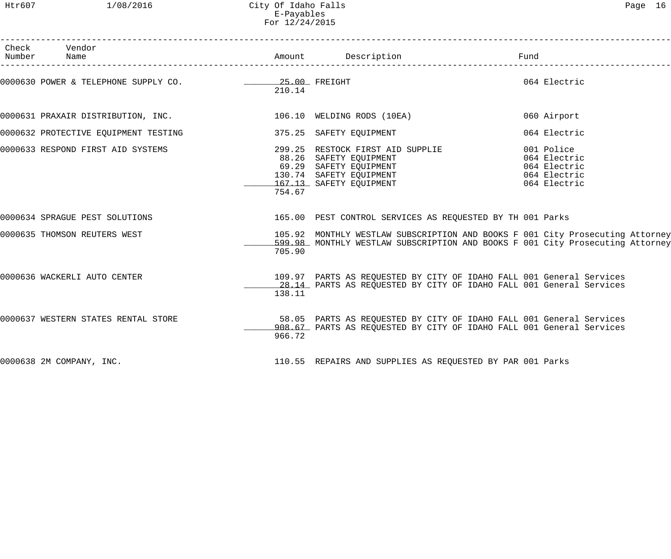Htr607 1/08/2016 City Of Idaho Falls Page 16 E-Payables For 12/24/2015

| Check Vendor<br>Number Name                                                               |        |                                                                                                                                                                                                            | Fund         |
|-------------------------------------------------------------------------------------------|--------|------------------------------------------------------------------------------------------------------------------------------------------------------------------------------------------------------------|--------------|
| 0000630 POWER & TELEPHONE SUPPLY CO. 25.00 FREIGHT                                        | 210.14 |                                                                                                                                                                                                            | 064 Electric |
| 0000631 PRAXAIR DISTRIBUTION, INC.                             106.10 WELDING RODS (10EA) |        |                                                                                                                                                                                                            | 060 Airport  |
| 0000632 PROTECTIVE EQUIPMENT TESTING                                                      |        | 375.25 SAFETY EQUIPMENT                                                                                                                                                                                    | 064 Electric |
| 0000633 RESPOND FIRST AID SYSTEMS                                                         | 754.67 | 299.25 RESTOCK FIRST AID SUPPLIE<br>88.26 SAFETY EQUIPMENT<br>69.29 SAFETY EQUIPMENT<br>130.74 SAFETY EQUIPMENT<br>167.13 SAFETY EQUIPMENT<br>167.13 SAFETY EQUIPMENT<br>167.13 SAFETY EQUIPMENT<br>167.13 |              |
| 0000634 SPRAGUE PEST SOLUTIONS                                                            |        | 165.00 PEST CONTROL SERVICES AS REQUESTED BY TH 001 Parks                                                                                                                                                  |              |
| 0000635 THOMSON REUTERS WEST                                                              | 705.90 | 105.92 MONTHLY WESTLAW SUBSCRIPTION AND BOOKS F 001 City Prosecuting Attorney<br>599.98 MONTHLY WESTLAW SUBSCRIPTION AND BOOKS F 001 City Prosecuting Attorney                                             |              |
| 0000636 WACKERLI AUTO CENTER                                                              | 138.11 | 109.97 PARTS AS REQUESTED BY CITY OF IDAHO FALL 001 General Services<br>28.14 PARTS AS REQUESTED BY CITY OF IDAHO FALL 001 General Services                                                                |              |
| 0000637 WESTERN STATES RENTAL STORE                                                       | 966.72 | 58.05 PARTS AS REQUESTED BY CITY OF IDAHO FALL 001 General Services<br>908.67 PARTS AS REQUESTED BY CITY OF IDAHO FALL 001 General Services                                                                |              |
| 0000638 2M COMPANY, INC.                                                                  |        | 110.55 REPAIRS AND SUPPLIES AS REQUESTED BY PAR 001 Parks                                                                                                                                                  |              |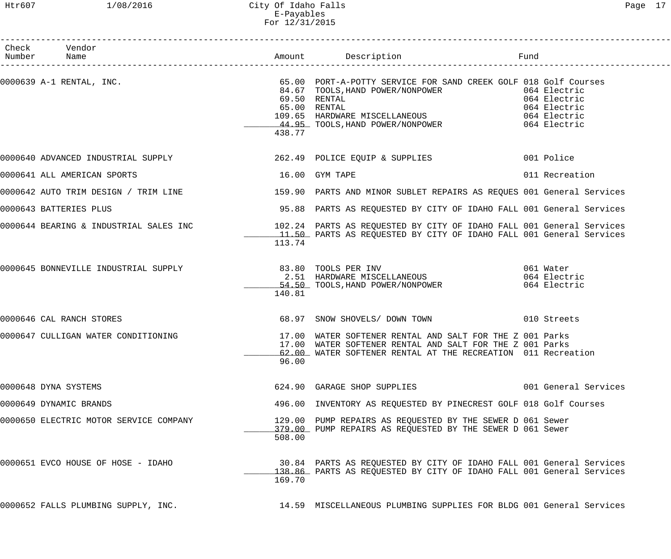# Htr607 1/08/2016 City Of Idaho Falls Page 17 E-Payables For 12/31/2015

| Check Vendor<br>Number Name            |        |                                                                                                                                                                                      |                                           |
|----------------------------------------|--------|--------------------------------------------------------------------------------------------------------------------------------------------------------------------------------------|-------------------------------------------|
|                                        | 438.77 | 65.00 RENTAL<br>109.65 HARDWARE MISCELLANEOUS<br>109.65 HARDWARE MISCELLANEOUS 1064 Electric<br>144.95 TOOLS, HAND POWER/NONPOWER 1064 Electric                                      | 064 Electric                              |
|                                        |        | 0000640 ADVANCED INDUSTRIAL SUPPLY 362.49 POLICE EQUIP & SUPPLIES 001 Police                                                                                                         |                                           |
| 0000641 ALL AMERICAN SPORTS            |        | 16.00 GYM TAPE                                                                                                                                                                       | 011 Recreation                            |
|                                        |        | 0000642 AUTO TRIM DESIGN / TRIM LINE 159.90 PARTS AND MINOR SUBLET REPAIRS AS REQUES 001 General Services                                                                            |                                           |
| 0000643 BATTERIES PLUS                 |        | 95.88 PARTS AS REQUESTED BY CITY OF IDAHO FALL 001 General Services                                                                                                                  |                                           |
|                                        | 113.74 | 0000644 BEARING & INDUSTRIAL SALES INC 102.24 PARTS AS REQUESTED BY CITY OF IDAHO FALL 001 General Services<br>11.50 PARTS AS REQUESTED BY CITY OF IDAHO FALL 001 General Services   |                                           |
|                                        | 140.81 | 54.50 TOOLS, HAND POWER/NONPOWER                                                                                                                                                     | 061 Water<br>064 Electric<br>064 Electric |
| 0000646 CAL RANCH STORES               |        | 68.97 SNOW SHOVELS/ DOWN TOWN 68.97 SNOW SHOVELS                                                                                                                                     |                                           |
| 0000647 CULLIGAN WATER CONDITIONING    | 96.00  | 17.00 WATER SOFTENER RENTAL AND SALT FOR THE Z 001 Parks<br>17.00 WATER SOFTENER RENTAL AND SALT FOR THE Z 001 Parks<br>62.00 WATER SOFTENER RENTAL AT THE RECREATION 011 Recreation |                                           |
| 0000648 DYNA SYSTEMS                   |        | 624.90 GARAGE SHOP SUPPLIES                                                                                                                                                          | 001 General Services                      |
| 0000649 DYNAMIC BRANDS                 |        | 496.00 INVENTORY AS REQUESTED BY PINECREST GOLF 018 Golf Courses                                                                                                                     |                                           |
| 0000650 ELECTRIC MOTOR SERVICE COMPANY | 508.00 | 129.00 PUMP REPAIRS AS REQUESTED BY THE SEWER D 061 Sewer<br>379.00 PUMP REPAIRS AS REQUESTED BY THE SEWER D 061 Sewer                                                               |                                           |
| 0000651 EVCO HOUSE OF HOSE - IDAHO     | 169.70 | 30.84 PARTS AS REQUESTED BY CITY OF IDAHO FALL 001 General Services<br>138.86 PARTS AS REQUESTED BY CITY OF IDAHO FALL 001 General Services                                          |                                           |
| 0000652 FALLS PLUMBING SUPPLY, INC.    |        | 14.59 MISCELLANEOUS PLUMBING SUPPLIES FOR BLDG 001 General Services                                                                                                                  |                                           |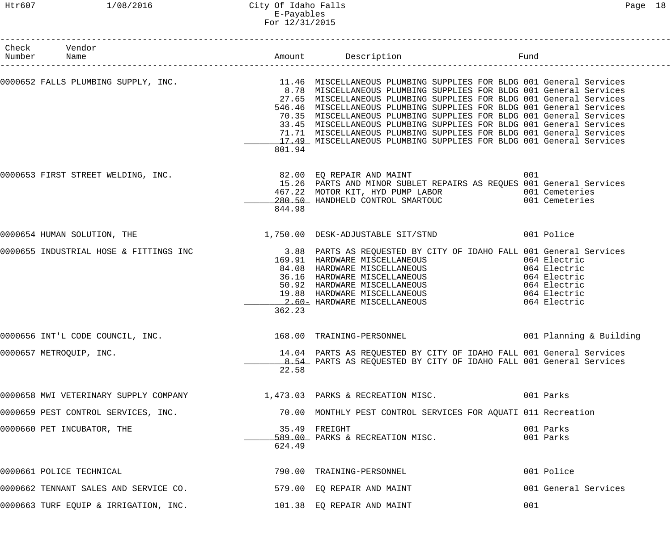Htr607 1/08/2016 City Of Idaho Falls Page 18 E-Payables For 12/31/2015

| Check Vendor<br>Number Name                                             |        |                                                                                                                                                                                                                                                                                                                                                                                                                                                                                                                                                                                                           |                        |
|-------------------------------------------------------------------------|--------|-----------------------------------------------------------------------------------------------------------------------------------------------------------------------------------------------------------------------------------------------------------------------------------------------------------------------------------------------------------------------------------------------------------------------------------------------------------------------------------------------------------------------------------------------------------------------------------------------------------|------------------------|
|                                                                         | 801.94 | 0000652 FALLS PLUMBING SUPPLY, INC.<br>11.46 MISCELLANEOUS PLUMBING 001 General Services<br>8.78 MISCELLANEOUS PLUMBING SUPPLIES FOR BLDG 001 General Services<br>27.65 MISCELLANEOUS PLUMBING SUPPLIES FOR BLDG 001 General Services<br>546.46 MISCELLANEOUS PLUMBING SUPPLIES FOR BLDG 001 General Services<br>70.35 MISCELLANEOUS PLUMBING SUPPLIES FOR BLDG 001 General Services<br>33.45 MISCELLANEOUS PLUMBING SUPPLIES FOR BLDG 001 General Services<br>71.71 MISCELLANEOUS PLUMBING SUPPLIES FOR BLDG 001 General Services<br>17.49 MISCELLANEOUS PLUMBING SUPPLIES FOR BLDG 001 General Services |                        |
| 0000653 FIRST STREET WELDING, INC.                                      | 844.98 | 82.00 EQ REPAIR AND MAINT<br>15.26 PARTS AND MINOR SUBLET REPAIRS AS REQUES 001 General Services<br>467.22 MOTOR KIT, HYD PUMP LABOR<br>280.50 HANDHELD CONTROL SMARTOUC 601 Cemeteries                                                                                                                                                                                                                                                                                                                                                                                                                   | 001                    |
|                                                                         |        | 0000654 HUMAN SOLUTION, THE 3000 CONTROL 1,750.00 DESK-ADJUSTABLE SIT/STND 3001 Police                                                                                                                                                                                                                                                                                                                                                                                                                                                                                                                    |                        |
|                                                                         | 362.23 | 0000655 INDUSTRIAL HOSE & FITTINGS INC 3.88 PARTS AS REQUESTED BY CITY OF IDAHO FALL 001 General Services<br>169.91 HARDWARE MISCELLANEOUS 064 Electric<br>84.08 HARDWARE MISCELLANEOUS 064 Electric<br>36.16 HARDWARE MISCELLANEOUS 064 Electric<br>50.92 HARDWARE MISCELLANEOUS 064 Electric<br>19.88 HARDWARE MISCELLANEOUS 064 Electric<br>2.60=                                                                                                                                                                                                                                                      |                        |
| 0000656 INT'L CODE COUNCIL, INC.                                        |        | 168.00 TRAINING-PERSONNEL 1001 Planning & Building                                                                                                                                                                                                                                                                                                                                                                                                                                                                                                                                                        |                        |
| 0000657 METROQUIP, INC.                                                 | 22.58  | 14.04 PARTS AS REQUESTED BY CITY OF IDAHO FALL 001 General Services<br>8.54 PARTS AS REQUESTED BY CITY OF IDAHO FALL 001 General Services                                                                                                                                                                                                                                                                                                                                                                                                                                                                 |                        |
| 0000658 MWI VETERINARY SUPPLY COMPANY 1,473.03 PARKS & RECREATION MISC. |        |                                                                                                                                                                                                                                                                                                                                                                                                                                                                                                                                                                                                           | 001 Parks              |
| 0000659 PEST CONTROL SERVICES, INC.                                     |        | 70.00 MONTHLY PEST CONTROL SERVICES FOR AQUATI 011 Recreation                                                                                                                                                                                                                                                                                                                                                                                                                                                                                                                                             |                        |
| 0000660 PET INCUBATOR, THE                                              | 624.49 | 35.49 FREIGHT<br>589.00 PARKS & RECREATION MISC.                                                                                                                                                                                                                                                                                                                                                                                                                                                                                                                                                          | 001 Parks<br>001 Parks |
| 0000661 POLICE TECHNICAL                                                |        | 790.00 TRAINING-PERSONNEL                                                                                                                                                                                                                                                                                                                                                                                                                                                                                                                                                                                 | 001 Police             |
| 0000662 TENNANT SALES AND SERVICE CO.                                   |        | 579.00 EQ REPAIR AND MAINT                                                                                                                                                                                                                                                                                                                                                                                                                                                                                                                                                                                | 001 General Services   |
| 0000663 TURF EQUIP & IRRIGATION, INC.                                   |        | 101.38 EQ REPAIR AND MAINT                                                                                                                                                                                                                                                                                                                                                                                                                                                                                                                                                                                | 001                    |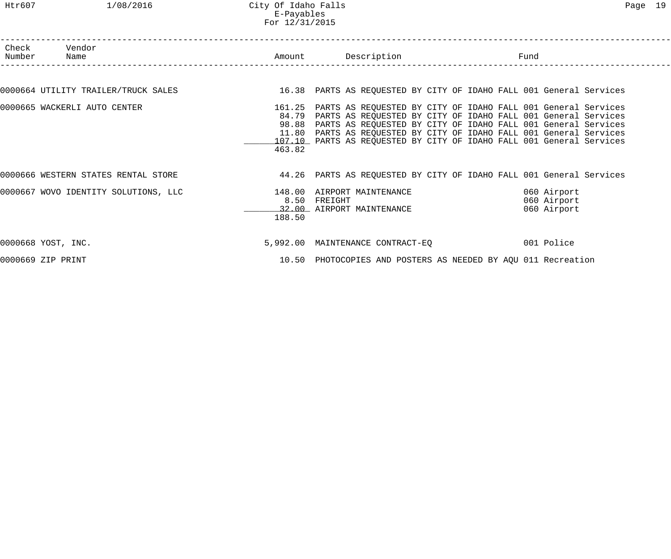Htr607 1/08/2016 City Of Idaho Falls Page 19 E-Payables For 12/31/2015

| Check Vendor<br>Number Name          |        |                                                                                                                                                                                                                                                                                                                                                                   |                                           |  |
|--------------------------------------|--------|-------------------------------------------------------------------------------------------------------------------------------------------------------------------------------------------------------------------------------------------------------------------------------------------------------------------------------------------------------------------|-------------------------------------------|--|
|                                      |        |                                                                                                                                                                                                                                                                                                                                                                   |                                           |  |
| 0000664 UTILITY TRAILER/TRUCK SALES  |        | 16.38 PARTS AS REQUESTED BY CITY OF IDAHO FALL 001 General Services                                                                                                                                                                                                                                                                                               |                                           |  |
| 0000665 WACKERLI AUTO CENTER         | 463.82 | 161.25 PARTS AS REQUESTED BY CITY OF IDAHO FALL 001 General Services<br>84.79 PARTS AS REQUESTED BY CITY OF IDAHO FALL 001 General Services<br>98.88 PARTS AS REQUESTED BY CITY OF IDAHO FALL 001 General Services<br>11.80 PARTS AS REQUESTED BY CITY OF IDAHO FALL 001 General Services<br>107.10 PARTS AS REQUESTED BY CITY OF IDAHO FALL 001 General Services |                                           |  |
| 0000666 WESTERN STATES RENTAL STORE  |        | 44.26 PARTS AS REQUESTED BY CITY OF IDAHO FALL 001 General Services                                                                                                                                                                                                                                                                                               |                                           |  |
| 0000667 WOVO IDENTITY SOLUTIONS, LLC | 188.50 | 148.00 AIRPORT MAINTENANCE<br>8.50 FREIGHT<br>32.00 AIRPORT MAINTENANCE                                                                                                                                                                                                                                                                                           | 060 Airport<br>060 Airport<br>060 Airport |  |
| 0000668 YOST, INC.                   |        | 5,992.00 MAINTENANCE CONTRACT-EO 001 Police                                                                                                                                                                                                                                                                                                                       |                                           |  |
| 0000669 ZIP PRINT                    |        | 10.50 PHOTOCOPIES AND POSTERS AS NEEDED BY AQU 011 Recreation                                                                                                                                                                                                                                                                                                     |                                           |  |